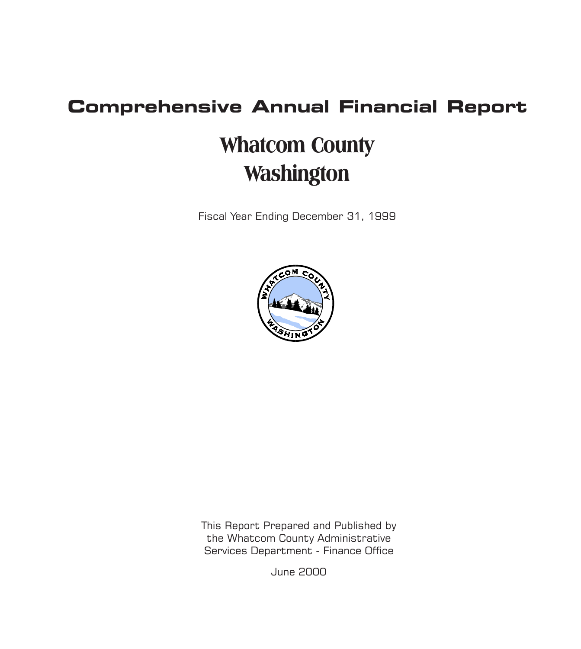## Comprehensive Annual Financial Report Whatcom County **Washington**

Fiscal Year Ending December 31, 1999



This Report Prepared and Published by the Whatcom County Administrative Services Department - Finance Office

June 2000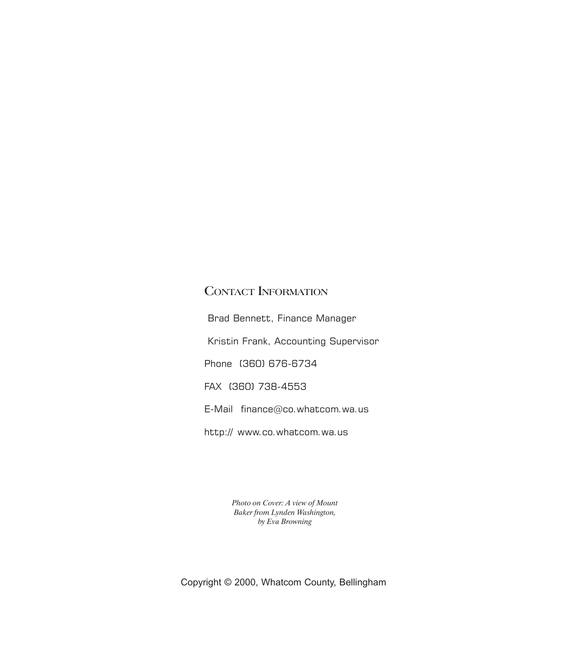#### **CONTACT INFORMATION**

Brad Bennett, Finance Manager

Kristin Frank, Accounting Supervisor

Phone (360) 676-6734

FAX (360) 738-4553

E-Mail finance@co.whatcom.wa.us

http:// www.co.whatcom.wa.us

*Photo on Cover: A view of Mount Baker from Lynden Washington, by Eva Browning*

Copyright © 2000, Whatcom County, Bellingham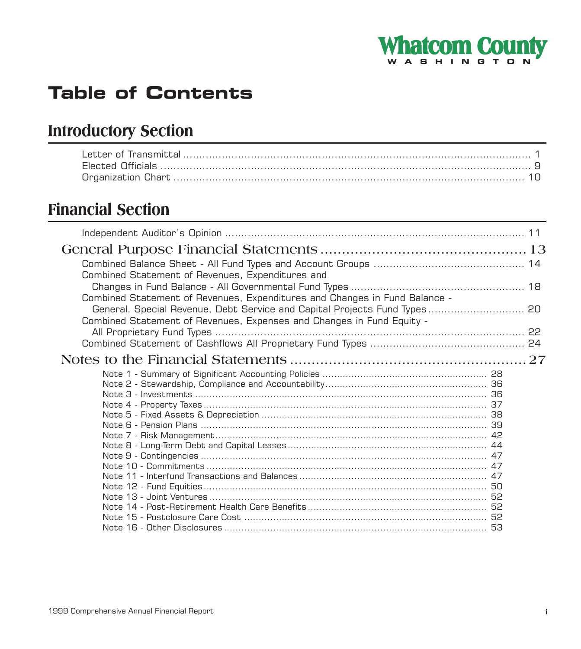

## Table of Contents

## Introductory Section

## Financial Section

| Combined Statement of Revenues, Expenditures and                           |  |
|----------------------------------------------------------------------------|--|
| Combined Statement of Revenues, Expenditures and Changes in Fund Balance - |  |
| Combined Statement of Revenues, Expenses and Changes in Fund Equity -      |  |
|                                                                            |  |
|                                                                            |  |
|                                                                            |  |
| Note 15 - Postclosure Care Cost …………………………………………………………………………… 52           |  |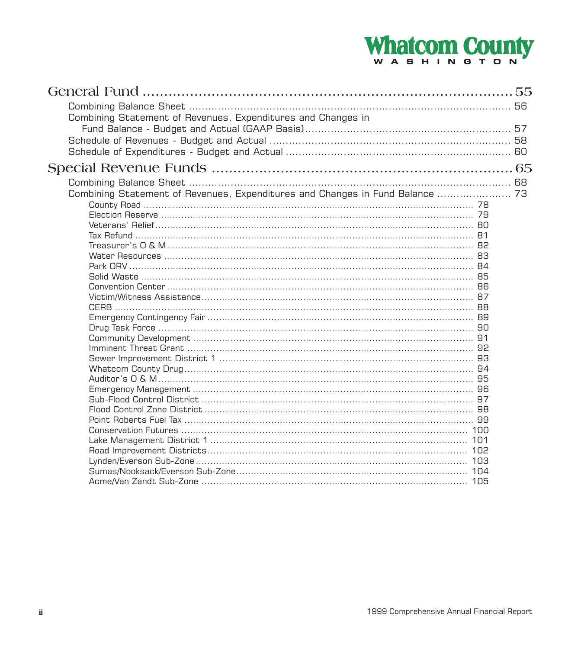# Whatcom County

| Combining Statement of Revenues, Expenditures and Changes in                  |  |
|-------------------------------------------------------------------------------|--|
|                                                                               |  |
|                                                                               |  |
|                                                                               |  |
|                                                                               |  |
|                                                                               |  |
|                                                                               |  |
| Combining Statement of Revenues, Expenditures and Changes in Fund Balance  73 |  |
|                                                                               |  |
|                                                                               |  |
|                                                                               |  |
|                                                                               |  |
|                                                                               |  |
|                                                                               |  |
|                                                                               |  |
|                                                                               |  |
|                                                                               |  |
|                                                                               |  |
|                                                                               |  |
|                                                                               |  |
|                                                                               |  |
|                                                                               |  |
|                                                                               |  |
|                                                                               |  |
|                                                                               |  |
|                                                                               |  |
|                                                                               |  |
|                                                                               |  |
|                                                                               |  |
|                                                                               |  |
|                                                                               |  |
|                                                                               |  |
|                                                                               |  |
|                                                                               |  |
|                                                                               |  |
|                                                                               |  |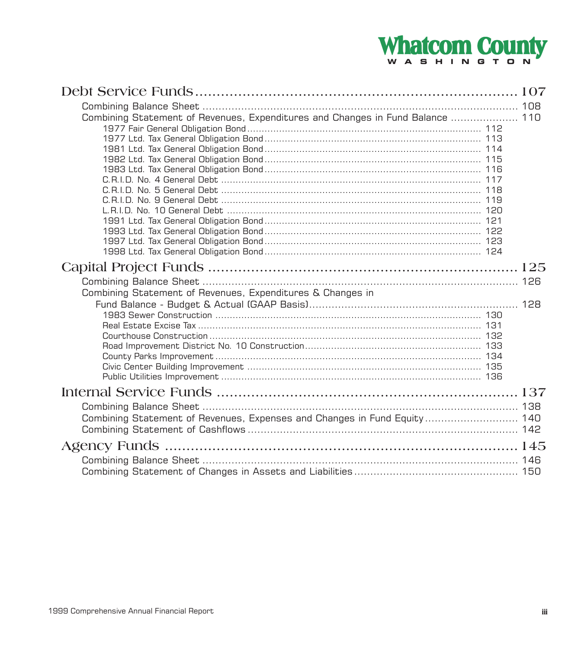## Whatcom County

| Combining Statement of Revenues, Expenditures and Changes in Fund Balance  110 |  |
|--------------------------------------------------------------------------------|--|
| Combining Statement of Revenues, Expenditures & Changes in                     |  |
|                                                                                |  |
|                                                                                |  |
| Combining Statement of Revenues, Expenses and Changes in Fund Equity 140       |  |
|                                                                                |  |
|                                                                                |  |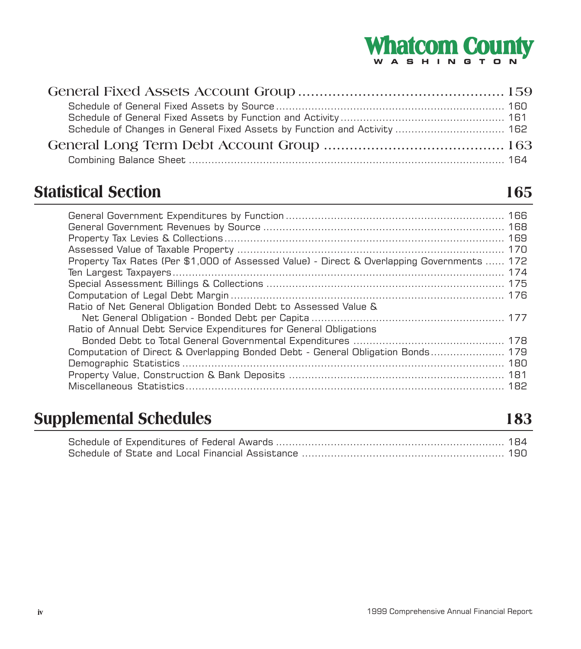

| Schedule of Changes in General Fixed Assets by Function and Activity  162 |  |
|---------------------------------------------------------------------------|--|
|                                                                           |  |
|                                                                           |  |

## Statistical Section 165

| Property Tax Rates (Per \$1,000 of Assessed Value) - Direct & Overlapping Governments  172 |  |
|--------------------------------------------------------------------------------------------|--|
|                                                                                            |  |
|                                                                                            |  |
|                                                                                            |  |
| Ratio of Net General Obligation Bonded Debt to Assessed Value &                            |  |
|                                                                                            |  |
| Ratio of Annual Debt Service Expenditures for General Obligations                          |  |
|                                                                                            |  |
| Computation of Direct & Overlapping Bonded Debt - General Obligation Bonds 179             |  |
|                                                                                            |  |
|                                                                                            |  |
|                                                                                            |  |

## Supplemental Schedules 183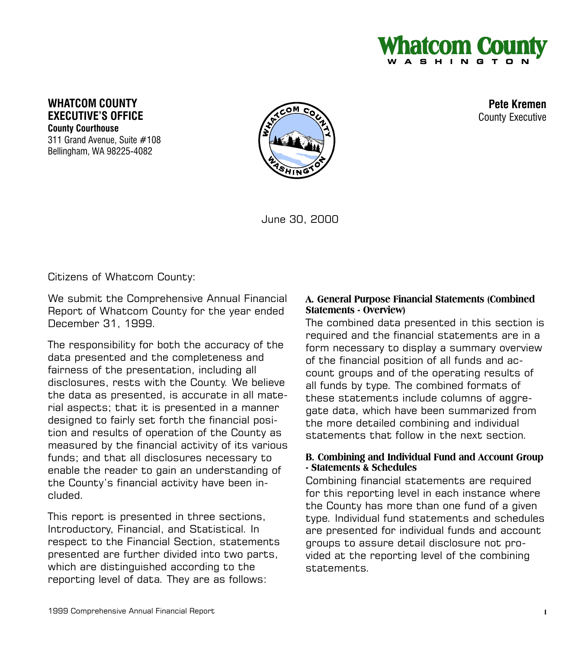

**WHATCOM COUNTY EXECUTIVE'S OFFICE County Courthouse** 311 Grand Avenue, Suite #108 Bellingham, WA 98225-4082



**Pete Kremen** County Executive

June 30, 2000

Citizens of Whatcom County:

We submit the Comprehensive Annual Financial Report of Whatcom County for the year ended December 31, 1999.

The responsibility for both the accuracy of the data presented and the completeness and fairness of the presentation, including all disclosures, rests with the County. We believe the data as presented, is accurate in all material aspects; that it is presented in a manner designed to fairly set forth the financial position and results of operation of the County as measured by the financial activity of its various funds; and that all disclosures necessary to enable the reader to gain an understanding of the Countyís financial activity have been included.

This report is presented in three sections, Introductory, Financial, and Statistical. In respect to the Financial Section, statements presented are further divided into two parts, which are distinguished according to the reporting level of data. They are as follows:

#### A. General Purpose Financial Statements (Combined Statements - Overview)

The combined data presented in this section is required and the financial statements are in a form necessary to display a summary overview of the financial position of all funds and account groups and of the operating results of all funds by type. The combined formats of these statements include columns of aggregate data, which have been summarized from the more detailed combining and individual statements that follow in the next section.

#### B. Combining and Individual Fund and Account Group - Statements & Schedules

Combining financial statements are required for this reporting level in each instance where the County has more than one fund of a given type. Individual fund statements and schedules are presented for individual funds and account groups to assure detail disclosure not provided at the reporting level of the combining statements.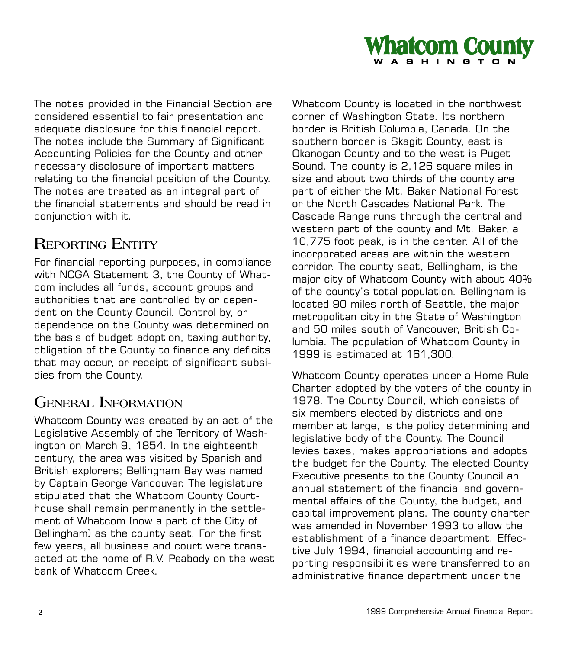

The notes provided in the Financial Section are considered essential to fair presentation and adequate disclosure for this financial report. The notes include the Summary of Significant Accounting Policies for the County and other necessary disclosure of important matters relating to the financial position of the County. The notes are treated as an integral part of the financial statements and should be read in conjunction with it.

## **REPORTING ENTITY**

For financial reporting purposes, in compliance with NCGA Statement 3, the County of Whatcom includes all funds, account groups and authorities that are controlled by or dependent on the County Council. Control by, or dependence on the County was determined on the basis of budget adoption, taxing authority, obligation of the County to finance any deficits that may occur, or receipt of significant subsidies from the County.

## **GENERAL INFORMATION**

Whatcom County was created by an act of the Legislative Assembly of the Territory of Washington on March 9, 1854. In the eighteenth century, the area was visited by Spanish and British explorers; Bellingham Bay was named by Captain George Vancouver. The legislature stipulated that the Whatcom County Courthouse shall remain permanently in the settlement of Whatcom (now a part of the City of Bellingham) as the county seat. For the first few years, all business and court were transacted at the home of R.V. Peabody on the west bank of Whatcom Creek.

Whatcom County is located in the northwest corner of Washington State. Its northern border is British Columbia, Canada. On the southern border is Skagit County, east is Okanogan County and to the west is Puget Sound. The county is 2,126 square miles in size and about two thirds of the county are part of either the Mt. Baker National Forest or the North Cascades National Park. The Cascade Range runs through the central and western part of the county and Mt. Baker, a 10,775 foot peak, is in the center. All of the incorporated areas are within the western corridor. The county seat, Bellingham, is the major city of Whatcom County with about 40% of the countyís total population. Bellingham is located 90 miles north of Seattle, the major metropolitan city in the State of Washington and 50 miles south of Vancouver, British Columbia. The population of Whatcom County in 1999 is estimated at 161,300.

Whatcom County operates under a Home Rule Charter adopted by the voters of the county in 1978. The County Council, which consists of six members elected by districts and one member at large, is the policy determining and legislative body of the County. The Council levies taxes, makes appropriations and adopts the budget for the County. The elected County Executive presents to the County Council an annual statement of the financial and governmental affairs of the County, the budget, and capital improvement plans. The county charter was amended in November 1993 to allow the establishment of a finance department. Effective July 1994, financial accounting and reporting responsibilities were transferred to an administrative finance department under the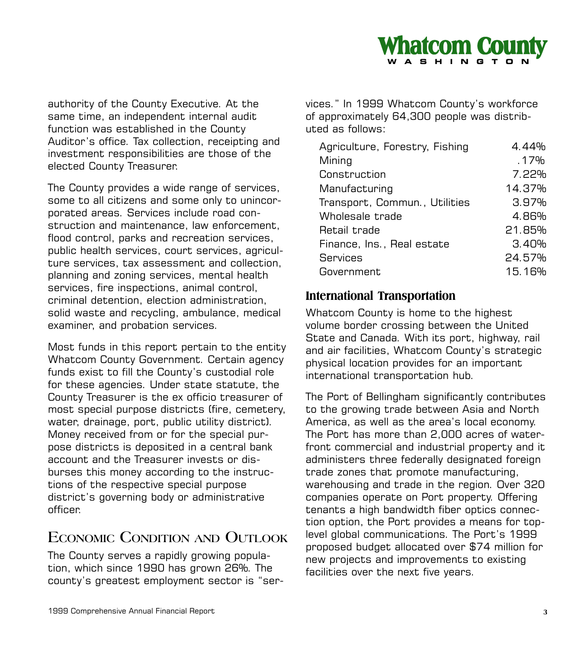

authority of the County Executive. At the same time, an independent internal audit function was established in the County Auditor's office. Tax collection, receipting and investment responsibilities are those of the elected County Treasurer.

The County provides a wide range of services, some to all citizens and some only to unincorporated areas. Services include road construction and maintenance, law enforcement, flood control, parks and recreation services, public health services, court services, agriculture services, tax assessment and collection, planning and zoning services, mental health services, fire inspections, animal control, criminal detention, election administration, solid waste and recycling, ambulance, medical examiner, and probation services.

Most funds in this report pertain to the entity Whatcom County Government. Certain agency funds exist to fill the County's custodial role for these agencies. Under state statute, the County Treasurer is the ex officio treasurer of most special purpose districts (fire, cemetery, water, drainage, port, public utility district). Money received from or for the special purpose districts is deposited in a central bank account and the Treasurer invests or disburses this money according to the instructions of the respective special purpose district's governing body or administrative officer.

#### **ECONOMIC CONDITION AND OUTLOOK**

The County serves a rapidly growing population, which since 1990 has grown 26%. The county's greatest employment sector is "services." In 1999 Whatcom County's workforce of approximately 64,300 people was distributed as follows:

| Agriculture, Forestry, Fishing | 4.44%  |
|--------------------------------|--------|
| Mining                         | .17%   |
| Construction                   | 7.22%  |
| Manufacturing                  | 14.37% |
| Transport, Commun., Utilities  | 3.97%  |
| Wholesale trade                | 4.86%  |
| Retail trade                   | 21.85% |
| Finance, Ins., Real estate     | 3.40%  |
| <b>Services</b>                | 24.57% |
| Government                     | 15.16% |

#### International Transportation

Whatcom County is home to the highest volume border crossing between the United State and Canada. With its port, highway, rail and air facilities, Whatcom Countyís strategic physical location provides for an important international transportation hub.

The Port of Bellingham significantly contributes to the growing trade between Asia and North America, as well as the area's local economy. The Port has more than 2,000 acres of waterfront commercial and industrial property and it administers three federally designated foreign trade zones that promote manufacturing, warehousing and trade in the region. Over 320 companies operate on Port property. Offering tenants a high bandwidth fiber optics connection option, the Port provides a means for toplevel global communications. The Port's 1999 proposed budget allocated over \$74 million for new projects and improvements to existing facilities over the next five years.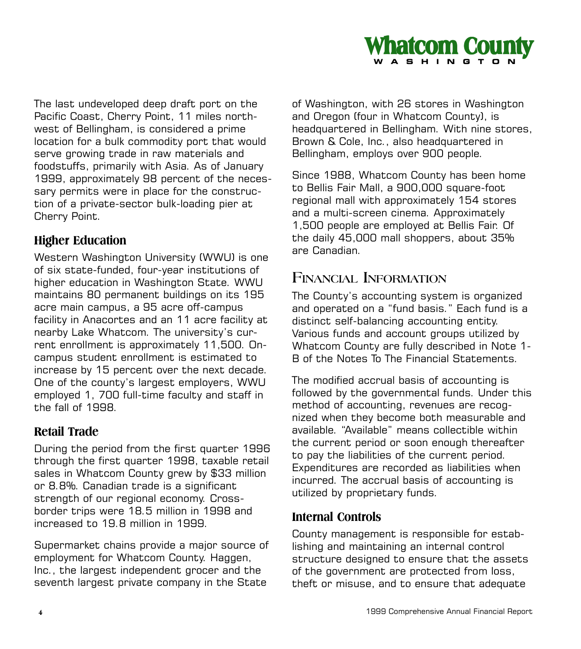

The last undeveloped deep draft port on the Pacific Coast, Cherry Point, 11 miles northwest of Bellingham, is considered a prime location for a bulk commodity port that would serve growing trade in raw materials and foodstuffs, primarily with Asia. As of January 1999, approximately 98 percent of the necessary permits were in place for the construction of a private-sector bulk-loading pier at Cherry Point.

#### Higher Education

Western Washington University (WWU) is one of six state-funded, four-year institutions of higher education in Washington State. WWU maintains 80 permanent buildings on its 195 acre main campus, a 95 acre off-campus facility in Anacortes and an 11 acre facility at nearby Lake Whatcom. The university's current enrollment is approximately 11,500. Oncampus student enrollment is estimated to increase by 15 percent over the next decade. One of the county's largest employers, WWU employed 1, 700 full-time faculty and staff in the fall of 1998.

#### Retail Trade

During the period from the first quarter 1996 through the first quarter 1998, taxable retail sales in Whatcom County grew by \$33 million or 8.8%. Canadian trade is a significant strength of our regional economy. Crossborder trips were 18.5 million in 1998 and increased to 19.8 million in 1999.

Supermarket chains provide a major source of employment for Whatcom County. Haggen, Inc., the largest independent grocer and the seventh largest private company in the State

of Washington, with 26 stores in Washington and Oregon (four in Whatcom County), is headquartered in Bellingham. With nine stores, Brown & Cole, Inc., also headquartered in Bellingham, employs over 900 people.

Since 1988, Whatcom County has been home to Bellis Fair Mall, a 900,000 square-foot regional mall with approximately 154 stores and a multi-screen cinema. Approximately 1,500 people are employed at Bellis Fair. Of the daily 45,000 mall shoppers, about 35% are Canadian.

### **FINANCIAL INFORMATION**

The Countyís accounting system is organized and operated on a "fund basis." Each fund is a distinct self-balancing accounting entity. Various funds and account groups utilized by Whatcom County are fully described in Note 1- B of the Notes To The Financial Statements.

The modified accrual basis of accounting is followed by the governmental funds. Under this method of accounting, revenues are recognized when they become both measurable and available. "Available" means collectible within the current period or soon enough thereafter to pay the liabilities of the current period. Expenditures are recorded as liabilities when incurred. The accrual basis of accounting is utilized by proprietary funds.

#### Internal Controls

County management is responsible for establishing and maintaining an internal control structure designed to ensure that the assets of the government are protected from loss, theft or misuse, and to ensure that adequate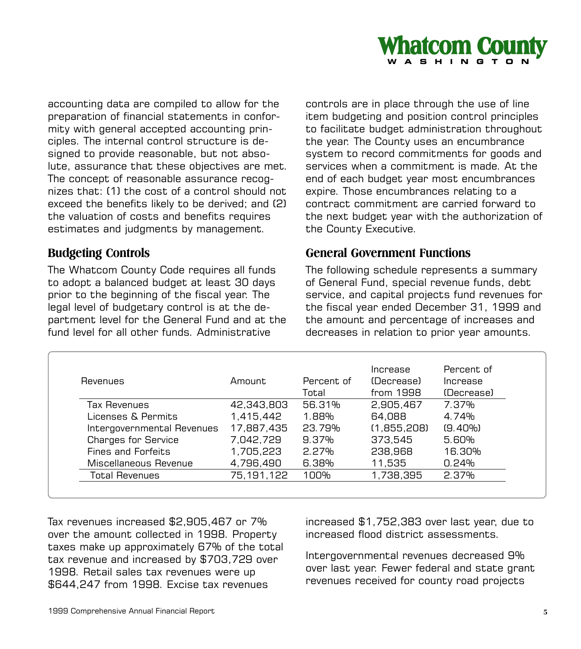

accounting data are compiled to allow for the preparation of financial statements in conformity with general accepted accounting principles. The internal control structure is designed to provide reasonable, but not absolute, assurance that these objectives are met. The concept of reasonable assurance recognizes that: (1) the cost of a control should not exceed the benefits likely to be derived; and (2) the valuation of costs and benefits requires estimates and judgments by management.

#### Budgeting Controls

The Whatcom County Code requires all funds to adopt a balanced budget at least 30 days prior to the beginning of the fiscal year. The legal level of budgetary control is at the department level for the General Fund and at the fund level for all other funds. Administrative

controls are in place through the use of line item budgeting and position control principles to facilitate budget administration throughout the year. The County uses an encumbrance system to record commitments for goods and services when a commitment is made. At the end of each budget year most encumbrances expire. Those encumbrances relating to a contract commitment are carried forward to the next budget year with the authorization of the County Executive.

#### General Government Functions

The following schedule represents a summary of General Fund, special revenue funds, debt service, and capital projects fund revenues for the fiscal year ended December 31, 1999 and the amount and percentage of increases and decreases in relation to prior year amounts.

| Revenues                   | Amount.    | Percent of<br>Total | Increase<br>(Decrease)<br>from 1998 | Percent of<br>Increase<br>(Decrease) |
|----------------------------|------------|---------------------|-------------------------------------|--------------------------------------|
| <b>Tax Revenues</b>        | 42,343,803 | 56.31%              | 2,905,467                           | 7.37%                                |
| Licenses & Permits         | 1,415,442  | 1.88%               | 64,088                              | 4.74%                                |
| Intergovernmental Revenues | 17,887,435 | 23.79%              | (1,855,208)                         | $(9, 40\%)$                          |
| <b>Charges for Service</b> | 7,042,729  | 9.37%               | 373,545                             | 5.60%                                |
| <b>Fines and Forfeits</b>  | 1,705,223  | 2.27%               | 238,968                             | 16.30%                               |
| Miscellaneous Revenue      | 4,796,490  | 6.38%               | 11,535                              | 0.24%                                |
| <b>Total Revenues</b>      | 75,191,122 | 100%                | 1,738,395                           | 2.37%                                |

Tax revenues increased \$2,905,467 or 7% over the amount collected in 1998. Property taxes make up approximately 67% of the total tax revenue and increased by \$703,729 over 1998. Retail sales tax revenues were up \$644,247 from 1998. Excise tax revenues

increased \$1,752,383 over last year, due to increased flood district assessments.

Intergovernmental revenues decreased 9% over last year. Fewer federal and state grant revenues received for county road projects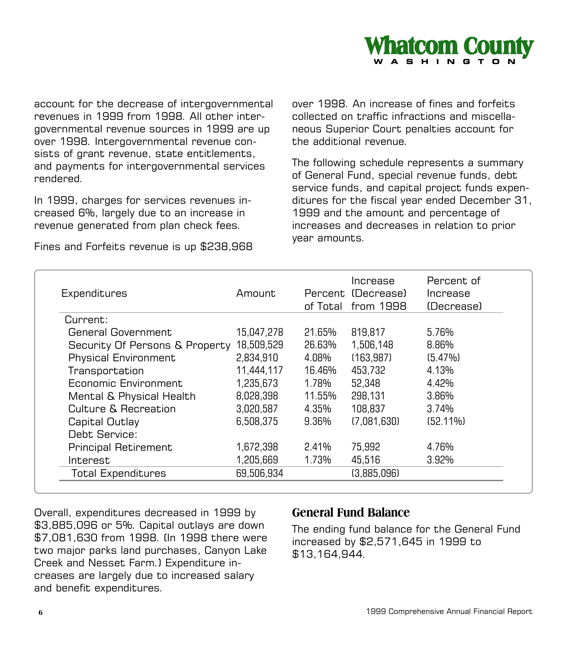

account for the decrease of intergovernmental revenues in 1999 from 1998. All other intergovernmental revenue sources in 1999 are up over 1998. Intergovernmental revenue consists of grant revenue, state entitlements, and payments for intergovernmental services rendered.

In 1999, charges for services revenues increased 6%, largely due to an increase in revenue generated from plan check fees.

Fines and Forfeits revenue is up \$238,968

over 1998. An increase of fines and forfeits collected on traffic infractions and miscellaneous Superior Court penalties account for the additional revenue.

The following schedule represents a summary of General Fund, special revenue funds, debt service funds, and capital project funds expenditures for the fiscal year ended December 31, 1999 and the amount and percentage of increases and decreases in relation to prior year amounts.

| Expenditures                   | Amount     |        | Increase<br>Percent (Decrease)<br>of Total from 1998 | Percent of<br>Increase<br>(Decrease) |
|--------------------------------|------------|--------|------------------------------------------------------|--------------------------------------|
| Current:                       |            |        |                                                      |                                      |
| General Government             | 15,047,278 | 21.65% | 819,817                                              | 5.76%                                |
| Security Of Persons & Property | 18,509,529 | 26.63% | 1,506,148                                            | 8.86%                                |
| <b>Physical Environment</b>    | 2,834,910  | 4.08%  | (163, 987)                                           | (5.47%)                              |
| Transportation                 | 11,444,117 | 16.46% | 453,732                                              | 4.13%                                |
| Economic Environment           | 1,235,673  | 1.78%  | 52,348                                               | 4.42%                                |
| Mental & Physical Health       | 8,028,398  | 11.55% | 298,131                                              | 3.86%                                |
| Culture & Recreation           | 3,020,587  | 4.35%  | 108,837                                              | 3.74%                                |
| Capital Outlay                 | 6,508,375  | 9.36%  | (7,081,630)                                          | $(52.11\%)$                          |
| Debt Service:                  |            |        |                                                      |                                      |
| <b>Principal Retirement</b>    | 1,672,398  | 2.41%  | 75,992                                               | 4.76%                                |
| Interest                       | 1,205,669  | 1.73%  | 45,516                                               | 3.92%                                |
| <b>Total Expenditures</b>      | 69,506,934 |        | (3,885,096)                                          |                                      |

Overall, expenditures decreased in 1999 by \$3,885,096 or 5%. Capital outlays are down \$7,081,630 from 1998. (In 1998 there were two major parks land purchases, Canyon Lake Creek and Nesset Farm.) Expenditure increases are largely due to increased salary and benefit expenditures.

#### General Fund Balance

The ending fund balance for the General Fund increased by \$2,571,645 in 1999 to \$13,164,944.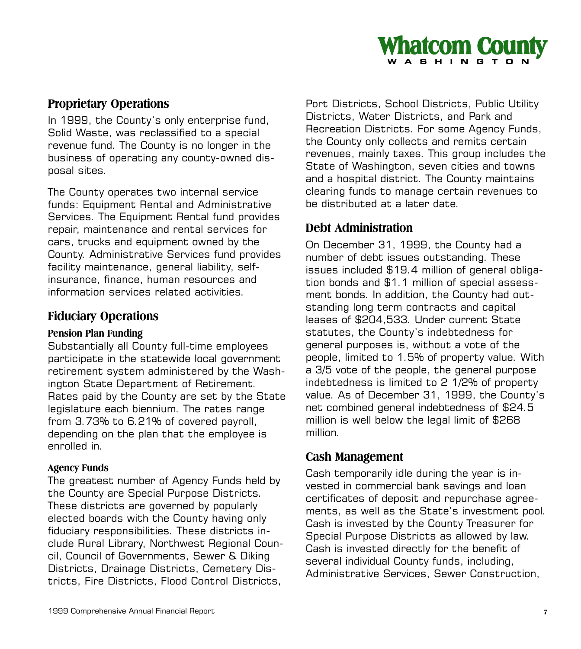

#### Proprietary Operations

In 1999, the County's only enterprise fund, Solid Waste, was reclassified to a special revenue fund. The County is no longer in the business of operating any county-owned disposal sites.

The County operates two internal service funds: Equipment Rental and Administrative Services. The Equipment Rental fund provides repair, maintenance and rental services for cars, trucks and equipment owned by the County. Administrative Services fund provides facility maintenance, general liability, selfinsurance, finance, human resources and information services related activities.

#### Fiduciary Operations

#### Pension Plan Funding

Substantially all County full-time employees participate in the statewide local government retirement system administered by the Washington State Department of Retirement. Rates paid by the County are set by the State legislature each biennium. The rates range from 3.73% to 6.21% of covered payroll, depending on the plan that the employee is enrolled in.

#### Agency Funds

The greatest number of Agency Funds held by the County are Special Purpose Districts. These districts are governed by popularly elected boards with the County having only fiduciary responsibilities. These districts include Rural Library, Northwest Regional Council, Council of Governments, Sewer & Diking Districts, Drainage Districts, Cemetery Districts, Fire Districts, Flood Control Districts,

Port Districts, School Districts, Public Utility Districts, Water Districts, and Park and Recreation Districts. For some Agency Funds, the County only collects and remits certain revenues, mainly taxes. This group includes the State of Washington, seven cities and towns and a hospital district. The County maintains clearing funds to manage certain revenues to be distributed at a later date.

#### Debt Administration

On December 31, 1999, the County had a number of debt issues outstanding. These issues included \$19.4 million of general obligation bonds and \$1.1 million of special assessment bonds. In addition, the County had outstanding long term contracts and capital leases of \$204,533. Under current State statutes, the County's indebtedness for general purposes is, without a vote of the people, limited to 1.5% of property value. With a 3/5 vote of the people, the general purpose indebtedness is limited to 2 1/2% of property value. As of December 31, 1999, the Countyís net combined general indebtedness of \$24.5 million is well below the legal limit of \$268 million.

#### Cash Management

Cash temporarily idle during the year is invested in commercial bank savings and loan certificates of deposit and repurchase agreements, as well as the State's investment pool. Cash is invested by the County Treasurer for Special Purpose Districts as allowed by law. Cash is invested directly for the benefit of several individual County funds, including, Administrative Services, Sewer Construction,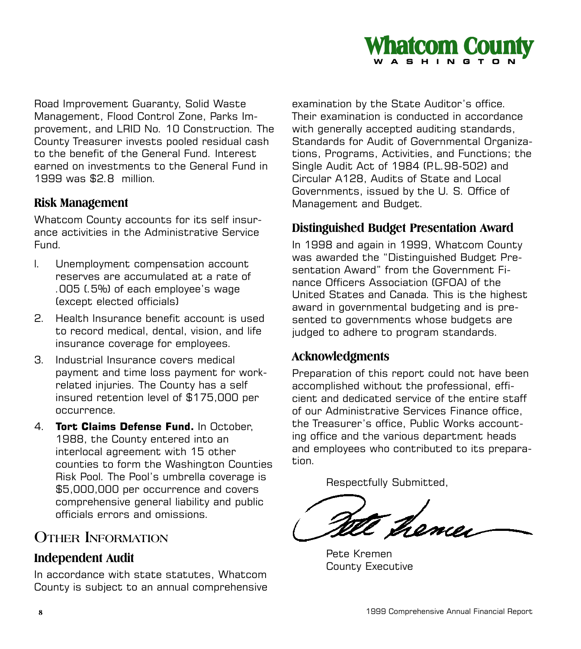

Road Improvement Guaranty, Solid Waste Management, Flood Control Zone, Parks Improvement, and LRID No. 10 Construction. The County Treasurer invests pooled residual cash to the benefit of the General Fund. Interest earned on investments to the General Fund in 1999 was \$2.8 million.

#### Risk Management

Whatcom County accounts for its self insurance activities in the Administrative Service Fund.

- l. Unemployment compensation account reserves are accumulated at a rate of .005 (.5%) of each employeeís wage (except elected officials)
- 2. Health Insurance benefit account is used to record medical, dental, vision, and life insurance coverage for employees.
- 3. Industrial Insurance covers medical payment and time loss payment for workrelated injuries. The County has a self insured retention level of \$175,000 per occurrence.
- 4. **Tort Claims Defense Fund.** In October, 1988, the County entered into an interlocal agreement with 15 other counties to form the Washington Counties Risk Pool. The Pool's umbrella coverage is \$5,000,000 per occurrence and covers comprehensive general liability and public officials errors and omissions.

### **OTHER INFORMATION**

#### Independent Audit

In accordance with state statutes, Whatcom County is subject to an annual comprehensive

examination by the State Auditor's office. Their examination is conducted in accordance with generally accepted auditing standards, Standards for Audit of Governmental Organizations, Programs, Activities, and Functions; the Single Audit Act of 1984 (P.L.98-502) and Circular A128, Audits of State and Local Governments, issued by the U. S. Office of Management and Budget.

#### Distinguished Budget Presentation Award

In 1998 and again in 1999, Whatcom County was awarded the "Distinguished Budget Presentation Award" from the Government Finance Officers Association (GFOA) of the United States and Canada. This is the highest award in governmental budgeting and is presented to governments whose budgets are judged to adhere to program standards.

#### Acknowledgments

Preparation of this report could not have been accomplished without the professional, efficient and dedicated service of the entire staff of our Administrative Services Finance office, the Treasurerís office, Public Works accounting office and the various department heads and employees who contributed to its preparation.

Respectfully Submitted,

t hence

Pete Kremen County Executive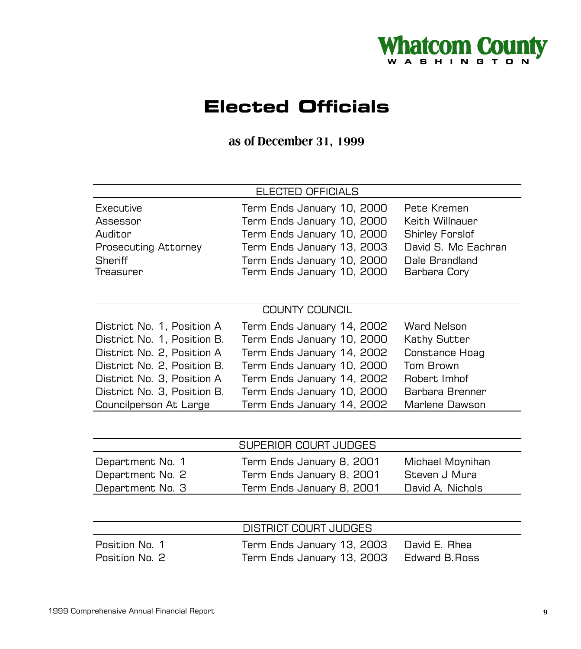

## Elected Officials

as of December 31, 1999

|                             | ELECTED OFFICIALS          |                        |
|-----------------------------|----------------------------|------------------------|
| Executive                   | Term Ends January 10, 2000 | Pete Kremen            |
| Assessor                    | Term Ends January 10, 2000 | Keith Willnauer        |
| Auditor                     | Term Ends January 10, 2000 | <b>Shirley Forslof</b> |
| <b>Prosecuting Attorney</b> | Term Ends January 13, 2003 | David S. Mc Eachran    |
| Sheriff                     | Term Ends January 10, 2000 | Dale Brandland         |
| Treasurer                   | Term Ends January 10, 2000 | Barbara Cory           |

| COUNTY COUNCIL              |                            |                 |  |  |
|-----------------------------|----------------------------|-----------------|--|--|
| District No. 1, Position A  | Term Ends January 14, 2002 | Ward Nelson     |  |  |
| District No. 1, Position B. | Term Ends January 10, 2000 | Kathy Sutter    |  |  |
| District No. 2, Position A  | Term Ends January 14, 2002 | Constance Hoag  |  |  |
| District No. 2, Position B. | Term Ends January 10, 2000 | Tom Brown       |  |  |
| District No. 3, Position A  | Term Ends January 14, 2002 | Robert Imhof    |  |  |
| District No. 3, Position B. | Term Ends January 10, 2000 | Barbara Brenner |  |  |
| Councilperson At Large      | Term Ends January 14, 2002 | Marlene Dawson  |  |  |

|                  | SUPERIOR COURT JUDGES     |                  |
|------------------|---------------------------|------------------|
| Department No. 1 | Term Ends January 8, 2001 | Michael Moynihan |
| Department No. 2 | Term Ends January 8, 2001 | Steven J Mura    |
| Department No. 3 | Term Ends January 8, 2001 | David A. Nichols |

|                | DISTRICT COURT JUDGES      |               |
|----------------|----------------------------|---------------|
| Position No. 1 | Term Ends January 13, 2003 | David E. Rhea |
| Position No. 2 | Term Ends January 13, 2003 | Edward B.Ross |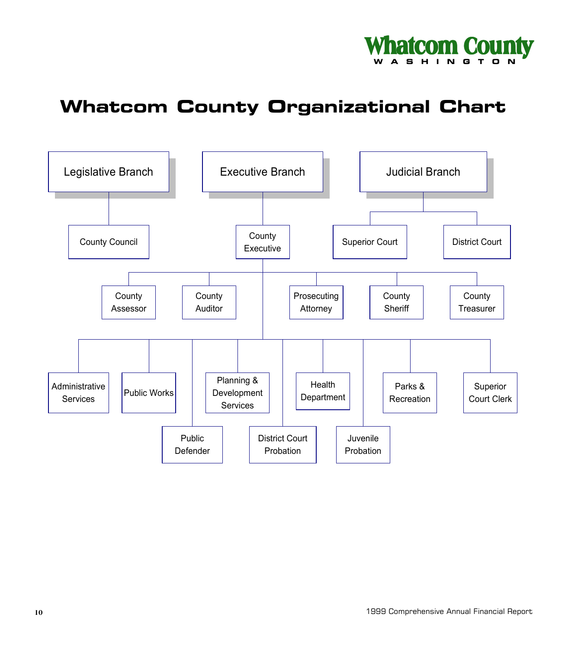

## Whatcom County Organizational Chart

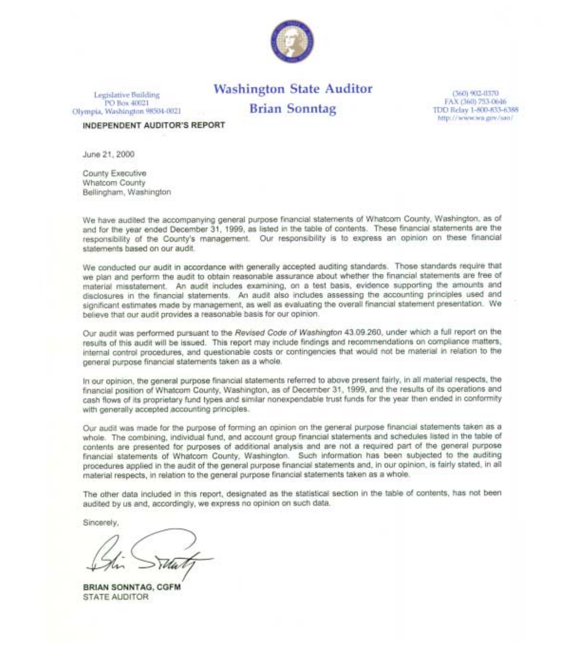

**Washington State Auditor** 

**Brian Sonntag** 

(360) 902-0370 EAX (360) 753-0646 TDD Relay 1-800-833-6388 http://www.wa.gov/san/

INDEPENDENT AUDITOR'S REPORT

June 21, 2000

County Executive Whatcom County Bellingham, Washington

Legislative Building

PO Box 40021

Olympia, Washington 98504-0021

We have audited the accompanying general purpose financial statements of Whatcom County, Washington, as of and for the year ended December 31, 1999, as listed in the table of contents. These financial statements are the responsibility of the County's management. Our responsibility is to express an opinion on these financial statements based on our audit.

We conducted our audit in accordance with generally accepted auditing standards. Those standards require that we plan and perform the audit to obtain reasonable assurance about whether the financial statements are free of material misstatement. An audit includes examining, on a test basis, evidence supporting the amounts and disclosures in the financial statements. An audit also includes assessing the accounting principles used and significant estimates made by management, as well as evaluating the overall financial statement presentation. We believe that our audit provides a reasonable basis for our opinion.

Our audit was performed pursuant to the Revised Code of Washington 43.09.260, under which a full report on the results of this audit will be issued. This report may include findings and recommendations on compliance matters, internal control procedures, and questionable costs or contingencies that would not be material in relation to the general purpose financial statements taken as a whole.

In our opinion, the general purpose financial statements referred to above present fairly, in all material respects, the financial position of Whatcom County, Washington, as of December 31, 1999, and the results of its operations and cash flows of its proprietary fund types and similar nonexpendable trust funds for the year then ended in conformity with generally accepted accounting principles.

Our audit was made for the purpose of forming an opinion on the general purpose financial statements taken as a whole. The combining, individual fund, and account group financial statements and schedules listed in the table of contents are presented for purposes of additional analysis and are not a required part of the general purpose financial statements of Whatcom County, Washington. Such information has been subjected to the auditing procedures applied in the audit of the general purpose financial statements and, in our opinion, is fairly stated, in all material respects, in relation to the general purpose financial statements taken as a whole.

The other data included in this report, designated as the statistical section in the table of contents, has not been audited by us and, accordingly, we express no opinion on such data.

Sincerely,

**BRIAN SONNTAG, CGFM** STATE AUDITOR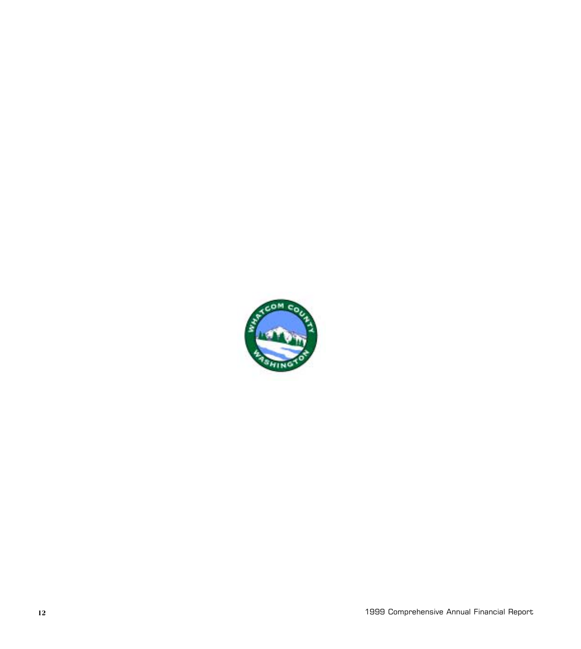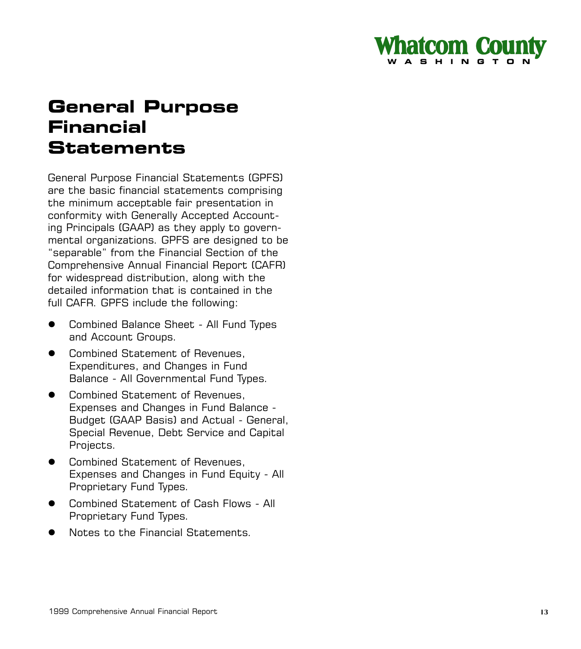

## General Purpose Financial Statements

General Purpose Financial Statements (GPFS) are the basic financial statements comprising the minimum acceptable fair presentation in conformity with Generally Accepted Accounting Principals (GAAP) as they apply to governmental organizations. GPFS are designed to be "separable" from the Financial Section of the Comprehensive Annual Financial Report (CAFR) for widespread distribution, along with the detailed information that is contained in the full CAFR. GPFS include the following:

- **Combined Balance Sheet All Fund Types** and Account Groups.
- **Combined Statement of Revenues,** Expenditures, and Changes in Fund Balance - All Governmental Fund Types.
- **Combined Statement of Revenues.** Expenses and Changes in Fund Balance - Budget (GAAP Basis) and Actual - General, Special Revenue, Debt Service and Capital Projects.
- **Combined Statement of Revenues,** Expenses and Changes in Fund Equity - All Proprietary Fund Types.
- **Combined Statement of Cash Flows All** Proprietary Fund Types.
- Notes to the Financial Statements.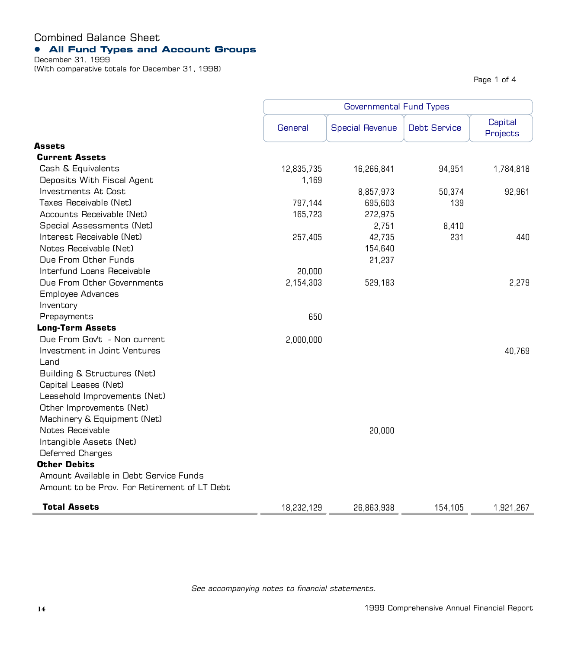#### Combined Balance Sheet

#### **• All Fund Types and Account Groups**

December 31, 1999 (With comparative totals for December 31, 1998)

Page 1 of 4

|                                              |            | Governmental Fund Types |                     |                     |
|----------------------------------------------|------------|-------------------------|---------------------|---------------------|
|                                              | General    | <b>Special Revenue</b>  | <b>Debt Service</b> | Capital<br>Projects |
| <b>Assets</b>                                |            |                         |                     |                     |
| <b>Current Assets</b>                        |            |                         |                     |                     |
| Cash & Equivalents                           | 12,835,735 | 16,266,841              | 94,951              | 1,784,818           |
| Deposits With Fiscal Agent                   | 1,169      |                         |                     |                     |
| <b>Investments At Cost</b>                   |            | 8,857,973               | 50.374              | 92,961              |
| Taxes Receivable (Net)                       | 797,144    | 695,603                 | 139                 |                     |
| Accounts Receivable (Net)                    | 165,723    | 272,975                 |                     |                     |
| Special Assessments (Net)                    |            | 2,751                   | 8,410               |                     |
| Interest Receivable (Net)                    | 257,405    | 42,735                  | 231                 | 440                 |
| Notes Receivable (Net)                       |            | 154,640                 |                     |                     |
| Due From Other Funds                         |            | 21,237                  |                     |                     |
| Interfund Loans Receivable                   | 20,000     |                         |                     |                     |
| Due From Other Governments                   | 2,154,303  | 529,183                 |                     | 2,279               |
| <b>Employee Advances</b>                     |            |                         |                     |                     |
| Inventory                                    |            |                         |                     |                     |
| Prepayments                                  | 650        |                         |                     |                     |
| <b>Long-Term Assets</b>                      |            |                         |                     |                     |
| Due From Gov't - Non current                 | 2,000,000  |                         |                     |                     |
| Investment in Joint Ventures                 |            |                         |                     | 40,769              |
| Land                                         |            |                         |                     |                     |
| <b>Building &amp; Structures (Net)</b>       |            |                         |                     |                     |
| Capital Leases (Net)                         |            |                         |                     |                     |
| Leasehold Improvements (Net)                 |            |                         |                     |                     |
| Other Improvements (Net)                     |            |                         |                     |                     |
| Machinery & Equipment (Net)                  |            |                         |                     |                     |
| Notes Receivable                             |            | 20,000                  |                     |                     |
| Intangible Assets (Net)                      |            |                         |                     |                     |
| Deferred Charges                             |            |                         |                     |                     |
| <b>Other Debits</b>                          |            |                         |                     |                     |
| Amount Available in Debt Service Funds       |            |                         |                     |                     |
| Amount to be Prov. For Retirement of LT Debt |            |                         |                     |                     |
| <b>Total Assets</b>                          | 18,232,129 | 26,863,938              | 154,105             | 1,921,267           |

See accompanying notes to financial statements.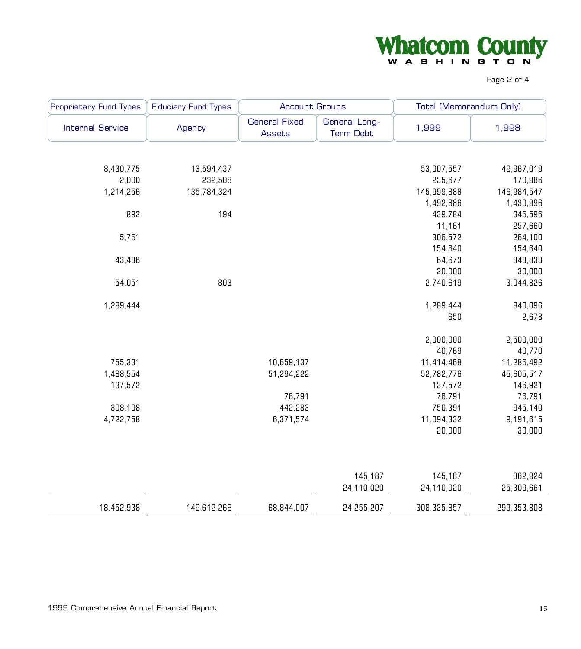

Page 2 of 4

| <b>Proprietary Fund Types</b> | <b>Fiduciary Fund Types</b> | <b>Account Groups</b>                 |                                   | <b>Total (Memorandum Only)</b> |             |
|-------------------------------|-----------------------------|---------------------------------------|-----------------------------------|--------------------------------|-------------|
| <b>Internal Service</b>       | Agency                      | <b>General Fixed</b><br><b>Assets</b> | General Long-<br><b>Term Debt</b> | 1,999                          | 1,998       |
|                               |                             |                                       |                                   |                                |             |
| 8,430,775                     | 13,594,437                  |                                       |                                   | 53,007,557                     | 49,967,019  |
| 2,000                         | 232,508                     |                                       |                                   | 235,677                        | 170,986     |
| 1,214,256                     | 135,784,324                 |                                       |                                   | 145,999,888                    | 146,984,547 |
|                               |                             |                                       |                                   | 1,492,886                      | 1,430,996   |
| 892                           | 194                         |                                       |                                   | 439,784                        | 346,596     |
|                               |                             |                                       |                                   | 11,161                         | 257,660     |
| 5,761                         |                             |                                       |                                   | 306,572                        | 264,100     |
|                               |                             |                                       |                                   | 154,640                        | 154,640     |
| 43,436                        |                             |                                       |                                   | 64,673                         | 343,833     |
|                               |                             |                                       |                                   | 20,000                         | 30,000      |
| 54,051                        | 803                         |                                       |                                   | 2,740,619                      | 3,044,826   |
| 1,289,444                     |                             |                                       |                                   | 1,289,444                      | 840,096     |
|                               |                             |                                       |                                   | 650                            | 2,678       |
|                               |                             |                                       |                                   | 2,000,000                      | 2,500,000   |
|                               |                             |                                       |                                   | 40,769                         | 40,770      |
| 755,331                       |                             | 10,659,137                            |                                   | 11,414,468                     | 11,286,492  |
| 1,488,554                     |                             | 51,294,222                            |                                   | 52,782,776                     | 45,605,517  |
| 137,572                       |                             |                                       |                                   | 137,572                        | 146,921     |
|                               |                             | 76,791                                |                                   | 76,791                         | 76,791      |
| 308,108                       |                             | 442,283                               |                                   | 750,391                        | 945,140     |
| 4,722,758                     |                             | 6,371,574                             |                                   | 11,094,332                     | 9,191,615   |
|                               |                             |                                       |                                   | 20,000                         | 30,000      |
|                               |                             |                                       |                                   |                                |             |
|                               |                             |                                       | 145,187                           | 145,187                        | 382,924     |
|                               |                             |                                       | 24,110,020                        | 24,110,020                     | 25,309,661  |
| 18,452,938                    | 149,612,266                 | 68,844,007                            | 24,255,207                        | 308,335,857                    | 299,353,808 |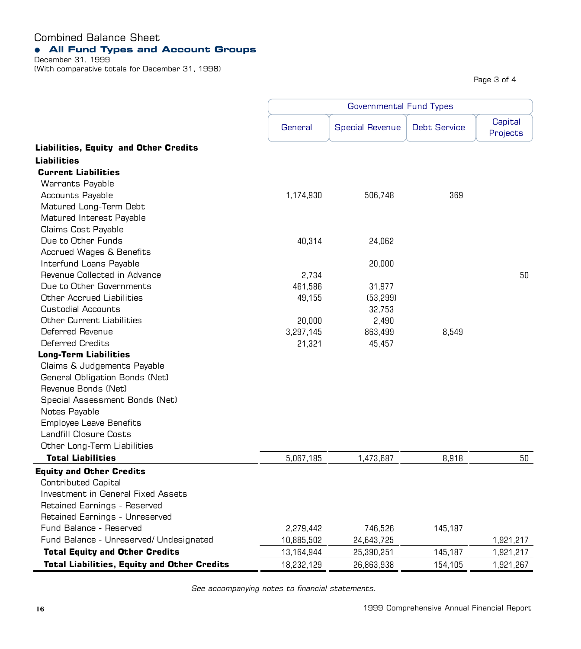#### Combined Balance Sheet

#### **.** All Fund Types and Account Groups

December 31, 1999 (With comparative totals for December 31, 1998)

Page 3 of 4

|                                                    |            | Governmental Fund Types |              |                     |
|----------------------------------------------------|------------|-------------------------|--------------|---------------------|
|                                                    | General    | <b>Special Revenue</b>  | Debt Service | Capital<br>Projects |
| Liabilities, Equity and Other Credits              |            |                         |              |                     |
| <b>Liabilities</b>                                 |            |                         |              |                     |
| <b>Current Liabilities</b>                         |            |                         |              |                     |
| Warrants Payable                                   |            |                         |              |                     |
| Accounts Payable                                   | 1,174,930  | 506,748                 | 369          |                     |
| Matured Long-Term Debt                             |            |                         |              |                     |
| Matured Interest Payable                           |            |                         |              |                     |
| Claims Cost Payable                                |            |                         |              |                     |
| Due to Other Funds                                 | 40,314     | 24,062                  |              |                     |
| Accrued Wages & Benefits                           |            |                         |              |                     |
| Interfund Loans Payable                            |            | 20,000                  |              |                     |
| Revenue Collected in Advance                       | 2.734      |                         |              | 50                  |
| Due to Other Governments                           | 461,586    | 31,977                  |              |                     |
| Other Accrued Liabilities                          | 49,155     | (53, 299)               |              |                     |
| Custodial Accounts                                 |            | 32,753                  |              |                     |
| Other Current Liabilities                          | 20,000     | 2,490                   |              |                     |
| Deferred Revenue                                   | 3,297,145  | 863,499                 | 8,549        |                     |
| Deferred Credits                                   | 21,321     | 45,457                  |              |                     |
| <b>Long-Term Liabilities</b>                       |            |                         |              |                     |
| Claims & Judgements Payable                        |            |                         |              |                     |
| General Obligation Bonds (Net)                     |            |                         |              |                     |
| Revenue Bonds (Net)                                |            |                         |              |                     |
| Special Assessment Bonds (Net)                     |            |                         |              |                     |
| Notes Payable                                      |            |                         |              |                     |
| <b>Employee Leave Benefits</b>                     |            |                         |              |                     |
| Landfill Closure Costs                             |            |                         |              |                     |
| Other Long-Term Liabilities                        |            |                         |              |                     |
| <b>Total Liabilities</b>                           | 5,067,185  | 1,473,687               | 8,918        | 50                  |
| <b>Equity and Other Credits</b>                    |            |                         |              |                     |
| <b>Contributed Capital</b>                         |            |                         |              |                     |
| Investment in General Fixed Assets                 |            |                         |              |                     |
| Retained Earnings - Reserved                       |            |                         |              |                     |
| Retained Earnings - Unreserved                     |            |                         |              |                     |
| Fund Balance - Reserved                            | 2,279,442  | 746,526                 | 145,187      |                     |
| Fund Balance - Unreserved/ Undesignated            | 10,885,502 | 24,643,725              |              | 1,921,217           |
| <b>Total Equity and Other Credits</b>              | 13,164,944 | 25,390,251              | 145,187      | 1,921,217           |
| <b>Total Liabilities, Equity and Other Credits</b> | 18,232,129 | 26,863,938              | 154,105      | 1,921,267           |

See accompanying notes to financial statements.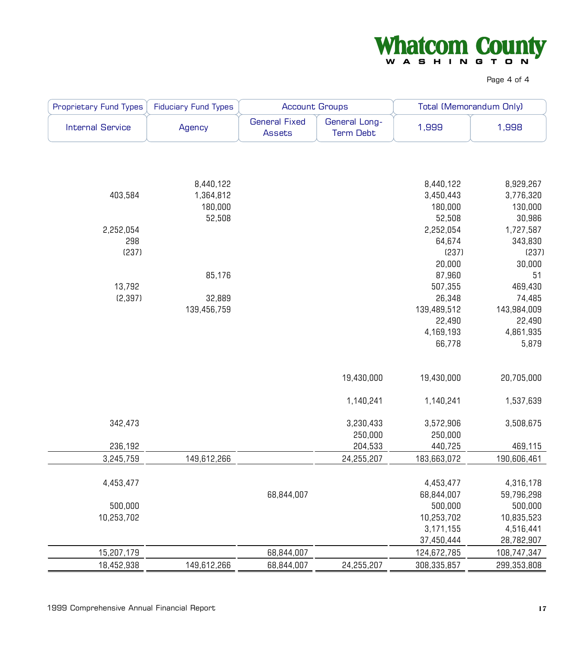

Page 4 of 4

| <b>Proprietary Fund Types</b> | <b>Fiduciary Fund Types</b>       |                                       | <b>Account Groups</b>             | <b>Total (Memorandum Only)</b>     |                                    |
|-------------------------------|-----------------------------------|---------------------------------------|-----------------------------------|------------------------------------|------------------------------------|
| <b>Internal Service</b>       | Agency                            | <b>General Fixed</b><br><b>Assets</b> | General Long-<br><b>Term Debt</b> | 1,999                              | 1,998                              |
|                               |                                   |                                       |                                   |                                    |                                    |
| 403,584                       | 8,440,122<br>1,364,812<br>180,000 |                                       |                                   | 8,440,122<br>3,450,443<br>180,000  | 8,929,267<br>3,776,320<br>130,000  |
| 2,252,054<br>298              | 52,508                            |                                       |                                   | 52,508<br>2,252,054<br>64,674      | 30,986<br>1,727,587<br>343,830     |
| (237)                         | 85,176                            |                                       |                                   | (237)<br>20,000<br>87,960          | (237)<br>30,000<br>51              |
| 13,792<br>(2, 397)            | 32,889<br>139,456,759             |                                       |                                   | 507,355<br>26,348<br>139,489,512   | 469,430<br>74,485<br>143,984,009   |
|                               |                                   |                                       |                                   | 22,490<br>4,169,193<br>66,778      | 22,490<br>4,861,935<br>5,879       |
|                               |                                   |                                       |                                   |                                    |                                    |
|                               |                                   |                                       | 19,430,000                        | 19,430,000                         | 20,705,000                         |
|                               |                                   |                                       | 1,140,241                         | 1,140,241                          | 1,537,639                          |
| 342,473                       |                                   |                                       | 3,230,433<br>250,000              | 3,572,906<br>250,000               | 3,508,675                          |
| 236,192                       |                                   |                                       | 204,533                           | 440,725                            | 469,115                            |
| 3,245,759                     | 149,612,266                       |                                       | 24,255,207                        | 183,663,072                        | 190,606,461                        |
| 4,453,477                     |                                   | 68,844,007                            |                                   | 4,453,477<br>68,844,007            | 4,316,178<br>59,796,298            |
| 500,000<br>10,253,702         |                                   |                                       |                                   | 500,000<br>10,253,702<br>3,171,155 | 500,000<br>10,835,523<br>4,516,441 |
|                               |                                   |                                       |                                   | 37,450,444                         | 28,782,907                         |
| 15,207,179                    |                                   | 68,844,007                            |                                   | 124,672,785                        | 108,747,347                        |
| 18,452,938                    | 149,612,266                       | 68,844,007                            | 24,255,207                        | 308,335,857                        | 299,353,808                        |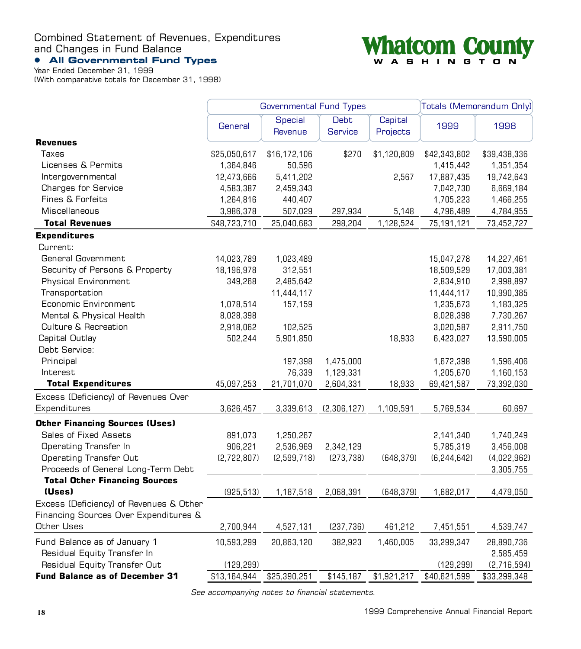#### Combined Statement of Revenues, Expenditures and Changes in Fund Balance

#### **• All Governmental Fund Types**

Whatcom County

Year Ended December 31, 1999 (With comparative totals for December 31, 1998)

| Capital<br><b>Special</b><br><b>Debt</b><br>1999<br>General<br>1998<br>Revenue<br><b>Service</b><br>Projects<br><b>Revenues</b><br>\$25,050,617<br>\$16,172,106<br>\$270<br>\$1,120,809<br>\$39,438,336<br>Taxes<br>\$42,343,802<br>Licenses & Permits<br>1,364,846<br>50,596<br>1,415,442<br>1,351,354<br>Intergovernmental<br>12,473,666<br>5,411,202<br>2,567<br>17,887,435<br>19,742,643<br><b>Charges for Service</b><br>4,583,387<br>2,459,343<br>7,042,730<br>6,669,184<br>Fines & Forfeits<br>440,407<br>1,705,223<br>1,466,255<br>1,264,816<br><b>Miscellaneous</b><br>4,796,489<br>3,986,378<br>507,029<br>297,934<br>5,148<br>4,784,955<br><b>Total Revenues</b><br>\$48,723,710<br>1,128,524<br>25,040,683<br>298,204<br>75,191,121<br>73,452,727<br><b>Expenditures</b><br>Current:<br>General Government<br>14,023,789<br>1,023,489<br>15,047,278<br>14,227,461<br>Security of Persons & Property<br>18,196,978<br>312,551<br>18,509,529<br>17,003,381<br><b>Physical Environment</b><br>349,268<br>2,485,642<br>2,834,910<br>2,998,897<br>Transportation<br>10,990,385<br>11,444,117<br>11,444,117<br>Economic Environment<br>1,078,514<br>157,159<br>1,235,673<br>1,183,325<br>Mental & Physical Health<br>8,028,398<br>8,028,398<br>7,730,267<br>Culture & Recreation<br>2,918,062<br>102,525<br>3,020,587<br>2,911,750<br>Capital Outlay<br>502,244<br>5,901,850<br>18,933<br>6,423,027<br>13,590,005<br>Debt Service:<br>Principal<br>197,398<br>1,475,000<br>1,672,398<br>1,596,406<br>Interest<br>76,339<br>1,129,331<br>1,205,670<br>1,160,153<br>45,097,253<br>21,701,070<br>2,604,331<br>18,933<br>69,421,587<br><b>Total Expenditures</b><br>73,392,030<br>Excess (Deficiency) of Revenues Over<br>Expenditures<br>60,697<br>3,626,457<br>3,339,613<br>(2,306,127)<br>1,109,591<br>5,769,534<br>Sales of Fixed Assets |                                       |         | Governmental Fund Types |  |           | <b>Totals (Memorandum Only)</b> |
|------------------------------------------------------------------------------------------------------------------------------------------------------------------------------------------------------------------------------------------------------------------------------------------------------------------------------------------------------------------------------------------------------------------------------------------------------------------------------------------------------------------------------------------------------------------------------------------------------------------------------------------------------------------------------------------------------------------------------------------------------------------------------------------------------------------------------------------------------------------------------------------------------------------------------------------------------------------------------------------------------------------------------------------------------------------------------------------------------------------------------------------------------------------------------------------------------------------------------------------------------------------------------------------------------------------------------------------------------------------------------------------------------------------------------------------------------------------------------------------------------------------------------------------------------------------------------------------------------------------------------------------------------------------------------------------------------------------------------------------------------------------------------------------------------------------------------------------------|---------------------------------------|---------|-------------------------|--|-----------|---------------------------------|
|                                                                                                                                                                                                                                                                                                                                                                                                                                                                                                                                                                                                                                                                                                                                                                                                                                                                                                                                                                                                                                                                                                                                                                                                                                                                                                                                                                                                                                                                                                                                                                                                                                                                                                                                                                                                                                                |                                       |         |                         |  |           |                                 |
|                                                                                                                                                                                                                                                                                                                                                                                                                                                                                                                                                                                                                                                                                                                                                                                                                                                                                                                                                                                                                                                                                                                                                                                                                                                                                                                                                                                                                                                                                                                                                                                                                                                                                                                                                                                                                                                |                                       |         |                         |  |           |                                 |
|                                                                                                                                                                                                                                                                                                                                                                                                                                                                                                                                                                                                                                                                                                                                                                                                                                                                                                                                                                                                                                                                                                                                                                                                                                                                                                                                                                                                                                                                                                                                                                                                                                                                                                                                                                                                                                                |                                       |         |                         |  |           |                                 |
|                                                                                                                                                                                                                                                                                                                                                                                                                                                                                                                                                                                                                                                                                                                                                                                                                                                                                                                                                                                                                                                                                                                                                                                                                                                                                                                                                                                                                                                                                                                                                                                                                                                                                                                                                                                                                                                |                                       |         |                         |  |           |                                 |
|                                                                                                                                                                                                                                                                                                                                                                                                                                                                                                                                                                                                                                                                                                                                                                                                                                                                                                                                                                                                                                                                                                                                                                                                                                                                                                                                                                                                                                                                                                                                                                                                                                                                                                                                                                                                                                                |                                       |         |                         |  |           |                                 |
|                                                                                                                                                                                                                                                                                                                                                                                                                                                                                                                                                                                                                                                                                                                                                                                                                                                                                                                                                                                                                                                                                                                                                                                                                                                                                                                                                                                                                                                                                                                                                                                                                                                                                                                                                                                                                                                |                                       |         |                         |  |           |                                 |
|                                                                                                                                                                                                                                                                                                                                                                                                                                                                                                                                                                                                                                                                                                                                                                                                                                                                                                                                                                                                                                                                                                                                                                                                                                                                                                                                                                                                                                                                                                                                                                                                                                                                                                                                                                                                                                                |                                       |         |                         |  |           |                                 |
|                                                                                                                                                                                                                                                                                                                                                                                                                                                                                                                                                                                                                                                                                                                                                                                                                                                                                                                                                                                                                                                                                                                                                                                                                                                                                                                                                                                                                                                                                                                                                                                                                                                                                                                                                                                                                                                |                                       |         |                         |  |           |                                 |
|                                                                                                                                                                                                                                                                                                                                                                                                                                                                                                                                                                                                                                                                                                                                                                                                                                                                                                                                                                                                                                                                                                                                                                                                                                                                                                                                                                                                                                                                                                                                                                                                                                                                                                                                                                                                                                                |                                       |         |                         |  |           |                                 |
|                                                                                                                                                                                                                                                                                                                                                                                                                                                                                                                                                                                                                                                                                                                                                                                                                                                                                                                                                                                                                                                                                                                                                                                                                                                                                                                                                                                                                                                                                                                                                                                                                                                                                                                                                                                                                                                |                                       |         |                         |  |           |                                 |
|                                                                                                                                                                                                                                                                                                                                                                                                                                                                                                                                                                                                                                                                                                                                                                                                                                                                                                                                                                                                                                                                                                                                                                                                                                                                                                                                                                                                                                                                                                                                                                                                                                                                                                                                                                                                                                                |                                       |         |                         |  |           |                                 |
|                                                                                                                                                                                                                                                                                                                                                                                                                                                                                                                                                                                                                                                                                                                                                                                                                                                                                                                                                                                                                                                                                                                                                                                                                                                                                                                                                                                                                                                                                                                                                                                                                                                                                                                                                                                                                                                |                                       |         |                         |  |           |                                 |
|                                                                                                                                                                                                                                                                                                                                                                                                                                                                                                                                                                                                                                                                                                                                                                                                                                                                                                                                                                                                                                                                                                                                                                                                                                                                                                                                                                                                                                                                                                                                                                                                                                                                                                                                                                                                                                                |                                       |         |                         |  |           |                                 |
|                                                                                                                                                                                                                                                                                                                                                                                                                                                                                                                                                                                                                                                                                                                                                                                                                                                                                                                                                                                                                                                                                                                                                                                                                                                                                                                                                                                                                                                                                                                                                                                                                                                                                                                                                                                                                                                |                                       |         |                         |  |           |                                 |
|                                                                                                                                                                                                                                                                                                                                                                                                                                                                                                                                                                                                                                                                                                                                                                                                                                                                                                                                                                                                                                                                                                                                                                                                                                                                                                                                                                                                                                                                                                                                                                                                                                                                                                                                                                                                                                                |                                       |         |                         |  |           |                                 |
|                                                                                                                                                                                                                                                                                                                                                                                                                                                                                                                                                                                                                                                                                                                                                                                                                                                                                                                                                                                                                                                                                                                                                                                                                                                                                                                                                                                                                                                                                                                                                                                                                                                                                                                                                                                                                                                |                                       |         |                         |  |           |                                 |
|                                                                                                                                                                                                                                                                                                                                                                                                                                                                                                                                                                                                                                                                                                                                                                                                                                                                                                                                                                                                                                                                                                                                                                                                                                                                                                                                                                                                                                                                                                                                                                                                                                                                                                                                                                                                                                                |                                       |         |                         |  |           |                                 |
|                                                                                                                                                                                                                                                                                                                                                                                                                                                                                                                                                                                                                                                                                                                                                                                                                                                                                                                                                                                                                                                                                                                                                                                                                                                                                                                                                                                                                                                                                                                                                                                                                                                                                                                                                                                                                                                |                                       |         |                         |  |           |                                 |
|                                                                                                                                                                                                                                                                                                                                                                                                                                                                                                                                                                                                                                                                                                                                                                                                                                                                                                                                                                                                                                                                                                                                                                                                                                                                                                                                                                                                                                                                                                                                                                                                                                                                                                                                                                                                                                                |                                       |         |                         |  |           |                                 |
|                                                                                                                                                                                                                                                                                                                                                                                                                                                                                                                                                                                                                                                                                                                                                                                                                                                                                                                                                                                                                                                                                                                                                                                                                                                                                                                                                                                                                                                                                                                                                                                                                                                                                                                                                                                                                                                |                                       |         |                         |  |           |                                 |
|                                                                                                                                                                                                                                                                                                                                                                                                                                                                                                                                                                                                                                                                                                                                                                                                                                                                                                                                                                                                                                                                                                                                                                                                                                                                                                                                                                                                                                                                                                                                                                                                                                                                                                                                                                                                                                                |                                       |         |                         |  |           |                                 |
|                                                                                                                                                                                                                                                                                                                                                                                                                                                                                                                                                                                                                                                                                                                                                                                                                                                                                                                                                                                                                                                                                                                                                                                                                                                                                                                                                                                                                                                                                                                                                                                                                                                                                                                                                                                                                                                |                                       |         |                         |  |           |                                 |
|                                                                                                                                                                                                                                                                                                                                                                                                                                                                                                                                                                                                                                                                                                                                                                                                                                                                                                                                                                                                                                                                                                                                                                                                                                                                                                                                                                                                                                                                                                                                                                                                                                                                                                                                                                                                                                                |                                       |         |                         |  |           |                                 |
|                                                                                                                                                                                                                                                                                                                                                                                                                                                                                                                                                                                                                                                                                                                                                                                                                                                                                                                                                                                                                                                                                                                                                                                                                                                                                                                                                                                                                                                                                                                                                                                                                                                                                                                                                                                                                                                |                                       |         |                         |  |           |                                 |
|                                                                                                                                                                                                                                                                                                                                                                                                                                                                                                                                                                                                                                                                                                                                                                                                                                                                                                                                                                                                                                                                                                                                                                                                                                                                                                                                                                                                                                                                                                                                                                                                                                                                                                                                                                                                                                                |                                       |         |                         |  |           |                                 |
|                                                                                                                                                                                                                                                                                                                                                                                                                                                                                                                                                                                                                                                                                                                                                                                                                                                                                                                                                                                                                                                                                                                                                                                                                                                                                                                                                                                                                                                                                                                                                                                                                                                                                                                                                                                                                                                | <b>Other Financing Sources (Uses)</b> |         |                         |  |           |                                 |
|                                                                                                                                                                                                                                                                                                                                                                                                                                                                                                                                                                                                                                                                                                                                                                                                                                                                                                                                                                                                                                                                                                                                                                                                                                                                                                                                                                                                                                                                                                                                                                                                                                                                                                                                                                                                                                                |                                       | 891,073 | 1,250,267               |  | 2,141,340 | 1,740,249                       |
| Operating Transfer In<br>906,221<br>2,536,969<br>2,342,129<br>5,785,319<br>3,456,008                                                                                                                                                                                                                                                                                                                                                                                                                                                                                                                                                                                                                                                                                                                                                                                                                                                                                                                                                                                                                                                                                                                                                                                                                                                                                                                                                                                                                                                                                                                                                                                                                                                                                                                                                           |                                       |         |                         |  |           |                                 |
| Operating Transfer Out<br>(2,722,807)<br>(2,599,718)<br>(273, 738)<br>(648, 379)<br>(6, 244, 642)<br>(4,022,962)                                                                                                                                                                                                                                                                                                                                                                                                                                                                                                                                                                                                                                                                                                                                                                                                                                                                                                                                                                                                                                                                                                                                                                                                                                                                                                                                                                                                                                                                                                                                                                                                                                                                                                                               |                                       |         |                         |  |           |                                 |
| Proceeds of General Long-Term Debt<br>3,305,755                                                                                                                                                                                                                                                                                                                                                                                                                                                                                                                                                                                                                                                                                                                                                                                                                                                                                                                                                                                                                                                                                                                                                                                                                                                                                                                                                                                                                                                                                                                                                                                                                                                                                                                                                                                                |                                       |         |                         |  |           |                                 |
| <b>Total Other Financing Sources</b>                                                                                                                                                                                                                                                                                                                                                                                                                                                                                                                                                                                                                                                                                                                                                                                                                                                                                                                                                                                                                                                                                                                                                                                                                                                                                                                                                                                                                                                                                                                                                                                                                                                                                                                                                                                                           |                                       |         |                         |  |           |                                 |
| (Uses)<br>(925, 513)<br>1,187,518<br>2,068,391<br>(648, 379)<br>1,682,017<br>4,479,050                                                                                                                                                                                                                                                                                                                                                                                                                                                                                                                                                                                                                                                                                                                                                                                                                                                                                                                                                                                                                                                                                                                                                                                                                                                                                                                                                                                                                                                                                                                                                                                                                                                                                                                                                         |                                       |         |                         |  |           |                                 |
| Excess (Deficiency) of Revenues & Other                                                                                                                                                                                                                                                                                                                                                                                                                                                                                                                                                                                                                                                                                                                                                                                                                                                                                                                                                                                                                                                                                                                                                                                                                                                                                                                                                                                                                                                                                                                                                                                                                                                                                                                                                                                                        |                                       |         |                         |  |           |                                 |
| Financing Sources Over Expenditures &                                                                                                                                                                                                                                                                                                                                                                                                                                                                                                                                                                                                                                                                                                                                                                                                                                                                                                                                                                                                                                                                                                                                                                                                                                                                                                                                                                                                                                                                                                                                                                                                                                                                                                                                                                                                          |                                       |         |                         |  |           |                                 |
| 2,700,944<br>4,527,131<br>(237, 736)<br>461,212<br>7,451,551<br>4,539,747                                                                                                                                                                                                                                                                                                                                                                                                                                                                                                                                                                                                                                                                                                                                                                                                                                                                                                                                                                                                                                                                                                                                                                                                                                                                                                                                                                                                                                                                                                                                                                                                                                                                                                                                                                      | Other Uses                            |         |                         |  |           |                                 |
| 10,593,299<br>20,863,120<br>382,923<br>1,460,005<br>33,299,347<br>28,890,736                                                                                                                                                                                                                                                                                                                                                                                                                                                                                                                                                                                                                                                                                                                                                                                                                                                                                                                                                                                                                                                                                                                                                                                                                                                                                                                                                                                                                                                                                                                                                                                                                                                                                                                                                                   | Fund Balance as of January 1          |         |                         |  |           |                                 |
| Residual Equity Transfer In<br>2,585,459                                                                                                                                                                                                                                                                                                                                                                                                                                                                                                                                                                                                                                                                                                                                                                                                                                                                                                                                                                                                                                                                                                                                                                                                                                                                                                                                                                                                                                                                                                                                                                                                                                                                                                                                                                                                       |                                       |         |                         |  |           |                                 |
| Residual Equity Transfer Out<br>(129, 299)<br>(129, 299)<br>(2,716,594)                                                                                                                                                                                                                                                                                                                                                                                                                                                                                                                                                                                                                                                                                                                                                                                                                                                                                                                                                                                                                                                                                                                                                                                                                                                                                                                                                                                                                                                                                                                                                                                                                                                                                                                                                                        |                                       |         |                         |  |           |                                 |
| <b>Fund Balance as of December 31</b><br>\$25,390,251<br>\$40,621,599<br>\$13,164,944<br>\$145,187<br>\$1,921,217<br>\$33,299,348                                                                                                                                                                                                                                                                                                                                                                                                                                                                                                                                                                                                                                                                                                                                                                                                                                                                                                                                                                                                                                                                                                                                                                                                                                                                                                                                                                                                                                                                                                                                                                                                                                                                                                              |                                       |         |                         |  |           |                                 |

See accompanying notes to financial statements.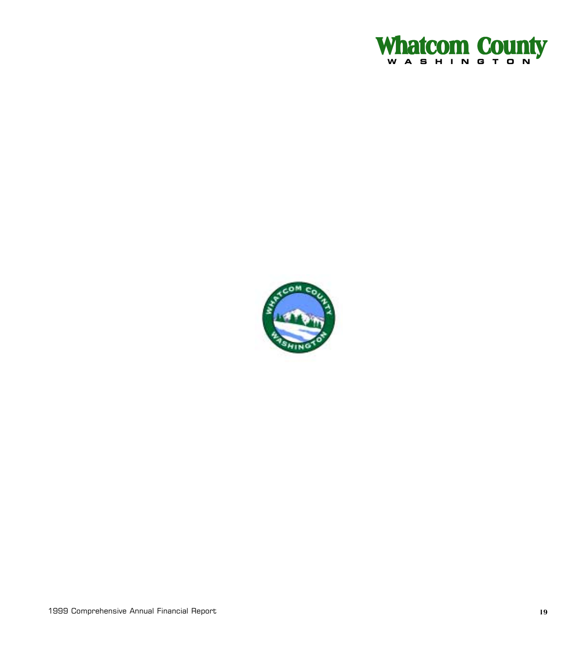

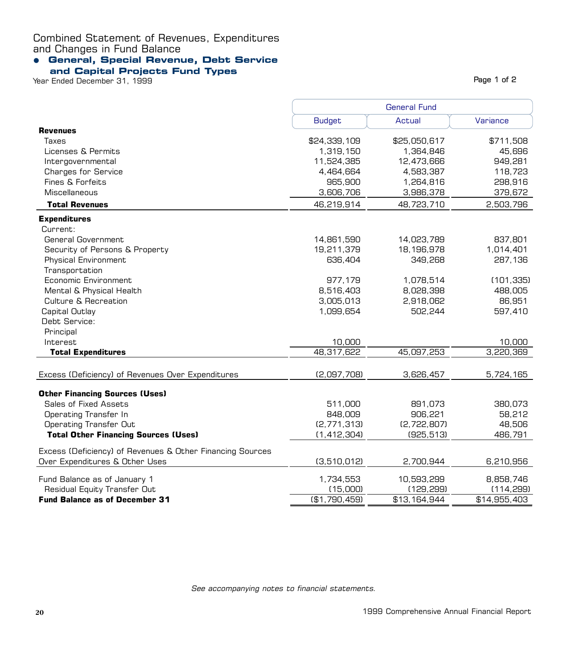Combined Statement of Revenues, Expenditures and Changes in Fund Balance

#### ! General, Special Revenue, Debt Service and Capital Projects Fund Types

Year Ended December 31, 1999

|                                                                                                                                                                  |                                                    | <b>General Fund</b>                                  |                                            |
|------------------------------------------------------------------------------------------------------------------------------------------------------------------|----------------------------------------------------|------------------------------------------------------|--------------------------------------------|
|                                                                                                                                                                  | <b>Budget</b>                                      | Actual                                               | Variance                                   |
| <b>Revenues</b><br>Taxes<br>Licenses & Permits<br>Intergovernmental                                                                                              | \$24,339,109<br>1,319,150<br>11,524,385            | \$25,050,617<br>1,364,846<br>12,473,666              | \$711,508<br>45,696<br>949,281             |
| <b>Charges for Service</b><br>Fines & Forfeits<br>Miscellaneous                                                                                                  | 4,464,664<br>965,900<br>3,606,706                  | 4,583,387<br>1,264,816<br>3,986,378                  | 118,723<br>298,916<br>379,672              |
| <b>Total Revenues</b>                                                                                                                                            | 46,219,914                                         | 48,723,710                                           | 2,503,796                                  |
| <b>Expenditures</b><br>Current:                                                                                                                                  |                                                    |                                                      |                                            |
| General Government<br>Security of Persons & Property<br>Physical Environment                                                                                     | 14,861,590<br>19,211,379<br>636,404                | 14,023,789<br>18, 196, 978<br>349.268                | 837,801<br>1,014,401<br>287,136            |
| Transportation<br>Economic Environment<br>Mental & Physical Health<br>Culture & Recreation<br>Capital Outlay                                                     | 977,179<br>8,516,403<br>3,005,013<br>1,099,654     | 1,078,514<br>8,028,398<br>2,918,062<br>502.244       | (101, 335)<br>488,005<br>86,951<br>597,410 |
| Debt Service:<br>Principal<br>Interest<br><b>Total Expenditures</b>                                                                                              | 10,000<br>48,317,622                               | 45,097,253                                           | 10,000<br>3,220,369                        |
| Excess (Deficiency) of Revenues Over Expenditures                                                                                                                | (2,097,708)                                        | 3,626,457                                            | 5,724,165                                  |
| <b>Other Financing Sources (Uses)</b><br>Sales of Fixed Assets<br>Operating Transfer In<br>Operating Transfer Out<br><b>Total Other Financing Sources (Uses)</b> | 511,000<br>848,009<br>(2,771,313)<br>(1, 412, 304) | 891.073<br>906,221<br>(2,722,807)<br>(925, 513)      | 380,073<br>58,212<br>48,506<br>486,791     |
| Excess (Deficiency) of Revenues & Other Financing Sources<br>Over Expenditures & Other Uses                                                                      | (3,510,012)                                        | 2,700,944                                            | 6,210,956                                  |
| Fund Balance as of January 1<br>Residual Equity Transfer Out<br><b>Fund Balance as of December 31</b>                                                            | 1,734,553<br>(15,000)<br>(\$1,790,459)             | 10,593,299<br>(129, 299)<br>$\overline{$13,164,944}$ | 8,858,746<br>(114, 299)<br>\$14,955,403    |

See accompanying notes to financial statements.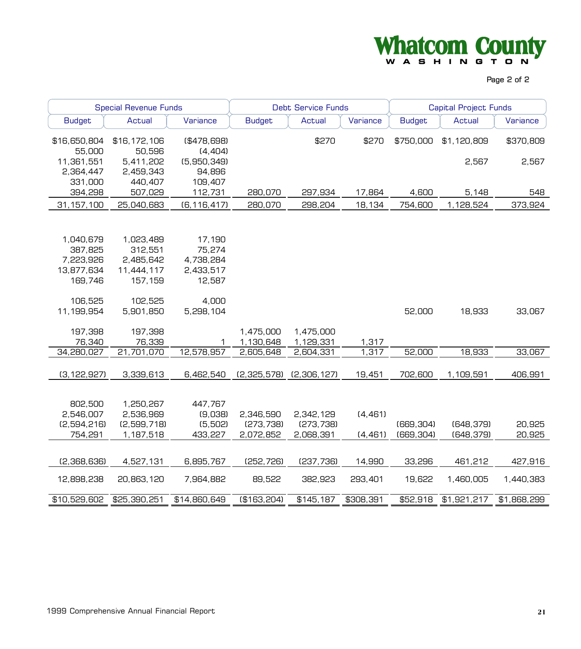

#### Page 2 of 2

|                        | <b>Special Revenue Funds</b> |                         |               | <b>Debt Service Funds</b> |           | <b>Capital Project Funds</b> |             |             |
|------------------------|------------------------------|-------------------------|---------------|---------------------------|-----------|------------------------------|-------------|-------------|
| <b>Budget</b>          | Actual                       | Variance                | <b>Budget</b> | Actual                    | Variance  | <b>Budget</b>                | Actual      | Variance    |
| \$16,650,804<br>55,000 | \$16,172,106<br>50,596       | (\$478,698)<br>(4, 404) |               | \$270                     | \$270     | \$750,000                    | \$1,120,809 | \$370,809   |
| 11,361,551             | 5,411,202                    | (5,950,349)             |               |                           |           |                              | 2,567       | 2,567       |
| 2,364,447              | 2,459,343                    | 94,896                  |               |                           |           |                              |             |             |
| 331,000<br>394,298     | 440,407<br>507,029           | 109,407<br>112,731      | 280,070       | 297,934                   | 17,864    | 4,600                        | 5,148       | 548         |
| 31, 157, 100           | 25,040,683                   | (6, 116, 417)           | 280,070       | 298,204                   | 18,134    | 754,600                      | 1,128,524   | 373,924     |
|                        |                              |                         |               |                           |           |                              |             |             |
|                        |                              |                         |               |                           |           |                              |             |             |
| 1,040,679              | 1,023,489                    | 17.190                  |               |                           |           |                              |             |             |
| 387,825<br>7.223.926   | 312,551<br>2.485.642         | 75,274<br>4.738.284     |               |                           |           |                              |             |             |
| 13,877,634             | 11,444,117                   | 2,433,517               |               |                           |           |                              |             |             |
| 169,746                | 157,159                      | 12,587                  |               |                           |           |                              |             |             |
|                        |                              |                         |               |                           |           |                              |             |             |
| 106.525                | 102.525                      | 4.000                   |               |                           |           |                              |             |             |
| 11, 199, 954           | 5,901,850                    | 5,298,104               |               |                           |           | 52,000                       | 18,933      | 33,067      |
| 197,398                | 197,398                      |                         | 1,475,000     | 1,475,000                 |           |                              |             |             |
| 76,340                 | 76,339                       | 1                       | 1,130,648     | 1,129,331                 | 1,317     |                              |             |             |
| 34,280,027             | 21,701,070                   | 12,578,957              | 2,605,648     | 2,604,331                 | 1,317     | 52,000                       | 18,933      | 33,067      |
|                        |                              |                         |               |                           |           |                              |             |             |
| (3, 122, 927)          | 3,339,613                    | 6,462,540               | (2,325,578)   | (2,306,127)               | 19.451    | 702,600                      | 1,109,591   | 406.991     |
|                        |                              |                         |               |                           |           |                              |             |             |
| 802,500                | 1,250,267                    | 447.767                 |               |                           |           |                              |             |             |
| 2,546,007              | 2,536,969                    | (9,038)                 | 2,346,590     | 2,342,129                 | (4, 461)  |                              |             |             |
| (2,594,216)            | (2,599,718)                  | (5,502)                 | (273, 738)    | (273, 738)                |           | (669, 304)                   | (648, 379)  | 20,925      |
| 754,291                | 1,187,518                    | 433,227                 | 2,072,852     | 2,068,391                 | (4, 461)  | (669, 304)                   | (648, 379)  | 20,925      |
|                        |                              |                         |               |                           |           |                              |             |             |
| (2,368,636)            | 4,527,131                    | 6,895,767               | (252, 726)    | (237,736)                 | 14,990    | 33,296                       | 461,212     | 427,916     |
| 12.898.238             | 20.863.120                   | 7.964.882               | 89,522        | 382,923                   | 293,401   | 19,622                       | 1.460.005   | 1.440.383   |
|                        |                              |                         |               |                           |           |                              |             |             |
| \$10,529,602           | \$25,390,251                 | \$14,860,649            | (\$163,204)   | \$145,187                 | \$308,391 | \$52,918                     | \$1.921.217 | \$1,868,299 |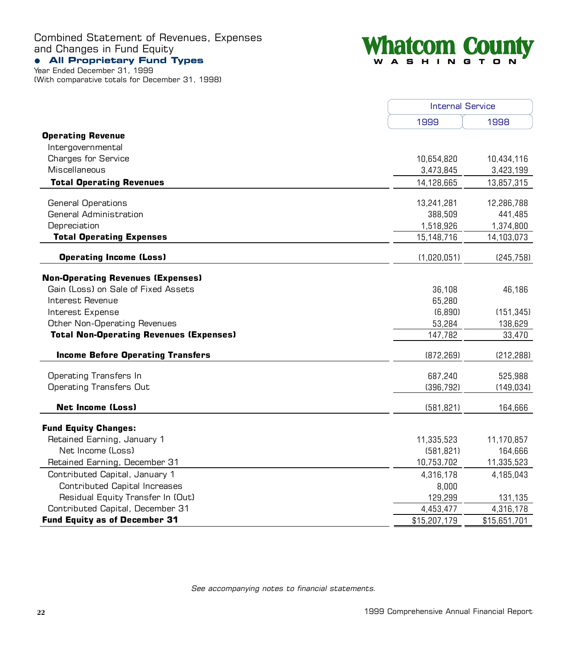Combined Statement of Revenues, Expenses and Changes in Fund Equity

#### **• All Proprietary Fund Types**

Year Ended December 31, 1999 (With comparative totals for December 31, 1998)



|                                                    | <b>Internal Service</b> |                         |
|----------------------------------------------------|-------------------------|-------------------------|
|                                                    | 1999                    | 1998                    |
| <b>Operating Revenue</b>                           |                         |                         |
| Intergovernmental                                  |                         |                         |
| <b>Charges for Service</b><br><b>Miscellaneous</b> | 10,654,820              | 10,434,116              |
| <b>Total Operating Revenues</b>                    | 3,473,845<br>14,128,665 | 3,423,199<br>13,857,315 |
|                                                    |                         |                         |
| <b>General Operations</b>                          | 13,241,281              | 12,286,788              |
| General Administration                             | 388,509                 | 441,485                 |
| Depreciation<br><b>Total Operating Expenses</b>    | 1,518,926<br>15,148,716 | 1,374,800<br>14,103,073 |
|                                                    |                         |                         |
| <b>Operating Income (Loss)</b>                     | (1,020,051)             | (245, 758)              |
| <b>Non-Operating Revenues (Expenses)</b>           |                         |                         |
| Gain (Loss) on Sale of Fixed Assets                | 36,108                  | 46,186                  |
| Interest Revenue                                   | 65,280                  |                         |
| Interest Expense                                   | (6,890)                 | (151, 345)              |
| Other Non-Operating Revenues                       | 53,284                  | 138,629                 |
| <b>Total Non-Operating Revenues (Expenses)</b>     | 147,782                 | 33,470                  |
| <b>Income Before Operating Transfers</b>           | (872, 269)              | (212, 288)              |
| <b>Operating Transfers In</b>                      | 687,240                 | 525,988                 |
| <b>Operating Transfers Out</b>                     | (396, 792)              | (149, 034)              |
| <b>Net Income (Loss)</b>                           | (581, 821)              | 164,666                 |
|                                                    |                         |                         |
| <b>Fund Equity Changes:</b>                        |                         |                         |
| Retained Earning, January 1                        | 11,335,523              | 11,170,857              |
| Net Income (Loss)                                  | (581, 821)              | 164,666                 |
| Retained Earning, December 31                      | 10,753,702              | 11,335,523              |
| Contributed Capital, January 1                     | 4,316,178               | 4,185,043               |
| Contributed Capital Increases                      | 8,000                   |                         |
| Residual Equity Transfer In (Out)                  | 129,299                 | 131,135                 |
| Contributed Capital, December 31                   | 4,453,477               | 4,316,178               |
| <b>Fund Equity as of December 31</b>               | \$15,207,179            | \$15,651,701            |

See accompanying notes to financial statements.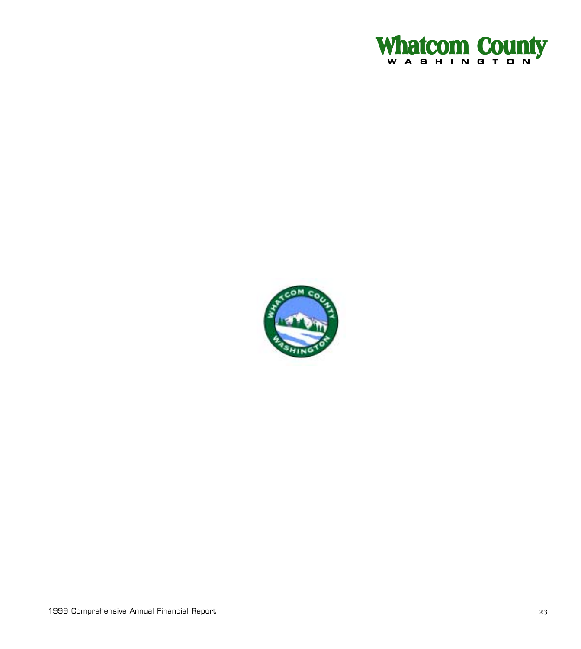

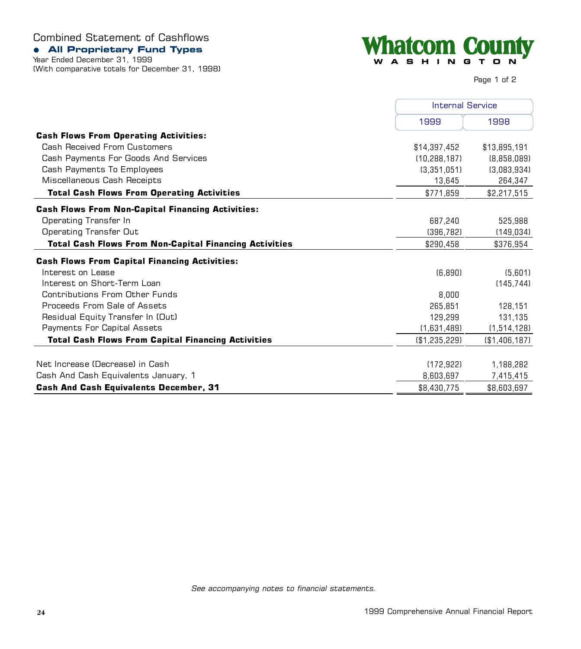#### Combined Statement of Cashflows

#### **.** All Proprietary Fund Types

Year Ended December 31, 1999 (With comparative totals for December 31, 1998)



Page 1 of 2

|                                                               | <b>Internal Service</b> |               |
|---------------------------------------------------------------|-------------------------|---------------|
|                                                               | 1999                    | 1998          |
| <b>Cash Flows From Operating Activities:</b>                  |                         |               |
| Cash Received From Customers                                  | \$14,397,452            | \$13,895,191  |
| Cash Payments For Goods And Services                          | (10.288.187)            | (8,858,089)   |
| Cash Payments To Employees                                    | (3.351.051)             | (3,083,934)   |
| Miscellaneous Cash Receipts                                   | 13,645                  | 264,347       |
| <b>Total Cash Flows From Operating Activities</b>             | \$771,859               | \$2,217,515   |
| <b>Cash Flows From Non-Capital Financing Activities:</b>      |                         |               |
| Operating Transfer In                                         | 687.240                 | 525.988       |
| Operating Transfer Out                                        | (396, 782)              | (149, 034)    |
| <b>Total Cash Flows From Non-Capital Financing Activities</b> | \$290,458               | \$376,954     |
| <b>Cash Flows From Capital Financing Activities:</b>          |                         |               |
| Interest on Lease                                             | (6,890)                 | (5,601)       |
| Interest on Short-Term Loan                                   |                         | (145, 744)    |
| Contributions From Other Funds                                | 8,000                   |               |
| Proceeds From Sale of Assets                                  | 265.851                 | 128,151       |
| Residual Equity Transfer In (Out)                             | 129,299                 | 131,135       |
| Payments For Capital Assets                                   | (1,631,489)             | (1,514,128)   |
| <b>Total Cash Flows From Capital Financing Activities</b>     | (\$1,235,229)           | (\$1,406,187) |
| Net Increase (Decrease) in Cash                               | (172.922)               | 1,188,282     |
| Cash And Cash Equivalents January, 1                          | 8,603,697               | 7,415,415     |
| <b>Cash And Cash Equivalents December, 31</b>                 | \$8.430.775             | \$8,603,697   |

See accompanying notes to financial statements.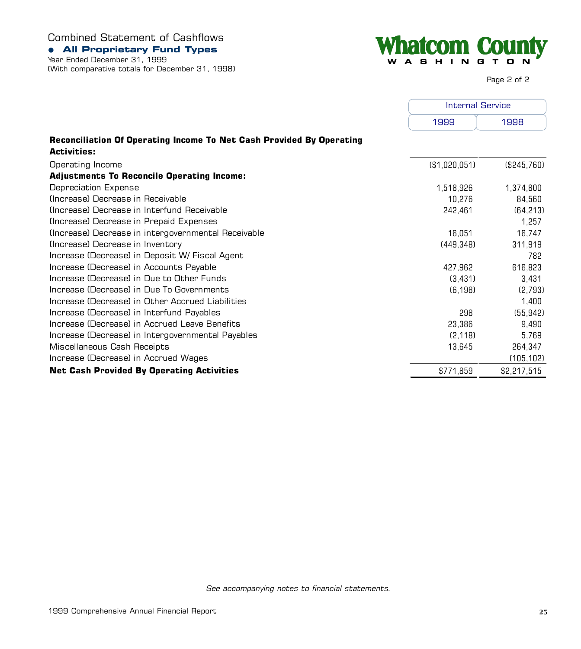#### Combined Statement of Cashflows

#### **.** All Proprietary Fund Types

Year Ended December 31, 1999 (With comparative totals for December 31, 1998)



Page 2 of 2

|                                                                                            | <b>Internal Service</b> |             |
|--------------------------------------------------------------------------------------------|-------------------------|-------------|
|                                                                                            | 1999                    | 1998        |
| Reconciliation Of Operating Income To Net Cash Provided By Operating<br><b>Activities:</b> |                         |             |
| Operating Income                                                                           | (\$1,020,051)           | (\$245,760) |
| <b>Adjustments To Reconcile Operating Income:</b>                                          |                         |             |
| Depreciation Expense                                                                       | 1,518,926               | 1,374,800   |
| (Increase) Decrease in Receivable                                                          | 10,276                  | 84,560      |
| (Increase) Decrease in Interfund Receivable                                                | 242,461                 | (64, 213)   |
| (Increase) Decrease in Prepaid Expenses                                                    |                         | 1,257       |
| (Increase) Decrease in intergovernmental Receivable                                        | 16,051                  | 16,747      |
| (Increase) Decrease in Inventory                                                           | (449, 348)              | 311,919     |
| Increase (Decrease) in Deposit W/ Fiscal Agent                                             |                         | 782         |
| Increase (Decrease) in Accounts Payable                                                    | 427,962                 | 616,823     |
| Increase (Decrease) in Due to Other Funds                                                  | (3,431)                 | 3,431       |
| Increase (Decrease) in Due To Governments                                                  | (6, 198)                | (2,793)     |
| Increase (Decrease) in Other Accrued Liabilities                                           |                         | 1,400       |
| Increase (Decrease) in Interfund Payables                                                  | 298                     | (55, 942)   |
| Increase (Decrease) in Accrued Leave Benefits                                              | 23,386                  | 9,490       |
| Increase (Decrease) in Intergovernmental Payables                                          | (2, 118)                | 5,769       |
| Miscellaneous Cash Receipts                                                                | 13,645                  | 264,347     |
| Increase (Decrease) in Accrued Wages                                                       |                         | (105, 102)  |
| <b>Net Cash Provided By Operating Activities</b>                                           | \$771,859               | \$2,217,515 |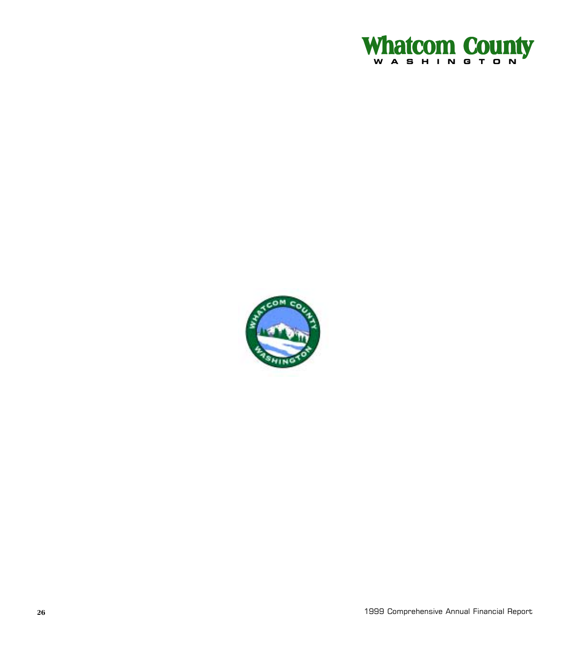

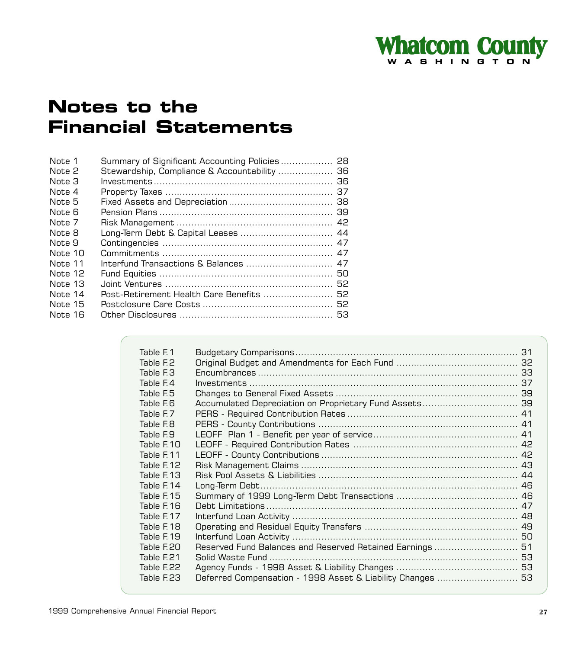

## Notes to the Financial Statements

| Note 1  | Summary of Significant Accounting Policies 28 |     |
|---------|-----------------------------------------------|-----|
| Note 2  | Stewardship, Compliance & Accountability      | 36  |
| Note 3  |                                               | 36  |
| Note 4  |                                               | 37  |
| Note 5  |                                               | 38  |
| Note 6  |                                               | 39  |
| Note 7  |                                               | 42  |
| Note 8  | Long-Term Debt & Capital Leases               | 44  |
| Note 9  |                                               | 47  |
| Note 10 |                                               | 47  |
| Note 11 | Interfund Transactions & Balances             | 47  |
| Note 12 |                                               | 50  |
| Note 13 |                                               | .52 |
| Note 14 | Post-Retirement Health Care Benefits          | 52  |
| Note 15 |                                               |     |
| Note 16 |                                               |     |
|         |                                               |     |

| Table F.1  |                                                            |  |
|------------|------------------------------------------------------------|--|
| Table F.2  |                                                            |  |
| Table F.3  |                                                            |  |
| Table F.4  |                                                            |  |
| Table F.5  |                                                            |  |
| Table F.6  |                                                            |  |
| Table F.7  |                                                            |  |
| Table E.B. |                                                            |  |
| Table F.9  |                                                            |  |
| Table F.10 |                                                            |  |
| Table F.11 |                                                            |  |
| Table F.12 |                                                            |  |
| Table E 13 |                                                            |  |
| Table F.14 |                                                            |  |
| Table F.15 |                                                            |  |
| Table E16  |                                                            |  |
| Table F.17 |                                                            |  |
| Table E18  |                                                            |  |
| Table F.19 |                                                            |  |
| Table E20  |                                                            |  |
| Table F.21 |                                                            |  |
| Table F.22 |                                                            |  |
| Table F.23 | Deferred Compensation - 1998 Asset & Liability Changes  53 |  |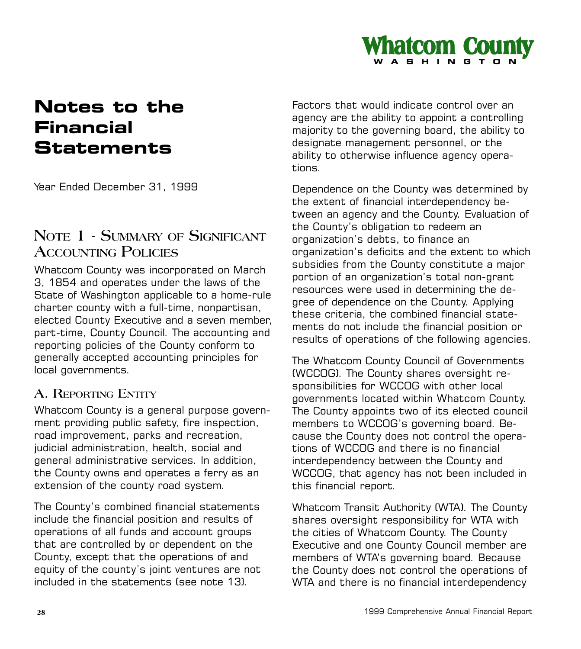

## Notes to the Financial Statements

Year Ended December 31, 1999

### **NOTE 1 - SUMMARY OF SIGNIFICANT ACCOUNTING POLICIES**

Whatcom County was incorporated on March 3, 1854 and operates under the laws of the State of Washington applicable to a home-rule charter county with a full-time, nonpartisan, elected County Executive and a seven member, part-time, County Council. The accounting and reporting policies of the County conform to generally accepted accounting principles for local governments.

#### **A. REPORTING ENTITY**

Whatcom County is a general purpose government providing public safety, fire inspection, road improvement, parks and recreation, judicial administration, health, social and general administrative services. In addition, the County owns and operates a ferry as an extension of the county road system.

The County's combined financial statements include the financial position and results of operations of all funds and account groups that are controlled by or dependent on the County, except that the operations of and equity of the county's joint ventures are not included in the statements (see note 13).

Factors that would indicate control over an agency are the ability to appoint a controlling majority to the governing board, the ability to designate management personnel, or the ability to otherwise influence agency operations.

Dependence on the County was determined by the extent of financial interdependency between an agency and the County. Evaluation of the County's obligation to redeem an organizationís debts, to finance an organization's deficits and the extent to which subsidies from the County constitute a major portion of an organization's total non-grant resources were used in determining the degree of dependence on the County. Applying these criteria, the combined financial statements do not include the financial position or results of operations of the following agencies.

The Whatcom County Council of Governments (WCCOG). The County shares oversight responsibilities for WCCOG with other local governments located within Whatcom County. The County appoints two of its elected council members to WCCOG's governing board. Because the County does not control the operations of WCCOG and there is no financial interdependency between the County and WCCOG, that agency has not been included in this financial report.

Whatcom Transit Authority (WTA). The County shares oversight responsibility for WTA with the cities of Whatcom County. The County Executive and one County Council member are members of WTAís governing board. Because the County does not control the operations of WTA and there is no financial interdependency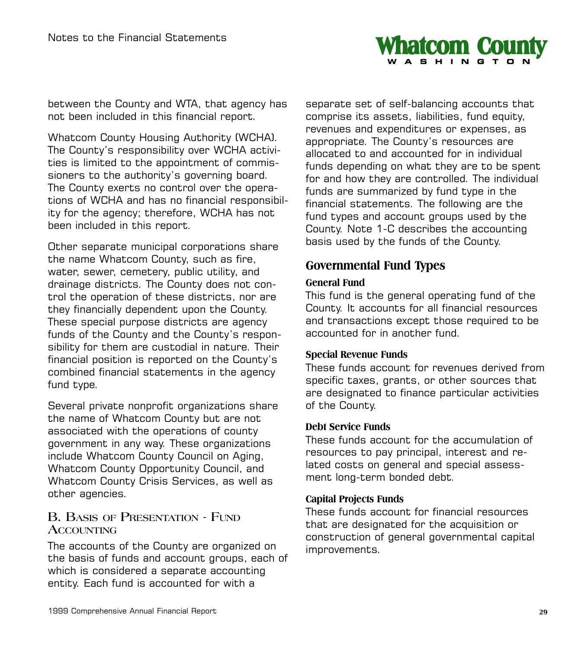

between the County and WTA, that agency has not been included in this financial report.

Whatcom County Housing Authority (WCHA). The County's responsibility over WCHA activities is limited to the appointment of commissioners to the authority's governing board. The County exerts no control over the operations of WCHA and has no financial responsibility for the agency; therefore, WCHA has not been included in this report.

Other separate municipal corporations share the name Whatcom County, such as fire, water, sewer, cemetery, public utility, and drainage districts. The County does not control the operation of these districts, nor are they financially dependent upon the County. These special purpose districts are agency funds of the County and the County's responsibility for them are custodial in nature. Their financial position is reported on the County's combined financial statements in the agency fund type.

Several private nonprofit organizations share the name of Whatcom County but are not associated with the operations of county government in any way. These organizations include Whatcom County Council on Aging, Whatcom County Opportunity Council, and Whatcom County Crisis Services, as well as other agencies.

#### **B. BASIS OF PRESENTATION - FUND ACCOUNTING**

The accounts of the County are organized on the basis of funds and account groups, each of which is considered a separate accounting entity. Each fund is accounted for with a

separate set of self-balancing accounts that comprise its assets, liabilities, fund equity, revenues and expenditures or expenses, as appropriate. The County's resources are allocated to and accounted for in individual funds depending on what they are to be spent for and how they are controlled. The individual funds are summarized by fund type in the financial statements. The following are the fund types and account groups used by the County. Note 1-C describes the accounting basis used by the funds of the County.

#### Governmental Fund Types

#### General Fund

This fund is the general operating fund of the County. It accounts for all financial resources and transactions except those required to be accounted for in another fund.

#### Special Revenue Funds

These funds account for revenues derived from specific taxes, grants, or other sources that are designated to finance particular activities of the County.

#### Debt Service Funds

These funds account for the accumulation of resources to pay principal, interest and related costs on general and special assessment long-term bonded debt.

#### Capital Projects Funds

These funds account for financial resources that are designated for the acquisition or construction of general governmental capital improvements.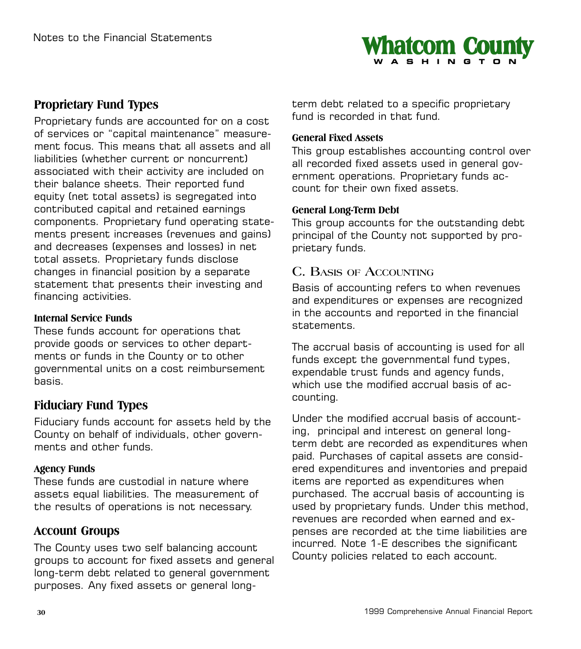

#### Proprietary Fund Types

Proprietary funds are accounted for on a cost of services or "capital maintenance" measurement focus. This means that all assets and all liabilities (whether current or noncurrent) associated with their activity are included on their balance sheets. Their reported fund equity (net total assets) is segregated into contributed capital and retained earnings components. Proprietary fund operating statements present increases (revenues and gains) and decreases (expenses and losses) in net total assets. Proprietary funds disclose changes in financial position by a separate statement that presents their investing and financing activities.

#### Internal Service Funds

These funds account for operations that provide goods or services to other departments or funds in the County or to other governmental units on a cost reimbursement basis.

#### Fiduciary Fund Types

Fiduciary funds account for assets held by the County on behalf of individuals, other governments and other funds.

#### Agency Funds

These funds are custodial in nature where assets equal liabilities. The measurement of the results of operations is not necessary.

#### Account Groups

The County uses two self balancing account groups to account for fixed assets and general long-term debt related to general government purposes. Any fixed assets or general longterm debt related to a specific proprietary fund is recorded in that fund.

#### General Fixed Assets

This group establishes accounting control over all recorded fixed assets used in general government operations. Proprietary funds account for their own fixed assets.

#### General Long-Term Debt

This group accounts for the outstanding debt principal of the County not supported by proprietary funds.

#### **C. BASIS OF ACCOUNTING**

Basis of accounting refers to when revenues and expenditures or expenses are recognized in the accounts and reported in the financial statements.

The accrual basis of accounting is used for all funds except the governmental fund types, expendable trust funds and agency funds, which use the modified accrual basis of accounting.

Under the modified accrual basis of accounting, principal and interest on general longterm debt are recorded as expenditures when paid. Purchases of capital assets are considered expenditures and inventories and prepaid items are reported as expenditures when purchased. The accrual basis of accounting is used by proprietary funds. Under this method, revenues are recorded when earned and expenses are recorded at the time liabilities are incurred. Note 1-E describes the significant County policies related to each account.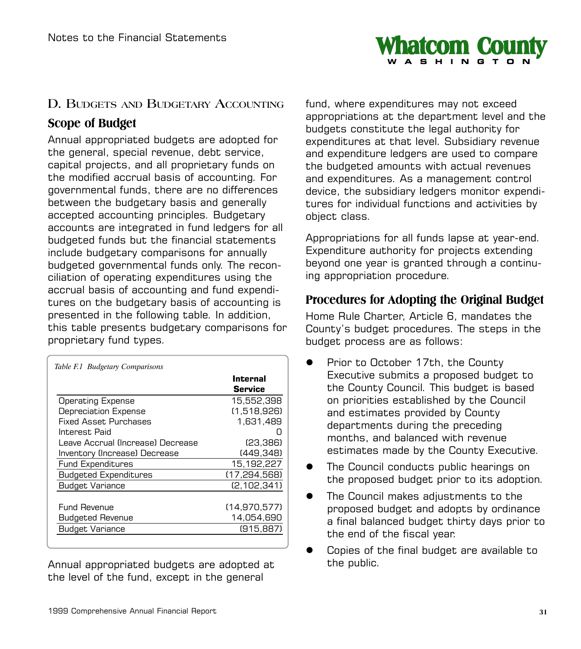

### **D. BUDGETS AND BUDGETARY ACCOUNTING**

## Scope of Budget

Annual appropriated budgets are adopted for the general, special revenue, debt service, capital projects, and all proprietary funds on the modified accrual basis of accounting. For governmental funds, there are no differences between the budgetary basis and generally accepted accounting principles. Budgetary accounts are integrated in fund ledgers for all budgeted funds but the financial statements include budgetary comparisons for annually budgeted governmental funds only. The reconciliation of operating expenditures using the accrual basis of accounting and fund expenditures on the budgetary basis of accounting is presented in the following table. In addition, this table presents budgetary comparisons for proprietary fund types.

| Table F.1 Budgetary Comparisons   |                     |
|-----------------------------------|---------------------|
|                                   | Internal<br>Service |
| <b>Operating Expense</b>          | 15,552,398          |
| Depreciation Expense              | (1.518.926)         |
| Fixed Asset Purchases             | 1,631,489           |
| Interest Paid                     |                     |
| Leave Accrual (Increase) Decrease | (23.386)            |
| Inventory (Increase) Decrease     | (449, 348)          |
| <b>Fund Expenditures</b>          | 15.192.227          |
| <b>Budgeted Expenditures</b>      | (17.294.568)        |
| <b>Budget Variance</b>            | (2, 102, 341)       |
| Fund Revenue                      | (14.970.577)        |
| <b>Budgeted Revenue</b>           | 14.054.690          |
| <b>Budget Variance</b>            | (915.887)           |
|                                   |                     |

Annual appropriated budgets are adopted at the level of the fund, except in the general

fund, where expenditures may not exceed appropriations at the department level and the budgets constitute the legal authority for expenditures at that level. Subsidiary revenue and expenditure ledgers are used to compare the budgeted amounts with actual revenues and expenditures. As a management control device, the subsidiary ledgers monitor expenditures for individual functions and activities by object class.

Appropriations for all funds lapse at year-end. Expenditure authority for projects extending beyond one year is granted through a continuing appropriation procedure.

## Procedures for Adopting the Original Budget

Home Rule Charter, Article 6, mandates the Countyís budget procedures. The steps in the budget process are as follows:

- **•** Prior to October 17th, the County Executive submits a proposed budget to the County Council. This budget is based on priorities established by the Council and estimates provided by County departments during the preceding months, and balanced with revenue estimates made by the County Executive.
- The Council conducts public hearings on the proposed budget prior to its adoption.
- The Council makes adjustments to the proposed budget and adopts by ordinance a final balanced budget thirty days prior to the end of the fiscal year.
- Copies of the final budget are available to the public.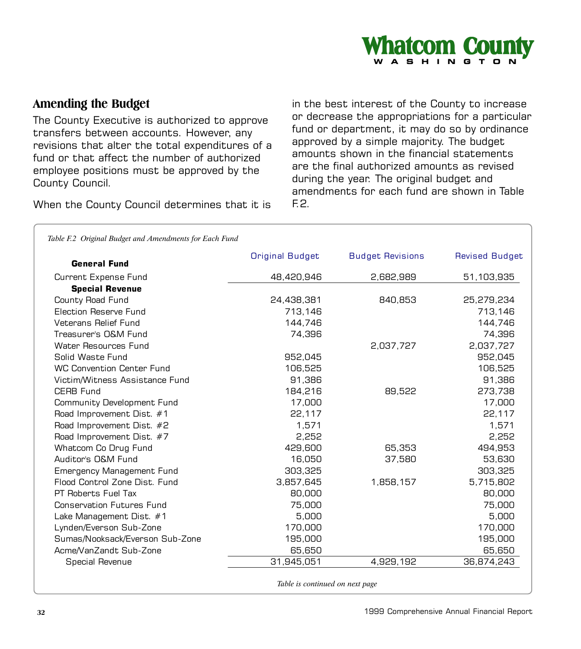

## Amending the Budget

The County Executive is authorized to approve transfers between accounts. However, any revisions that alter the total expenditures of a fund or that affect the number of authorized employee positions must be approved by the County Council.

in the best interest of the County to increase or decrease the appropriations for a particular fund or department, it may do so by ordinance approved by a simple majority. The budget amounts shown in the financial statements are the final authorized amounts as revised during the year. The original budget and amendments for each fund are shown in Table F.2.

When the County Council determines that it is

| <b>General Fund</b>              | <b>Original Budget</b> | <b>Budget Revisions</b> | <b>Revised Budget</b> |
|----------------------------------|------------------------|-------------------------|-----------------------|
| Current Expense Fund             | 48,420,946             | 2,682,989               | 51,103,935            |
| <b>Special Revenue</b>           |                        |                         |                       |
| County Road Fund                 | 24,438,381             | 840.853                 | 25,279,234            |
| <b>Election Reserve Fund</b>     | 713,146                |                         | 713,146               |
| Veterans Relief Fund             | 144,746                |                         | 144,746               |
| Treasurer's O&M Fund             | 74,396                 |                         | 74,396                |
| Water Resources Fund             |                        | 2.037.727               | 2,037,727             |
| Solid Waste Fund                 | 952.045                |                         | 952.045               |
| <b>WC Convention Center Fund</b> | 106,525                |                         | 106,525               |
| Victim/Witness Assistance Fund   | 91,386                 |                         | 91.386                |
| CERB Fund                        | 184,216                | 89.522                  | 273,738               |
| Community Development Fund       | 17,000                 |                         | 17,000                |
| Road Improvement Dist. #1        | 22,117                 |                         | 22,117                |
| Road Improvement Dist. #2        | 1,571                  |                         | 1,571                 |
| Road Improvement Dist. #7        | 2,252                  |                         | 2,252                 |
| Whatcom Co Drug Fund             | 429,600                | 65,353                  | 494,953               |
| Auditor's O&M Fund               | 16,050                 | 37.580                  | 53,630                |
| <b>Emergency Management Fund</b> | 303.325                |                         | 303.325               |
| Flood Control Zone Dist. Fund    | 3,857,645              | 1.858.157               | 5,715,802             |
| PT Roberts Fuel Tax              | 80,000                 |                         | 80,000                |
| <b>Conservation Futures Fund</b> | 75,000                 |                         | 75,000                |
| Lake Management Dist. #1         | 5,000                  |                         | 5,000                 |
| Lynden/Everson Sub-Zone          | 170,000                |                         | 170,000               |
| Sumas/Nooksack/Everson Sub-Zone  | 195,000                |                         | 195,000               |
| Acme/VanZandt Sub-Zone           | 65,650                 |                         | 65,650                |
| Special Revenue                  | 31,945,051             | 4,929,192               | 36,874,243            |

*Table is continued on next page*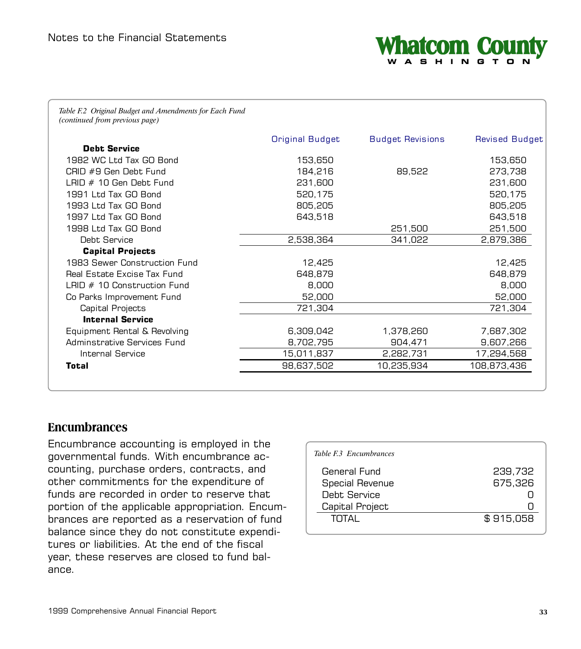

| Table F.2 Original Budget and Amendments for Each Fund |  |
|--------------------------------------------------------|--|
| (continued from previous page)                         |  |

|                                | <b>Original Budget</b> | <b>Budget Revisions</b> | <b>Revised Budget</b> |
|--------------------------------|------------------------|-------------------------|-----------------------|
| <b>Debt Service</b>            |                        |                         |                       |
| 1982 WC Ltd Tax GO Bond        | 153,650                |                         | 153,650               |
| CRID #9 Gen Debt Fund          | 184.216                | 89,522                  | 273.738               |
| $LRID \# 10$ Gen Debt Fund     | 231,600                |                         | 231,600               |
| 1991 Ltd Tax GO Bond           | 520,175                |                         | 520,175               |
| 1993 Ltd Tax GO Bond           | 805,205                |                         | 805,205               |
| 1997 Ltd Tax GO Bond           | 643,518                |                         | 643,518               |
| 1998 Ltd Tax GO Bond           |                        | 251,500                 | 251,500               |
| Debt Service                   | 2,538,364              | 341,022                 | 2,879,386             |
| <b>Capital Projects</b>        |                        |                         |                       |
| 1983 Sewer Construction Fund   | 12,425                 |                         | 12,425                |
| Real Estate Excise Tax Fund    | 648,879                |                         | 648,879               |
| $LRID \# 10$ Construction Fund | 8.000                  |                         | 8.000                 |
| Co Parks Improvement Fund      | 52,000                 |                         | 52,000                |
| Capital Projects               | 721,304                |                         | 721,304               |
| <b>Internal Service</b>        |                        |                         |                       |
| Equipment Rental & Revolving   | 6,309,042              | 1,378,260               | 7,687,302             |
| Adminstrative Services Fund    | 8,702,795              | 904,471                 | 9,607,266             |
| Internal Service               | 15,011,837             | 2,282,731               | 17,294,568            |
| Total                          | 98.637.502             | 10,235,934              | 108.873.436           |
|                                |                        |                         |                       |

### Encumbrances

Encumbrance accounting is employed in the governmental funds. With encumbrance accounting, purchase orders, contracts, and other commitments for the expenditure of funds are recorded in order to reserve that portion of the applicable appropriation. Encumbrances are reported as a reservation of fund balance since they do not constitute expenditures or liabilities. At the end of the fiscal year, these reserves are closed to fund balance.

| 239,732   |
|-----------|
| 675,326   |
|           |
|           |
| \$915,058 |
|           |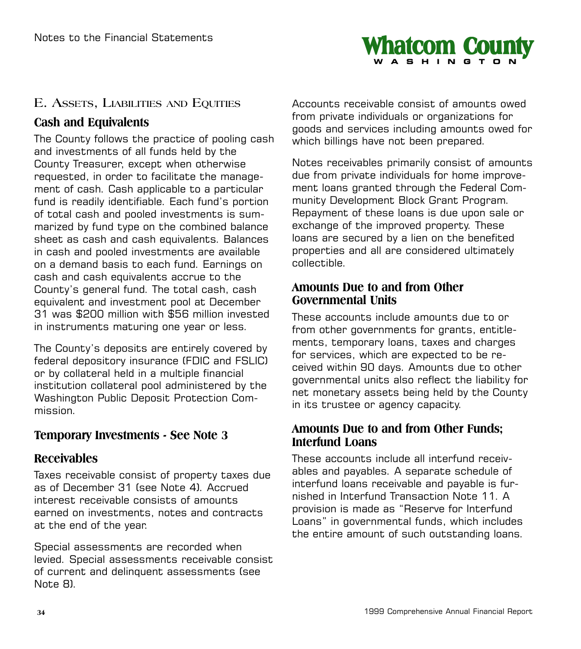

### **E. ASSETS, LIABILITIES AND EQUITIES**

## Cash and Equivalents

The County follows the practice of pooling cash and investments of all funds held by the County Treasurer, except when otherwise requested, in order to facilitate the management of cash. Cash applicable to a particular fund is readily identifiable. Each fund's portion of total cash and pooled investments is summarized by fund type on the combined balance sheet as cash and cash equivalents. Balances in cash and pooled investments are available on a demand basis to each fund. Earnings on cash and cash equivalents accrue to the Countyís general fund. The total cash, cash equivalent and investment pool at December 31 was \$200 million with \$56 million invested in instruments maturing one year or less.

The County's deposits are entirely covered by federal depository insurance (FDIC and FSLIC) or by collateral held in a multiple financial institution collateral pool administered by the Washington Public Deposit Protection Commission.

### Temporary Investments - See Note 3

### Receivables

Taxes receivable consist of property taxes due as of December 31 (see Note 4). Accrued interest receivable consists of amounts earned on investments, notes and contracts at the end of the year.

Special assessments are recorded when levied. Special assessments receivable consist of current and delinquent assessments (see Note 8).

Accounts receivable consist of amounts owed from private individuals or organizations for goods and services including amounts owed for which billings have not been prepared.

Notes receivables primarily consist of amounts due from private individuals for home improvement loans granted through the Federal Community Development Block Grant Program. Repayment of these loans is due upon sale or exchange of the improved property. These loans are secured by a lien on the benefited properties and all are considered ultimately collectible.

## Amounts Due to and from Other Governmental Units

These accounts include amounts due to or from other governments for grants, entitlements, temporary loans, taxes and charges for services, which are expected to be received within 90 days. Amounts due to other governmental units also reflect the liability for net monetary assets being held by the County in its trustee or agency capacity.

## Amounts Due to and from Other Funds; Interfund Loans

These accounts include all interfund receivables and payables. A separate schedule of interfund loans receivable and payable is furnished in Interfund Transaction Note 11. A provision is made as "Reserve for Interfund Loans" in governmental funds, which includes the entire amount of such outstanding loans.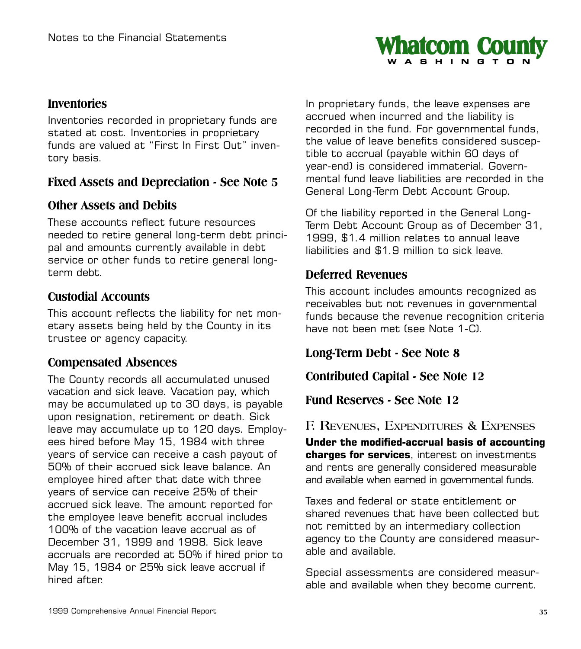

### Inventories

Inventories recorded in proprietary funds are stated at cost. Inventories in proprietary funds are valued at "First In First Out" inventory basis.

## Fixed Assets and Depreciation - See Note 5

### Other Assets and Debits

These accounts reflect future resources needed to retire general long-term debt principal and amounts currently available in debt service or other funds to retire general longterm debt.

## Custodial Accounts

This account reflects the liability for net monetary assets being held by the County in its trustee or agency capacity.

## Compensated Absences

The County records all accumulated unused vacation and sick leave. Vacation pay, which may be accumulated up to 30 days, is payable upon resignation, retirement or death. Sick leave may accumulate up to 120 days. Employees hired before May 15, 1984 with three years of service can receive a cash payout of 50% of their accrued sick leave balance. An employee hired after that date with three years of service can receive 25% of their accrued sick leave. The amount reported for the employee leave benefit accrual includes 100% of the vacation leave accrual as of December 31, 1999 and 1998. Sick leave accruals are recorded at 50% if hired prior to May 15, 1984 or 25% sick leave accrual if hired after.

In proprietary funds, the leave expenses are accrued when incurred and the liability is recorded in the fund. For governmental funds, the value of leave benefits considered susceptible to accrual (payable within 60 days of year-end) is considered immaterial. Governmental fund leave liabilities are recorded in the General Long-Term Debt Account Group.

Of the liability reported in the General Long-Term Debt Account Group as of December 31, 1999, \$1.4 million relates to annual leave liabilities and \$1.9 million to sick leave.

## Deferred Revenues

This account includes amounts recognized as receivables but not revenues in governmental funds because the revenue recognition criteria have not been met (see Note 1-C).

## Long-Term Debt - See Note 8

Contributed Capital - See Note 12

Fund Reserves - See Note 12

## **F. REVENUES, EXPENDITURES & EXPENSES**

**Under the modified-accrual basis of accounting charges for services**, interest on investments and rents are generally considered measurable and available when earned in governmental funds.

Taxes and federal or state entitlement or shared revenues that have been collected but not remitted by an intermediary collection agency to the County are considered measurable and available.

Special assessments are considered measurable and available when they become current.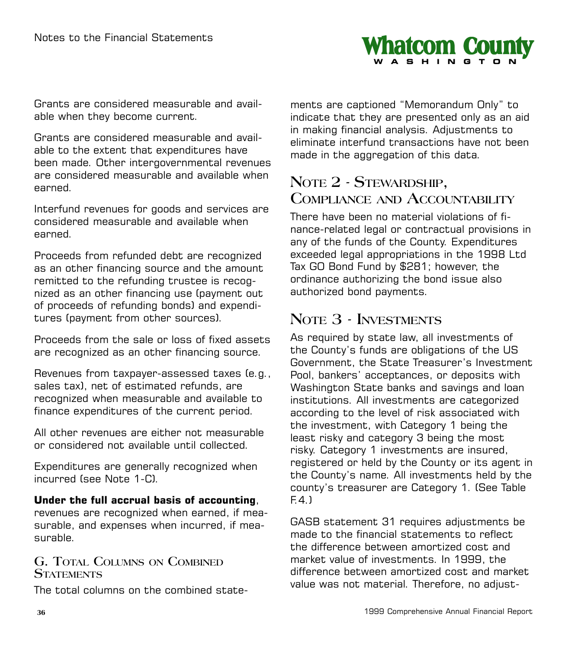

Grants are considered measurable and available when they become current.

Grants are considered measurable and available to the extent that expenditures have been made. Other intergovernmental revenues are considered measurable and available when earned.

Interfund revenues for goods and services are considered measurable and available when earned.

Proceeds from refunded debt are recognized as an other financing source and the amount remitted to the refunding trustee is recognized as an other financing use (payment out of proceeds of refunding bonds) and expenditures (payment from other sources).

Proceeds from the sale or loss of fixed assets are recognized as an other financing source.

Revenues from taxpayer-assessed taxes (e.g., sales tax), net of estimated refunds, are recognized when measurable and available to finance expenditures of the current period.

All other revenues are either not measurable or considered not available until collected.

Expenditures are generally recognized when incurred (see Note 1-C).

### **Under the full accrual basis of accounting**,

revenues are recognized when earned, if measurable, and expenses when incurred, if measurable.

### **G. TOTAL COLUMNS ON COMBINED STATEMENTS**

The total columns on the combined state-

ments are captioned "Memorandum Only" to indicate that they are presented only as an aid in making financial analysis. Adjustments to eliminate interfund transactions have not been made in the aggregation of this data.

## **NOTE 2 - STEWARDSHIP, COMPLIANCE AND ACCOUNTABILITY**

There have been no material violations of finance-related legal or contractual provisions in any of the funds of the County. Expenditures exceeded legal appropriations in the 1998 Ltd Tax GO Bond Fund by \$281; however, the ordinance authorizing the bond issue also authorized bond payments.

## **NOTE 3 - INVESTMENTS**

As required by state law, all investments of the Countyís funds are obligations of the US Government, the State Treasurer's Investment Pool, bankers' acceptances, or deposits with Washington State banks and savings and loan institutions. All investments are categorized according to the level of risk associated with the investment, with Category 1 being the least risky and category 3 being the most risky. Category 1 investments are insured, registered or held by the County or its agent in the Countyís name. All investments held by the countyís treasurer are Category 1. (See Table F.4.)

GASB statement 31 requires adjustments be made to the financial statements to reflect the difference between amortized cost and market value of investments. In 1999, the difference between amortized cost and market value was not material. Therefore, no adjust-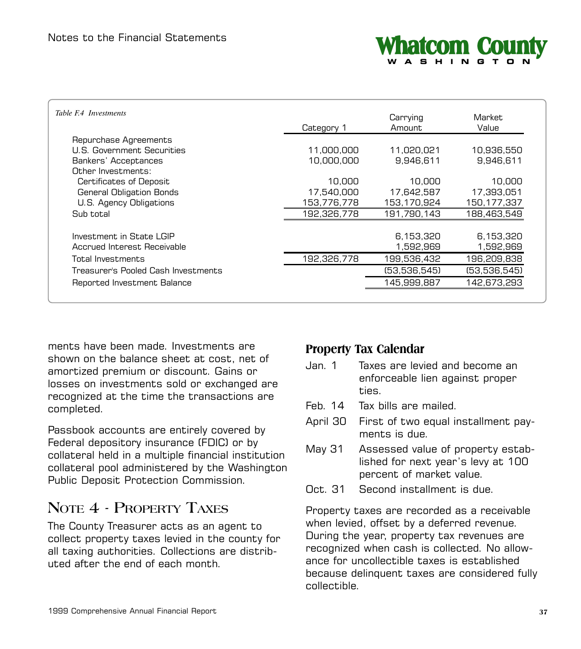

| Table F.4 Investments               | Category 1  | Carrying<br>Amount | Market<br>Value |
|-------------------------------------|-------------|--------------------|-----------------|
| Repurchase Agreements               |             |                    |                 |
| U.S. Government Securities          | 11.000.000  | 11.020.021         | 10.936.550      |
| Bankers' Acceptances                | 10,000,000  | 9.946.611          | 9.946.611       |
| Other Investments:                  |             |                    |                 |
| Certificates of Deposit             | 10,000      | 10,000             | 10,000          |
| <b>General Obligation Bonds</b>     | 17.540.000  | 17.642.587         | 17.393.051      |
| U.S. Agency Obligations             | 153.776.778 | 153.170.924        | 150,177,337     |
| Sub total                           | 192,326,778 | 191.790.143        | 188.463.549     |
| Investment in State I GIP           |             | 6.153.320          | 6.153.320       |
| Accrued Interest Receivable         |             | 1.592.969          | 1,592,969       |
| Total Investments                   | 192.326.778 | 199,536,432        | 196.209.838     |
| Treasurer's Pooled Cash Investments |             | (53,536,545)       | (53,536,545)    |
| Reported Investment Balance         |             | 145.999.887        | 142.673.293     |

ments have been made. Investments are shown on the balance sheet at cost, net of amortized premium or discount. Gains or losses on investments sold or exchanged are recognized at the time the transactions are completed.

Passbook accounts are entirely covered by Federal depository insurance (FDIC) or by collateral held in a multiple financial institution collateral pool administered by the Washington Public Deposit Protection Commission.

## **NOTE 4 - PROPERTY TAXES**

The County Treasurer acts as an agent to collect property taxes levied in the county for all taxing authorities. Collections are distributed after the end of each month.

## Property Tax Calendar

- Jan. 1 Taxes are levied and become an enforceable lien against proper ties.
- Feb. 14 Tax bills are mailed.
- April 30 First of two equal installment payments is due.
- May 31 Assessed value of property established for next year's levy at 100 percent of market value.
- Oct. 31 Second installment is due.

Property taxes are recorded as a receivable when levied, offset by a deferred revenue. During the year, property tax revenues are recognized when cash is collected. No allowance for uncollectible taxes is established because delinquent taxes are considered fully collectible.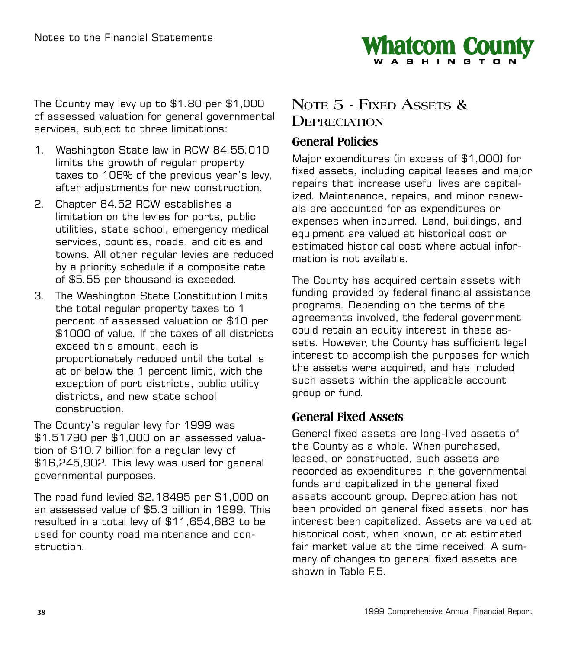

The County may levy up to \$1.80 per \$1,000 of assessed valuation for general governmental services, subject to three limitations:

- 1. Washington State law in RCW 84.55.010 limits the growth of regular property taxes to 106% of the previous year's levy, after adjustments for new construction.
- 2. Chapter 84.52 RCW establishes a limitation on the levies for ports, public utilities, state school, emergency medical services, counties, roads, and cities and towns. All other regular levies are reduced by a priority schedule if a composite rate of \$5.55 per thousand is exceeded.
- 3. The Washington State Constitution limits the total regular property taxes to 1 percent of assessed valuation or \$10 per \$1000 of value. If the taxes of all districts exceed this amount, each is proportionately reduced until the total is at or below the 1 percent limit, with the exception of port districts, public utility districts, and new state school construction.

The Countyís regular levy for 1999 was \$1.51790 per \$1,000 on an assessed valuation of \$10.7 billion for a regular levy of \$16,245,902. This levy was used for general governmental purposes.

The road fund levied \$2.18495 per \$1,000 on an assessed value of \$5.3 billion in 1999. This resulted in a total levy of \$11,654,683 to be used for county road maintenance and construction.

## **NOTE 5 - FIXED ASSETS & DEPRECIATION**

## General Policies

Major expenditures (in excess of \$1,000) for fixed assets, including capital leases and major repairs that increase useful lives are capitalized. Maintenance, repairs, and minor renewals are accounted for as expenditures or expenses when incurred. Land, buildings, and equipment are valued at historical cost or estimated historical cost where actual information is not available.

The County has acquired certain assets with funding provided by federal financial assistance programs. Depending on the terms of the agreements involved, the federal government could retain an equity interest in these assets. However, the County has sufficient legal interest to accomplish the purposes for which the assets were acquired, and has included such assets within the applicable account group or fund.

## General Fixed Assets

General fixed assets are long-lived assets of the County as a whole. When purchased, leased, or constructed, such assets are recorded as expenditures in the governmental funds and capitalized in the general fixed assets account group. Depreciation has not been provided on general fixed assets, nor has interest been capitalized. Assets are valued at historical cost, when known, or at estimated fair market value at the time received. A summary of changes to general fixed assets are shown in Table F.5.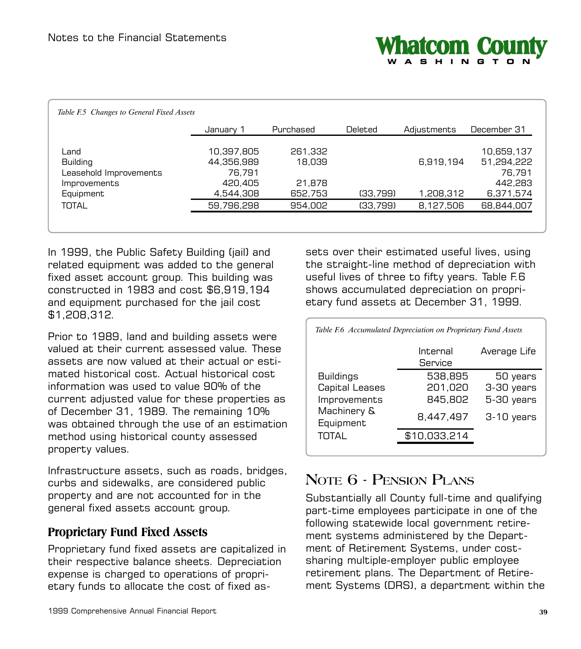

| Table F.5 Changes to General Fixed Assets |            |           |          |             |             |
|-------------------------------------------|------------|-----------|----------|-------------|-------------|
|                                           | January 1  | Purchased | Deleted  | Adjustments | December 31 |
| Land                                      | 10.397.805 | 261,332   |          |             | 10.659.137  |
| <b>Building</b>                           | 44.356.989 | 18.039    |          | 6.919.194   | 51.294.222  |
| Leasehold Improvements                    | 76.791     |           |          |             | 76.791      |
| <i>Improvements</i>                       | 420,405    | 21.878    |          |             | 442.283     |
| Equipment                                 | 4.544.308  | 652.753   | (33.799) | 1,208,312   | 6,371,574   |
| <b>TOTAL</b>                              | 59.796.298 | 954.002   | (33.799) | 8.127.506   | 68.844.007  |
|                                           |            |           |          |             |             |

In 1999, the Public Safety Building (jail) and related equipment was added to the general fixed asset account group. This building was constructed in 1983 and cost \$6,919,194 and equipment purchased for the jail cost \$1,208,312.

Prior to 1989, land and building assets were valued at their current assessed value. These assets are now valued at their actual or estimated historical cost. Actual historical cost information was used to value 90% of the current adjusted value for these properties as of December 31, 1989. The remaining 10% was obtained through the use of an estimation method using historical county assessed property values.

Infrastructure assets, such as roads, bridges, curbs and sidewalks, are considered public property and are not accounted for in the general fixed assets account group.

## Proprietary Fund Fixed Assets

Proprietary fund fixed assets are capitalized in their respective balance sheets. Depreciation expense is charged to operations of proprietary funds to allocate the cost of fixed assets over their estimated useful lives, using the straight-line method of depreciation with useful lives of three to fifty years. Table F.6 shows accumulated depreciation on proprietary fund assets at December 31, 1999.

| Table F.6 Accumulated Depreciation on Proprietary Fund Assets |                               |                                      |
|---------------------------------------------------------------|-------------------------------|--------------------------------------|
|                                                               | Internal<br>Service           | Average Life                         |
| <b>Buildings</b><br>Capital Leases<br>Improvements            | 538,895<br>201,020<br>845,802 | 50 years<br>3-30 years<br>5-30 years |
| Machinery &<br>Equipment                                      | 8,447,497                     | 3-10 years                           |
| TOTAL                                                         | \$10,033,214                  |                                      |

## **NOTE 6 - PENSION PLANS**

Substantially all County full-time and qualifying part-time employees participate in one of the following statewide local government retirement systems administered by the Department of Retirement Systems, under costsharing multiple-employer public employee retirement plans. The Department of Retirement Systems (DRS), a department within the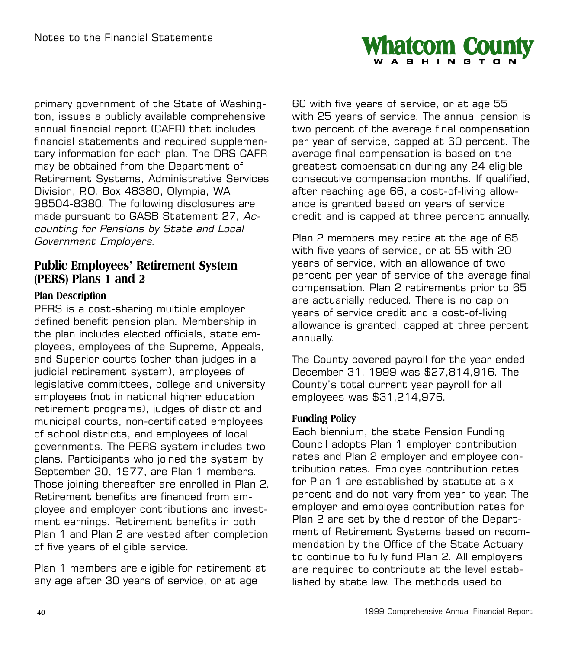

primary government of the State of Washington, issues a publicly available comprehensive annual financial report (CAFR) that includes financial statements and required supplementary information for each plan. The DRS CAFR may be obtained from the Department of Retirement Systems, Administrative Services Division, P.O. Box 48380, Olympia, WA 98504-8380. The following disclosures are made pursuant to GASB Statement 27, Accounting for Pensions by State and Local Government Employers.

## Public Employees' Retirement System (PERS) Plans 1 and 2

### Plan Description

PERS is a cost-sharing multiple employer defined benefit pension plan. Membership in the plan includes elected officials, state employees, employees of the Supreme, Appeals, and Superior courts (other than judges in a judicial retirement system), employees of legislative committees, college and university employees (not in national higher education retirement programs), judges of district and municipal courts, non-certificated employees of school districts, and employees of local governments. The PERS system includes two plans. Participants who joined the system by September 30, 1977, are Plan 1 members. Those joining thereafter are enrolled in Plan 2. Retirement benefits are financed from employee and employer contributions and investment earnings. Retirement benefits in both Plan 1 and Plan 2 are vested after completion of five years of eligible service.

Plan 1 members are eligible for retirement at any age after 30 years of service, or at age

60 with five years of service, or at age 55 with 25 years of service. The annual pension is two percent of the average final compensation per year of service, capped at 60 percent. The average final compensation is based on the greatest compensation during any 24 eligible consecutive compensation months. If qualified, after reaching age 66, a cost-of-living allowance is granted based on years of service credit and is capped at three percent annually.

Plan 2 members may retire at the age of 65 with five years of service, or at 55 with 20 years of service, with an allowance of two percent per year of service of the average final compensation. Plan 2 retirements prior to 65 are actuarially reduced. There is no cap on years of service credit and a cost-of-living allowance is granted, capped at three percent annually.

The County covered payroll for the year ended December 31, 1999 was \$27,814,916. The Countyís total current year payroll for all employees was \$31,214,976.

### Funding Policy

Each biennium, the state Pension Funding Council adopts Plan 1 employer contribution rates and Plan 2 employer and employee contribution rates. Employee contribution rates for Plan 1 are established by statute at six percent and do not vary from year to year. The employer and employee contribution rates for Plan 2 are set by the director of the Department of Retirement Systems based on recommendation by the Office of the State Actuary to continue to fully fund Plan 2. All employers are required to contribute at the level established by state law. The methods used to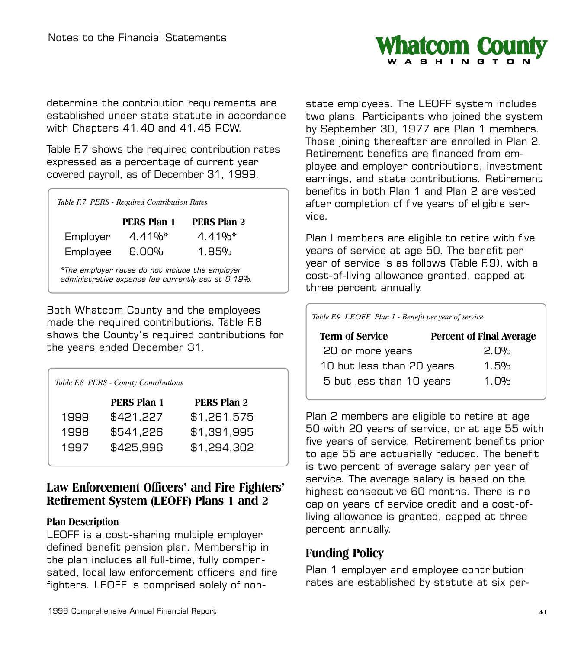

determine the contribution requirements are established under state statute in accordance with Chapters 41.40 and 41.45 RCW.

Table F.7 shows the required contribution rates expressed as a percentage of current year covered payroll, as of December 31, 1999.

 *Table F.7 PERS - Required Contribution Rates*

|                                                                                                       | <b>PERS Plan 1</b> | <b>PERS Plan 2</b>    |
|-------------------------------------------------------------------------------------------------------|--------------------|-----------------------|
| Employer                                                                                              | $4.41\%$           | $4.41\%$ <sup>*</sup> |
| Employee                                                                                              | 6.00%              | 1.85%                 |
| *The employer rates do not include the employer<br>administrative expense fee currently set at 0.19%. |                    |                       |

Both Whatcom County and the employees made the required contributions. Table F.8 shows the County's required contributions for the years ended December 31.

|      | <b>PERS Plan 1</b> | <b>PERS Plan 2</b> |
|------|--------------------|--------------------|
| 1999 | \$421,227          | \$1,261,575        |
| 1998 | \$541,226          | \$1,391,995        |
| 1997 | \$425,996          | \$1,294,302        |
|      |                    |                    |

## Law Enforcement Officers' and Fire Fighters' Retirement System (LEOFF) Plans 1 and 2

### Plan Description

LEOFF is a cost-sharing multiple employer defined benefit pension plan. Membership in the plan includes all full-time, fully compensated, local law enforcement officers and fire fighters. LEOFF is comprised solely of non-

state employees. The LEOFF system includes two plans. Participants who joined the system by September 30, 1977 are Plan 1 members. Those joining thereafter are enrolled in Plan 2. Retirement benefits are financed from employee and employer contributions, investment earnings, and state contributions. Retirement benefits in both Plan 1 and Plan 2 are vested after completion of five years of eligible service.

Plan I members are eligible to retire with five years of service at age 50. The benefit per year of service is as follows (Table F.9), with a cost-of-living allowance granted, capped at three percent annually.

 *Table F.9 LEOFF Plan 1 - Benefit per year of service*

| <b>Term of Service</b>    | <b>Percent of Final Average</b> |
|---------------------------|---------------------------------|
| 20 or more years          | $2.0\%$                         |
| 10 but less than 20 years | 1.5%                            |
| 5 but less than 10 years  | 1. $\Omega$ %                   |

Plan 2 members are eligible to retire at age 50 with 20 years of service, or at age 55 with five years of service. Retirement benefits prior to age 55 are actuarially reduced. The benefit is two percent of average salary per year of service. The average salary is based on the highest consecutive 60 months. There is no cap on years of service credit and a cost-ofliving allowance is granted, capped at three percent annually.

## Funding Policy

Plan 1 employer and employee contribution rates are established by statute at six per-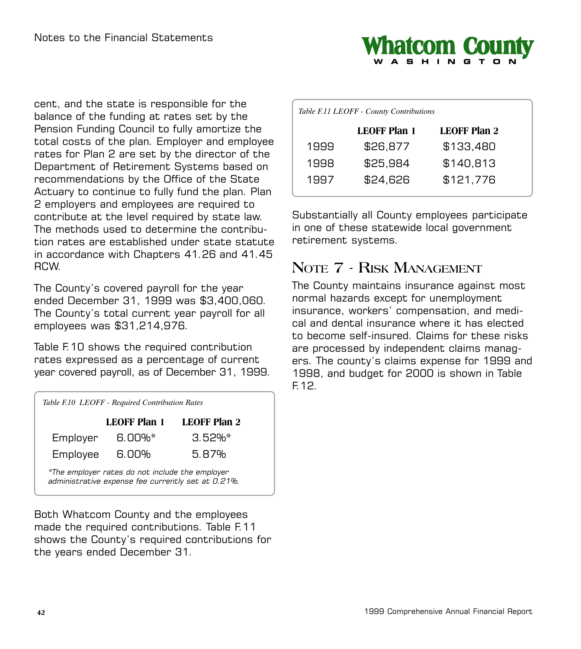latcom Cou W A S H I N G T O N

cent, and the state is responsible for the balance of the funding at rates set by the Pension Funding Council to fully amortize the total costs of the plan. Employer and employee rates for Plan 2 are set by the director of the Department of Retirement Systems based on recommendations by the Office of the State Actuary to continue to fully fund the plan. Plan 2 employers and employees are required to contribute at the level required by state law. The methods used to determine the contribution rates are established under state statute in accordance with Chapters 41.26 and 41.45 RCW.

The County's covered payroll for the year ended December 31, 1999 was \$3,400,060. The County's total current year payroll for all employees was \$31,214,976.

Table F.10 shows the required contribution rates expressed as a percentage of current year covered payroll, as of December 31, 1999.

|          | Table F.10 LEOFF - Required Contribution Rates                                                        |                     |
|----------|-------------------------------------------------------------------------------------------------------|---------------------|
|          | <b>LEOFF Plan 1</b>                                                                                   | <b>LEOFF Plan 2</b> |
| Employer | 6.00%*                                                                                                | $3.52\%$            |
| Employee | 6.00%                                                                                                 | 5.87%               |
|          | *The employer rates do not include the employer<br>administrative expense fee currently set at 0.21%. |                     |

Both Whatcom County and the employees made the required contributions. Table F.11 shows the County's required contributions for the years ended December 31.

|      | Table F.11 LEOFF - County Contributions |                     |
|------|-----------------------------------------|---------------------|
|      | <b>LEOFF Plan 1</b>                     | <b>LEOFF Plan 2</b> |
| 1999 | \$26,877                                | \$133,480           |
| 1998 | \$25,984                                | \$140,813           |
| 1997 | \$24,626                                | \$121,776           |

Substantially all County employees participate in one of these statewide local government retirement systems.

## **NOTE 7 - RISK MANAGEMENT**

The County maintains insurance against most normal hazards except for unemployment insurance, workers' compensation, and medical and dental insurance where it has elected to become self-insured. Claims for these risks are processed by independent claims managers. The countyís claims expense for 1999 and 1998, and budget for 2000 is shown in Table F.12.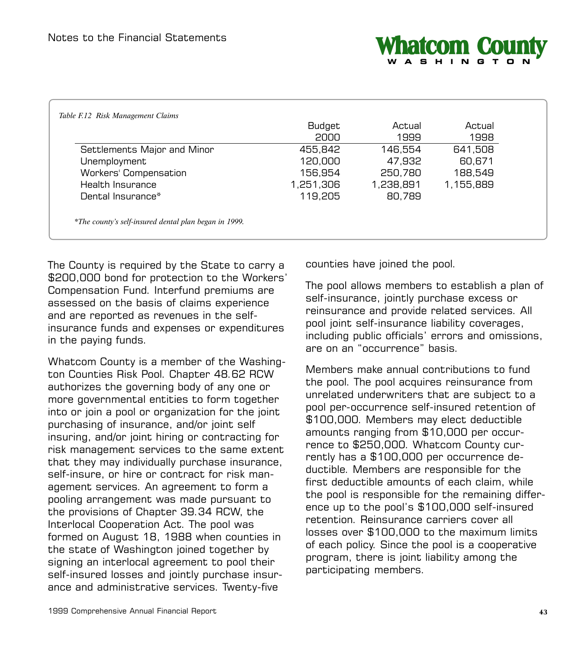|                              | Budget<br>2000 | Actual<br>1999 | Actual<br>1998 |
|------------------------------|----------------|----------------|----------------|
| Settlements Major and Minor  | 455,842        | 146,554        | 641,508        |
| Unemployment                 | 120,000        | 47.932         | 60,671         |
| <b>Workers' Compensation</b> | 156,954        | 250,780        | 188,549        |
| Health Insurance             | 1,251,306      | 1,238,891      | 1,155,889      |
| Dental Insurance*            | 119.205        | 80.789         |                |

The County is required by the State to carry a \$200,000 bond for protection to the Workers' Compensation Fund. Interfund premiums are assessed on the basis of claims experience and are reported as revenues in the selfinsurance funds and expenses or expenditures in the paying funds.

Whatcom County is a member of the Washington Counties Risk Pool. Chapter 48.62 RCW authorizes the governing body of any one or more governmental entities to form together into or join a pool or organization for the joint purchasing of insurance, and/or joint self insuring, and/or joint hiring or contracting for risk management services to the same extent that they may individually purchase insurance, self-insure, or hire or contract for risk management services. An agreement to form a pooling arrangement was made pursuant to the provisions of Chapter 39.34 RCW, the Interlocal Cooperation Act. The pool was formed on August 18, 1988 when counties in the state of Washington joined together by signing an interlocal agreement to pool their self-insured losses and jointly purchase insurance and administrative services. Twenty-five

counties have joined the pool.

The pool allows members to establish a plan of self-insurance, jointly purchase excess or reinsurance and provide related services. All pool joint self-insurance liability coverages, including public officials' errors and omissions, are on an "occurrence" basis.

**atcom County** W A S H I N G T O N

Members make annual contributions to fund the pool. The pool acquires reinsurance from unrelated underwriters that are subject to a pool per-occurrence self-insured retention of \$100,000. Members may elect deductible amounts ranging from \$10,000 per occurrence to \$250,000. Whatcom County currently has a \$100,000 per occurrence deductible. Members are responsible for the first deductible amounts of each claim, while the pool is responsible for the remaining difference up to the poolís \$100,000 self-insured retention. Reinsurance carriers cover all losses over \$100,000 to the maximum limits of each policy. Since the pool is a cooperative program, there is joint liability among the participating members.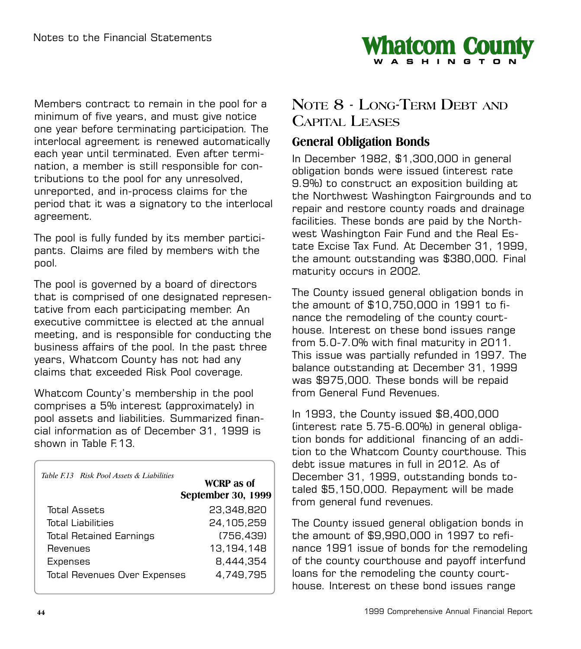

Members contract to remain in the pool for a minimum of five years, and must give notice one year before terminating participation. The interlocal agreement is renewed automatically each year until terminated. Even after termination, a member is still responsible for contributions to the pool for any unresolved, unreported, and in-process claims for the period that it was a signatory to the interlocal agreement.

The pool is fully funded by its member participants. Claims are filed by members with the pool.

The pool is governed by a board of directors that is comprised of one designated representative from each participating member. An executive committee is elected at the annual meeting, and is responsible for conducting the business affairs of the pool. In the past three years, Whatcom County has not had any claims that exceeded Risk Pool coverage.

Whatcom County's membership in the pool comprises a 5% interest (approximately) in pool assets and liabilities. Summarized financial information as of December 31, 1999 is shown in Table F13.

| Table E13 Risk Pool Assets & Liabilities | WCRP as of<br>September 30, 1999 |
|------------------------------------------|----------------------------------|
| Total Assets                             | 23,348,820                       |
| Total Liabilities                        | 24,105,259                       |
| <b>Total Retained Earnings</b>           | (756, 439)                       |
| Revenues                                 | 13,194,148                       |
| <b>Expenses</b>                          | 8,444,354                        |
| <b>Total Revenues Over Expenses</b>      | 4,749,795                        |

## **NOTE 8 - LONG-TERM DEBT AND CAPITAL LEASES**

## General Obligation Bonds

In December 1982, \$1,300,000 in general obligation bonds were issued (interest rate 9.9%) to construct an exposition building at the Northwest Washington Fairgrounds and to repair and restore county roads and drainage facilities. These bonds are paid by the Northwest Washington Fair Fund and the Real Estate Excise Tax Fund. At December 31, 1999, the amount outstanding was \$380,000. Final maturity occurs in 2002.

The County issued general obligation bonds in the amount of \$10,750,000 in 1991 to finance the remodeling of the county courthouse. Interest on these bond issues range from 5.0-7.0% with final maturity in 2011. This issue was partially refunded in 1997. The balance outstanding at December 31, 1999 was \$975,000. These bonds will be repaid from General Fund Revenues.

In 1993, the County issued \$8,400,000 (interest rate 5.75-6.00%) in general obligation bonds for additional financing of an addition to the Whatcom County courthouse. This debt issue matures in full in 2012. As of December 31, 1999, outstanding bonds totaled \$5,150,000. Repayment will be made from general fund revenues.

The County issued general obligation bonds in the amount of \$9,990,000 in 1997 to refinance 1991 issue of bonds for the remodeling of the county courthouse and payoff interfund loans for the remodeling the county courthouse. Interest on these bond issues range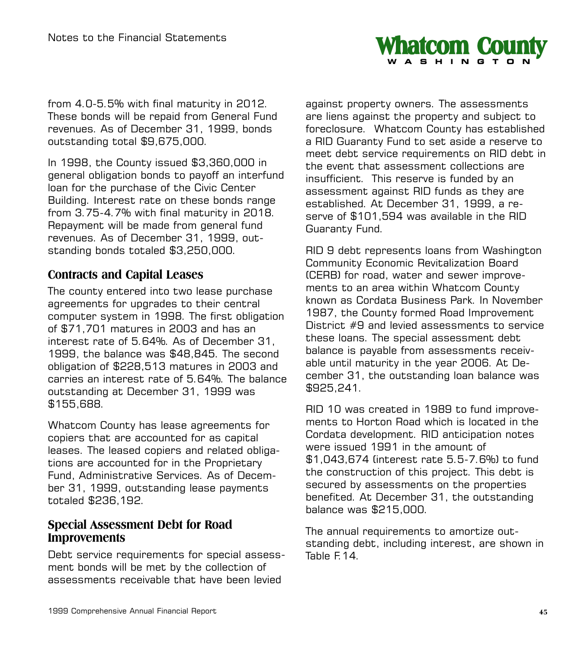

from 4.0-5.5% with final maturity in 2012. These bonds will be repaid from General Fund revenues. As of December 31, 1999, bonds outstanding total \$9,675,000.

In 1998, the County issued \$3,360,000 in general obligation bonds to payoff an interfund loan for the purchase of the Civic Center Building. Interest rate on these bonds range from 3.75-4.7% with final maturity in 2018. Repayment will be made from general fund revenues. As of December 31, 1999, outstanding bonds totaled \$3,250,000.

## Contracts and Capital Leases

The county entered into two lease purchase agreements for upgrades to their central computer system in 1998. The first obligation of \$71,701 matures in 2003 and has an interest rate of 5.64%. As of December 31, 1999, the balance was \$48,845. The second obligation of \$228,513 matures in 2003 and carries an interest rate of 5.64%. The balance outstanding at December 31, 1999 was \$155,688.

Whatcom County has lease agreements for copiers that are accounted for as capital leases. The leased copiers and related obligations are accounted for in the Proprietary Fund, Administrative Services. As of December 31, 1999, outstanding lease payments totaled \$236,192.

### Special Assessment Debt for Road Improvements

Debt service requirements for special assessment bonds will be met by the collection of assessments receivable that have been levied

against property owners. The assessments are liens against the property and subject to foreclosure. Whatcom County has established a RID Guaranty Fund to set aside a reserve to meet debt service requirements on RID debt in the event that assessment collections are insufficient. This reserve is funded by an assessment against RID funds as they are established. At December 31, 1999, a reserve of \$101,594 was available in the RID Guaranty Fund.

RID 9 debt represents loans from Washington Community Economic Revitalization Board (CERB) for road, water and sewer improvements to an area within Whatcom County known as Cordata Business Park. In November 1987, the County formed Road Improvement District #9 and levied assessments to service these loans. The special assessment debt balance is payable from assessments receivable until maturity in the year 2006. At December 31, the outstanding loan balance was \$925,241.

RID 10 was created in 1989 to fund improvements to Horton Road which is located in the Cordata development. RID anticipation notes were issued 1991 in the amount of \$1,043,674 (interest rate 5.5-7.6%) to fund the construction of this project. This debt is secured by assessments on the properties benefited. At December 31, the outstanding balance was \$215,000.

The annual requirements to amortize outstanding debt, including interest, are shown in Table F.14.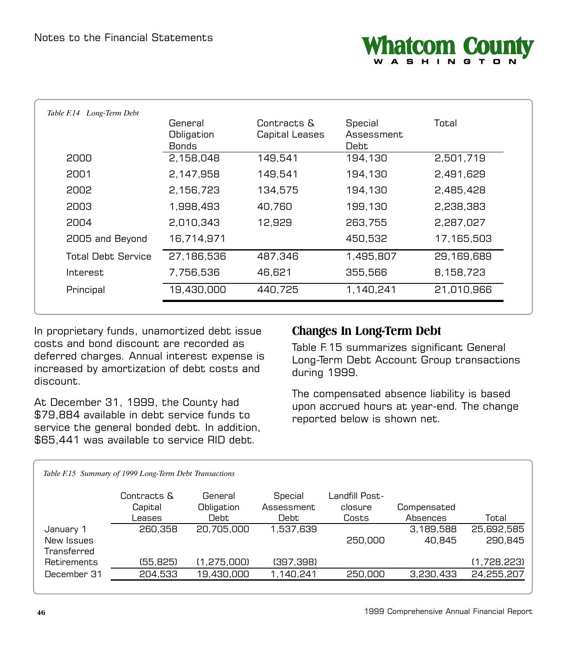

| Table F.14 Long-Term Debt | General<br>Obligation<br><b>Bonds</b> | Contracts &<br>Capital Leases | Special<br>Assessment<br>Debt | Total      |
|---------------------------|---------------------------------------|-------------------------------|-------------------------------|------------|
| 2000                      | 2,158,048                             | 149,541                       | 194,130                       | 2,501,719  |
| 2001                      | 2,147,958                             | 149,541                       | 194,130                       | 2,491,629  |
| 2002                      | 2,156,723                             | 134,575                       | 194,130                       | 2,485,428  |
| 2003                      | 1,998,493                             | 40,760                        | 199,130                       | 2,238,383  |
| 2004                      | 2,010,343                             | 12,929                        | 263,755                       | 2,287,027  |
| 2005 and Beyond           | 16,714,971                            |                               | 450,532                       | 17,165,503 |
| Total Debt Service        | 27,186,536                            | 487,346                       | 1,495,807                     | 29,169,689 |
| Interest                  | 7,756,536                             | 46,621                        | 355,566                       | 8,158,723  |
| Principal                 | 19,430,000                            | 440,725                       | 1,140,241                     | 21,010,966 |

In proprietary funds, unamortized debt issue costs and bond discount are recorded as deferred charges. Annual interest expense is increased by amortization of debt costs and discount.

At December 31, 1999, the County had \$79,884 available in debt service funds to service the general bonded debt. In addition, \$65,441 was available to service RID debt.

## Changes In Long-Term Debt

Table F.15 summarizes significant General Long-Term Debt Account Group transactions during 1999.

The compensated absence liability is based upon accrued hours at year-end. The change reported below is shown net.

|                                        | Table F.15 Summary of 1999 Long-Term Debt Transactions |                               |                               |                                    |                         |                       |
|----------------------------------------|--------------------------------------------------------|-------------------------------|-------------------------------|------------------------------------|-------------------------|-----------------------|
|                                        | Contracts &<br>Capital<br>Leases                       | General<br>Obligation<br>Debt | Special<br>Assessment<br>Debt | Landfill Post-<br>closure<br>Costs | Compensated<br>Absences | Total                 |
| January 1<br>New Issues<br>Transferred | 260,358                                                | 20,705,000                    | 1,537,639                     | 250,000                            | 3,189,588<br>40.845     | 25,692,585<br>290.845 |
| <b>Retirements</b>                     | (55, 825)                                              | (1.275.000)                   | (397,398)                     |                                    |                         | (1,728,223)           |
| December 31                            | 204,533                                                | 19.430.000                    | 1,140,241                     | 250,000                            | 3,230,433               | 24,255,207            |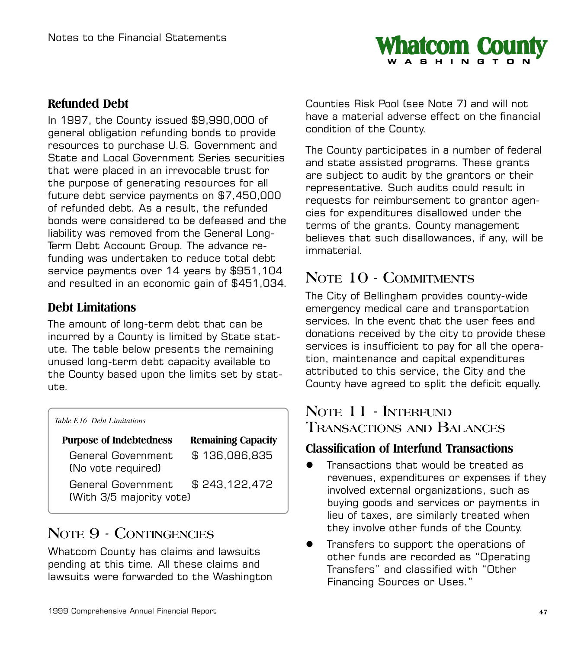

## Refunded Debt

In 1997, the County issued \$9,990,000 of general obligation refunding bonds to provide resources to purchase U.S. Government and State and Local Government Series securities that were placed in an irrevocable trust for the purpose of generating resources for all future debt service payments on \$7,450,000 of refunded debt. As a result, the refunded bonds were considered to be defeased and the liability was removed from the General Long-Term Debt Account Group. The advance refunding was undertaken to reduce total debt service payments over 14 years by \$951,104 and resulted in an economic gain of \$451,034.

## Debt Limitations

The amount of long-term debt that can be incurred by a County is limited by State statute. The table below presents the remaining unused long-term debt capacity available to the County based upon the limits set by statute.

| Table F.16 Debt Limitations                           |                           |
|-------------------------------------------------------|---------------------------|
| <b>Purpose of Indebtedness</b>                        | <b>Remaining Capacity</b> |
| General Government<br>(No vote required)              | \$136,086,835             |
| <b>General Government</b><br>(With 3/5 majority vote) | \$243,122,472             |

## **NOTE 9 - CONTINGENCIES**

Whatcom County has claims and lawsuits pending at this time. All these claims and lawsuits were forwarded to the Washington Counties Risk Pool (see Note 7) and will not have a material adverse effect on the financial condition of the County.

The County participates in a number of federal and state assisted programs. These grants are subject to audit by the grantors or their representative. Such audits could result in requests for reimbursement to grantor agencies for expenditures disallowed under the terms of the grants. County management believes that such disallowances, if any, will be immaterial.

## **NOTE 10 - COMMITMENTS**

The City of Bellingham provides county-wide emergency medical care and transportation services. In the event that the user fees and donations received by the city to provide these services is insufficient to pay for all the operation, maintenance and capital expenditures attributed to this service, the City and the County have agreed to split the deficit equally.

## **NOTE 11 - INTERFUND TRANSACTIONS AND BALANCES**

## Classification of Interfund Transactions

- Transactions that would be treated as revenues, expenditures or expenses if they involved external organizations, such as buying goods and services or payments in lieu of taxes, are similarly treated when they involve other funds of the County.
- Transfers to support the operations of other funds are recorded as "Operating Transfers" and classified with "Other Financing Sources or Uses."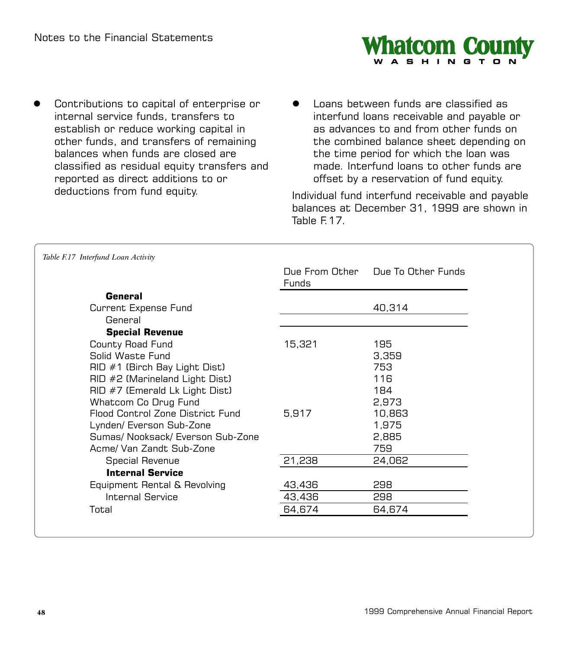

- **•** Contributions to capital of enterprise or internal service funds, transfers to establish or reduce working capital in other funds, and transfers of remaining balances when funds are closed are classified as residual equity transfers and reported as direct additions to or deductions from fund equity.
- $\bullet$  Loans between funds are classified as interfund loans receivable and payable or as advances to and from other funds on the combined balance sheet depending on the time period for which the loan was made. Interfund loans to other funds are offset by a reservation of fund equity.

Individual fund interfund receivable and payable balances at December 31, 1999 are shown in Table F.17.

|                                   | Funds  | Due From Other Due To Other Funds |
|-----------------------------------|--------|-----------------------------------|
| General                           |        |                                   |
| Current Expense Fund              |        | 40,314                            |
| General                           |        |                                   |
| <b>Special Revenue</b>            |        |                                   |
| County Road Fund                  | 15,321 | 195                               |
| Solid Waste Fund                  |        | 3,359                             |
| RID #1 (Birch Bay Light Dist)     |        | 753                               |
| RID #2 (Marineland Light Dist)    |        | 116                               |
| $RID$ #7 (Emerald Lk Light Dist)  |        | 184                               |
| Whatcom Co Drug Fund              |        | 2,973                             |
| Flood Control Zone District Fund  | 5,917  | 10,863                            |
| Lynden/ Everson Sub-Zone          |        | 1,975                             |
| Sumas/ Nooksack/ Everson Sub-Zone |        | 2,885                             |
| Acme/ Van Zandt Sub-Zone          |        | 759                               |
| Special Revenue                   | 21,238 | 24,062                            |
| <b>Internal Service</b>           |        |                                   |
| Equipment Rental & Revolving      | 43,436 | 298                               |
| <b>Internal Service</b>           | 43,436 | 298                               |
| Total                             | 64,674 | 64,674                            |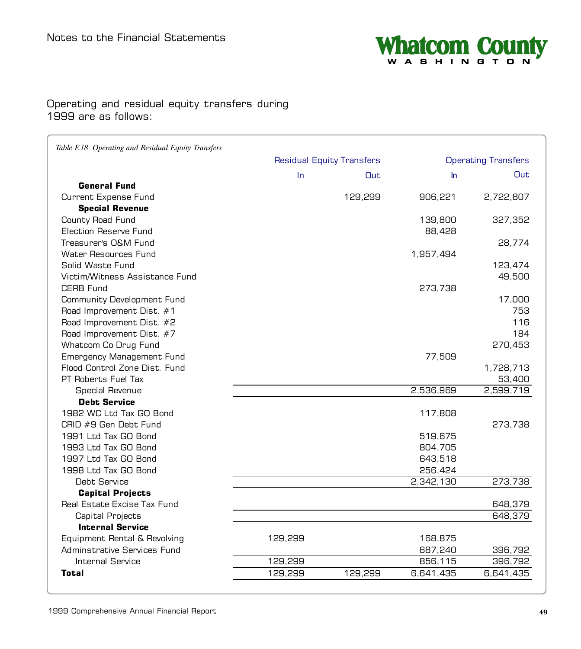

Operating and residual equity transfers during 1999 are as follows:

| Table F.18 Operating and Residual Equity Transfers |         |                                  |           |                            |
|----------------------------------------------------|---------|----------------------------------|-----------|----------------------------|
|                                                    |         | <b>Residual Equity Transfers</b> |           | <b>Operating Transfers</b> |
|                                                    | $\ln$   | Out                              | $\ln$     | Out                        |
| <b>General Fund</b>                                |         |                                  |           |                            |
| Current Expense Fund                               |         | 129,299                          | 906,221   | 2,722,807                  |
| <b>Special Revenue</b>                             |         |                                  |           |                            |
| County Road Fund                                   |         |                                  | 139,800   | 327,352                    |
| <b>Election Reserve Fund</b>                       |         |                                  | 88,428    |                            |
| Treasurer's O&M Fund                               |         |                                  |           | 28,774                     |
| Water Resources Fund                               |         |                                  | 1,957,494 |                            |
| Solid Waste Fund                                   |         |                                  |           | 123,474                    |
| Victim/Witness Assistance Fund                     |         |                                  |           | 49,500                     |
| <b>CERB Fund</b>                                   |         |                                  | 273,738   |                            |
| Community Development Fund                         |         |                                  |           | 17,000                     |
| Road Improvement Dist. #1                          |         |                                  |           | 753                        |
| Road Improvement Dist. #2                          |         |                                  |           | 116                        |
| Road Improvement Dist. #7                          |         |                                  |           | 184                        |
| Whatcom Co Drug Fund                               |         |                                  |           | 270,453                    |
| <b>Emergency Management Fund</b>                   |         |                                  | 77,509    |                            |
| Flood Control Zone Dist. Fund                      |         |                                  |           | 1,728,713                  |
| PT Roberts Fuel Tax                                |         |                                  |           | 53,400                     |
| Special Revenue                                    |         |                                  | 2,536,969 | 2,599,719                  |
| <b>Debt Service</b>                                |         |                                  |           |                            |
| 1982 WC Ltd Tax GO Bond                            |         |                                  | 117,808   |                            |
| CRID #9 Gen Debt Fund                              |         |                                  |           | 273,738                    |
| 1991 Ltd Tax GO Bond                               |         |                                  | 519,675   |                            |
| 1993 Ltd Tax GO Bond                               |         |                                  | 804,705   |                            |
| 1997 Ltd Tax GO Bond                               |         |                                  | 643,518   |                            |
| 1998 Ltd Tax GO Bond                               |         |                                  | 256,424   |                            |
| Debt Service                                       |         |                                  | 2,342,130 | 273,738                    |
| <b>Capital Projects</b>                            |         |                                  |           |                            |
| Real Estate Excise Tax Fund                        |         |                                  |           | 648,379                    |
| Capital Projects                                   |         |                                  |           | 648,379                    |
| <b>Internal Service</b>                            |         |                                  |           |                            |
| Equipment Rental & Revolving                       | 129,299 |                                  | 168,875   |                            |
| Adminstrative Services Fund                        |         |                                  | 687,240   | 396,792                    |
| <b>Internal Service</b>                            | 129,299 |                                  | 856,115   | 396,792                    |
| Total                                              | 129,299 | 129,299                          | 6,641,435 | 6,641,435                  |
|                                                    |         |                                  |           |                            |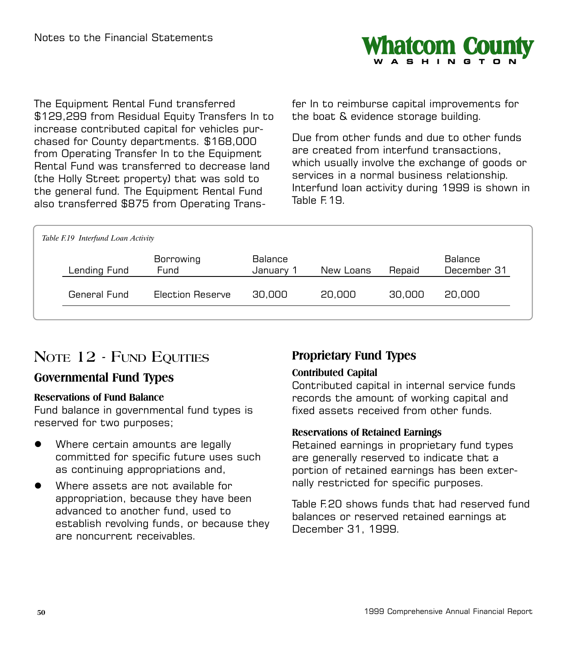

The Equipment Rental Fund transferred \$129,299 from Residual Equity Transfers In to increase contributed capital for vehicles purchased for County departments. \$168,000 from Operating Transfer In to the Equipment Rental Fund was transferred to decrease land (the Holly Street property) that was sold to the general fund. The Equipment Rental Fund also transferred \$875 from Operating Transfer In to reimburse capital improvements for the boat & evidence storage building.

Due from other funds and due to other funds are created from interfund transactions, which usually involve the exchange of goods or services in a normal business relationship. Interfund loan activity during 1999 is shown in Table F.19.

| Table F.19 Interfund Loan Activity |                   |                             |           |        |                        |
|------------------------------------|-------------------|-----------------------------|-----------|--------|------------------------|
| Lending Fund                       | Borrowing<br>Fund | <b>Balance</b><br>January 1 | New Loans | Repaid | Balance<br>December 31 |
| General Fund                       | Election Reserve  | 30,000                      | 20,000    | 30,000 | 20,000                 |

## **NOTE 12 - FUND EQUITIES**

## Governmental Fund Types

### Reservations of Fund Balance

Fund balance in governmental fund types is reserved for two purposes;

- Where certain amounts are legally committed for specific future uses such as continuing appropriations and,
- Where assets are not available for appropriation, because they have been advanced to another fund, used to establish revolving funds, or because they are noncurrent receivables.

## Proprietary Fund Types

### Contributed Capital

Contributed capital in internal service funds records the amount of working capital and fixed assets received from other funds.

### Reservations of Retained Earnings

Retained earnings in proprietary fund types are generally reserved to indicate that a portion of retained earnings has been externally restricted for specific purposes.

Table F.20 shows funds that had reserved fund balances or reserved retained earnings at December 31, 1999.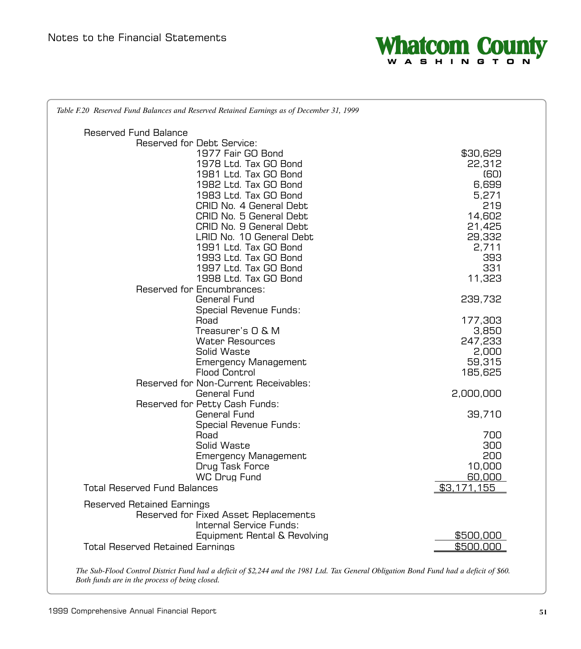

| Table F.20 Reserved Fund Balances and Reserved Retained Earnings as of December 31, 1999 |                  |
|------------------------------------------------------------------------------------------|------------------|
| Reserved Fund Balance                                                                    |                  |
| Reserved for Debt Service:                                                               |                  |
| 1977 Fair GO Bond                                                                        | \$30,629         |
| 1978 Ltd. Tax GO Bond                                                                    | 22,312           |
| 1981 Ltd. Tax GO Bond                                                                    | (60)             |
| 1982 Ltd. Tax GO Bond                                                                    | 6,699            |
| 1983 Ltd. Tax GO Bond                                                                    | 5,271            |
| CRID No. 4 General Debt                                                                  | 219              |
| CRID No. 5 General Debt                                                                  | 14,602           |
| CRID No. 9 General Debt                                                                  | 21,425           |
| LRID No. 10 General Debt                                                                 | 29,332           |
| 1991 Ltd. Tax GO Bond                                                                    | 2,711            |
| 1993 Ltd. Tax GO Bond                                                                    | 393              |
| 1997 Ltd. Tax GO Bond                                                                    | 331              |
| 1998 Ltd. Tax GO Bond                                                                    | 11,323           |
| <b>Reserved for Encumbrances:</b>                                                        |                  |
| General Fund                                                                             | 239,732          |
| <b>Special Revenue Funds:</b>                                                            |                  |
| Road                                                                                     | 177,303          |
| Treasurer's O & M                                                                        | 3,850            |
| <b>Water Resources</b>                                                                   | 247,233          |
| Solid Waste                                                                              | 2,000            |
| <b>Emergency Management</b>                                                              | 59,315           |
| <b>Flood Control</b>                                                                     | 185,625          |
| Reserved for Non-Current Receivables:                                                    |                  |
| General Fund                                                                             | 2,000,000        |
| Reserved for Petty Cash Funds:                                                           |                  |
| General Fund                                                                             | 39,710           |
| <b>Special Revenue Funds:</b>                                                            |                  |
| Road                                                                                     | 700              |
| Solid Waste                                                                              | 300              |
| <b>Emergency Management</b>                                                              | 200              |
| Drug Task Force<br><b>WC Drug Fund</b>                                                   | 10,000<br>60,000 |
| <b>Total Reserved Fund Balances</b>                                                      | \$3,171,155      |
|                                                                                          |                  |
| <b>Reserved Retained Earnings</b>                                                        |                  |
| Reserved for Fixed Asset Replacements<br>Internal Service Funds:                         |                  |
|                                                                                          |                  |
| Equipment Rental & Revolving                                                             | \$500,000        |
| <b>Total Reserved Retained Earnings</b>                                                  | \$500,000        |

*The Sub-Flood Control District Fund had a deficit of \$2,244 and the 1981 Ltd. Tax General Obligation Bond Fund had a deficit of \$60. Both funds are in the process of being closed.*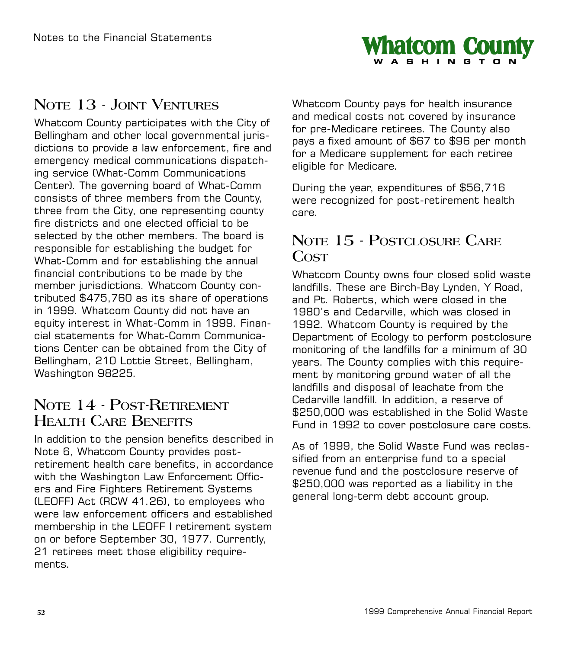

## **NOTE 13 - JOINT VENTURES**

Whatcom County participates with the City of Bellingham and other local governmental jurisdictions to provide a law enforcement, fire and emergency medical communications dispatching service (What-Comm Communications Center). The governing board of What-Comm consists of three members from the County, three from the City, one representing county fire districts and one elected official to be selected by the other members. The board is responsible for establishing the budget for What-Comm and for establishing the annual financial contributions to be made by the member jurisdictions. Whatcom County contributed \$475,760 as its share of operations in 1999. Whatcom County did not have an equity interest in What-Comm in 1999. Financial statements for What-Comm Communications Center can be obtained from the City of Bellingham, 210 Lottie Street, Bellingham, Washington 98225.

## **NOTE 14 - POST-RETIREMENT HEALTH CARE BENEFITS**

In addition to the pension benefits described in Note 6, Whatcom County provides postretirement health care benefits, in accordance with the Washington Law Enforcement Officers and Fire Fighters Retirement Systems (LEOFF) Act (RCW 41.26), to employees who were law enforcement officers and established membership in the LEOFF I retirement system on or before September 30, 1977. Currently, 21 retirees meet those eligibility requirements.

Whatcom County pays for health insurance and medical costs not covered by insurance for pre-Medicare retirees. The County also pays a fixed amount of \$67 to \$96 per month for a Medicare supplement for each retiree eligible for Medicare.

During the year, expenditures of \$56,716 were recognized for post-retirement health care.

## **NOTE 15 - POSTCLOSURE CARE COST**

Whatcom County owns four closed solid waste landfills. These are Birch-Bay Lynden, Y Road, and Pt. Roberts, which were closed in the 1980ís and Cedarville, which was closed in 1992. Whatcom County is required by the Department of Ecology to perform postclosure monitoring of the landfills for a minimum of 30 years. The County complies with this requirement by monitoring ground water of all the landfills and disposal of leachate from the Cedarville landfill. In addition, a reserve of \$250,000 was established in the Solid Waste Fund in 1992 to cover postclosure care costs.

As of 1999, the Solid Waste Fund was reclassified from an enterprise fund to a special revenue fund and the postclosure reserve of \$250,000 was reported as a liability in the general long-term debt account group.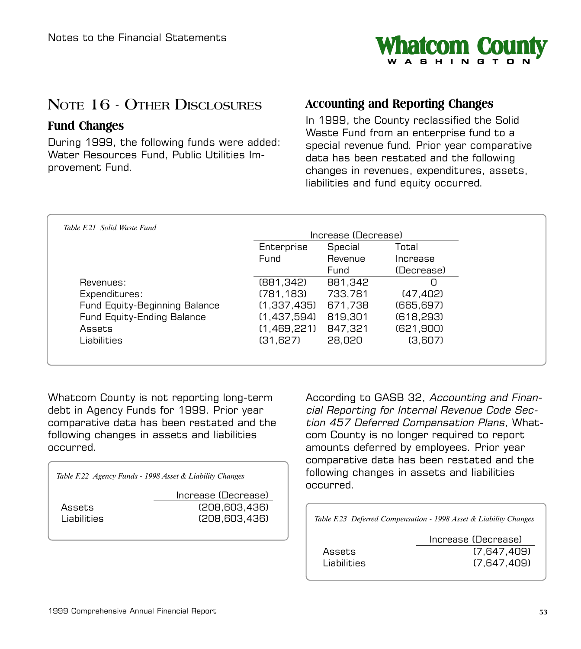

## **NOTE 16 - OTHER DISCLOSURES**

## Fund Changes

During 1999, the following funds were added: Water Resources Fund, Public Utilities Improvement Fund.

## Accounting and Reporting Changes

In 1999, the County reclassified the Solid Waste Fund from an enterprise fund to a special revenue fund. Prior year comparative data has been restated and the following changes in revenues, expenditures, assets, liabilities and fund equity occurred.

|                                      |               | Increase (Decrease) |            |
|--------------------------------------|---------------|---------------------|------------|
|                                      | Enterprise    | Special             | Total      |
|                                      | Fund          | Revenue             | Increase   |
|                                      |               | Fund                | (Decrease) |
| Revenues:                            | (B81, 342)    | 881,342             |            |
| Expenditures:                        | (781, 183)    | 733,781             | (47, 402)  |
| <b>Fund Equity-Beginning Balance</b> | (1, 337, 435) | 671,738             | (665, 697) |
| Fund Equity-Ending Balance           | (1,437,594)   | 819,301             | (618, 293) |
| Assets                               | (1,469,221)   | 847,321             | (621, 900) |
| Liabilities                          | (31,627)      | 28,020              | (3,607)    |

Whatcom County is not reporting long-term debt in Agency Funds for 1999. Prior year comparative data has been restated and the following changes in assets and liabilities occurred.

| Table F.22 Agency Funds - 1998 Asset & Liability Changes |                     |  |  |  |  |
|----------------------------------------------------------|---------------------|--|--|--|--|
|                                                          | Increase (Decrease) |  |  |  |  |
| Assets                                                   | (208, 603, 436)     |  |  |  |  |
| Liabilities<br>(208.603.436)                             |                     |  |  |  |  |
|                                                          |                     |  |  |  |  |
|                                                          |                     |  |  |  |  |

According to GASB 32, Accounting and Financial Reporting for Internal Revenue Code Section 457 Deferred Compensation Plans, Whatcom County is no longer required to report amounts deferred by employees. Prior year comparative data has been restated and the following changes in assets and liabilities occurred.

| Table F.23 Deferred Compensation - 1998 Asset & Liability Changes |                                                   |  |  |  |
|-------------------------------------------------------------------|---------------------------------------------------|--|--|--|
| Assets<br>Liabilities                                             | Increase (Decrease)<br>(7,647,409)<br>(7.647.409) |  |  |  |
|                                                                   |                                                   |  |  |  |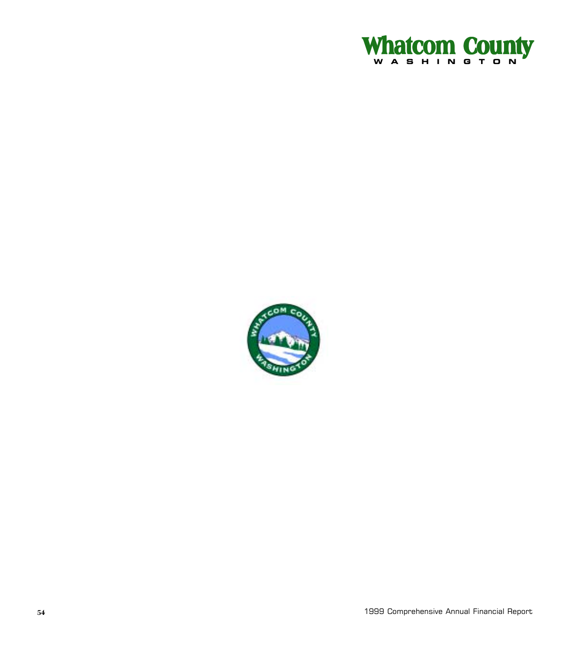

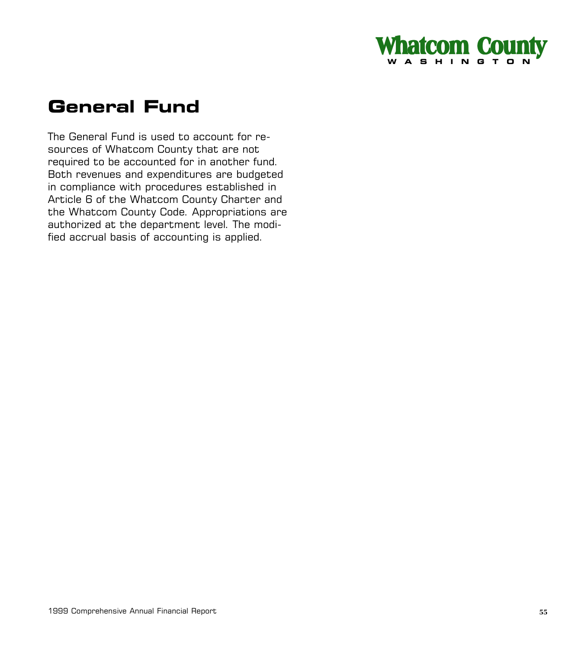

# General Fund

The General Fund is used to account for resources of Whatcom County that are not required to be accounted for in another fund. Both revenues and expenditures are budgeted in compliance with procedures established in Article 6 of the Whatcom County Charter and the Whatcom County Code. Appropriations are authorized at the department level. The modified accrual basis of accounting is applied.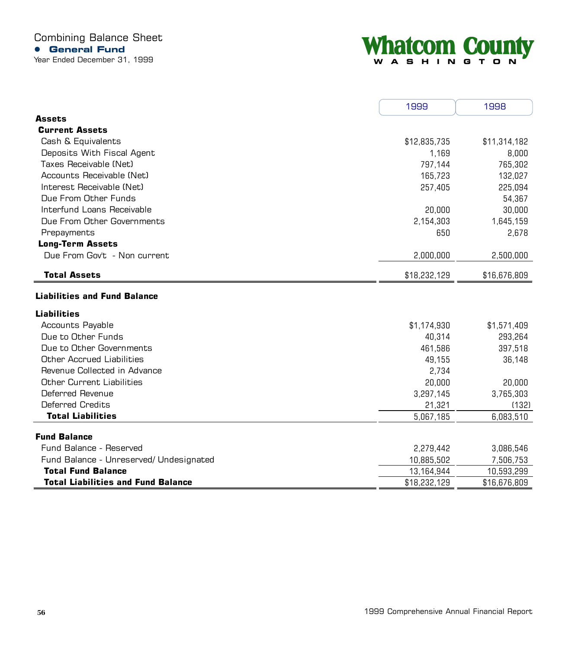#### Combining Balance Sheet **• General Fund** Year Ended December 31, 1999



|                                           | 1999         | 1998         |
|-------------------------------------------|--------------|--------------|
| <b>Assets</b>                             |              |              |
| <b>Current Assets</b>                     |              |              |
| Cash & Equivalents                        | \$12,835,735 | \$11,314,182 |
| Deposits With Fiscal Agent                | 1,169        | 8,000        |
| Taxes Receivable (Net)                    | 797,144      | 765,302      |
| Accounts Receivable (Net)                 | 165,723      | 132,027      |
| Interest Receivable (Net)                 | 257,405      | 225,094      |
| Due From Other Funds                      |              | 54,367       |
| Interfund Loans Receivable                | 20,000       | 30,000       |
| Due From Other Governments                | 2,154,303    | 1,645,159    |
| Prepayments                               | 650          | 2,678        |
| <b>Long-Term Assets</b>                   |              |              |
| Due From Gov't - Non current              | 2,000,000    | 2,500,000    |
| <b>Total Assets</b>                       | \$18,232,129 | \$16,676,809 |
| <b>Liabilities and Fund Balance</b>       |              |              |
| <b>Liabilities</b>                        |              |              |
| Accounts Payable                          | \$1,174,930  | \$1,571,409  |
| Due to Other Funds                        | 40,314       | 293,264      |
| Due to Other Governments                  | 461,586      | 397,518      |
| Other Accrued Liabilities                 | 49,155       | 36,148       |
| Revenue Collected in Advance              | 2,734        |              |
| Other Current Liabilities                 | 20,000       | 20,000       |
| Deferred Revenue                          | 3,297,145    | 3,765,303    |
| Deferred Credits                          | 21,321       | (132)        |
| <b>Total Liabilities</b>                  | 5,067,185    | 6,083,510    |
| <b>Fund Balance</b>                       |              |              |
| Fund Balance - Reserved                   | 2,279,442    | 3,086,546    |
| Fund Balance - Unreserved/ Undesignated   | 10,885,502   | 7,506,753    |
| <b>Total Fund Balance</b>                 | 13,164,944   | 10,593,299   |
| <b>Total Liabilities and Fund Balance</b> | \$18,232,129 | \$16,676,809 |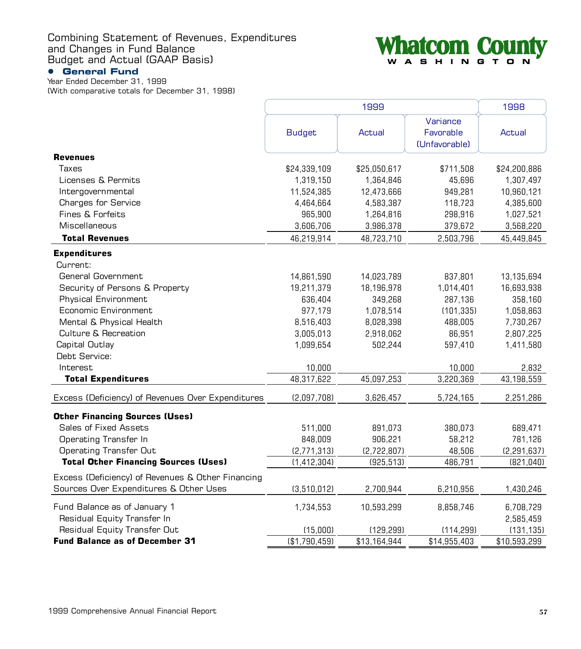### Combining Statement of Revenues, Expenditures and Changes in Fund Balance Budget and Actual (GAAP Basis)



### **• General Fund**

Year Ended December 31, 1999 (With comparative totals for December 31, 1998)

|                                                   | 1999          |              |                                        | 1998          |
|---------------------------------------------------|---------------|--------------|----------------------------------------|---------------|
|                                                   | <b>Budget</b> | Actual       | Variance<br>Favorable<br>(Unfavorable) | Actual        |
| <b>Revenues</b>                                   |               |              |                                        |               |
| Taxes                                             | \$24,339,109  | \$25,050,617 | \$711,508                              | \$24,200,886  |
| Licenses & Permits                                | 1,319,150     | 1,364,846    | 45,696                                 | 1,307,497     |
| Intergovernmental                                 | 11,524,385    | 12,473,666   | 949,281                                | 10,960,121    |
| <b>Charges for Service</b>                        | 4,464,664     | 4,583,387    | 118,723                                | 4,385,600     |
| Fines & Forfeits                                  | 965,900       | 1,264,816    | 298,916                                | 1,027,521     |
| Miscellaneous                                     | 3,606,706     | 3,986,378    | 379,672                                | 3,568,220     |
| <b>Total Revenues</b>                             | 46,219,914    | 48,723,710   | 2,503,796                              | 45,449,845    |
| <b>Expenditures</b>                               |               |              |                                        |               |
| Current:                                          |               |              |                                        |               |
| General Government                                | 14,861,590    | 14,023,789   | 837,801                                | 13,135,694    |
| Security of Persons & Property                    | 19,211,379    | 18,196,978   | 1,014,401                              | 16,693,938    |
| <b>Physical Environment</b>                       | 636,404       | 349,268      | 287,136                                | 358,160       |
| Economic Environment                              | 977,179       | 1,078,514    | (101, 335)                             | 1,058,863     |
| Mental & Physical Health                          | 8,516,403     | 8,028,398    | 488,005                                | 7,730,267     |
| Culture & Recreation                              | 3,005,013     | 2,918,062    | 86,951                                 | 2,807,225     |
| Capital Outlay                                    | 1,099,654     | 502,244      | 597,410                                | 1,411,580     |
| Debt Service:                                     |               |              |                                        |               |
| Interest                                          | 10,000        |              | 10,000                                 | 2,832         |
| <b>Total Expenditures</b>                         | 48,317,622    | 45,097,253   | 3,220,369                              | 43,198,559    |
| Excess (Deficiency) of Revenues Over Expenditures | (2,097,708)   | 3,626,457    | 5,724,165                              | 2,251,286     |
| <b>Other Financing Sources (Uses)</b>             |               |              |                                        |               |
| Sales of Fixed Assets                             | 511,000       | 891,073      | 380,073                                | 689,471       |
| Operating Transfer In                             | 848,009       | 906,221      | 58,212                                 | 781,126       |
| <b>Operating Transfer Out</b>                     | (2,771,313)   | (2,722,807)  | 48,506                                 | (2, 291, 637) |
| <b>Total Other Financing Sources (Uses)</b>       | (1, 412, 304) | (925, 513)   | 486,791                                | (821, 040)    |
| Excess (Deficiency) of Revenues & Other Financing |               |              |                                        |               |
| Sources Over Expenditures & Other Uses            | (3,510,012)   | 2,700,944    | 6,210,956                              | 1,430,246     |
| Fund Balance as of January 1                      | 1,734,553     | 10,593,299   | 8,858,746                              | 6,708,729     |
| Residual Equity Transfer In                       |               |              |                                        | 2,585,459     |
| Residual Equity Transfer Out                      | (15,000)      | (129, 299)   | (114, 299)                             | (131, 135)    |
| <b>Fund Balance as of December 31</b>             | (\$1,790,459) | \$13,164,944 | \$14,955,403                           | \$10,593,299  |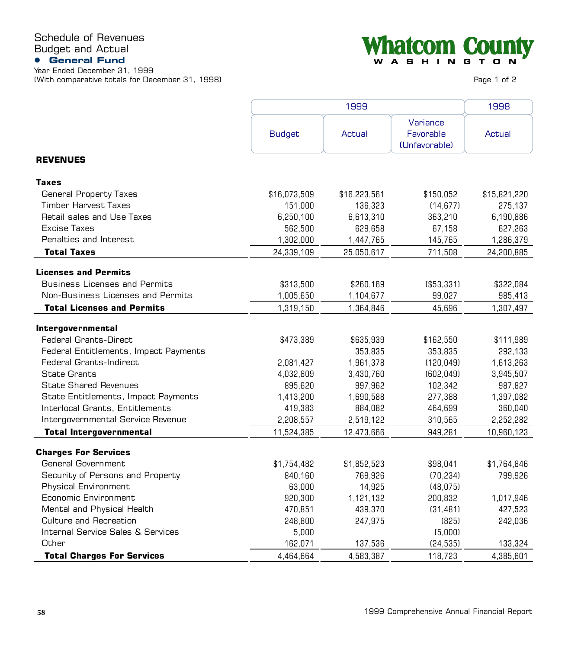### Schedule of Revenues Budget and Actual

### **• General Fund**

Year Ended December 31, 1999 (With comparative totals for December 31, 1998) Page 1 of 2



|                                       |               | 1999          |                                        |              |
|---------------------------------------|---------------|---------------|----------------------------------------|--------------|
|                                       | <b>Budget</b> | <b>Actual</b> | Variance<br>Favorable<br>(Unfavorable) | Actual       |
| <b>REVENUES</b>                       |               |               |                                        |              |
| <b>Taxes</b>                          |               |               |                                        |              |
| <b>General Property Taxes</b>         | \$16,073,509  | \$16,223,561  | \$150,052                              | \$15,821,220 |
| <b>Timber Harvest Taxes</b>           | 151,000       | 136,323       | (14, 677)                              | 275,137      |
| Retail sales and Use Taxes            | 6,250,100     | 6,613,310     | 363,210                                | 6,190,886    |
| <b>Excise Taxes</b>                   | 562,500       | 629,658       | 67,158                                 | 627,263      |
| Penalties and Interest                | 1,302,000     | 1,447,765     | 145,765                                | 1,286,379    |
| <b>Total Taxes</b>                    | 24,339,109    | 25,050,617    | 711,508                                | 24,200,885   |
| <b>Licenses and Permits</b>           |               |               |                                        |              |
| <b>Business Licenses and Permits</b>  | \$313,500     | \$260,169     | (\$53,331)                             | \$322,084    |
| Non-Business Licenses and Permits     | 1,005,650     | 1,104,677     | 99,027                                 | 985,413      |
| <b>Total Licenses and Permits</b>     | 1,319,150     | 1,364,846     | 45,696                                 | 1,307,497    |
| Intergovernmental                     |               |               |                                        |              |
| <b>Federal Grants-Direct</b>          | \$473,389     | \$635,939     | \$162,550                              | \$111,989    |
| Federal Entitlements, Impact Payments |               | 353,835       | 353,835                                | 292,133      |
| <b>Federal Grants-Indirect</b>        | 2,081,427     | 1,961,378     | (120, 049)                             | 1,613,263    |
| <b>State Grants</b>                   | 4,032,809     | 3,430,760     | (602, 049)                             | 3,945,507    |
| <b>State Shared Revenues</b>          | 895,620       | 997,962       | 102,342                                | 987,827      |
| State Entitlements, Impact Payments   | 1,413,200     | 1,690,588     | 277,388                                | 1,397,082    |
| Interlocal Grants, Entitlements       | 419,383       | 884,082       | 464,699                                | 360,040      |
| Intergovernmental Service Revenue     | 2,208,557     | 2,519,122     | 310,565                                | 2,252,282    |
| <b>Total Intergovernmental</b>        | 11,524,385    | 12,473,666    | 949,281                                | 10,960,123   |
| <b>Charges For Services</b>           |               |               |                                        |              |
| General Government                    | \$1,754,482   | \$1,852,523   | \$98,041                               | \$1,764,846  |
| Security of Persons and Property      | 840,160       | 769,926       | (70, 234)                              | 799,926      |
| <b>Physical Environment</b>           | 63,000        | 14,925        | (48, 075)                              |              |
| Economic Environment                  | 920,300       | 1,121,132     | 200,832                                | 1,017,946    |
| Mental and Physical Health            | 470,851       | 439,370       | (31, 481)                              | 427,523      |
| Culture and Recreation                | 248,800       | 247,975       | (825)                                  | 242,036      |
| Internal Service Sales & Services     | 5,000         |               | (5,000)                                |              |
| Other                                 | 162,071       | 137,536       | (24, 535)                              | 133,324      |
| <b>Total Charges For Services</b>     | 4,464,664     | 4,583,387     | 118,723                                | 4,385,601    |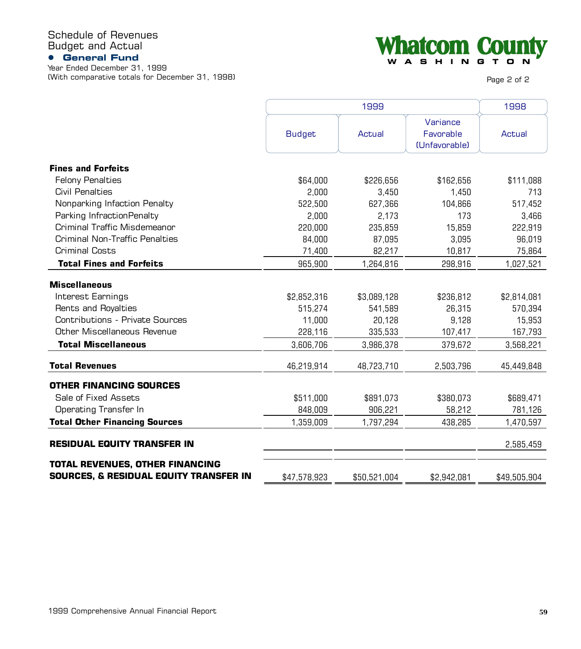### Schedule of Revenues Budget and Actual

### ! General Fund

Year Ended December 31, 1999 (With comparative totals for December 31, 1998) Page 2 of 2



|                                                                           |               | 1999         |                                        |              |
|---------------------------------------------------------------------------|---------------|--------------|----------------------------------------|--------------|
|                                                                           | <b>Budget</b> | Actual       | Variance<br>Favorable<br>(Unfavorable) | Actual       |
| <b>Fines and Forfeits</b>                                                 |               |              |                                        |              |
| <b>Felony Penalties</b>                                                   | \$64,000      | \$226,656    | \$162,656                              | \$111,088    |
| <b>Civil Penalties</b>                                                    | 2,000         | 3,450        | 1,450                                  | 713          |
| Nonparking Infaction Penalty                                              | 522,500       | 627,366      | 104,866                                | 517,452      |
| Parking InfractionPenalty                                                 | 2,000         | 2,173        | 173                                    | 3,466        |
| Criminal Traffic Misdemeanor                                              | 220,000       | 235,859      | 15,859                                 | 222,919      |
| <b>Criminal Non-Traffic Penalties</b>                                     | 84,000        | 87,095       | 3,095                                  | 96,019       |
| <b>Criminal Costs</b>                                                     | 71,400        | 82,217       | 10,817                                 | 75,864       |
| <b>Total Fines and Forfeits</b>                                           | 965,900       | 1,264,816    | 298,916                                | 1,027,521    |
| <b>Miscellaneous</b>                                                      |               |              |                                        |              |
| Interest Earnings                                                         | \$2,852,316   | \$3,089,128  | \$236,812                              | \$2,814,081  |
| Rents and Royalties                                                       | 515,274       | 541,589      | 26,315                                 | 570,394      |
| Contributions - Private Sources                                           | 11,000        | 20,128       | 9,128                                  | 15,953       |
| Other Miscellaneous Revenue                                               | 228,116       | 335,533      | 107,417                                | 167,793      |
| <b>Total Miscellaneous</b>                                                | 3,606,706     | 3,986,378    | 379,672                                | 3,568,221    |
| <b>Total Revenues</b>                                                     | 46,219,914    | 48,723,710   | 2,503,796                              | 45,449,848   |
| <b>OTHER FINANCING SOURCES</b>                                            |               |              |                                        |              |
| Sale of Fixed Assets                                                      | \$511,000     | \$891,073    | \$380,073                              | \$689,471    |
| Operating Transfer In                                                     | 848,009       | 906,221      | 58,212                                 | 781,126      |
| <b>Total Other Financing Sources</b>                                      | 1,359,009     | 1,797,294    | 438,285                                | 1,470,597    |
| <b>RESIDUAL EQUITY TRANSFER IN</b>                                        |               |              |                                        | 2,585,459    |
| TOTAL REVENUES, OTHER FINANCING<br>SOURCES, & RESIDUAL EQUITY TRANSFER IN | \$47,578,923  | \$50,521,004 | \$2,942,081                            | \$49,505,904 |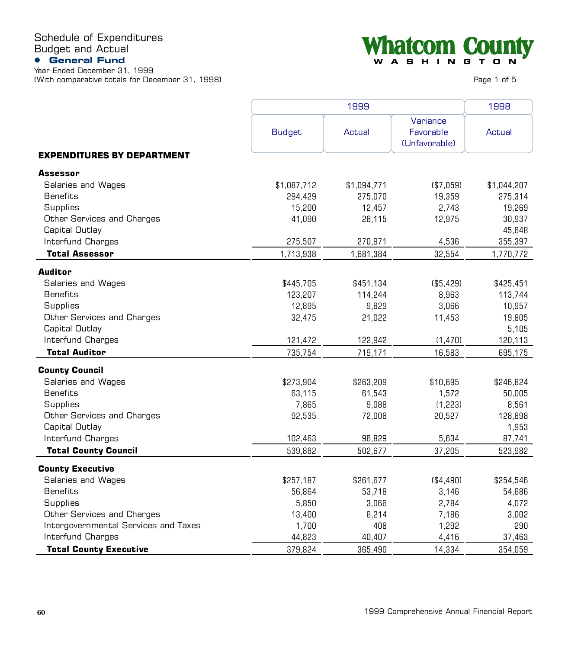### **• General Fund**

Year Ended December 31, 1999 (With comparative totals for December 31, 1998) Page 1 of 5



|                                      |               | 1999        |                                        | 1998        |
|--------------------------------------|---------------|-------------|----------------------------------------|-------------|
|                                      | <b>Budget</b> | Actual      | Variance<br>Favorable<br>(Unfavorable) | Actual      |
| <b>EXPENDITURES BY DEPARTMENT</b>    |               |             |                                        |             |
| <b>Assessor</b>                      |               |             |                                        |             |
| Salaries and Wages                   | \$1,087,712   | \$1,094,771 | (\$7,059)                              | \$1,044,207 |
| <b>Benefits</b>                      | 294,429       | 275,070     | 19,359                                 | 275,314     |
| <b>Supplies</b>                      | 15,200        | 12,457      | 2,743                                  | 19,269      |
| Other Services and Charges           | 41,090        | 28,115      | 12,975                                 | 30,937      |
| Capital Outlay                       |               |             |                                        | 45,648      |
| Interfund Charges                    | 275,507       | 270,971     | 4,536                                  | 355,397     |
| <b>Total Assessor</b>                | 1,713,938     | 1,681,384   | 32,554                                 | 1,770,772   |
| <b>Auditor</b>                       |               |             |                                        |             |
| Salaries and Wages                   | \$445,705     | \$451,134   | (\$5,429)                              | \$425,451   |
| <b>Benefits</b>                      | 123,207       | 114,244     | 8,963                                  | 113,744     |
| <b>Supplies</b>                      | 12,895        | 9,829       | 3,066                                  | 10,957      |
| Other Services and Charges           | 32,475        | 21,022      | 11,453                                 | 19,805      |
| Capital Outlay                       |               |             |                                        | 5,105       |
| Interfund Charges                    | 121,472       | 122,942     | (1, 470)                               | 120,113     |
| <b>Total Auditor</b>                 | 735,754       | 719,171     | 16,583                                 | 695,175     |
| <b>County Council</b>                |               |             |                                        |             |
| Salaries and Wages                   | \$273,904     | \$263,209   | \$10,695                               | \$246,824   |
| <b>Benefits</b>                      | 63,115        | 61,543      | 1,572                                  | 50,005      |
| <b>Supplies</b>                      | 7,865         | 9,088       | (1,223)                                | 8,561       |
| Other Services and Charges           | 92,535        | 72,008      | 20,527                                 | 128,898     |
| Capital Outlay                       |               |             |                                        | 1,953       |
| Interfund Charges                    | 102,463       | 96,829      | 5,634                                  | 87,741      |
| <b>Total County Council</b>          | 539,882       | 502,677     | 37,205                                 | 523,982     |
| <b>County Executive</b>              |               |             |                                        |             |
| Salaries and Wages                   | \$257,187     | \$261,677   | (\$4,490)                              | \$254,546   |
| <b>Benefits</b>                      | 56,864        | 53,718      | 3,146                                  | 54,686      |
| <b>Supplies</b>                      | 5,850         | 3,066       | 2,784                                  | 4,072       |
| Other Services and Charges           | 13,400        | 6,214       | 7,186                                  | 3,002       |
| Intergovernmental Services and Taxes | 1,700         | 408         | 1,292                                  | 290         |
| Interfund Charges                    | 44,823        | 40,407      | 4,416                                  | 37,463      |
| <b>Total County Executive</b>        | 379,824       | 365,490     | 14,334                                 | 354,059     |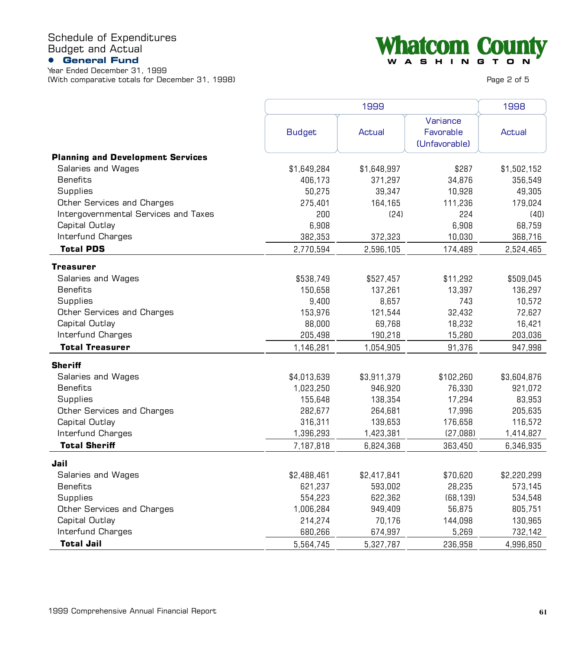### **• General Fund**

Year Ended December 31, 1999 (With comparative totals for December 31, 1998) New York 2014 1998 2 of 5



|                                          |               | 1999        |                            |             |
|------------------------------------------|---------------|-------------|----------------------------|-------------|
|                                          |               |             |                            | 1998        |
|                                          |               |             | Variance                   |             |
|                                          | <b>Budget</b> | Actual      | Favorable<br>(Unfavorable) | Actual      |
|                                          |               |             |                            |             |
| <b>Planning and Development Services</b> |               |             |                            |             |
| Salaries and Wages                       | \$1,649,284   | \$1,648,997 | \$287                      | \$1,502,152 |
| <b>Benefits</b>                          | 406,173       | 371,297     | 34,876                     | 356,549     |
| <b>Supplies</b>                          | 50,275        | 39,347      | 10,928                     | 49,305      |
| Other Services and Charges               | 275,401       | 164,165     | 111,236                    | 179,024     |
| Intergovernmental Services and Taxes     | 200           | (24)        | 224                        | (40)        |
| Capital Outlay                           | 6,908         |             | 6,908                      | 68,759      |
| Interfund Charges                        | 382,353       | 372,323     | 10,030                     | 368,716     |
| <b>Total PDS</b>                         | 2,770,594     | 2,596,105   | 174,489                    | 2,524,465   |
| <b>Treasurer</b>                         |               |             |                            |             |
| Salaries and Wages                       | \$538,749     | \$527,457   | \$11,292                   | \$509,045   |
| <b>Benefits</b>                          | 150,658       | 137,261     | 13,397                     | 136,297     |
| <b>Supplies</b>                          | 9,400         | 8,657       | 743                        | 10,572      |
| Other Services and Charges               | 153,976       | 121,544     | 32,432                     | 72,627      |
| Capital Outlay                           | 88,000        | 69,768      | 18,232                     | 16,421      |
| Interfund Charges                        | 205,498       | 190,218     | 15,280                     | 203,036     |
| <b>Total Treasurer</b>                   | 1,146,281     | 1,054,905   | 91,376                     | 947,998     |
| <b>Sheriff</b>                           |               |             |                            |             |
| Salaries and Wages                       | \$4,013,639   | \$3,911,379 | \$102,260                  | \$3,604,876 |
| <b>Benefits</b>                          | 1,023,250     | 946,920     | 76,330                     | 921,072     |
| <b>Supplies</b>                          | 155,648       | 138,354     | 17,294                     | 83,953      |
| Other Services and Charges               | 282,677       | 264,681     | 17,996                     | 205,635     |
| Capital Outlay                           | 316,311       | 139,653     | 176,658                    | 116,572     |
| Interfund Charges                        | 1,396,293     | 1,423,381   | (27,088)                   | 1,414,827   |
| <b>Total Sheriff</b>                     | 7,187,818     | 6,824,368   | 363,450                    | 6,346,935   |
| Jail                                     |               |             |                            |             |
| Salaries and Wages                       | \$2,488,461   | \$2,417,841 | \$70,620                   | \$2,220,299 |
| <b>Benefits</b>                          | 621,237       | 593,002     | 28,235                     | 573,145     |
| <b>Supplies</b>                          | 554,223       | 622,362     | (68, 139)                  | 534,548     |
| Other Services and Charges               | 1,006,284     | 949,409     | 56,875                     | 805,751     |
| Capital Outlay                           | 214,274       | 70,176      | 144,098                    | 130,965     |
| Interfund Charges                        | 680,266       | 674,997     | 5,269                      | 732,142     |
| <b>Total Jail</b>                        | 5,564,745     | 5,327,787   | 236,958                    | 4,996,850   |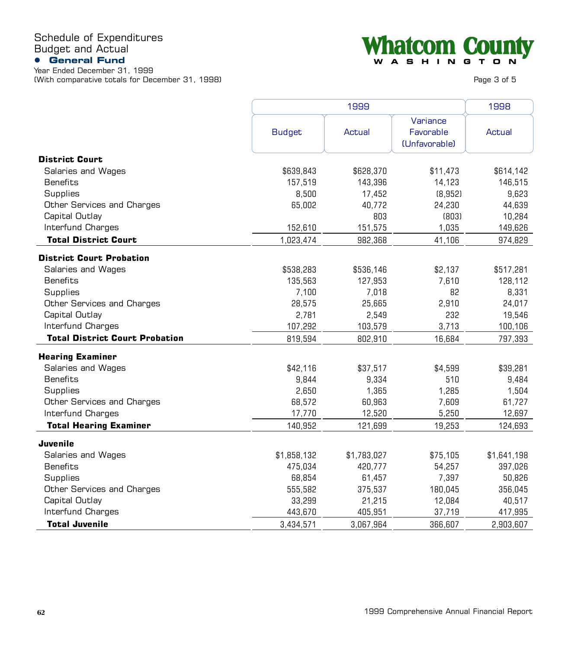### **• General Fund**

Year Ended December 31, 1999 (With comparative totals for December 31, 1998) **Page 3 of 5** 



|                                       |               | 1999        |                                        |             |
|---------------------------------------|---------------|-------------|----------------------------------------|-------------|
|                                       | <b>Budget</b> | Actual      | Variance<br>Favorable<br>(Unfavorable) | Actual      |
| <b>District Court</b>                 |               |             |                                        |             |
| Salaries and Wages                    | \$639,843     | \$628,370   | \$11,473                               | \$614,142   |
| <b>Benefits</b>                       | 157,519       | 143,396     | 14,123                                 | 146,515     |
| <b>Supplies</b>                       | 8,500         | 17,452      | (8,952)                                | 9,623       |
| Other Services and Charges            | 65,002        | 40,772      | 24,230                                 | 44,639      |
| Capital Outlay                        |               | 803         | (803)                                  | 10,284      |
| Interfund Charges                     | 152,610       | 151,575     | 1,035                                  | 149,626     |
| <b>Total District Court</b>           | 1,023,474     | 982,368     | 41,106                                 | 974,829     |
| <b>District Court Probation</b>       |               |             |                                        |             |
| Salaries and Wages                    | \$538,283     | \$536,146   | \$2,137                                | \$517,281   |
| <b>Benefits</b>                       | 135,563       | 127,953     | 7,610                                  | 128,112     |
| <b>Supplies</b>                       | 7,100         | 7,018       | 82                                     | 8,331       |
| Other Services and Charges            | 28,575        | 25,665      | 2,910                                  | 24,017      |
| Capital Outlay                        | 2,781         | 2,549       | 232                                    | 19,546      |
| Interfund Charges                     | 107,292       | 103,579     | 3,713                                  | 100,106     |
| <b>Total District Court Probation</b> | 819,594       | 802,910     | 16,684                                 | 797,393     |
| <b>Hearing Examiner</b>               |               |             |                                        |             |
| Salaries and Wages                    | \$42,116      | \$37,517    | \$4,599                                | \$39,281    |
| <b>Benefits</b>                       | 9,844         | 9,334       | 510                                    | 9,484       |
| <b>Supplies</b>                       | 2,650         | 1,365       | 1,285                                  | 1,504       |
| Other Services and Charges            | 68,572        | 60,963      | 7,609                                  | 61,727      |
| Interfund Charges                     | 17,770        | 12,520      | 5,250                                  | 12,697      |
| <b>Total Hearing Examiner</b>         | 140,952       | 121,699     | 19,253                                 | 124,693     |
| Juvenile                              |               |             |                                        |             |
| Salaries and Wages                    | \$1,858,132   | \$1,783,027 | \$75,105                               | \$1,641,198 |
| <b>Benefits</b>                       | 475,034       | 420,777     | 54,257                                 | 397,026     |
| <b>Supplies</b>                       | 68,854        | 61,457      | 7,397                                  | 50,826      |
| Other Services and Charges            | 555,582       | 375,537     | 180,045                                | 356,045     |
| Capital Outlay                        | 33,299        | 21,215      | 12,084                                 | 40,517      |
| Interfund Charges                     | 443,670       | 405,951     | 37,719                                 | 417,995     |
| <b>Total Juvenile</b>                 | 3,434,571     | 3,067,964   | 366,607                                | 2,903,607   |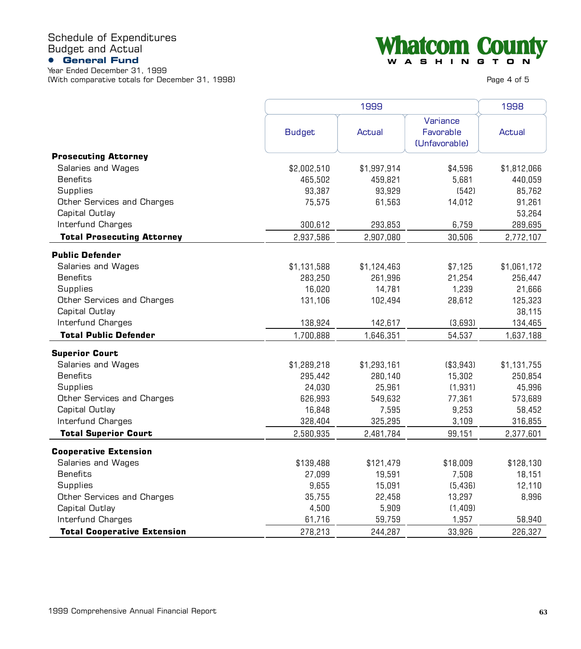### **• General Fund**

Year Ended December 31, 1999 (With comparative totals for December 31, 1998)



Page 4 of 5

|                                    |               | 1999        |                                        | 1998        |
|------------------------------------|---------------|-------------|----------------------------------------|-------------|
|                                    | <b>Budget</b> | Actual      | Variance<br>Favorable<br>(Unfavorable) | Actual      |
| <b>Prosecuting Attorney</b>        |               |             |                                        |             |
| Salaries and Wages                 | \$2,002,510   | \$1,997,914 | \$4,596                                | \$1,812,066 |
| <b>Benefits</b>                    | 465,502       | 459,821     | 5,681                                  | 440,059     |
| <b>Supplies</b>                    | 93,387        | 93,929      | (542)                                  | 85,762      |
| Other Services and Charges         | 75,575        | 61,563      | 14,012                                 | 91,261      |
| Capital Outlay                     |               |             |                                        | 53,264      |
| Interfund Charges                  | 300,612       | 293,853     | 6,759                                  | 289,695     |
| <b>Total Prosecuting Attorney</b>  | 2,937,586     | 2,907,080   | 30,506                                 | 2,772,107   |
| <b>Public Defender</b>             |               |             |                                        |             |
| Salaries and Wages                 | \$1,131,588   | \$1,124,463 | \$7,125                                | \$1,061,172 |
| <b>Benefits</b>                    | 283,250       | 261,996     | 21,254                                 | 256,447     |
| <b>Supplies</b>                    | 16,020        | 14,781      | 1,239                                  | 21,666      |
| Other Services and Charges         | 131,106       | 102,494     | 28,612                                 | 125,323     |
| Capital Outlay                     |               |             |                                        | 38,115      |
| Interfund Charges                  | 138,924       | 142,617     | (3,693)                                | 134,465     |
| <b>Total Public Defender</b>       | 1,700,888     | 1,646,351   | 54,537                                 | 1,637,188   |
| <b>Superior Court</b>              |               |             |                                        |             |
| Salaries and Wages                 | \$1,289,218   | \$1,293,161 | (\$3,943)                              | \$1,131,755 |
| <b>Benefits</b>                    | 295,442       | 280,140     | 15,302                                 | 250,854     |
| <b>Supplies</b>                    | 24,030        | 25,961      | (1, 931)                               | 45,996      |
| Other Services and Charges         | 626,993       | 549,632     | 77,361                                 | 573,689     |
| Capital Outlay                     | 16,848        | 7,595       | 9,253                                  | 58,452      |
| Interfund Charges                  | 328,404       | 325,295     | 3,109                                  | 316,855     |
| <b>Total Superior Court</b>        | 2,580,935     | 2,481,784   | 99,151                                 | 2,377,601   |
| <b>Cooperative Extension</b>       |               |             |                                        |             |
| Salaries and Wages                 | \$139,488     | \$121,479   | \$18,009                               | \$128,130   |
| <b>Benefits</b>                    | 27,099        | 19,591      | 7,508                                  | 18,151      |
| <b>Supplies</b>                    | 9,655         | 15,091      | (5, 436)                               | 12,110      |
| Other Services and Charges         | 35,755        | 22,458      | 13,297                                 | 8,996       |
| Capital Outlay                     | 4,500         | 5,909       | (1,409)                                |             |
| Interfund Charges                  | 61,716        | 59,759      | 1,957                                  | 58,940      |
| <b>Total Cooperative Extension</b> | 278,213       | 244.287     | 33,926                                 | 226,327     |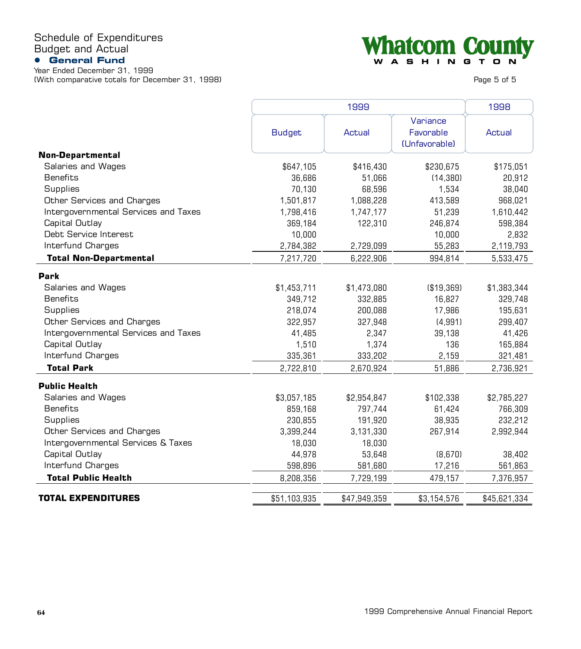### **• General Fund**

Year Ended December 31, 1999 (With comparative totals for December 31, 1998)



Page 5 of 5

|                                      |               | 1999         |                                        | 1998         |
|--------------------------------------|---------------|--------------|----------------------------------------|--------------|
|                                      | <b>Budget</b> | Actual       | Variance<br>Favorable<br>(Unfavorable) | Actual       |
| <b>Non-Departmental</b>              |               |              |                                        |              |
| Salaries and Wages                   | \$647,105     | \$416,430    | \$230,675                              | \$175,051    |
| <b>Benefits</b>                      | 36,686        | 51,066       | (14, 380)                              | 20,912       |
| <b>Supplies</b>                      | 70,130        | 68,596       | 1,534                                  | 38,040       |
| Other Services and Charges           | 1,501,817     | 1,088,228    | 413,589                                | 968,021      |
| Intergovernmental Services and Taxes | 1,798,416     | 1,747,177    | 51,239                                 | 1,610,442    |
| Capital Outlay                       | 369,184       | 122,310      | 246,874                                | 598,384      |
| Debt Service Interest                | 10,000        |              | 10,000                                 | 2,832        |
| Interfund Charges                    | 2,784,382     | 2,729,099    | 55,283                                 | 2,119,793    |
| <b>Total Non-Departmental</b>        | 7,217,720     | 6,222,906    | 994,814                                | 5,533,475    |
| Park                                 |               |              |                                        |              |
| Salaries and Wages                   | \$1,453,711   | \$1,473,080  | (\$19,369)                             | \$1,383,344  |
| <b>Benefits</b>                      | 349,712       | 332,885      | 16,827                                 | 329,748      |
| <b>Supplies</b>                      | 218,074       | 200,088      | 17,986                                 | 195,631      |
| Other Services and Charges           | 322,957       | 327,948      | (4,991)                                | 299,407      |
| Intergovernmental Services and Taxes | 41.485        | 2,347        | 39,138                                 | 41,426       |
| Capital Outlay                       | 1,510         | 1,374        | 136                                    | 165,884      |
| Interfund Charges                    | 335,361       | 333,202      | 2,159                                  | 321,481      |
| <b>Total Park</b>                    | 2,722,810     | 2,670,924    | 51,886                                 | 2,736,921    |
| <b>Public Health</b>                 |               |              |                                        |              |
| Salaries and Wages                   | \$3,057,185   | \$2,954,847  | \$102,338                              | \$2,785,227  |
| <b>Benefits</b>                      | 859,168       | 797,744      | 61,424                                 | 766,309      |
| <b>Supplies</b>                      | 230,855       | 191,920      | 38,935                                 | 232,212      |
| Other Services and Charges           | 3,399,244     | 3,131,330    | 267,914                                | 2,992,944    |
| Intergovernmental Services & Taxes   | 18,030        | 18,030       |                                        |              |
| Capital Outlay                       | 44,978        | 53,648       | (8,670)                                | 38,402       |
| Interfund Charges                    | 598,896       | 581,680      | 17,216                                 | 561,863      |
| <b>Total Public Health</b>           | 8,208,356     | 7,729,199    | 479,157                                | 7,376,957    |
| <b>TOTAL EXPENDITURES</b>            | \$51,103,935  | \$47,949,359 | \$3,154,576                            | \$45,621,334 |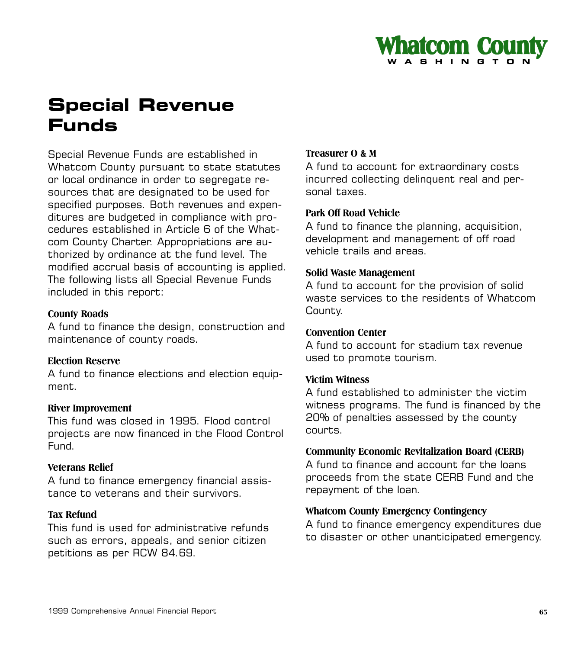

# Special Revenue Funds

Special Revenue Funds are established in Whatcom County pursuant to state statutes or local ordinance in order to segregate resources that are designated to be used for specified purposes. Both revenues and expenditures are budgeted in compliance with procedures established in Article 6 of the Whatcom County Charter. Appropriations are authorized by ordinance at the fund level. The modified accrual basis of accounting is applied. The following lists all Special Revenue Funds included in this report:

#### County Roads

A fund to finance the design, construction and maintenance of county roads.

### Election Reserve

A fund to finance elections and election equipment.

### River Improvement

This fund was closed in 1995. Flood control projects are now financed in the Flood Control Fund.

### Veterans Relief

A fund to finance emergency financial assistance to veterans and their survivors.

### Tax Refund

This fund is used for administrative refunds such as errors, appeals, and senior citizen petitions as per RCW 84.69.

### Treasurer O & M

A fund to account for extraordinary costs incurred collecting delinquent real and personal taxes.

### Park Off Road Vehicle

A fund to finance the planning, acquisition, development and management of off road vehicle trails and areas.

### Solid Waste Management

A fund to account for the provision of solid waste services to the residents of Whatcom County.

### Convention Center

A fund to account for stadium tax revenue used to promote tourism.

### Victim Witness

A fund established to administer the victim witness programs. The fund is financed by the 20% of penalties assessed by the county courts.

### Community Economic Revitalization Board (CERB)

A fund to finance and account for the loans proceeds from the state CERB Fund and the repayment of the loan.

### Whatcom County Emergency Contingency

A fund to finance emergency expenditures due to disaster or other unanticipated emergency.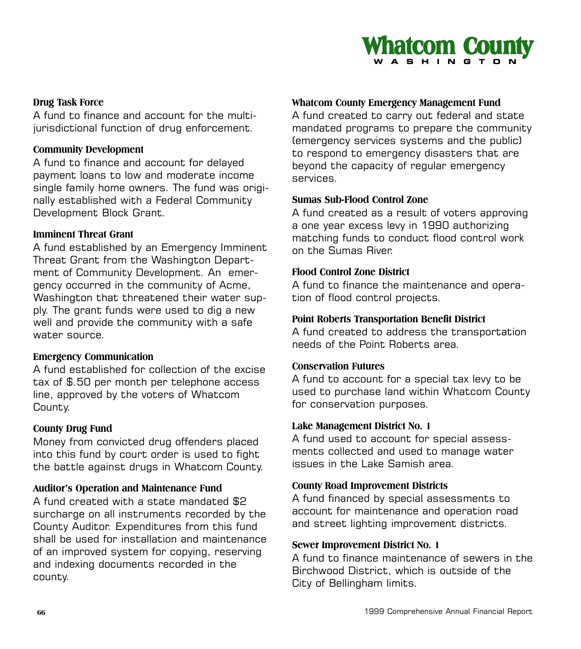

#### Drug Task Force

A fund to finance and account for the multijurisdictional function of drug enforcement.

### Community Development

A fund to finance and account for delayed payment loans to low and moderate income single family home owners. The fund was originally established with a Federal Community Development Block Grant.

#### Imminent Threat Grant

A fund established by an Emergency Imminent Threat Grant from the Washington Department of Community Development. An emergency occurred in the community of Acme, Washington that threatened their water supply. The grant funds were used to dig a new well and provide the community with a safe water source.

#### Emergency Communication

A fund established for collection of the excise tax of \$.50 per month per telephone access line, approved by the voters of Whatcom County.

#### County Drug Fund

Money from convicted drug offenders placed into this fund by court order is used to fight the battle against drugs in Whatcom County.

#### Auditor's Operation and Maintenance Fund

A fund created with a state mandated \$2 surcharge on all instruments recorded by the County Auditor. Expenditures from this fund shall be used for installation and maintenance of an improved system for copying, reserving and indexing documents recorded in the county.

#### Whatcom County Emergency Management Fund

A fund created to carry out federal and state mandated programs to prepare the community (emergency services systems and the public) to respond to emergency disasters that are beyond the capacity of regular emergency services.

### Sumas Sub-Flood Control Zone

A fund created as a result of voters approving a one year excess levy in 1990 authorizing matching funds to conduct flood control work on the Sumas River.

#### Flood Control Zone District

A fund to finance the maintenance and operation of flood control projects.

#### Point Roberts Transportation Benefit District

A fund created to address the transportation needs of the Point Roberts area.

#### Conservation Futures

A fund to account for a special tax levy to be used to purchase land within Whatcom County for conservation purposes.

#### Lake Management District No. 1

A fund used to account for special assessments collected and used to manage water issues in the Lake Samish area.

#### County Road Improvement Districts

A fund financed by special assessments to account for maintenance and operation road and street lighting improvement districts.

#### Sewer Improvement District No. 1

A fund to finance maintenance of sewers in the Birchwood District, which is outside of the City of Bellingham limits.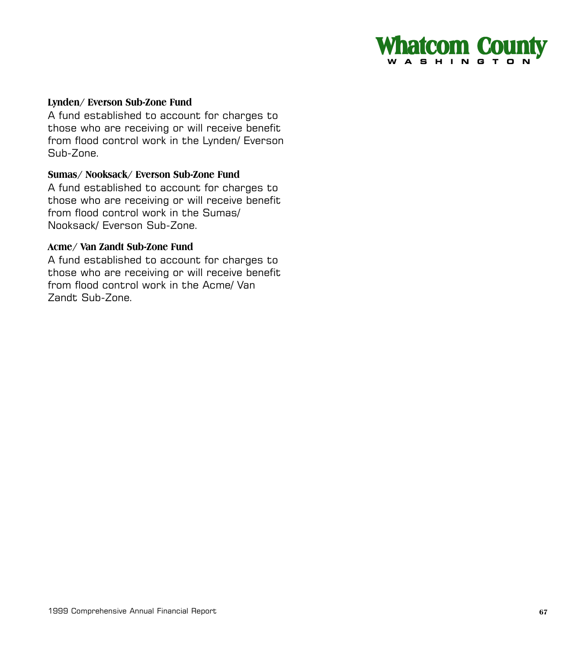

### Lynden/ Everson Sub-Zone Fund

A fund established to account for charges to those who are receiving or will receive benefit from flood control work in the Lynden/ Everson Sub-Zone.

#### Sumas/ Nooksack/ Everson Sub-Zone Fund

A fund established to account for charges to those who are receiving or will receive benefit from flood control work in the Sumas/ Nooksack/ Everson Sub-Zone.

#### Acme/ Van Zandt Sub-Zone Fund

A fund established to account for charges to those who are receiving or will receive benefit from flood control work in the Acme/ Van Zandt Sub-Zone.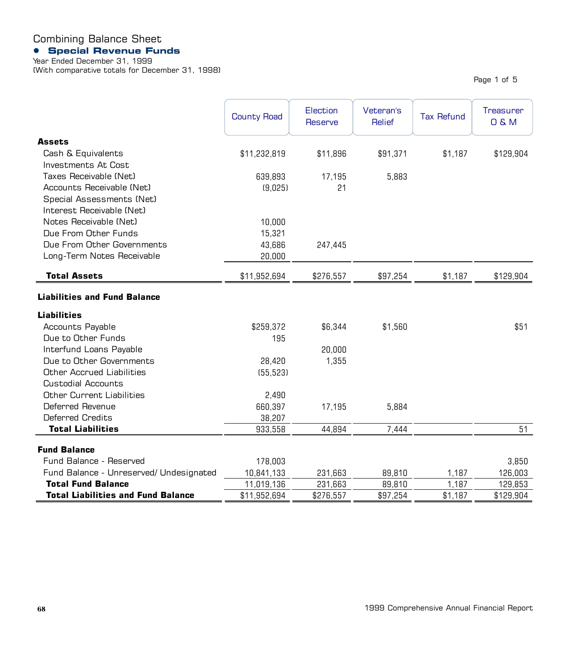# Combining Balance Sheet

#### **• Special Revenue Funds**

Year Ended December 31, 1999

(With comparative totals for December 31, 1998)

Page 1 of 4 5

|                                           | <b>County Road</b> | Election<br><b>Reserve</b> | Veteran's<br>Relief | <b>Tax Refund</b> | <b>Treasurer</b><br><b>D &amp; M</b> |
|-------------------------------------------|--------------------|----------------------------|---------------------|-------------------|--------------------------------------|
| <b>Assets</b>                             |                    |                            |                     |                   |                                      |
| Cash & Equivalents                        | \$11,232,819       | \$11,896                   | \$91,371            | \$1,187           | \$129,904                            |
| Investments At Cost                       |                    |                            |                     |                   |                                      |
| Taxes Receivable (Net)                    | 639,893            | 17,195                     | 5,883               |                   |                                      |
| Accounts Receivable (Net)                 | (9,025)            | 21                         |                     |                   |                                      |
| Special Assessments (Net)                 |                    |                            |                     |                   |                                      |
| Interest Receivable (Net)                 |                    |                            |                     |                   |                                      |
| Notes Receivable (Net)                    | 10,000             |                            |                     |                   |                                      |
| Due From Other Funds                      | 15,321             |                            |                     |                   |                                      |
| Due From Other Governments                | 43,686             | 247,445                    |                     |                   |                                      |
| Long-Term Notes Receivable                | 20,000             |                            |                     |                   |                                      |
| <b>Total Assets</b>                       | \$11,952,694       | \$276,557                  | \$97,254            | \$1,187           | \$129,904                            |
| <b>Liabilities and Fund Balance</b>       |                    |                            |                     |                   |                                      |
| <b>Liabilities</b>                        |                    |                            |                     |                   |                                      |
| Accounts Payable                          | \$259,372          | \$6,344                    | \$1,560             |                   | \$51                                 |
| Due to Other Funds                        | 195                |                            |                     |                   |                                      |
| Interfund Loans Payable                   |                    | 20,000                     |                     |                   |                                      |
| Due to Other Governments                  | 28,420             | 1,355                      |                     |                   |                                      |
| Other Accrued Liabilities                 | (55, 523)          |                            |                     |                   |                                      |
| <b>Custodial Accounts</b>                 |                    |                            |                     |                   |                                      |
| Other Current Liabilities                 | 2,490              |                            |                     |                   |                                      |
| Deferred Revenue                          | 660,397            | 17,195                     | 5,884               |                   |                                      |
| Deferred Credits                          | 38,207             |                            |                     |                   |                                      |
| <b>Total Liabilities</b>                  | 933,558            | 44,894                     | 7,444               |                   | 51                                   |
| <b>Fund Balance</b>                       |                    |                            |                     |                   |                                      |
| Fund Balance - Reserved                   | 178,003            |                            |                     |                   | 3,850                                |
| Fund Balance - Unreserved/ Undesignated   | 10,841,133         | 231,663                    | 89,810              | 1,187             | 126,003                              |
| <b>Total Fund Balance</b>                 | 11,019,136         | 231,663                    | 89,810              | 1,187             | 129,853                              |
| <b>Total Liabilities and Fund Balance</b> | \$11,952,694       | \$276,557                  | \$97,254            | \$1,187           | \$129,904                            |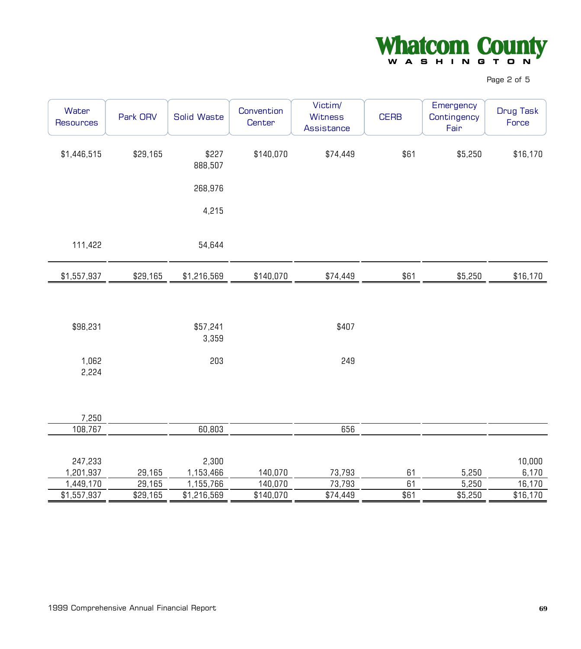

Page 2 of 4 5

| Water<br><b>Resources</b> | Park ORV | Solid Waste        | Convention<br>Center | Victim/<br><b>Witness</b><br>Assistance | <b>CERB</b> | Emergency<br>Contingency<br>Fair | <b>Drug Task</b><br>Force |
|---------------------------|----------|--------------------|----------------------|-----------------------------------------|-------------|----------------------------------|---------------------------|
| \$1,446,515               | \$29,165 | \$227<br>888,507   | \$140,070            | \$74,449                                | \$61        | \$5,250                          | \$16,170                  |
|                           |          | 268,976            |                      |                                         |             |                                  |                           |
|                           |          | 4,215              |                      |                                         |             |                                  |                           |
| 111,422                   |          | 54,644             |                      |                                         |             |                                  |                           |
| \$1,557,937               | \$29,165 | \$1,216,569        | \$140,070            | \$74,449                                | \$61        | \$5,250                          | \$16,170                  |
|                           |          |                    |                      |                                         |             |                                  |                           |
| \$98,231                  |          | \$57,241<br>3,359  |                      | \$407                                   |             |                                  |                           |
| 1,062<br>2,224            |          | 203                |                      | 249                                     |             |                                  |                           |
| 7,250                     |          |                    |                      |                                         |             |                                  |                           |
| 108,767                   |          | 60,803             |                      | 656                                     |             |                                  |                           |
| 247,233<br>1,201,937      | 29,165   | 2,300<br>1,153,466 | 140,070              | 73,793                                  | 61          | 5,250                            | 10,000<br>6,170           |
| 1,449,170                 | 29,165   | 1,155,766          | 140,070              | 73,793                                  | 61          | 5,250                            | 16,170                    |
| \$1,557,937               | \$29,165 | \$1,216,569        | \$140,070            | \$74,449                                | \$61        | \$5,250                          | \$16,170                  |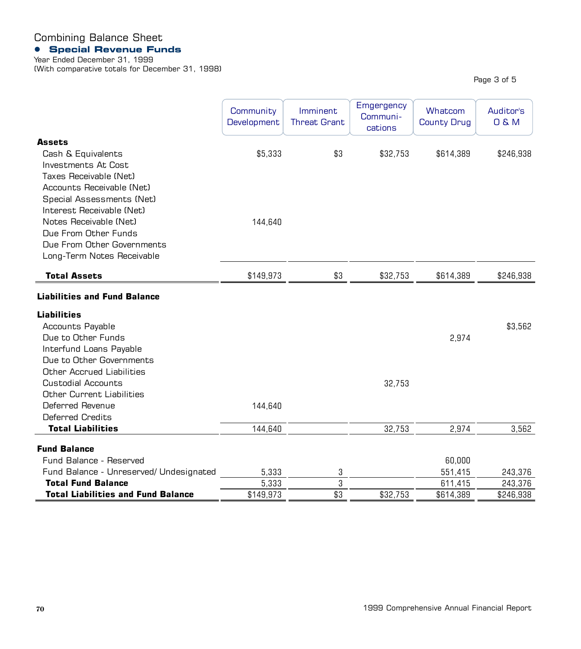# Combining Balance Sheet

### **• Special Revenue Funds**

Year Ended December 31, 1999 (With comparative totals for December 31, 1998)

Page 3 of 4 5

|                                                                                                                                                                                                   | Community<br>Development | Imminent<br><b>Threat Grant</b> | Emgergency<br>Communi-<br>cations | Whatcom<br><b>County Drug</b> | Auditor's<br><b>O &amp; M</b> |
|---------------------------------------------------------------------------------------------------------------------------------------------------------------------------------------------------|--------------------------|---------------------------------|-----------------------------------|-------------------------------|-------------------------------|
| <b>Assets</b><br>Cash & Equivalents<br><b>Investments At Cost</b><br>Taxes Receivable (Net)                                                                                                       | \$5,333                  | \$3                             | \$32,753                          | \$614,389                     | \$246,938                     |
| Accounts Receivable (Net)<br>Special Assessments (Net)<br>Interest Receivable (Net)<br>Notes Receivable (Net)<br>Due From Other Funds<br>Due From Other Governments<br>Long-Term Notes Receivable | 144,640                  |                                 |                                   |                               |                               |
| <b>Total Assets</b>                                                                                                                                                                               | \$149,973                | \$3                             | \$32,753                          | \$614,389                     | \$246,938                     |
| <b>Liabilities and Fund Balance</b>                                                                                                                                                               |                          |                                 |                                   |                               |                               |
| <b>Liabilities</b>                                                                                                                                                                                |                          |                                 |                                   |                               |                               |
| Accounts Payable                                                                                                                                                                                  |                          |                                 |                                   |                               | \$3,562                       |
| Due to Other Funds<br>Interfund Loans Payable                                                                                                                                                     |                          |                                 |                                   | 2,974                         |                               |
| Due to Other Governments                                                                                                                                                                          |                          |                                 |                                   |                               |                               |
| Other Accrued Liabilities                                                                                                                                                                         |                          |                                 |                                   |                               |                               |
| <b>Custodial Accounts</b><br>Other Current Liabilities                                                                                                                                            |                          |                                 | 32,753                            |                               |                               |
| Deferred Revenue                                                                                                                                                                                  | 144,640                  |                                 |                                   |                               |                               |
| Deferred Credits                                                                                                                                                                                  |                          |                                 |                                   |                               |                               |
| <b>Total Liabilities</b>                                                                                                                                                                          | 144,640                  |                                 | 32,753                            | 2,974                         | 3,562                         |
| <b>Fund Balance</b>                                                                                                                                                                               |                          |                                 |                                   |                               |                               |
| Fund Balance - Reserved                                                                                                                                                                           |                          |                                 |                                   | 60,000                        |                               |
| Fund Balance - Unreserved/ Undesignated                                                                                                                                                           | 5,333                    | 3                               |                                   | 551,415                       | 243,376                       |
| <b>Total Fund Balance</b>                                                                                                                                                                         | 5,333                    | 3                               |                                   | 611,415                       | 243,376                       |
| <b>Total Liabilities and Fund Balance</b>                                                                                                                                                         | \$149,973                | \$3                             | \$32,753                          | \$614,389                     | \$246,938                     |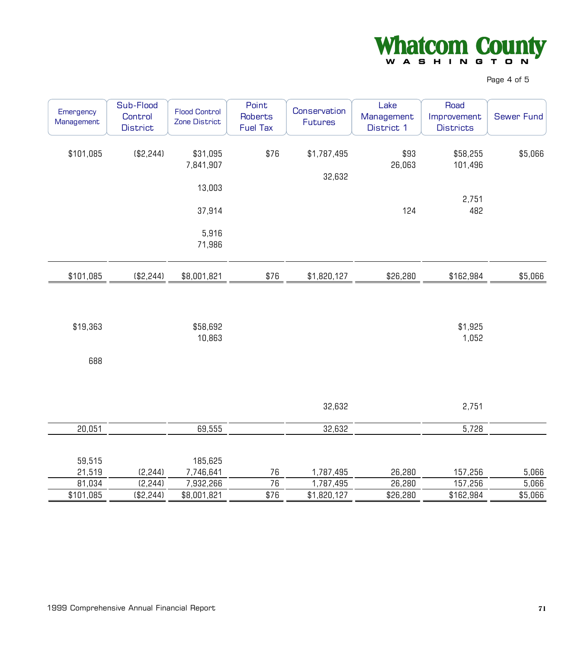

Page 4 of 5

| Emergency<br>Management | Sub-Flood<br>Control<br><b>District</b> | <b>Flood Control</b><br>Zone District | Point<br>Roberts<br><b>Fuel Tax</b> | Conservation<br><b>Futures</b> | Lake<br>Management<br>District 1 | Road<br>Improvement<br><b>Districts</b> | <b>Sewer Fund</b> |
|-------------------------|-----------------------------------------|---------------------------------------|-------------------------------------|--------------------------------|----------------------------------|-----------------------------------------|-------------------|
| \$101,085               | (\$2,244)                               | \$31,095<br>7,841,907                 | \$76                                | \$1,787,495<br>32,632          | \$93<br>26,063                   | \$58,255<br>101,496                     | \$5,066           |
|                         |                                         | 13,003<br>37,914                      |                                     |                                | 124                              | 2,751<br>482                            |                   |
|                         |                                         | 5,916<br>71,986                       |                                     |                                |                                  |                                         |                   |
| \$101,085               | (\$2,244)                               | \$8,001,821                           | \$76                                | \$1,820,127                    | \$26,280                         | \$162,984                               | \$5,066           |
| \$19,363                |                                         | \$58,692<br>10,863                    |                                     |                                |                                  | \$1,925<br>1,052                        |                   |
| 688                     |                                         |                                       |                                     |                                |                                  |                                         |                   |
|                         |                                         |                                       |                                     | 32,632                         |                                  | 2,751                                   |                   |
| 20,051                  |                                         | 69,555                                |                                     | 32,632                         |                                  | 5,728                                   |                   |
|                         |                                         |                                       |                                     |                                |                                  |                                         |                   |
| 59,515<br>21,519        | (2, 244)                                | 185,625<br>7,746,641                  | 76                                  |                                | 26,280                           | 157,256                                 | 5,066             |
| 81,034                  | (2, 244)                                | 7,932,266                             | 76                                  | 1,787,495<br>1,787,495         | 26,280                           | 157,256                                 | 5,066             |
| \$101,085               | (\$2,244)                               | \$8,001,821                           | \$76                                | \$1,820,127                    | \$26,280                         | \$162,984                               | \$5,066           |
|                         |                                         |                                       |                                     |                                |                                  |                                         |                   |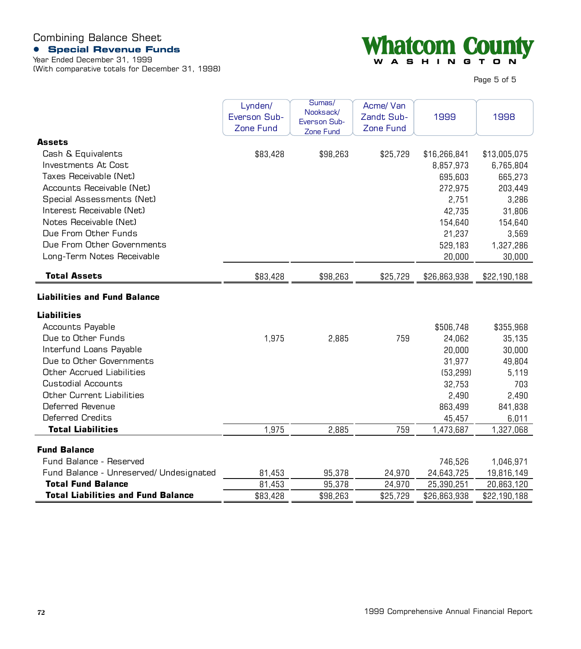# Combining Balance Sheet

### **• Special Revenue Funds**

Year Ended December 31, 1999 (With comparative totals for December 31, 1998)



Page 5 of 5

|                                                                                                                                                                                                                                                                                    | Lynden/<br>Everson Sub-<br>Zone Fund | Sumas/<br>Nooksack/<br>Everson Sub-<br>Zone Fund | Acme/Van<br>Zandt Sub-<br>Zone Fund | 1999                                                                                                         | 1998                                                                                                          |
|------------------------------------------------------------------------------------------------------------------------------------------------------------------------------------------------------------------------------------------------------------------------------------|--------------------------------------|--------------------------------------------------|-------------------------------------|--------------------------------------------------------------------------------------------------------------|---------------------------------------------------------------------------------------------------------------|
| Assets<br>Cash & Equivalents<br>Investments At Cost<br>Taxes Receivable (Net)<br>Accounts Receivable (Net)<br>Special Assessments (Net)<br>Interest Receivable (Net)<br>Notes Receivable (Net)<br>Due From Other Funds<br>Due From Other Governments<br>Long-Term Notes Receivable | \$83,428                             | \$98,263                                         | \$25,729                            | \$16,266,841<br>8,857,973<br>695,603<br>272,975<br>2,751<br>42,735<br>154,640<br>21,237<br>529,183<br>20,000 | \$13,005,075<br>6,765,804<br>665,273<br>203,449<br>3,286<br>31,806<br>154,640<br>3,569<br>1,327,286<br>30,000 |
| <b>Total Assets</b>                                                                                                                                                                                                                                                                | \$83,428                             | \$98,263                                         | \$25,729                            | \$26,863,938                                                                                                 | \$22,190,188                                                                                                  |
| <b>Liabilities and Fund Balance</b><br><b>Liabilities</b><br>Accounts Payable<br>Due to Other Funds<br>Interfund Loans Payable                                                                                                                                                     | 1,975                                | 2,885                                            | 759                                 | \$506,748<br>24,062<br>20,000                                                                                | \$355,968<br>35,135<br>30,000                                                                                 |
| Due to Other Governments<br>Other Accrued Liabilities<br>Custodial Accounts<br>Other Current Liabilities<br>Deferred Revenue<br>Deferred Credits<br><b>Total Liabilities</b>                                                                                                       |                                      |                                                  | 759                                 | 31,977<br>(53, 299)<br>32,753<br>2,490<br>863,499<br>45,457                                                  | 49,804<br>5,119<br>703<br>2,490<br>841,838<br>6,011                                                           |
|                                                                                                                                                                                                                                                                                    | 1,975                                | 2,885                                            |                                     | 1,473,687                                                                                                    | 1,327,068                                                                                                     |
| <b>Fund Balance</b><br>Fund Balance - Reserved                                                                                                                                                                                                                                     |                                      |                                                  |                                     | 746,526                                                                                                      | 1,046,971                                                                                                     |
| Fund Balance - Unreserved/ Undesignated<br><b>Total Fund Balance</b>                                                                                                                                                                                                               | 81,453<br>81,453                     | 95,378<br>95,378                                 | 24,970<br>24,970                    | 24,643,725<br>25,390,251                                                                                     | 19,816,149<br>20,863,120                                                                                      |
| <b>Total Liabilities and Fund Balance</b>                                                                                                                                                                                                                                          | \$83,428                             | \$98,263                                         | \$25,729                            | \$26,863,938                                                                                                 | \$22,190,188                                                                                                  |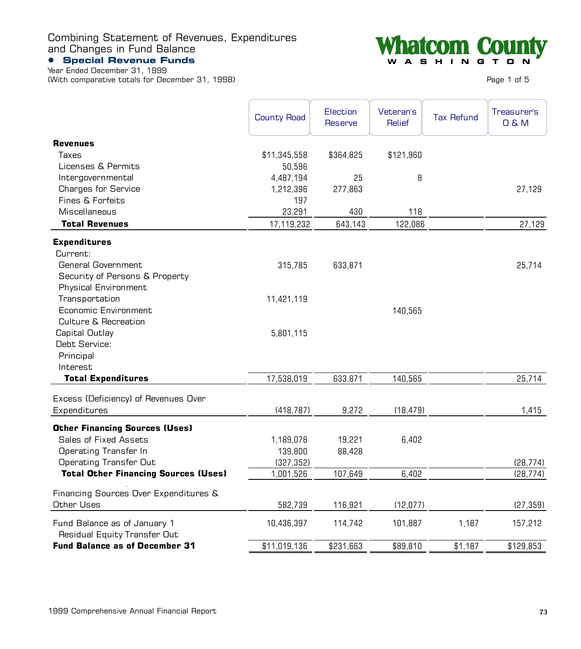# Combining Statement of Revenues, Expenditures and Changes in Fund Balance

### **• Special Revenue Funds**

Year Ended December 31, 1999 (With comparative totals for December 31, 1998)



Page 1 of 5

|                                                                                                                          | <b>County Road</b>                 | Election<br><b>Reserve</b> | Veteran's<br>Relief | <b>Tax Refund</b> | Treasurer's<br><b>D &amp; M</b> |
|--------------------------------------------------------------------------------------------------------------------------|------------------------------------|----------------------------|---------------------|-------------------|---------------------------------|
| <b>Revenues</b><br>Taxes<br>Licenses & Permits                                                                           | \$11,345,558                       | \$364,825                  | \$121,960           |                   |                                 |
| Intergovernmental<br><b>Charges for Service</b>                                                                          | 50,596<br>4,487,194<br>1,212,396   | 25<br>277,863              | 8                   |                   | 27,129                          |
| Fines & Forfeits<br><b>Miscellaneous</b>                                                                                 | 197<br>23,291                      | 430                        | 118                 |                   |                                 |
| <b>Total Revenues</b>                                                                                                    | 17,119,232                         | 643,143                    | 122,086             |                   | 27,129                          |
| <b>Expenditures</b><br>Current:<br>General Government                                                                    | 315,785                            | 633,871                    |                     |                   | 25,714                          |
| Security of Persons & Property<br><b>Physical Environment</b><br>Transportation<br>Economic Environment                  | 11,421,119                         |                            | 140,565             |                   |                                 |
| Culture & Recreation<br>Capital Outlay<br>Debt Service:                                                                  | 5,801,115                          |                            |                     |                   |                                 |
| Principal                                                                                                                |                                    |                            |                     |                   |                                 |
| Interest<br><b>Total Expenditures</b>                                                                                    | 17,538,019                         | 633,871                    | 140,565             |                   | 25,714                          |
| Excess (Deficiency) of Revenues Over                                                                                     |                                    |                            |                     |                   |                                 |
| Expenditures                                                                                                             | (418, 787)                         | 9,272                      | (18, 479)           |                   | 1,415                           |
| <b>Other Financing Sources (Uses)</b><br>Sales of Fixed Assets<br>Operating Transfer In<br><b>Operating Transfer Out</b> | 1,189,078<br>139,800<br>(327, 352) | 19,221<br>88,428           | 6,402               |                   | (28, 774)                       |
| <b>Total Other Financing Sources (Uses)</b>                                                                              | 1,001,526                          | 107,649                    | 6,402               |                   | (28, 774)                       |
| Financing Sources Over Expenditures &<br>Other Uses                                                                      | 582,739                            | 116,921                    | (12, 077)           |                   | (27, 359)                       |
| Fund Balance as of January 1<br>Residual Equity Transfer Out                                                             | 10,436,397                         | 114,742                    | 101,887             | 1,187             | 157,212                         |
| <b>Fund Balance as of December 31</b>                                                                                    | \$11,019,136                       | \$231,663                  | \$89,810            | \$1,187           | \$129,853                       |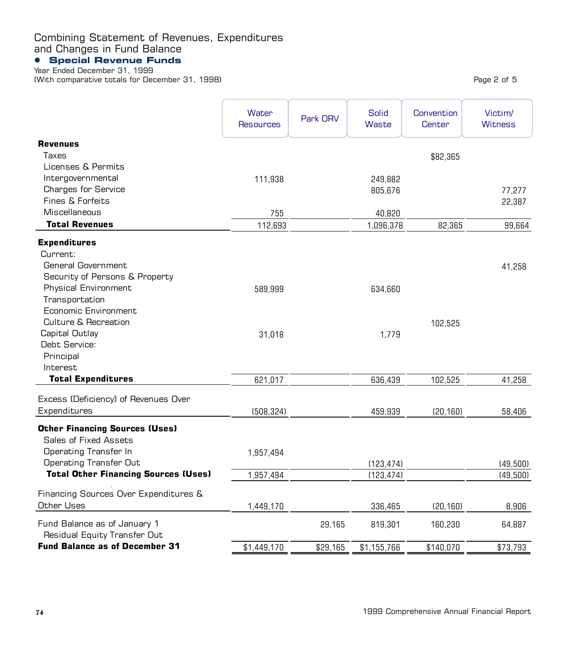## Combining Statement of Revenues, Expenditures and Changes in Fund Balance

#### **• Special Revenue Funds**

Year Ended December 31, 1999 (With comparative totals for December 31, 1998)

**Revenues** Taxes Licenses & Permits Intergovernmental Charges for Service Fines & Forfeits **Miscellaneous Total Revenues Expenditures** Current: General Government Security of Persons & Property Physical Environment **Transportation**  Economic Environment Culture & Recreation Capital Outlay Debt Service: Principal Interest  **Total Expenditures**  Excess (Deficiency) of Revenues Over **Expenditures Other Financing Sources (Uses)** Sales of Fixed Assets Operating Transfer In Operating Transfer Out  **Total Other Financing Sources (Uses)**  y Financing Sources Over Expenditures & Other Uses Fund Balance as of January 1 Residual Equity Transfer Out **Water** Water Park ORV Solid<br>Resources Park ORV Waste **Waste Convention Center** Victim/ **Witness** \$82,365 111,938 249,882 805,676 77,277 22,387 755 40,820 112,693 1,096,378 82,365 99,664 41,258 589,999 634,660 102,525 31,018 1,779 621,017 636,439 102,525 41,258 (508,324) 459,939 (20,160) 58,406 1,957,494 (123,474) (49,500)  $\overline{1,957,494}$  (123,474) (123,474) (49,500) 1,449,170 336,465 (20,160) 8,906 29,165 819,301 160,230 64,887

\$1,449,170 \$29,165 \$1,155,766 \$140,070 \$73,793

Page 2 of 5

**Fund Balance as of December 31**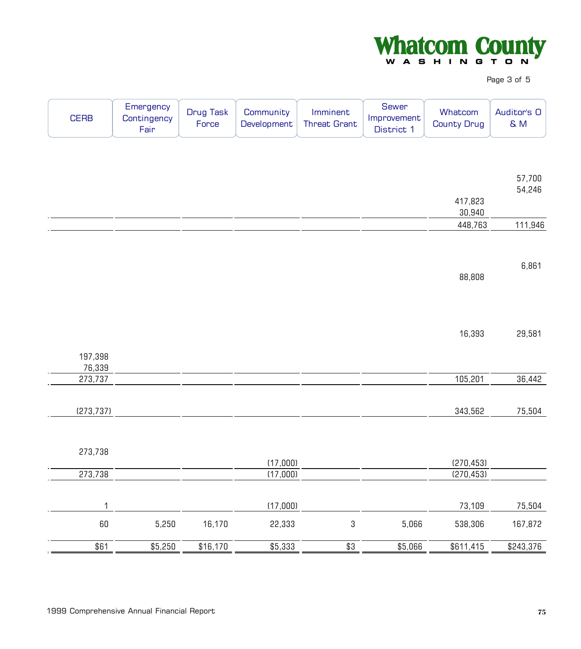

Page 3 of 5

| <b>CERB</b>  | Emergency<br>Contingency<br>Fair | <b>Drug Task</b><br>Force | Community<br>Development | Imminent<br><b>Threat Grant</b> | <b>Sewer</b><br>Improvement<br>District 1 | Whatcom<br><b>County Drug</b> | Auditor's O<br>& M |
|--------------|----------------------------------|---------------------------|--------------------------|---------------------------------|-------------------------------------------|-------------------------------|--------------------|
|              |                                  |                           |                          |                                 |                                           |                               |                    |
|              |                                  |                           |                          |                                 |                                           |                               | 57,700<br>54,246   |
|              |                                  |                           |                          |                                 |                                           | 417,823<br>30,940             |                    |
|              |                                  |                           |                          |                                 |                                           | 448,763                       | 111,946            |
|              |                                  |                           |                          |                                 |                                           | 88,808                        | 6,861              |
| 197,398      |                                  |                           |                          |                                 |                                           | 16,393                        | 29,581             |
| 76,339       |                                  |                           |                          |                                 |                                           |                               |                    |
| 273,737      |                                  |                           |                          |                                 |                                           | 105,201                       | 36,442             |
| (273, 737)   |                                  |                           |                          |                                 |                                           | 343,562                       | 75,504             |
| 273,738      |                                  |                           | (17,000)                 |                                 |                                           | (270, 453)                    |                    |
| 273,738      |                                  |                           | (17,000)                 |                                 |                                           | (270, 453)                    |                    |
|              |                                  |                           |                          |                                 |                                           |                               |                    |
| $\mathbf{1}$ |                                  |                           | (17,000)                 |                                 |                                           | 73,109                        | 75,504             |
| 60           | 5,250                            | 16,170                    | 22,333                   | 3                               | 5,066                                     | 538,306                       | 167,872            |
| \$61         | \$5,250                          | \$16,170                  | \$5,333                  | \$3                             | \$5,066                                   | \$611,415                     | \$243,376          |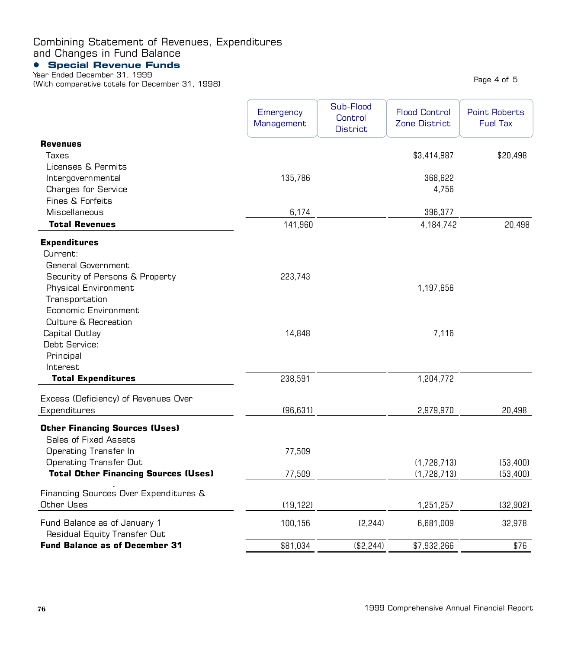#### Combining Statement of Revenues, Expenditures and Changes in Fund Balance

# **• Special Revenue Funds**

Year Ended December 31, 1999 (With comparative totals for December 31, 1998)

|                                                                                                                                   | Emergency<br>Management | Sub-Flood<br>Control<br><b>District</b> | <b>Flood Control</b><br><b>Zone District</b> | <b>Point Roberts</b><br><b>Fuel Tax</b> |
|-----------------------------------------------------------------------------------------------------------------------------------|-------------------------|-----------------------------------------|----------------------------------------------|-----------------------------------------|
| <b>Revenues</b><br>Taxes<br>Licenses & Permits                                                                                    |                         |                                         | \$3,414,987                                  | \$20,498                                |
| Intergovernmental<br><b>Charges for Service</b><br>Fines & Forfeits                                                               | 135,786                 |                                         | 368,622<br>4,756                             |                                         |
| Miscellaneous                                                                                                                     | 6,174                   |                                         | 396,377                                      |                                         |
| <b>Total Revenues</b>                                                                                                             | 141,960                 |                                         | 4,184,742                                    | 20,498                                  |
| <b>Expenditures</b><br>Current:<br>General Government<br>Security of Persons & Property<br>Physical Environment<br>Transportation | 223,743                 |                                         | 1,197,656                                    |                                         |
| Economic Environment<br>Culture & Recreation<br>Capital Outlay<br>Debt Service:<br>Principal<br>Interest                          | 14,848                  |                                         | 7,116                                        |                                         |
| <b>Total Expenditures</b>                                                                                                         | 238,591                 |                                         | 1,204,772                                    |                                         |
| Excess (Deficiency) of Revenues Over<br>Expenditures                                                                              | (96, 631)               |                                         | 2,979,970                                    | 20,498                                  |
| <b>Other Financing Sources (Uses)</b><br>Sales of Fixed Assets<br>Operating Transfer In                                           | 77,509                  |                                         |                                              |                                         |
| <b>Operating Transfer Out</b><br><b>Total Other Financing Sources (Uses)</b>                                                      | 77,509                  |                                         | (1,728,713)<br>(1,728,713)                   | (53, 400)<br>(53, 400)                  |
|                                                                                                                                   |                         |                                         |                                              |                                         |
| Financing Sources Over Expenditures &<br>Other Uses                                                                               | (19, 122)               |                                         | 1,251,257                                    | (32, 902)                               |
| Fund Balance as of January 1<br>Residual Equity Transfer Out                                                                      | 100,156                 | (2, 244)                                | 6,681,009                                    | 32,978                                  |
| <b>Fund Balance as of December 31</b>                                                                                             | \$81,034                | (\$2,244)                               | \$7,932,266                                  | \$76                                    |

Page 4 of 5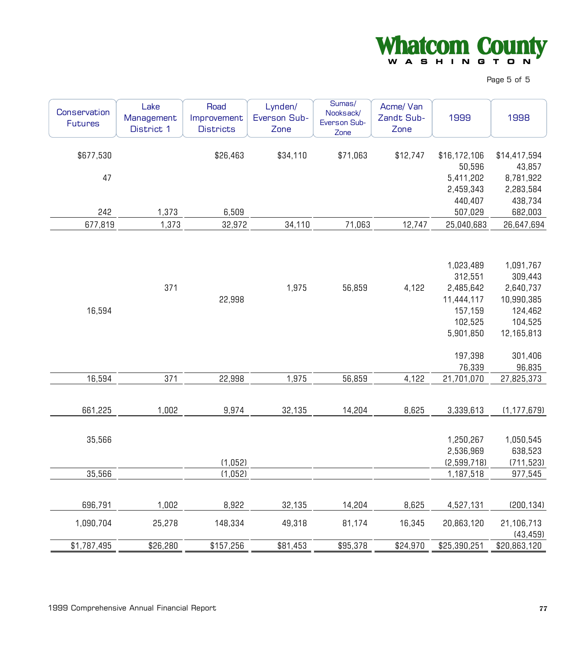

Page 5 of 5

| Conservation<br><b>Futures</b> | Lake<br>Management<br>District 1 | Road<br>Improvement<br><b>Districts</b> | Lynden/<br>Everson Sub-<br>Zone | Sumas/<br>Nooksack/<br><b>Everson Sub-</b><br>Zone | Acme/Van<br>Zandt Sub-<br>Zone | 1999                                                                                                    | 1998                                                                                                     |
|--------------------------------|----------------------------------|-----------------------------------------|---------------------------------|----------------------------------------------------|--------------------------------|---------------------------------------------------------------------------------------------------------|----------------------------------------------------------------------------------------------------------|
| \$677,530                      |                                  | \$26,463                                | \$34,110                        | \$71,063                                           | \$12,747                       | \$16,172,106                                                                                            | \$14,417,594                                                                                             |
|                                |                                  |                                         |                                 |                                                    |                                | 50,596                                                                                                  | 43,857                                                                                                   |
| 47                             |                                  |                                         |                                 |                                                    |                                | 5,411,202                                                                                               | 8,781,922                                                                                                |
|                                |                                  |                                         |                                 |                                                    |                                | 2,459,343                                                                                               | 2,283,584                                                                                                |
|                                |                                  |                                         |                                 |                                                    |                                | 440,407                                                                                                 | 438,734                                                                                                  |
| 242                            | 1,373                            | 6,509                                   |                                 |                                                    |                                | 507,029                                                                                                 | 682,003                                                                                                  |
| 677,819                        | 1,373                            | 32,972                                  | 34,110                          | 71,063                                             | 12,747                         | 25,040,683                                                                                              | 26,647,694                                                                                               |
| 16,594                         | 371                              | 22,998                                  | 1,975                           | 56,859                                             | 4,122                          | 1,023,489<br>312,551<br>2,485,642<br>11,444,117<br>157,159<br>102,525<br>5,901,850<br>197,398<br>76,339 | 1,091,767<br>309,443<br>2,640,737<br>10,990,385<br>124,462<br>104,525<br>12,165,813<br>301,406<br>96,835 |
| 16,594                         | 371                              | 22,998                                  | 1,975                           | 56,859                                             | 4,122                          | 21,701,070                                                                                              | 27,825,373                                                                                               |
| 661,225                        | 1,002                            | 9,974                                   | 32,135                          | 14,204                                             | 8,625                          | 3,339,613                                                                                               | (1, 177, 679)                                                                                            |
| 35,566                         |                                  |                                         |                                 |                                                    |                                | 1,250,267                                                                                               | 1,050,545                                                                                                |
|                                |                                  |                                         |                                 |                                                    |                                | 2,536,969                                                                                               | 638,523                                                                                                  |
|                                |                                  | (1,052)                                 |                                 |                                                    |                                | (2,599,718)                                                                                             | (711, 523)                                                                                               |
| 35,566                         |                                  | (1,052)                                 |                                 |                                                    |                                | 1,187,518                                                                                               | 977,545                                                                                                  |
|                                |                                  |                                         |                                 |                                                    |                                |                                                                                                         |                                                                                                          |
| 696,791                        | 1,002                            | 8,922                                   | 32,135                          | 14,204                                             | 8,625                          | 4,527,131                                                                                               | (200, 134)                                                                                               |
| 1,090,704                      | 25,278                           | 148,334                                 | 49,318                          | 81,174                                             | 16,345                         | 20,863,120                                                                                              | 21,106,713<br>(43, 459)                                                                                  |
| \$1,787,495                    | \$26,280                         | \$157,256                               | \$81,453                        | \$95,378                                           | \$24,970                       | \$25,390,251                                                                                            | \$20,863,120                                                                                             |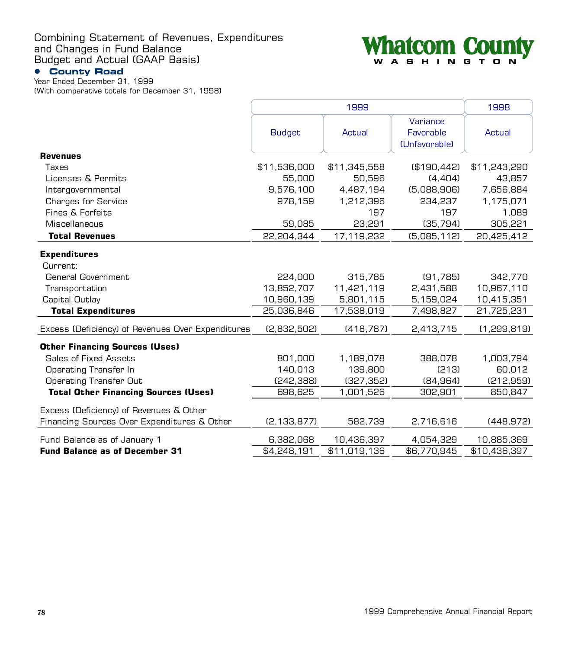

## **• County Road**

|                                                   |               | 1999         |                                        | 1998          |
|---------------------------------------------------|---------------|--------------|----------------------------------------|---------------|
|                                                   | <b>Budget</b> | Actual       | Variance<br>Favorable<br>(Unfavorable) | Actual        |
| <b>Revenues</b>                                   |               |              |                                        |               |
| Taxes                                             | \$11,536,000  | \$11,345,558 | (\$190,442)                            | \$11,243,290  |
| Licenses & Permits                                | 55,000        | 50,596       | (4, 404)                               | 43,857        |
| Intergovernmental                                 | 9,576,100     | 4,487,194    | (5,088,906)                            | 7,656,884     |
| <b>Charges for Service</b>                        | 978,159       | 1,212,396    | 234,237                                | 1,175,071     |
| <b>Fines &amp; Forfeits</b>                       |               | 197          | 197                                    | 1,089         |
| <b>Miscellaneous</b>                              | 59,085        | 23,291       | (35, 794)                              | 305,221       |
| <b>Total Revenues</b>                             | 22,204,344    | 17,119,232   | (5,085,112)                            | 20,425,412    |
| <b>Expenditures</b><br>Current:                   |               |              |                                        |               |
| General Government                                | 224,000       | 315,785      | (91, 785)                              | 342.770       |
| Transportation                                    | 13,852,707    | 11,421,119   | 2,431,588                              | 10,967,110    |
| Capital Outlay                                    | 10,960,139    | 5,801,115    | 5,159,024                              | 10,415,351    |
| <b>Total Expenditures</b>                         | 25,036,846    | 17,538,019   | 7,498,827                              | 21,725,231    |
| Excess (Deficiency) of Revenues Over Expenditures | (2,832,502)   | (418, 787)   | 2,413,715                              | (1, 299, 819) |
| <b>Other Financing Sources (Uses)</b>             |               |              |                                        |               |
| Sales of Fixed Assets                             | 801,000       | 1,189,078    | 388,078                                | 1,003,794     |
| Operating Transfer In                             | 140,013       | 139,800      | (213)                                  | 60,012        |
| Operating Transfer Out                            | (242,388)     | (327, 352)   | (B4, 964)                              | (212,959)     |
| <b>Total Other Financing Sources (Uses)</b>       | 698,625       | 1,001,526    | 302,901                                | 850,847       |
| Excess (Deficiency) of Revenues & Other           |               |              |                                        |               |
| Financing Sources Over Expenditures & Other       | (2, 133, 877) | 582,739      | 2,716,616                              | (448, 972)    |
| Fund Balance as of January 1                      | 6,382,068     | 10,436,397   | 4,054,329                              | 10,885,369    |
| <b>Fund Balance as of December 31</b>             | \$4,248,191   | \$11,019,136 | \$6,770,945                            | \$10,436,397  |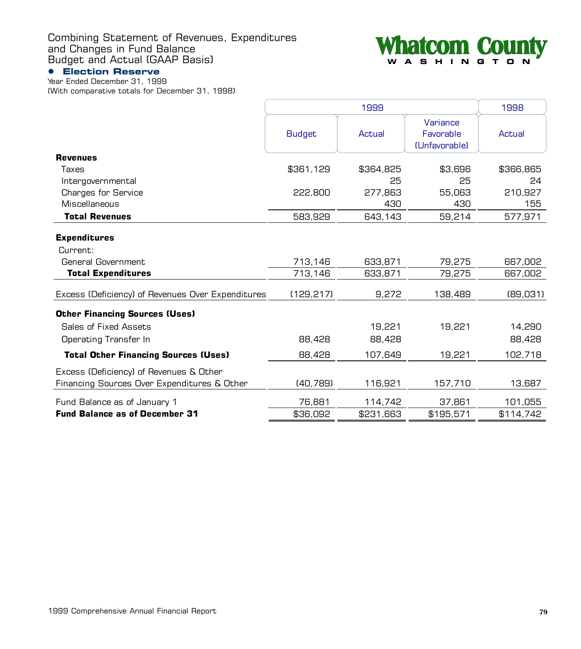

#### **• Election Reserve**

|                                                   |               | 1998      |                                        |           |
|---------------------------------------------------|---------------|-----------|----------------------------------------|-----------|
|                                                   | <b>Budget</b> | Actual    | Variance<br>Favorable<br>(Unfavorable) | Actual    |
| <b>Revenues</b>                                   |               |           |                                        |           |
| Taxes                                             | \$361,129     | \$364,825 | \$3,696                                | \$366,865 |
| Intergovernmental                                 |               | 25        | 25                                     | 24        |
| <b>Charges for Service</b>                        | 222,800       | 277,863   | 55,063                                 | 210,927   |
| Miscellaneous                                     |               | 430       | 430                                    | 155       |
| <b>Total Revenues</b>                             | 583,929       | 643,143   | 59,214                                 | 577,971   |
| <b>Expenditures</b><br>Current:                   |               |           |                                        |           |
| General Government                                | 713,146       | 633,871   | 79,275                                 | 667,002   |
| <b>Total Expenditures</b>                         | 713.146       | 633,871   | 79.275                                 | 667,002   |
| Excess (Deficiency) of Revenues Over Expenditures | (129, 217)    | 9,272     | 138,489                                | (89,031)  |
| <b>Other Financing Sources (Uses)</b>             |               |           |                                        |           |
| Sales of Fixed Assets                             |               | 19,221    | 19,221                                 | 14,290    |
| Operating Transfer In                             | 88,428        | 88,428    |                                        | 88,428    |
| <b>Total Other Financing Sources (Uses)</b>       | 88,428        | 107,649   | 19,221                                 | 102,718   |
| Excess (Deficiency) of Revenues & Other           | (40.789)      | 116.921   |                                        |           |
| Financing Sources Over Expenditures & Other       |               |           | 157,710                                | 13,687    |
| Fund Balance as of January 1                      | 76.881        | 114,742   | 37,861                                 | 101,055   |
| <b>Fund Balance as of December 31</b>             | \$36,092      | \$231,663 | \$195,571                              | \$114,742 |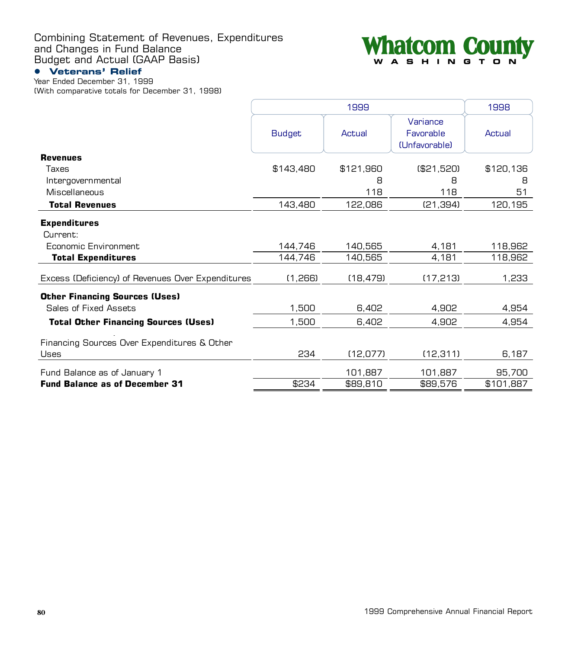

#### **•** Veterans' Relief

|                                                     |               | 1999      |                                        |           |  |  |  |
|-----------------------------------------------------|---------------|-----------|----------------------------------------|-----------|--|--|--|
|                                                     | <b>Budget</b> | Actual    | Variance<br>Favorable<br>(Unfavorable) | Actual    |  |  |  |
| <b>Revenues</b>                                     |               |           |                                        |           |  |  |  |
| Taxes                                               | \$143,480     | \$121,960 | (\$21,520)                             | \$120,136 |  |  |  |
| Intergovernmental                                   |               | 8         | 8                                      | 8         |  |  |  |
| Miscellaneous                                       |               | 118       | 118                                    | 51        |  |  |  |
| <b>Total Revenues</b>                               | 143,480       | 122,086   | (21, 394)                              | 120,195   |  |  |  |
| <b>Expenditures</b><br>Current:                     |               |           |                                        |           |  |  |  |
| Economic Environment                                | 144,746       | 140,565   | 4,181                                  | 118,962   |  |  |  |
| <b>Total Expenditures</b>                           | 144.746       | 140.565   | 4,181                                  | 118,962   |  |  |  |
| Excess (Deficiency) of Revenues Over Expenditures   | (1,266)       | (18, 479) | (17, 213)                              | 1,233     |  |  |  |
| <b>Other Financing Sources (Uses)</b>               |               |           |                                        |           |  |  |  |
| Sales of Fixed Assets                               | 1,500         | 6,402     | 4,902                                  | 4,954     |  |  |  |
| <b>Total Other Financing Sources (Uses)</b>         | 1,500         | 6,402     | 4,902                                  | 4,954     |  |  |  |
| Financing Sources Over Expenditures & Other<br>Uses | 234           | (12, 077) | (12, 311)                              | 6,187     |  |  |  |
| Fund Balance as of January 1                        |               | 101,887   | 101,887                                | 95,700    |  |  |  |
| <b>Fund Balance as of December 31</b>               | \$234         | \$89,810  | \$89,576                               | \$101,887 |  |  |  |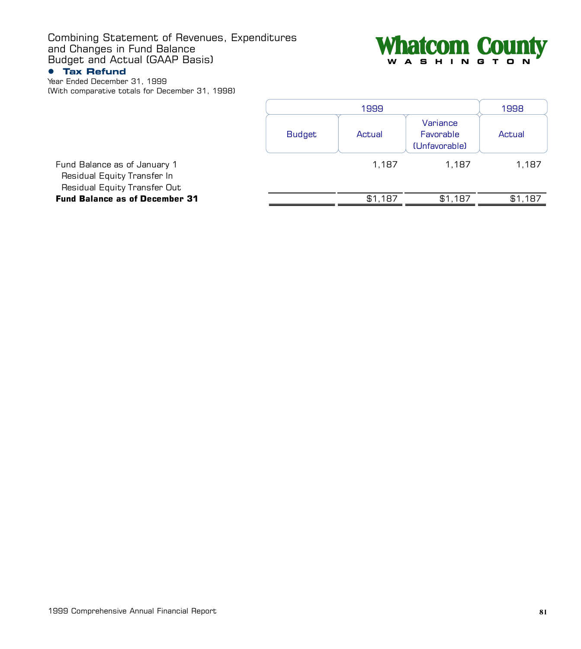

#### **• Tax Refund**

|                                                                                             |               | 1999    |                                        | 1998    |
|---------------------------------------------------------------------------------------------|---------------|---------|----------------------------------------|---------|
|                                                                                             | <b>Budget</b> | Actual  | Variance<br>Favorable<br>(Unfavorable) | Actual  |
| Fund Balance as of January 1<br>Residual Equity Transfer In<br>Residual Equity Transfer Out |               | 1.187   | 1.187                                  | 1.187   |
| <b>Fund Balance as of December 31</b>                                                       |               | \$1,187 | \$1,187                                | \$1,187 |
|                                                                                             |               |         |                                        |         |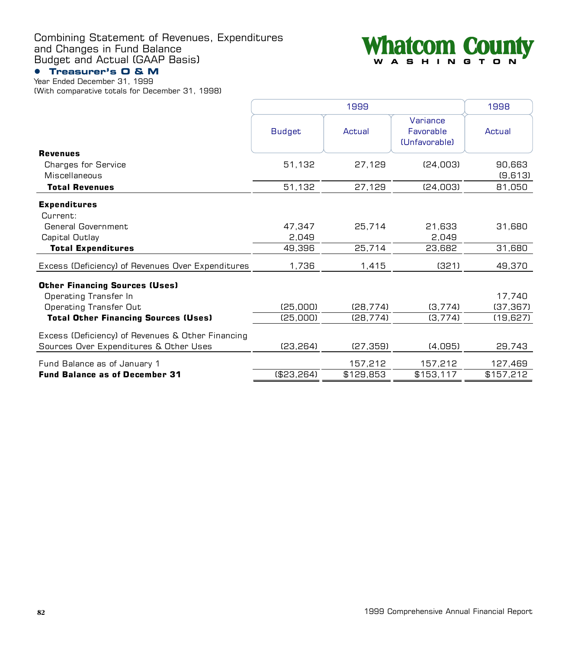

### **• Treasurer's O & M**

|                                                                                             |               | 1999      |                                        | 1998      |
|---------------------------------------------------------------------------------------------|---------------|-----------|----------------------------------------|-----------|
|                                                                                             | <b>Budget</b> | Actual    | Variance<br>Favorable<br>(Unfavorable) | Actual    |
| <b>Revenues</b>                                                                             |               |           |                                        |           |
| <b>Charges for Service</b>                                                                  | 51,132        | 27,129    | (24,003)                               | 90,663    |
| <b>Miscellaneous</b>                                                                        |               |           |                                        | (9,613)   |
| <b>Total Revenues</b>                                                                       | 51,132        | 27,129    | (24.003)                               | 81,050    |
| <b>Expenditures</b><br>Current:                                                             |               |           |                                        |           |
| General Government                                                                          | 47,347        | 25,714    | 21,633                                 | 31,680    |
| Capital Outlay                                                                              | 2,049         |           | 2,049                                  |           |
| <b>Total Expenditures</b>                                                                   | 49,396        | 25,714    | 23,682                                 | 31,680    |
| Excess (Deficiency) of Revenues Over Expenditures                                           | 1,736         | 1,415     | (321)                                  | 49,370    |
| <b>Other Financing Sources (Uses)</b>                                                       |               |           |                                        |           |
| Operating Transfer In                                                                       |               |           |                                        | 17,740    |
| Operating Transfer Out                                                                      | (25,000)      | (28, 774) | (3,774)                                | (37, 367) |
| <b>Total Other Financing Sources (Uses)</b>                                                 | (25,000)      | (28, 774) | (3,774)                                | (19,627)  |
| Excess (Deficiency) of Revenues & Other Financing<br>Sources Over Expenditures & Other Uses | (23, 264)     | (27, 359) | (4,095)                                | 29,743    |
|                                                                                             |               |           |                                        |           |
| Fund Balance as of January 1                                                                |               | 157,212   | 157,212                                | 127,469   |
| <b>Fund Balance as of December 31</b>                                                       | (\$23,264)    | \$129,853 | \$153,117                              | \$157,212 |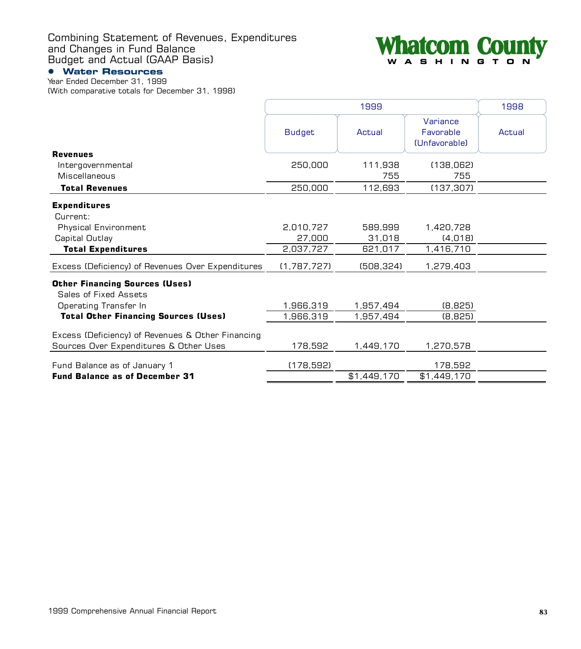

#### **.** Water Resources

| Variance<br><b>Budget</b><br>Actual<br>Favorable<br>Actual<br>(Unfavorable)<br><b>Revenues</b><br>250,000<br>111,938<br>(138,062)<br>Intergovernmental<br><b>Miscellaneous</b><br>755<br>755<br>250,000<br>112,693<br><b>Total Revenues</b><br>(137, 307)<br><b>Expenditures</b><br>Current:<br>2,010,727<br>589.999<br>1,420,728<br><b>Physical Environment</b><br>31,018<br>Capital Outlay<br>27,000<br>(4,018)<br>2,037,727<br>621,017<br>1,416,710<br><b>Total Expenditures</b><br>Excess (Deficiency) of Revenues Over Expenditures<br>(508, 324)<br>(1,787,727)<br>1,279,403<br><b>Other Financing Sources (Uses)</b><br>Sales of Fixed Assets<br>1,966,319<br>(8,825)<br>Operating Transfer In<br>1,957,494<br><b>Total Other Financing Sources (Uses)</b><br>1,966,319<br>(8, 825)<br>1,957,494<br>Excess (Deficiency) of Revenues & Other Financing<br>Sources Over Expenditures & Other Uses<br>178,592<br>1,449,170<br>1,270,578<br>Fund Balance as of January 1<br>(178,592)<br>178,592<br><b>Fund Balance as of December 31</b><br>\$1,449,170<br>\$1,449,170 | 1999 |  |  | 1998 |
|----------------------------------------------------------------------------------------------------------------------------------------------------------------------------------------------------------------------------------------------------------------------------------------------------------------------------------------------------------------------------------------------------------------------------------------------------------------------------------------------------------------------------------------------------------------------------------------------------------------------------------------------------------------------------------------------------------------------------------------------------------------------------------------------------------------------------------------------------------------------------------------------------------------------------------------------------------------------------------------------------------------------------------------------------------------------------|------|--|--|------|
|                                                                                                                                                                                                                                                                                                                                                                                                                                                                                                                                                                                                                                                                                                                                                                                                                                                                                                                                                                                                                                                                            |      |  |  |      |
|                                                                                                                                                                                                                                                                                                                                                                                                                                                                                                                                                                                                                                                                                                                                                                                                                                                                                                                                                                                                                                                                            |      |  |  |      |
|                                                                                                                                                                                                                                                                                                                                                                                                                                                                                                                                                                                                                                                                                                                                                                                                                                                                                                                                                                                                                                                                            |      |  |  |      |
|                                                                                                                                                                                                                                                                                                                                                                                                                                                                                                                                                                                                                                                                                                                                                                                                                                                                                                                                                                                                                                                                            |      |  |  |      |
|                                                                                                                                                                                                                                                                                                                                                                                                                                                                                                                                                                                                                                                                                                                                                                                                                                                                                                                                                                                                                                                                            |      |  |  |      |
|                                                                                                                                                                                                                                                                                                                                                                                                                                                                                                                                                                                                                                                                                                                                                                                                                                                                                                                                                                                                                                                                            |      |  |  |      |
|                                                                                                                                                                                                                                                                                                                                                                                                                                                                                                                                                                                                                                                                                                                                                                                                                                                                                                                                                                                                                                                                            |      |  |  |      |
|                                                                                                                                                                                                                                                                                                                                                                                                                                                                                                                                                                                                                                                                                                                                                                                                                                                                                                                                                                                                                                                                            |      |  |  |      |
|                                                                                                                                                                                                                                                                                                                                                                                                                                                                                                                                                                                                                                                                                                                                                                                                                                                                                                                                                                                                                                                                            |      |  |  |      |
|                                                                                                                                                                                                                                                                                                                                                                                                                                                                                                                                                                                                                                                                                                                                                                                                                                                                                                                                                                                                                                                                            |      |  |  |      |
|                                                                                                                                                                                                                                                                                                                                                                                                                                                                                                                                                                                                                                                                                                                                                                                                                                                                                                                                                                                                                                                                            |      |  |  |      |
|                                                                                                                                                                                                                                                                                                                                                                                                                                                                                                                                                                                                                                                                                                                                                                                                                                                                                                                                                                                                                                                                            |      |  |  |      |
|                                                                                                                                                                                                                                                                                                                                                                                                                                                                                                                                                                                                                                                                                                                                                                                                                                                                                                                                                                                                                                                                            |      |  |  |      |
|                                                                                                                                                                                                                                                                                                                                                                                                                                                                                                                                                                                                                                                                                                                                                                                                                                                                                                                                                                                                                                                                            |      |  |  |      |
|                                                                                                                                                                                                                                                                                                                                                                                                                                                                                                                                                                                                                                                                                                                                                                                                                                                                                                                                                                                                                                                                            |      |  |  |      |
|                                                                                                                                                                                                                                                                                                                                                                                                                                                                                                                                                                                                                                                                                                                                                                                                                                                                                                                                                                                                                                                                            |      |  |  |      |
|                                                                                                                                                                                                                                                                                                                                                                                                                                                                                                                                                                                                                                                                                                                                                                                                                                                                                                                                                                                                                                                                            |      |  |  |      |
|                                                                                                                                                                                                                                                                                                                                                                                                                                                                                                                                                                                                                                                                                                                                                                                                                                                                                                                                                                                                                                                                            |      |  |  |      |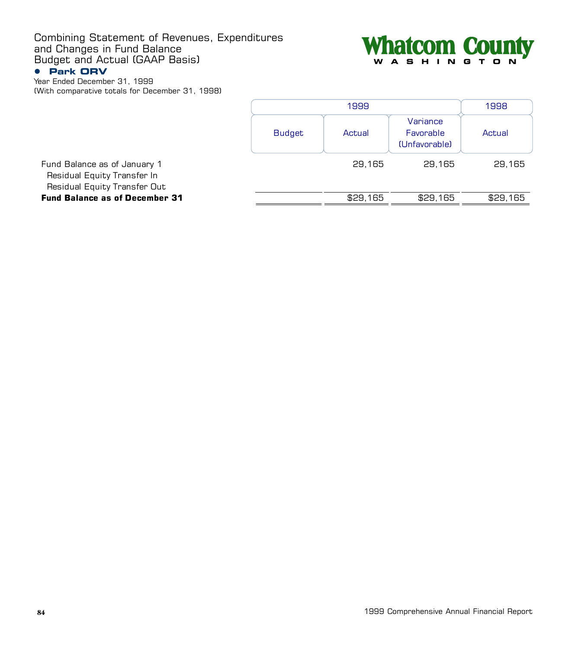

## ! Park ORV

|                                                                                             |               | 1999     |                                        |          |
|---------------------------------------------------------------------------------------------|---------------|----------|----------------------------------------|----------|
|                                                                                             | <b>Budget</b> | Actual   | Variance<br>Favorable<br>(Unfavorable) | Actual   |
| Fund Balance as of January 1<br>Residual Equity Transfer In<br>Residual Equity Transfer Out |               | 29.165   | 29.165                                 | 29.165   |
| <b>Fund Balance as of December 31</b>                                                       |               | \$29,165 | \$29,165                               | \$29,165 |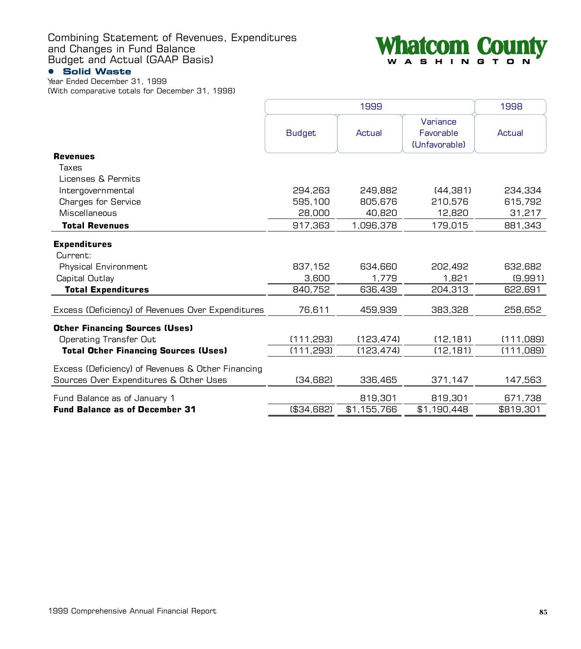

#### **.** Solid Waste

|                                                   |               | 1999        |                                        | 1998      |
|---------------------------------------------------|---------------|-------------|----------------------------------------|-----------|
|                                                   | <b>Budget</b> | Actual      | Variance<br>Favorable<br>(Unfavorable) | Actual    |
| <b>Revenues</b>                                   |               |             |                                        |           |
| Taxes                                             |               |             |                                        |           |
| Licenses & Permits                                |               |             |                                        |           |
| Intergovernmental                                 | 294.263       | 249.882     | (44.381)                               | 234.334   |
| <b>Charges for Service</b>                        | 595,100       | 805.676     | 210.576                                | 615,792   |
| <b>Miscellaneous</b>                              | 28,000        | 40,820      | 12,820                                 | 31,217    |
| <b>Total Revenues</b>                             | 917,363       | 1,096,378   | 179,015                                | 881,343   |
| <b>Expenditures</b>                               |               |             |                                        |           |
| Current:                                          |               |             |                                        |           |
| <b>Physical Environment</b>                       | 837.152       | 634,660     | 202.492                                | 632.682   |
| Capital Outlay                                    | 3.600         | 1.779       | 1.821                                  | (9.991)   |
| <b>Total Expenditures</b>                         | 840,752       | 636,439     | 204,313                                | 622,691   |
| Excess (Deficiency) of Revenues Over Expenditures | 76,611        | 459,939     | 383,328                                | 258,652   |
| <b>Other Financing Sources (Uses)</b>             |               |             |                                        |           |
| Operating Transfer Out                            | (111, 293)    | (123, 474)  | (12, 181)                              | (111,089) |
| <b>Total Other Financing Sources (Uses)</b>       | (111, 293)    | (123, 474)  | (12, 181)                              | (111,089) |
| Excess (Deficiency) of Revenues & Other Financing |               |             |                                        |           |
| Sources Over Expenditures & Other Uses            | (34,682)      | 336,465     | 371.147                                | 147,563   |
| Fund Balance as of January 1                      |               | 819.301     | 819,301                                | 671,738   |
| <b>Fund Balance as of December 31</b>             | (\$34,682)    | \$1,155,766 | \$1,190,448                            | \$819,301 |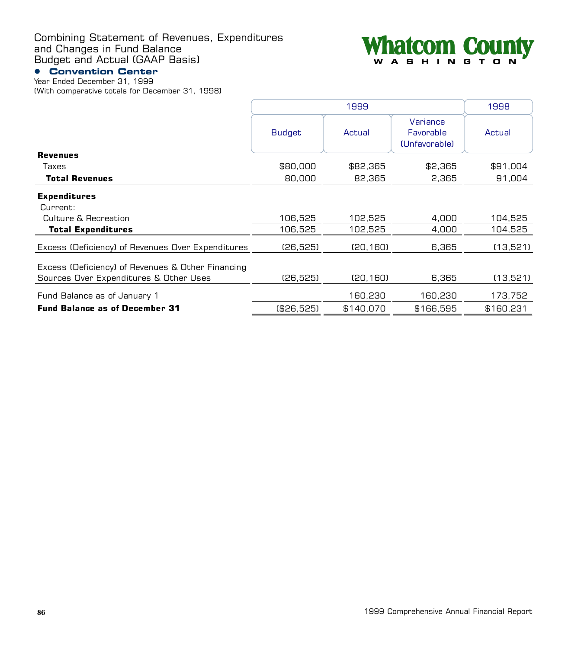

### **• Convention Center**

|                                                                                             |               | 1999      |                                        |           |
|---------------------------------------------------------------------------------------------|---------------|-----------|----------------------------------------|-----------|
|                                                                                             | <b>Budget</b> | Actual    | Variance<br>Favorable<br>(Unfavorable) | Actual    |
| <b>Revenues</b>                                                                             |               |           |                                        |           |
| Taxes                                                                                       | \$80,000      | \$82,365  | \$2,365                                | \$91,004  |
| <b>Total Revenues</b>                                                                       | 80,000        | 82,365    | 2,365                                  | 91,004    |
| <b>Expenditures</b><br>Current:                                                             |               |           |                                        |           |
| Culture & Recreation                                                                        | 106.525       | 102.525   | 4.000                                  | 104.525   |
| <b>Total Expenditures</b>                                                                   | 106,525       | 102,525   | 4,000                                  | 104.525   |
| Excess (Deficiency) of Revenues Over Expenditures                                           | (26.525)      | (20.160)  | 6.365                                  | (13,521)  |
| Excess (Deficiency) of Revenues & Other Financing<br>Sources Over Expenditures & Other Uses | (26,525)      | (20.160)  | 6.365                                  | (13,521)  |
| Fund Balance as of January 1                                                                |               | 160.230   | 160.230                                | 173,752   |
| <b>Fund Balance as of December 31</b>                                                       | (\$26,525)    | \$140,070 | \$166,595                              | \$160,231 |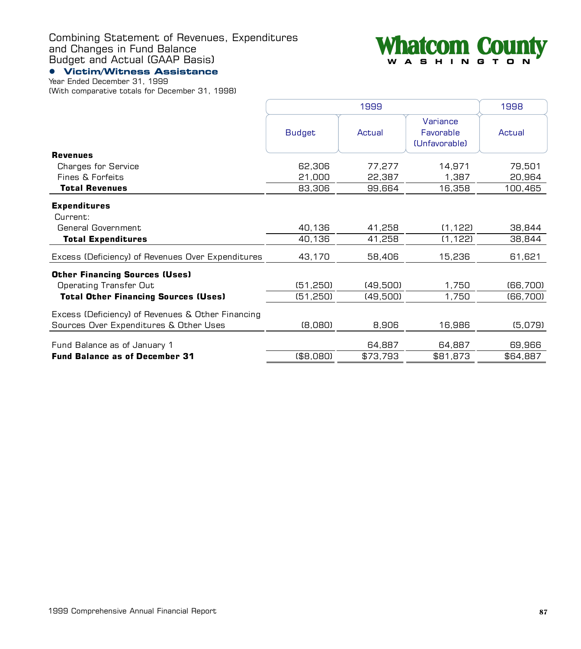

### ! Victim/Witness Assistance

|                                                   |               | 1999     |                                        | 1998     |
|---------------------------------------------------|---------------|----------|----------------------------------------|----------|
|                                                   | <b>Budget</b> | Actual   | Variance<br>Favorable<br>(Unfavorable) | Actual   |
| <b>Revenues</b>                                   |               |          |                                        |          |
| <b>Charges for Service</b>                        | 62,306        | 77,277   | 14,971                                 | 79,501   |
| Fines & Forfeits                                  | 21,000        | 22,387   | 1,387                                  | 20,964   |
| <b>Total Revenues</b>                             | 83,306        | 99,664   | 16,358                                 | 100,465  |
| <b>Expenditures</b>                               |               |          |                                        |          |
| Current:                                          |               |          |                                        |          |
| General Government                                | 40,136        | 41,258   | (1, 122)                               | 38,844   |
| <b>Total Expenditures</b>                         | 40,136        | 41,258   | (1, 122)                               | 38,844   |
| Excess (Deficiency) of Revenues Over Expenditures | 43,170        | 58,406   | 15,236                                 | 61,621   |
| <b>Other Financing Sources (Uses)</b>             |               |          |                                        |          |
| Operating Transfer Out                            | (51.250)      | (49.500) | 1,750                                  | (66,700) |
| <b>Total Other Financing Sources (Uses)</b>       | (51,250)      | (49,500) | 1,750                                  | (66,700) |
| Excess (Deficiency) of Revenues & Other Financing |               |          |                                        |          |
| Sources Over Expenditures & Other Uses            | (8,080)       | 8,906    | 16,986                                 | (5,079)  |
| Fund Balance as of January 1                      |               | 64,887   | 64,887                                 | 69,966   |
| <b>Fund Balance as of December 31</b>             | ( \$8,080)    | \$73,793 | \$81,873                               | \$64,887 |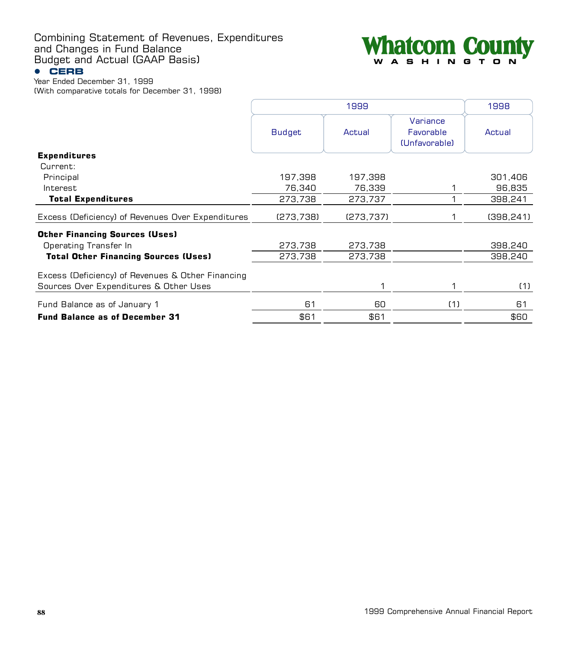

#### ! CERB

|                                                   |               | 1999      |                                        | 1998      |  |
|---------------------------------------------------|---------------|-----------|----------------------------------------|-----------|--|
|                                                   | <b>Budget</b> | Actual    | Variance<br>Favorable<br>(Unfavorable) | Actual    |  |
| <b>Expenditures</b>                               |               |           |                                        |           |  |
| Current:                                          |               |           |                                        |           |  |
| Principal                                         | 197.398       | 197.398   |                                        | 301.406   |  |
| Interest                                          | 76,340        | 76,339    |                                        | 96.835    |  |
| <b>Total Expenditures</b>                         | 273,738       | 273,737   |                                        | 398,241   |  |
| Excess (Deficiency) of Revenues Over Expenditures | (273.738)     | (273.737) |                                        | (398.241) |  |
| <b>Other Financing Sources (Uses)</b>             |               |           |                                        |           |  |
| Operating Transfer In                             | 273,738       | 273,738   |                                        | 398,240   |  |
| <b>Total Other Financing Sources (Uses)</b>       | 273,738       | 273,738   |                                        | 398,240   |  |
| Excess (Deficiency) of Revenues & Other Financing |               |           |                                        |           |  |
| Sources Over Expenditures & Other Uses            |               | 1         |                                        | (1)       |  |
| Fund Balance as of January 1                      | 61            | 60        | (1)                                    | 61        |  |
| <b>Fund Balance as of December 31</b>             | \$61          | \$61      |                                        | \$60      |  |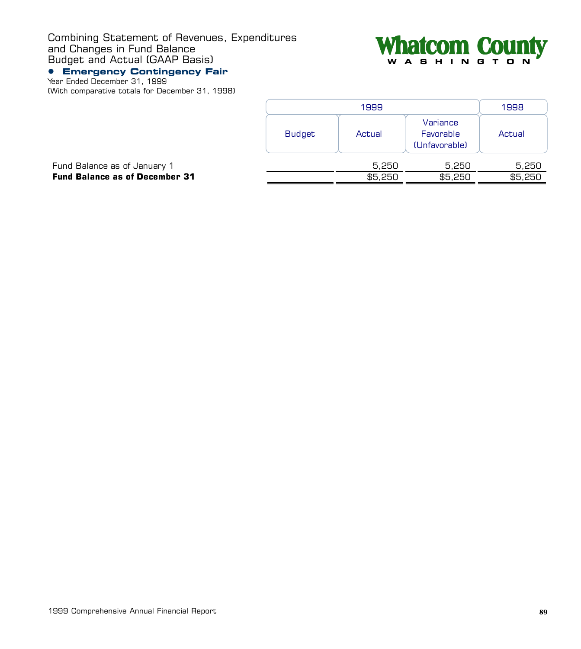

### **• Emergency Contingency Fair**

Year Ended December 31, 1999 (With comparative totals for December 31, 1998)

|               | 1999    | 1998                                   |         |
|---------------|---------|----------------------------------------|---------|
| <b>Budget</b> | Actual  | Variance<br>Favorable<br>(Unfavorable) | Actual  |
|               | 5,250   | 5,250                                  | 5,250   |
|               | \$5,250 | \$5,250                                | \$5,250 |

Fund Balance as of January 1 **Fund Balance as of December 31**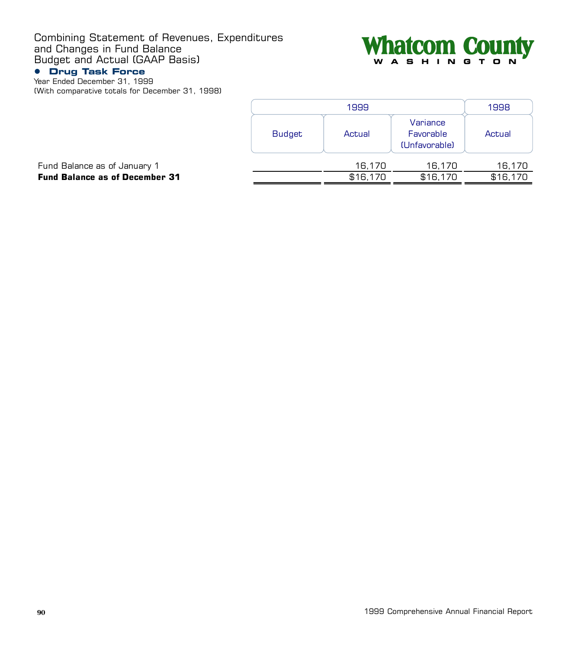

# **• Drug Task Force**

Fund Balance as of January 1 **Fund Balance as of December 31** 

|               | 1999     | 1998                                   |          |
|---------------|----------|----------------------------------------|----------|
| <b>Budget</b> | Actual   | Variance<br>Favorable<br>(Unfavorable) | Actual   |
|               | 16,170   | 16,170                                 | 16,170   |
|               | \$16,170 | \$16,170                               | \$16,170 |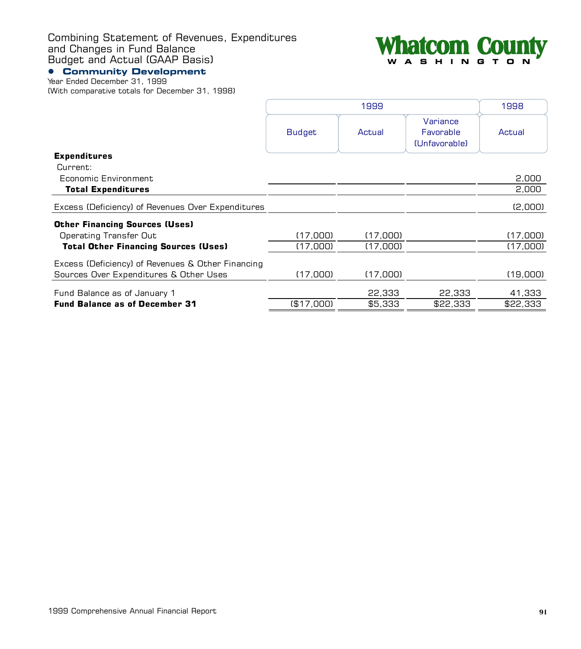

### **• Community Development**

|                                                   | 1999          |          |                                        | 1998     |
|---------------------------------------------------|---------------|----------|----------------------------------------|----------|
|                                                   | <b>Budget</b> | Actual   | Variance<br>Favorable<br>(Unfavorable) | Actual   |
| <b>Expenditures</b>                               |               |          |                                        |          |
| Current:                                          |               |          |                                        |          |
| Economic Environment                              |               |          |                                        | 2,000    |
| <b>Total Expenditures</b>                         |               |          |                                        | 2,000    |
| Excess (Deficiency) of Revenues Over Expenditures |               |          |                                        | (2,000)  |
| <b>Other Financing Sources (Uses)</b>             |               |          |                                        |          |
| Operating Transfer Out                            | (17.000)      | (17.000) |                                        | (17,000) |
| <b>Total Other Financing Sources (Uses)</b>       | (17.000)      | (17.000) |                                        | (17.000) |
| Excess (Deficiency) of Revenues & Other Financing |               |          |                                        |          |
| Sources Over Expenditures & Other Uses            | (17,000)      | (17.000) |                                        | (19,000) |
| Fund Balance as of January 1                      |               | 22,333   | 22.333                                 | 41,333   |
| <b>Fund Balance as of December 31</b>             | (\$17.000)    | \$5,333  | \$22,333                               | \$22,333 |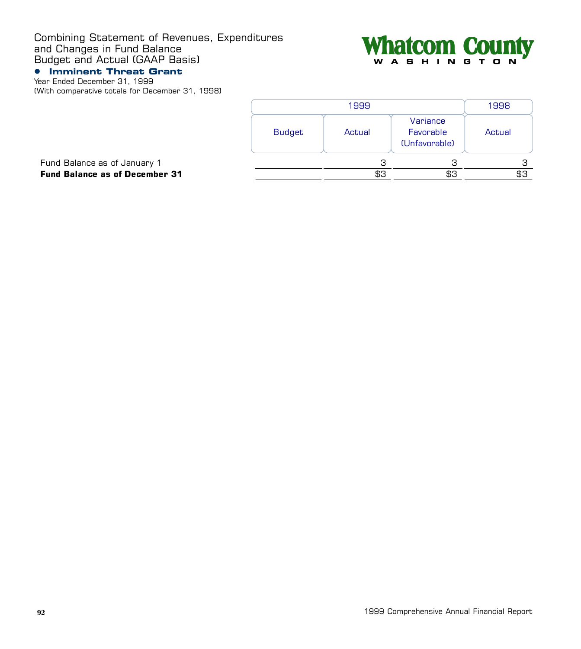

### **• Imminent Threat Grant**

Year Ended December 31, 1999 (With comparative totals for December 31, 1998)

|               | 1999   |                                        | 1998   |
|---------------|--------|----------------------------------------|--------|
| <b>Budget</b> | Actual | Variance<br>Favorable<br>(Unfavorable) | Actual |
|               | ∍      | я                                      |        |
|               | \$3    | \$3                                    | Φo     |

Fund Balance as of January 1 **Fund Balance as of December 31**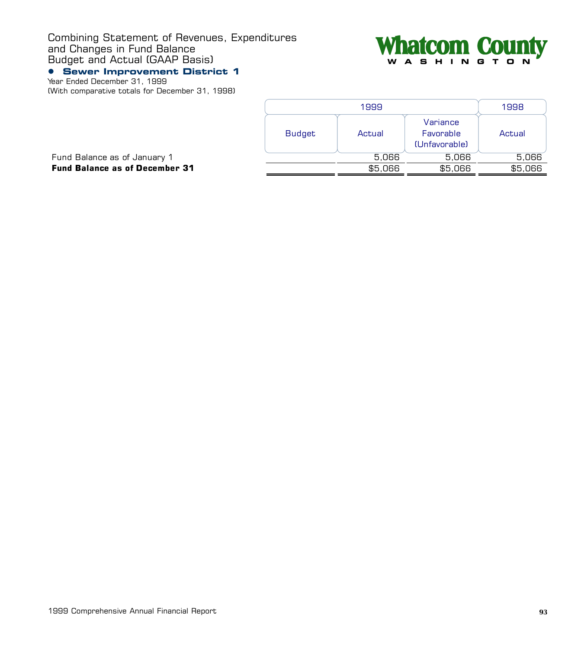

### **• Sewer Improvement District 1**

Year Ended December 31, 1999 (With comparative totals for December 31, 1998)

|               | 1998    |                                        |         |
|---------------|---------|----------------------------------------|---------|
| <b>Budget</b> | Actual  | Variance<br>Favorable<br>(Unfavorable) | Actual  |
|               | 5,066   | 5,066                                  | 5,066   |
|               | \$5,066 | \$5,066                                | \$5,066 |

Fund Balance as of January 1 **Fund Balance as of December 31**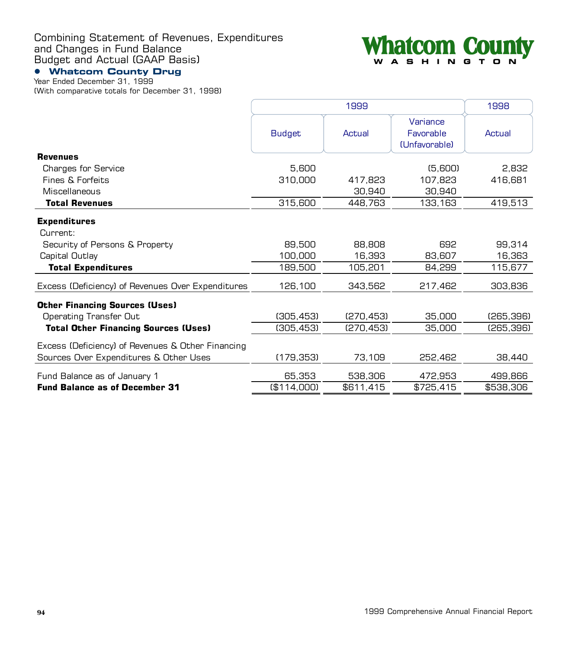

# **• Whatcom County Drug**

|                                                                                             | 1999          |            |                                        | 1998       |
|---------------------------------------------------------------------------------------------|---------------|------------|----------------------------------------|------------|
|                                                                                             | <b>Budget</b> | Actual     | Variance<br>Favorable<br>(Unfavorable) | Actual     |
| <b>Revenues</b>                                                                             |               |            |                                        |            |
| <b>Charges for Service</b>                                                                  | 5,600         |            | (5.600)                                | 2.832      |
| <b>Fines &amp; Forfeits</b>                                                                 | 310,000       | 417,823    | 107,823                                | 416,681    |
| <b>Miscellaneous</b>                                                                        |               | 30.940     | 30,940                                 |            |
| <b>Total Revenues</b>                                                                       | 315,600       | 448,763    | 133,163                                | 419,513    |
| <b>Expenditures</b><br>Current:                                                             |               |            |                                        |            |
| Security of Persons & Property                                                              | 89,500        | 88,808     | 692                                    | 99,314     |
| Capital Outlay                                                                              | 100,000       | 16,393     | 83,607                                 | 16,363     |
| <b>Total Expenditures</b>                                                                   | 189,500       | 105,201    | 84,299                                 | 115,677    |
| Excess (Deficiency) of Revenues Over Expenditures                                           | 126,100       | 343,562    | 217,462                                | 303,836    |
| <b>Other Financing Sources (Uses)</b>                                                       |               |            |                                        |            |
| Operating Transfer Out                                                                      | (305, 453)    | (270, 453) | 35,000                                 | (265, 396) |
| <b>Total Other Financing Sources (Uses)</b>                                                 | (305, 453)    | (270, 453) | 35,000                                 | (265, 396) |
| Excess (Deficiency) of Revenues & Other Financing<br>Sources Over Expenditures & Other Uses | (179, 353)    | 73,109     | 252,462                                | 38,440     |
| Fund Balance as of January 1                                                                | 65,353        | 538,306    | 472,953                                | 499,866    |
| <b>Fund Balance as of December 31</b>                                                       | (\$114,000)   | \$611,415  | \$725,415                              | \$538,306  |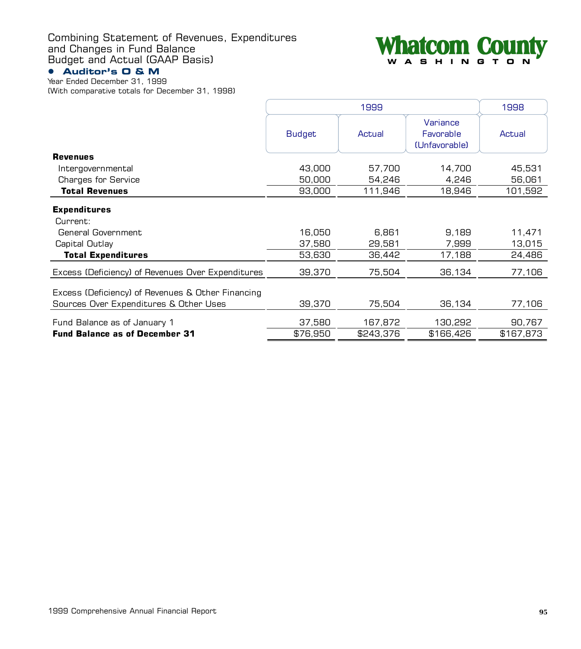

#### **.** Auditor's O & M

|                                                   | 1999          |           |                                        | 1998      |
|---------------------------------------------------|---------------|-----------|----------------------------------------|-----------|
|                                                   | <b>Budget</b> | Actual    | Variance<br>Favorable<br>(Unfavorable) | Actual    |
| <b>Revenues</b>                                   |               |           |                                        |           |
| Intergovernmental                                 | 43,000        | 57.700    | 14.700                                 | 45.531    |
| <b>Charges for Service</b>                        | 50,000        | 54.246    | 4.246                                  | 56,061    |
| <b>Total Revenues</b>                             | 93,000        | 111.946   | 18,946                                 | 101,592   |
| <b>Expenditures</b><br>Current:                   |               |           |                                        |           |
| General Government                                | 16,050        | 6,861     | 9.189                                  | 11,471    |
|                                                   |               |           |                                        |           |
| Capital Outlay                                    | 37.580        | 29.581    | 7.999                                  | 13,015    |
| <b>Total Expenditures</b>                         | 53,630        | 36,442    | 17,188                                 | 24,486    |
| Excess (Deficiency) of Revenues Over Expenditures | 39,370        | 75.504    | 36,134                                 | 77,106    |
| Excess (Deficiency) of Revenues & Other Financing |               |           |                                        |           |
| Sources Over Expenditures & Other Uses            | 39,370        | 75,504    | 36,134                                 | 77,106    |
| Fund Balance as of January 1                      | 37,580        | 167.872   | 130.292                                | 90.767    |
| <b>Fund Balance as of December 31</b>             | \$76,950      | \$243.376 | \$166,426                              | \$167.873 |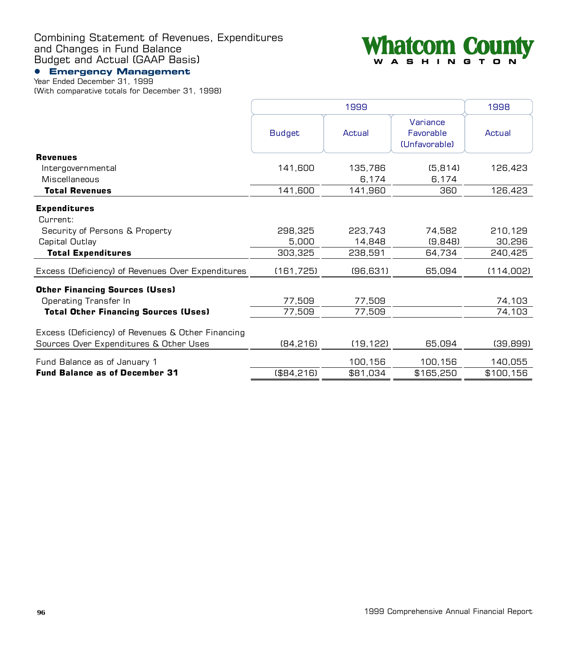

## **• Emergency Management**

|                                                                                             |               | 1998      |                                        |           |
|---------------------------------------------------------------------------------------------|---------------|-----------|----------------------------------------|-----------|
|                                                                                             | <b>Budget</b> | Actual    | Variance<br>Favorable<br>(Unfavorable) | Actual    |
| <b>Revenues</b>                                                                             |               |           |                                        |           |
| Intergovernmental                                                                           | 141,600       | 135,786   | (5.814)                                | 126,423   |
| <b>Miscellaneous</b>                                                                        |               | 6,174     | 6,174                                  |           |
| <b>Total Revenues</b>                                                                       | 141,600       | 141,960   | 360                                    | 126,423   |
| <b>Expenditures</b><br>Current:                                                             |               |           |                                        |           |
| Security of Persons & Property                                                              | 298.325       | 223.743   | 74.582                                 | 210,129   |
| Capital Outlay                                                                              | 5.000         | 14.848    | (9.848)                                | 30,296    |
| <b>Total Expenditures</b>                                                                   | 303,325       | 238,591   | 64,734                                 | 240,425   |
| Excess (Deficiency) of Revenues Over Expenditures                                           | (161, 725)    | (96, 631) | 65,094                                 | (114,002) |
| <b>Other Financing Sources (Uses)</b>                                                       |               |           |                                        |           |
| Operating Transfer In                                                                       | 77,509        | 77,509    |                                        | 74,103    |
| <b>Total Other Financing Sources (Uses)</b>                                                 | 77,509        | 77,509    |                                        | 74,103    |
| Excess (Deficiency) of Revenues & Other Financing<br>Sources Over Expenditures & Other Uses | (B4, 216)     | (19, 122) | 65,094                                 | (39, 899) |
| Fund Balance as of January 1                                                                |               | 100,156   | 100,156                                | 140,055   |
| <b>Fund Balance as of December 31</b>                                                       | (\$B4,216)    | \$81,034  | \$165,250                              | \$100,156 |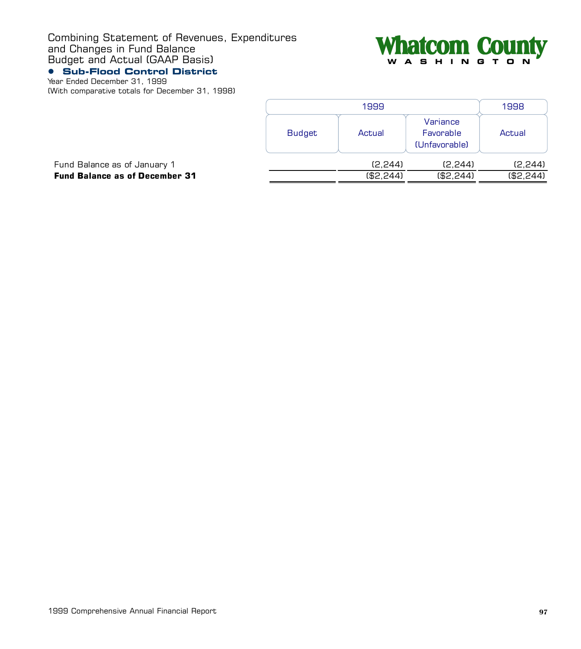

#### **• Sub-Flood Control District**

Year Ended December 31, 1999 (With comparative totals for December 31, 1998)

|               | 1998<br>1999 |                                        |           |
|---------------|--------------|----------------------------------------|-----------|
| <b>Budget</b> | Actual       | Variance<br>Favorable<br>(Unfavorable) | Actual    |
|               | (2,244)      | (2,244)                                | (2,244)   |
|               | (S2.244)     | (\$2.244)                              | (\$2,244) |

Fund Balance as of January 1 **Fund Balance as of December 31**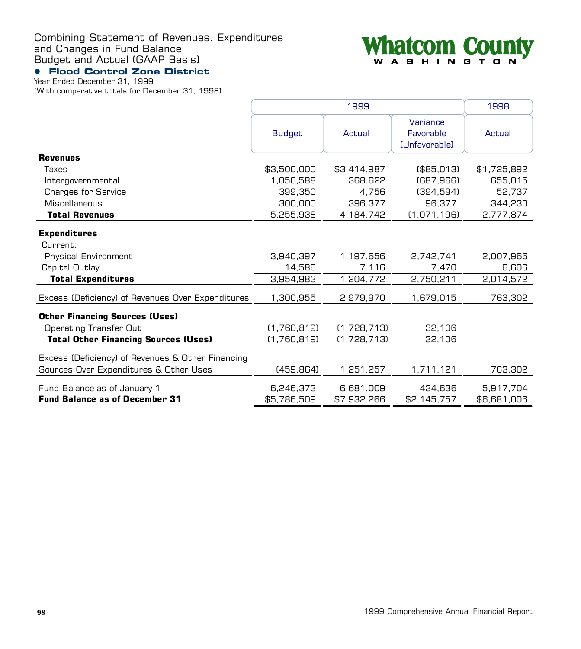

#### **• Flood Control Zone District**

|                                                                                             |               | 1998        |                                        |             |
|---------------------------------------------------------------------------------------------|---------------|-------------|----------------------------------------|-------------|
|                                                                                             | <b>Budget</b> | Actual      | Variance<br>Favorable<br>(Unfavorable) | Actual      |
| <b>Revenues</b>                                                                             |               |             |                                        |             |
| Taxes                                                                                       | \$3,500,000   | \$3.414.987 | (\$B5.013)                             | \$1,725,892 |
| Intergovernmental                                                                           | 1.056.588     | 368,622     | (687.966)                              | 655.015     |
| <b>Charges for Service</b>                                                                  | 399,350       | 4.756       | (394.594)                              | 52.737      |
| <b>Miscellaneous</b>                                                                        | 300,000       | 396,377     | 96,377                                 | 344,230     |
| <b>Total Revenues</b>                                                                       | 5,255,938     | 4,184,742   | (1,071,196)                            | 2,777,874   |
| <b>Expenditures</b><br>Current:                                                             |               |             |                                        |             |
| <b>Physical Environment</b>                                                                 | 3.940.397     | 1.197.656   | 2.742.741                              | 2.007.966   |
| Capital Outlay                                                                              | 14,586        | 7,116       | 7.470                                  | 6,606       |
| <b>Total Expenditures</b>                                                                   | 3,954,983     | 1,204,772   | 2,750,211                              | 2,014,572   |
| Excess (Deficiency) of Revenues Over Expenditures                                           | 1.300.955     | 2,979,970   | 1,679,015                              | 763,302     |
| <b>Other Financing Sources (Uses)</b>                                                       |               |             |                                        |             |
| Operating Transfer Out                                                                      | (1,760,819)   | (1,728,713) | 32,106                                 |             |
| <b>Total Other Financing Sources (Uses)</b>                                                 | (1,760,819)   | (1,728,713) | 32,106                                 |             |
| Excess (Deficiency) of Revenues & Other Financing<br>Sources Over Expenditures & Other Uses | (459.864)     | 1,251,257   | 1,711,121                              | 763,302     |
| Fund Balance as of January 1                                                                | 6,246,373     | 6,681,009   | 434,636                                | 5,917,704   |
| <b>Fund Balance as of December 31</b>                                                       | \$5,786,509   | \$7,932,266 | \$2,145,757                            | \$6,681,006 |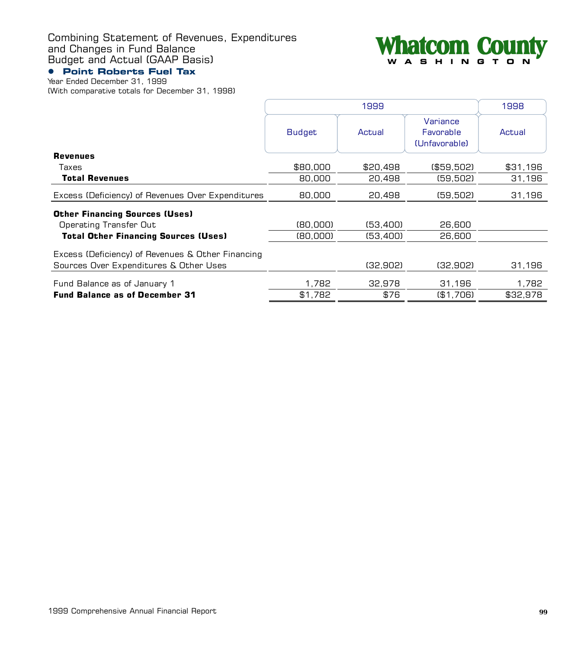

#### **• Point Roberts Fuel Tax**

|                                                                                             | 1999          |           |                                        | 1998     |
|---------------------------------------------------------------------------------------------|---------------|-----------|----------------------------------------|----------|
|                                                                                             | <b>Budget</b> | Actual    | Variance<br>Favorable<br>(Unfavorable) | Actual   |
| <b>Revenues</b>                                                                             |               |           |                                        |          |
| Taxes                                                                                       | \$80,000      | \$20,498  | (\$59.502)                             | \$31,196 |
| <b>Total Revenues</b>                                                                       | 80,000        | 20.498    | (59.502)                               | 31.196   |
| Excess (Deficiency) of Revenues Over Expenditures                                           | 80,000        | 20,498    | (59.502)                               | 31,196   |
| <b>Other Financing Sources (Uses)</b>                                                       |               |           |                                        |          |
| Operating Transfer Out                                                                      | (80,000)      | (53, 400) | 26,600                                 |          |
| <b>Total Other Financing Sources (Uses)</b>                                                 | (80.000)      | (53, 400) | 26,600                                 |          |
| Excess (Deficiency) of Revenues & Other Financing<br>Sources Over Expenditures & Other Uses |               | (32.902)  | (32.902)                               | 31,196   |
| Fund Balance as of January 1                                                                | 1.782         | 32.978    | 31.196                                 | 1.782    |
| <b>Fund Balance as of December 31</b>                                                       | \$1,782       | \$76      | (\$1.706)                              | \$32.978 |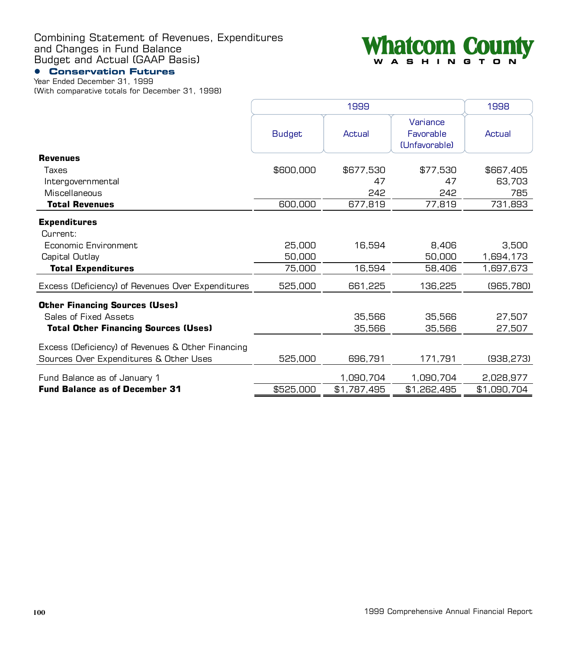

### **• Conservation Futures**

|                                                                                             |               | 1999        |                                        | 1998        |
|---------------------------------------------------------------------------------------------|---------------|-------------|----------------------------------------|-------------|
|                                                                                             | <b>Budget</b> | Actual      | Variance<br>Favorable<br>(Unfavorable) | Actual      |
| <b>Revenues</b>                                                                             |               |             |                                        |             |
| Taxes                                                                                       | \$600,000     | \$677,530   | \$77,530                               | \$667,405   |
| Intergovernmental                                                                           |               | 47          | 47                                     | 63,703      |
| <b>Miscellaneous</b>                                                                        |               | 242         | 242                                    | 785         |
| <b>Total Revenues</b>                                                                       | 600,000       | 677,819     | 77,819                                 | 731,893     |
| <b>Expenditures</b>                                                                         |               |             |                                        |             |
| Current:                                                                                    |               |             |                                        |             |
| Economic Environment                                                                        | 25,000        | 16,594      | 8,406                                  | 3,500       |
| Capital Outlay                                                                              | 50,000        |             | 50,000                                 | 1,694,173   |
| <b>Total Expenditures</b>                                                                   | 75,000        | 16,594      | 58,406                                 | 1,697,673   |
| Excess (Deficiency) of Revenues Over Expenditures                                           | 525,000       | 661,225     | 136,225                                | (965, 780)  |
| <b>Other Financing Sources (Uses)</b>                                                       |               |             |                                        |             |
| Sales of Fixed Assets                                                                       |               | 35,566      | 35,566                                 | 27,507      |
| <b>Total Other Financing Sources (Uses)</b>                                                 |               | 35,566      | 35,566                                 | 27,507      |
| Excess (Deficiency) of Revenues & Other Financing<br>Sources Over Expenditures & Other Uses | 525,000       | 696,791     | 171,791                                | (938, 273)  |
| Fund Balance as of January 1                                                                |               | 1,090,704   | 1,090,704                              | 2,028,977   |
| <b>Fund Balance as of December 31</b>                                                       | \$525,000     | \$1,787,495 | \$1,262,495                            | \$1,090,704 |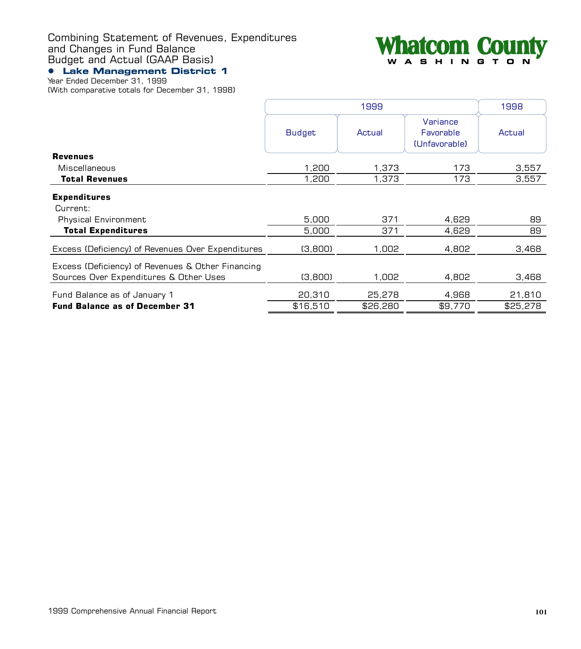

## **• Lake Management District 1**

|                                                                                             | 1999          |          |                                        | 1998     |
|---------------------------------------------------------------------------------------------|---------------|----------|----------------------------------------|----------|
|                                                                                             | <b>Budget</b> | Actual   | Variance<br>Favorable<br>(Unfavorable) | Actual   |
| <b>Revenues</b>                                                                             |               |          |                                        |          |
| <b>Miscellaneous</b>                                                                        | 1.200         | 1.373    | 173                                    | 3,557    |
| <b>Total Revenues</b>                                                                       | 1,200         | 1,373    | 173                                    | 3,557    |
| <b>Expenditures</b><br>Current:                                                             |               |          |                                        |          |
| <b>Physical Environment</b>                                                                 | 5.000         | 371      | 4.629                                  | 89       |
| <b>Total Expenditures</b>                                                                   | 5.000         | 371      | 4.629                                  | 89       |
| Excess (Deficiency) of Revenues Over Expenditures                                           | (3,800)       | 1.002    | 4,802                                  | 3,468    |
| Excess (Deficiency) of Revenues & Other Financing<br>Sources Over Expenditures & Other Uses | (3.800)       | 1.002    | 4.802                                  | 3.468    |
| Fund Balance as of January 1                                                                | 20,310        | 25,278   | 4,968                                  | 21,810   |
| <b>Fund Balance as of December 31</b>                                                       | \$16,510      | \$26,280 | \$9.770                                | \$25,278 |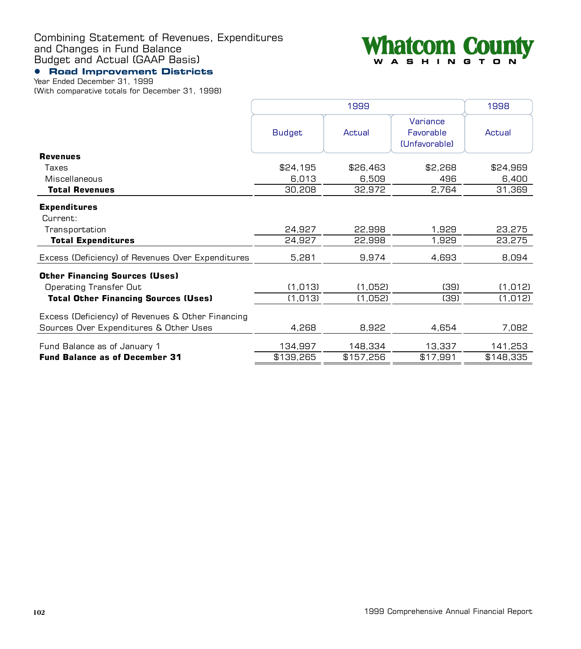

## **• Road Improvement Districts**

|                                                                                             | 1999          |           |                                        | 1998      |
|---------------------------------------------------------------------------------------------|---------------|-----------|----------------------------------------|-----------|
|                                                                                             | <b>Budget</b> | Actual    | Variance<br>Favorable<br>(Unfavorable) | Actual    |
| <b>Revenues</b>                                                                             |               |           |                                        |           |
| Taxes                                                                                       | \$24,195      | \$26,463  | \$2,268                                | \$24,969  |
| Miscellaneous                                                                               | 6,013         | 6,509     | 496                                    | 6,400     |
| <b>Total Revenues</b>                                                                       | 30,208        | 32,972    | 2,764                                  | 31,369    |
| <b>Expenditures</b>                                                                         |               |           |                                        |           |
| Current:                                                                                    |               |           |                                        |           |
| Transportation                                                                              | 24.927        | 22,998    | 1,929                                  | 23,275    |
| <b>Total Expenditures</b>                                                                   | 24,927        | 22,998    | 1,929                                  | 23,275    |
| Excess (Deficiency) of Revenues Over Expenditures                                           | 5,281         | 9,974     | 4.693                                  | 8,094     |
| <b>Other Financing Sources (Uses)</b>                                                       |               |           |                                        |           |
| Operating Transfer Out                                                                      | (1.013)       | (1.052)   | (39)                                   | (1, 012)  |
| <b>Total Other Financing Sources (Uses)</b>                                                 | (1, 013)      | (1,052)   | (39)                                   | (1, 012)  |
| Excess (Deficiency) of Revenues & Other Financing<br>Sources Over Expenditures & Other Uses | 4,268         | 8,922     | 4,654                                  | 7,082     |
| Fund Balance as of January 1                                                                | 134,997       | 148,334   | 13,337                                 | 141,253   |
| <b>Fund Balance as of December 31</b>                                                       | \$139,265     | \$157,256 | \$17,991                               | \$148,335 |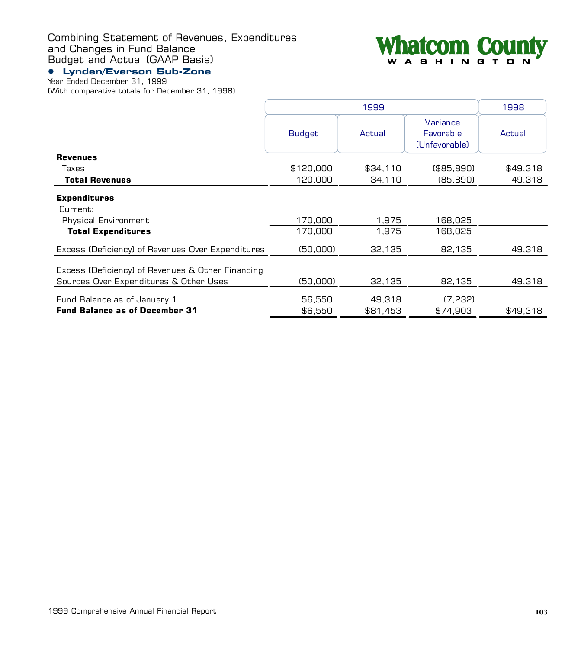

## ! Lynden/Everson Sub-Zone

|                                                                                             |               | 1999     |                                        | 1998     |
|---------------------------------------------------------------------------------------------|---------------|----------|----------------------------------------|----------|
|                                                                                             | <b>Budget</b> | Actual   | Variance<br>Favorable<br>(Unfavorable) | Actual   |
| <b>Revenues</b>                                                                             |               |          |                                        |          |
| Taxes                                                                                       | \$120,000     | \$34,110 | (\$85,890)                             | \$49,318 |
| <b>Total Revenues</b>                                                                       | 120,000       | 34,110   | (85.890)                               | 49,318   |
| <b>Expenditures</b><br>Current:<br><b>Physical Environment</b>                              | 170.000       | 1.975    | 168.025                                |          |
| <b>Total Expenditures</b>                                                                   | 170.000       | 1,975    | 168.025                                |          |
| Excess (Deficiency) of Revenues Over Expenditures                                           | (50.000)      | 32,135   | 82,135                                 | 49,318   |
| Excess (Deficiency) of Revenues & Other Financing<br>Sources Over Expenditures & Other Uses | (50.000)      | 32,135   | 82.135                                 | 49.318   |
| Fund Balance as of January 1                                                                | 56,550        | 49.318   | (7, 232)                               |          |
| <b>Fund Balance as of December 31</b>                                                       | \$6,550       | \$81.453 | \$74.903                               | \$49,318 |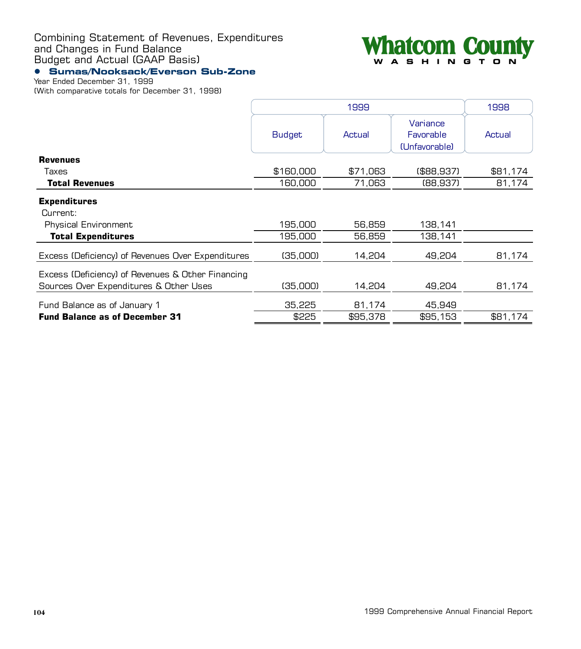

## ! Sumas/Nooksack/Everson Sub-Zone

|                                                   |               | 1999     |                                        | 1998     |
|---------------------------------------------------|---------------|----------|----------------------------------------|----------|
|                                                   | <b>Budget</b> | Actual   | Variance<br>Favorable<br>(Unfavorable) | Actual   |
| <b>Revenues</b>                                   |               |          |                                        |          |
| Taxes                                             | \$160,000     | \$71,063 | (\$88,937)                             | \$81,174 |
| <b>Total Revenues</b>                             | 160,000       | 71,063   | (B8, 937)                              | 81,174   |
| <b>Expenditures</b>                               |               |          |                                        |          |
| Current:                                          |               |          |                                        |          |
| <b>Physical Environment</b>                       | 195,000       | 56,859   | 138,141                                |          |
| <b>Total Expenditures</b>                         | 195.000       | 56,859   | 138,141                                |          |
| Excess (Deficiency) of Revenues Over Expenditures | (35,000)      | 14.204   | 49.204                                 | 81,174   |
| Excess (Deficiency) of Revenues & Other Financing |               |          |                                        |          |
| Sources Over Expenditures & Other Uses            | (35,000)      | 14.204   | 49.204                                 | 81,174   |
| Fund Balance as of January 1                      | 35,225        | 81.174   | 45.949                                 |          |
| <b>Fund Balance as of December 31</b>             | \$225         | \$95,378 | \$95,153                               | \$81,174 |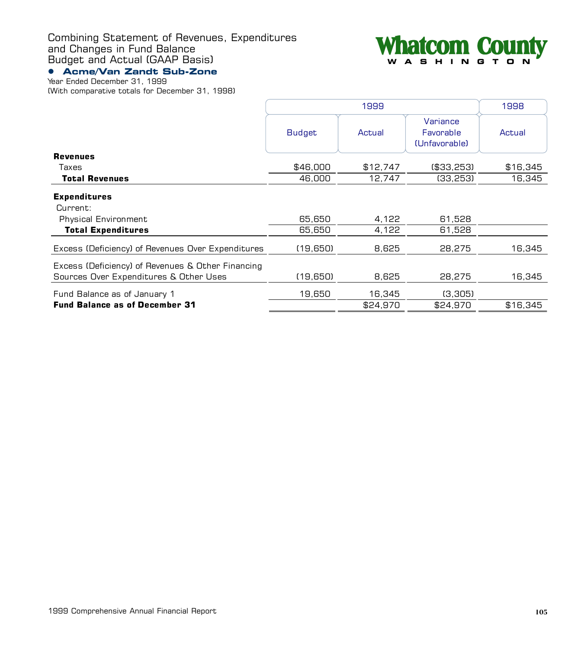

## ! Acme/Van Zandt Sub-Zone

|                                                                                             |               | 1998     |                                        |          |
|---------------------------------------------------------------------------------------------|---------------|----------|----------------------------------------|----------|
|                                                                                             | <b>Budget</b> | Actual   | Variance<br>Favorable<br>(Unfavorable) | Actual   |
| <b>Revenues</b>                                                                             |               |          |                                        |          |
| Taxes                                                                                       | \$46,000      | \$12.747 | (\$33.253)                             | \$16,345 |
| <b>Total Revenues</b>                                                                       | 46,000        | 12,747   | (33.253)                               | 16,345   |
| <b>Expenditures</b><br>Current:                                                             |               |          |                                        |          |
| <b>Physical Environment</b>                                                                 | 65,650        | 4,122    | 61,528                                 |          |
| <b>Total Expenditures</b>                                                                   | 65.650        | 4,122    | 61,528                                 |          |
| Excess (Deficiency) of Revenues Over Expenditures                                           | (19,650)      | 8,625    | 28,275                                 | 16,345   |
| Excess (Deficiency) of Revenues & Other Financing<br>Sources Over Expenditures & Other Uses | (19,650)      | 8,625    | 28.275                                 | 16,345   |
| Fund Balance as of January 1                                                                | 19,650        | 16.345   | (3.305)                                |          |
| <b>Fund Balance as of December 31</b>                                                       |               | \$24,970 | \$24.970                               | \$16,345 |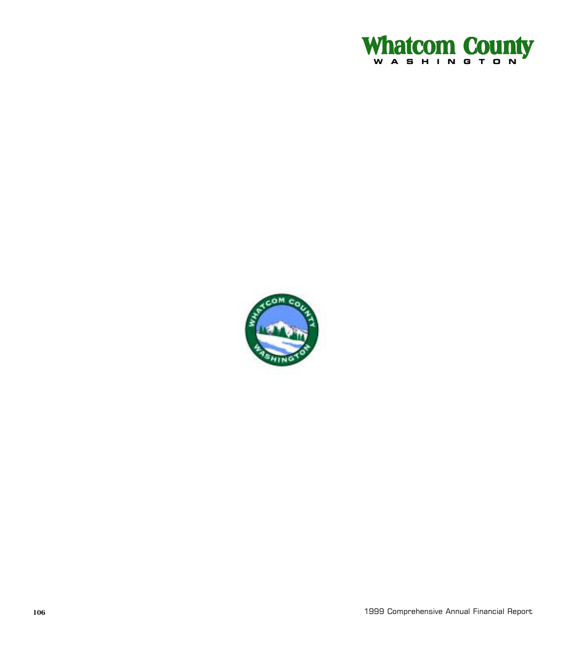

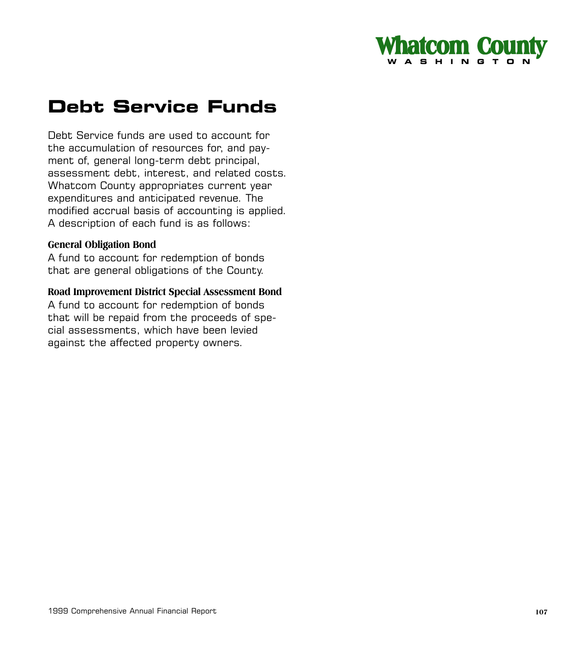

# Debt Service Funds

Debt Service funds are used to account for the accumulation of resources for, and payment of, general long-term debt principal, assessment debt, interest, and related costs. Whatcom County appropriates current year expenditures and anticipated revenue. The modified accrual basis of accounting is applied. A description of each fund is as follows:

### General Obligation Bond

A fund to account for redemption of bonds that are general obligations of the County.

### Road Improvement District Special Assessment Bond

A fund to account for redemption of bonds that will be repaid from the proceeds of special assessments, which have been levied against the affected property owners.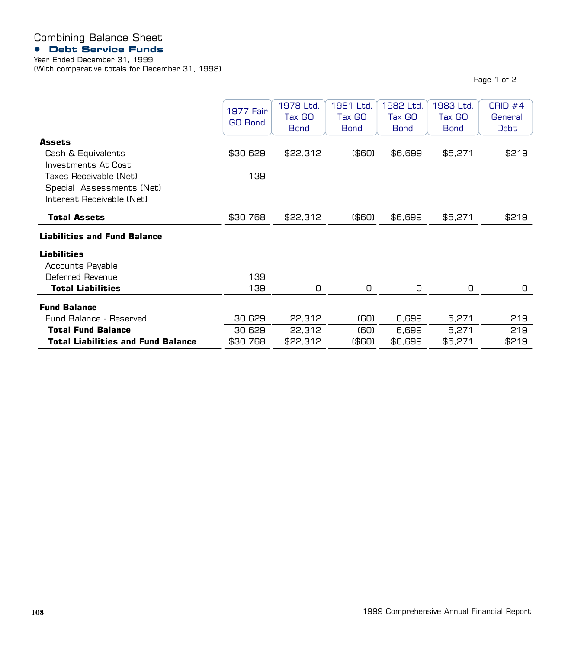## Combining Balance Sheet

#### **• Debt Service Funds**

Year Ended December 31, 1999

(With comparative totals for December 31, 1998)

Page 1 of 2

|                                                                                                                                                | <b>1977 Fair</b><br><b>GO Bond</b> | 1978 Ltd.<br>Tax GO<br><b>Bond</b> | 1981 Ltd.<br>Tax GO<br><b>Bond</b> | 1982 Ltd.<br>Tax GO<br><b>Bond</b> | 1983 Ltd.<br>Tax GO<br><b>Bond</b> | CRID $#4$<br>General<br><b>Debt</b> |
|------------------------------------------------------------------------------------------------------------------------------------------------|------------------------------------|------------------------------------|------------------------------------|------------------------------------|------------------------------------|-------------------------------------|
| <b>Assets</b><br>Cash & Equivalents<br>Investments At Cost<br>Taxes Receivable (Net)<br>Special Assessments (Net)<br>Interest Receivable (Net) | \$30,629<br>139                    | \$22,312                           | (\$60)                             | \$6,699                            | \$5,271                            | \$219                               |
| <b>Total Assets</b>                                                                                                                            | \$30,768                           | \$22,312                           | (\$60)                             | \$6,699                            | \$5,271                            | \$219                               |
| <b>Liabilities and Fund Balance</b>                                                                                                            |                                    |                                    |                                    |                                    |                                    |                                     |
| <b>Liabilities</b><br>Accounts Payable<br>Deferred Revenue                                                                                     | 139                                |                                    |                                    |                                    |                                    |                                     |
| <b>Total Liabilities</b>                                                                                                                       | 139                                | 0                                  | 0                                  | $\Omega$                           | 0                                  | 0                                   |
| <b>Fund Balance</b>                                                                                                                            |                                    |                                    |                                    |                                    |                                    |                                     |
| Fund Balance - Reserved                                                                                                                        | 30,629                             | 22,312                             | (60)                               | 6,699                              | 5,271                              | 219                                 |
| <b>Total Fund Balance</b>                                                                                                                      | 30,629                             | 22,312                             | (60)                               | 6,699                              | 5,271                              | 219                                 |
| <b>Total Liabilities and Fund Balance</b>                                                                                                      | \$30,768                           | \$22,312                           | (\$60)                             | \$6,699                            | \$5,271                            | \$219                               |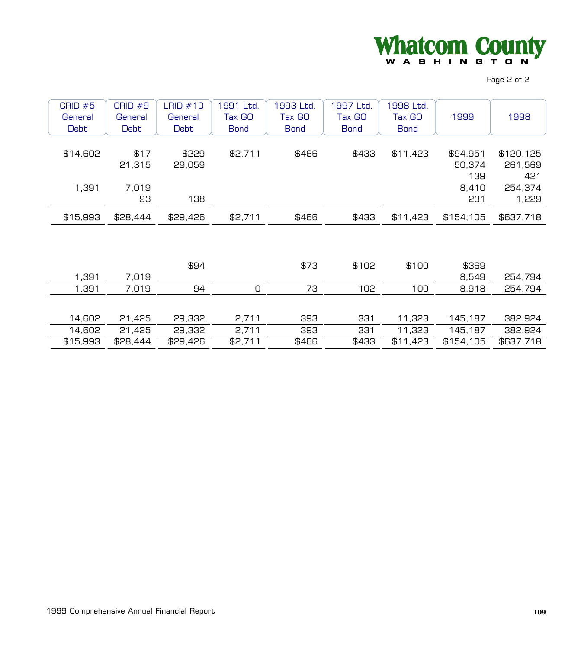

Page 2 of 2

| CRID $#5$<br>General<br><b>Debt</b> | CRID#9<br>General<br>Debt | $LRID$ #10<br>General<br><b>Debt</b> | 1991 Ltd.<br>Tax GO<br><b>Bond</b> | 1993 Ltd.<br>Tax GO<br><b>Bond</b> | 1997 Ltd.<br>Tax GO<br><b>Bond</b> | 1998 Ltd.<br>Tax GO<br><b>Bond</b> | 1999                      | 1998                        |
|-------------------------------------|---------------------------|--------------------------------------|------------------------------------|------------------------------------|------------------------------------|------------------------------------|---------------------------|-----------------------------|
| \$14,602                            | \$17<br>21,315            | \$229<br>29,059                      | \$2,711                            | \$466                              | \$433                              | \$11,423                           | \$94,951<br>50,374<br>139 | \$120,125<br>261,569<br>421 |
| 1,391                               | 7,019<br>93               | 138                                  |                                    |                                    |                                    |                                    | 8,410<br>231              | 254,374<br>1,229            |
| \$15,993                            | \$28,444                  | \$29,426                             | \$2,711                            | \$466                              | \$433                              | \$11,423                           | \$154,105                 | \$637,718                   |
|                                     |                           |                                      |                                    |                                    |                                    |                                    |                           |                             |
|                                     |                           |                                      |                                    |                                    |                                    |                                    |                           |                             |
|                                     |                           | \$94                                 |                                    | \$73                               | \$102                              | \$100                              | \$369                     |                             |
| 1,391                               | 7,019                     |                                      |                                    |                                    |                                    |                                    | 8,549                     | 254,794                     |
| 1,391                               | 7,019                     | 94                                   | 0                                  | 73                                 | 102                                | 100                                | 8,918                     | 254,794                     |
|                                     |                           |                                      |                                    |                                    |                                    |                                    |                           |                             |
| 14,602                              | 21,425                    | 29,332                               | 2,711                              | 393                                | 331                                | 11,323                             | 145,187                   | 382,924                     |
| 14,602                              | 21,425                    | 29,332                               | 2,711                              | 393                                | 331                                | 11,323                             | 145,187                   | 382,924                     |
| \$15,993                            |                           |                                      |                                    |                                    |                                    |                                    |                           |                             |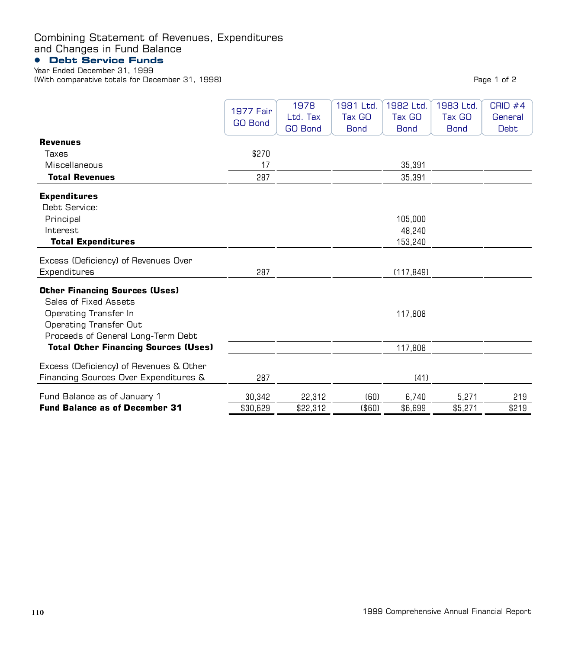## Combining Statement of Revenues, Expenditures and Changes in Fund Balance

#### **• Debt Service Funds**

Year Ended December 31, 1999 (With comparative totals for December 31, 1998)

|                                                                                                                                                         | <b>1977 Fair</b><br><b>GO Bond</b> | 1978<br>Ltd. Tax<br><b>GO Bond</b> | 1981 Ltd.<br>Tax GO<br><b>Bond</b> | 1982 Ltd.<br>Tax GO<br><b>Bond</b> | 1983 Ltd.<br>Tax GO<br><b>Bond</b> | CRID $#4$<br>General<br><b>Debt</b> |
|---------------------------------------------------------------------------------------------------------------------------------------------------------|------------------------------------|------------------------------------|------------------------------------|------------------------------------|------------------------------------|-------------------------------------|
| <b>Revenues</b>                                                                                                                                         |                                    |                                    |                                    |                                    |                                    |                                     |
| Taxes                                                                                                                                                   | \$270                              |                                    |                                    |                                    |                                    |                                     |
| <b>Miscellaneous</b>                                                                                                                                    | 17                                 |                                    |                                    | 35,391                             |                                    |                                     |
| <b>Total Revenues</b>                                                                                                                                   | 287                                |                                    |                                    | 35,391                             |                                    |                                     |
| <b>Expenditures</b>                                                                                                                                     |                                    |                                    |                                    |                                    |                                    |                                     |
| Debt Service:                                                                                                                                           |                                    |                                    |                                    |                                    |                                    |                                     |
| Principal                                                                                                                                               |                                    |                                    |                                    | 105.000                            |                                    |                                     |
| Interest                                                                                                                                                |                                    |                                    |                                    | 48,240                             |                                    |                                     |
| <b>Total Expenditures</b>                                                                                                                               |                                    |                                    |                                    | 153,240                            |                                    |                                     |
| Excess (Deficiency) of Revenues Over<br>Expenditures                                                                                                    | 287                                |                                    |                                    | (117, 849)                         |                                    |                                     |
| <b>Other Financing Sources (Uses)</b><br>Sales of Fixed Assets<br>Operating Transfer In<br>Operating Transfer Out<br>Proceeds of General Long-Term Debt |                                    |                                    |                                    | 117,808                            |                                    |                                     |
| <b>Total Other Financing Sources (Uses)</b>                                                                                                             |                                    |                                    |                                    | 117,808                            |                                    |                                     |
| Excess (Deficiency) of Revenues & Other<br>Financing Sources Over Expenditures &                                                                        | 287                                |                                    |                                    | (41)                               |                                    |                                     |
| Fund Balance as of January 1                                                                                                                            | 30.342                             | 22.312                             | (60)                               | 6.740                              | 5.271                              | 219                                 |
| <b>Fund Balance as of December 31</b>                                                                                                                   | \$30,629                           | \$22.312                           | ( \$60]                            | \$6,699                            | \$5,271                            | \$219                               |

Page 1 of 2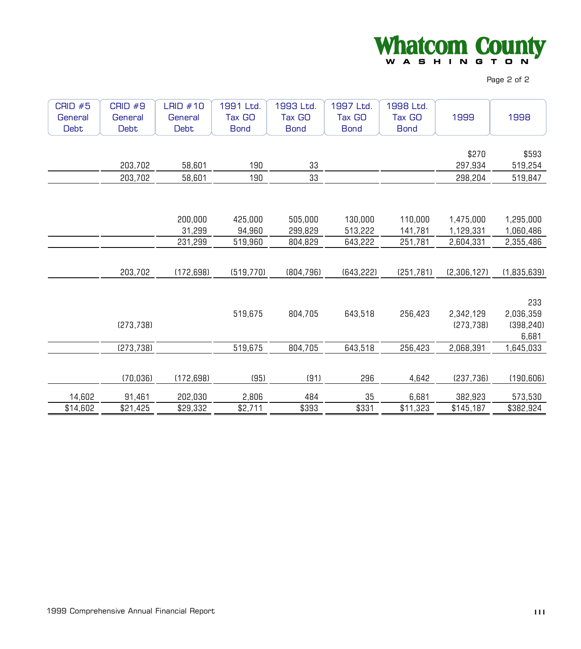

Page 2 of 2

| <b>CRID #5</b><br>General<br><b>Debt</b> | $CRID$ #9<br>General<br>Debt | $LRID$ #10<br>General<br>Debt | 1991 Ltd.<br>Tax GO<br><b>Bond</b> | 1993 Ltd.<br>Tax GO<br><b>Bond</b> | 1997 Ltd.<br>Tax GO<br><b>Bond</b> | 1998 Ltd.<br>Tax GO<br><b>Bond</b> | 1999        | 1998        |
|------------------------------------------|------------------------------|-------------------------------|------------------------------------|------------------------------------|------------------------------------|------------------------------------|-------------|-------------|
|                                          |                              |                               |                                    |                                    |                                    |                                    |             |             |
|                                          |                              |                               |                                    |                                    |                                    |                                    | \$270       | \$593       |
|                                          | 203,702                      | 58,601                        | 190                                | 33                                 |                                    |                                    | 297,934     | 519,254     |
|                                          | 203,702                      | 58,601                        | 190                                | 33                                 |                                    |                                    | 298,204     | 519,847     |
|                                          |                              |                               |                                    |                                    |                                    |                                    |             |             |
|                                          |                              |                               |                                    |                                    |                                    |                                    |             |             |
|                                          |                              | 200,000                       | 425,000                            | 505,000                            | 130,000                            | 110,000                            | 1,475,000   | 1,295,000   |
|                                          |                              | 31,299                        | 94,960                             | 299,829                            | 513,222                            | 141,781                            | 1,129,331   | 1,060,486   |
|                                          |                              | 231,299                       | 519,960                            | 804,829                            | 643,222                            | 251,781                            | 2,604,331   | 2,355,486   |
|                                          |                              |                               |                                    |                                    |                                    |                                    |             |             |
|                                          | 203,702                      | (172, 698)                    | (519, 770)                         | (804, 796)                         | (643, 222)                         | (251, 781)                         | (2,306,127) | (1,835,639) |
|                                          |                              |                               |                                    |                                    |                                    |                                    |             |             |
|                                          |                              |                               |                                    |                                    |                                    |                                    |             |             |
|                                          |                              |                               |                                    |                                    |                                    |                                    |             | 233         |
|                                          |                              |                               | 519,675                            | 804,705                            | 643,518                            | 256.423                            | 2,342,129   | 2,036,359   |
|                                          | (273, 738)                   |                               |                                    |                                    |                                    |                                    | (273.738)   | (398, 240)  |
|                                          |                              |                               |                                    |                                    |                                    |                                    |             | 6,681       |
|                                          | (273, 738)                   |                               | 519,675                            | 804,705                            | 643,518                            | 256,423                            | 2,068,391   | 1,645,033   |
|                                          |                              |                               |                                    |                                    |                                    |                                    |             |             |
|                                          | (70, 036)                    | (172, 698)                    | (95)                               | (91)                               | 296                                | 4,642                              | (237,736)   | (190, 606)  |
|                                          |                              |                               |                                    |                                    |                                    |                                    |             |             |
| 14,602                                   | 91,461                       | 202,030                       | 2,806                              | 484                                | 35                                 | 6,681                              | 382,923     | 573,530     |
| \$14,602                                 | \$21,425                     | \$29,332                      | \$2,711                            | \$393                              | \$331                              | \$11,323                           | \$145,187   | \$382,924   |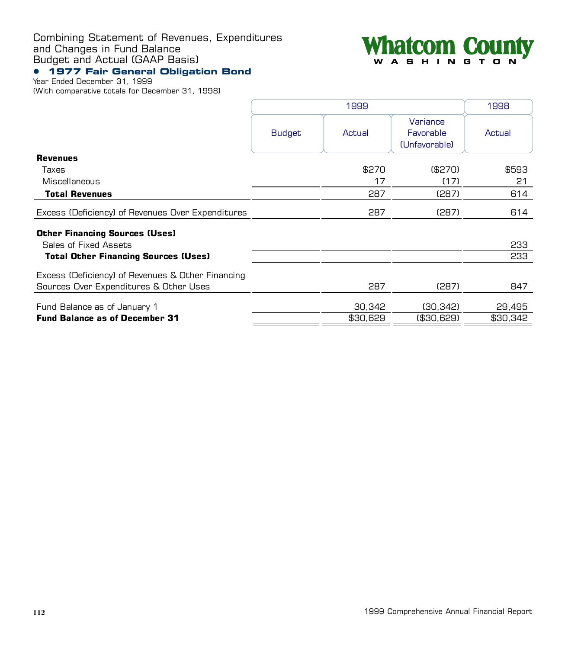

## **• 1977 Fair General Obligation Bond**

|                                                   |               | 1999     |                                        | 1998     |
|---------------------------------------------------|---------------|----------|----------------------------------------|----------|
|                                                   | <b>Budget</b> | Actual   | Variance<br>Favorable<br>(Unfavorable) | Actual   |
| <b>Revenues</b>                                   |               |          |                                        |          |
| Taxes                                             |               | \$270    | (\$270)                                | \$593    |
| Miscellaneous                                     |               | 17       | (17)                                   | 21       |
| <b>Total Revenues</b>                             |               | 287      | (287)                                  | 614      |
| Excess (Deficiency) of Revenues Over Expenditures |               | 287      | (287)                                  | 614      |
| <b>Other Financing Sources (Uses)</b>             |               |          |                                        |          |
| Sales of Fixed Assets                             |               |          |                                        | 233      |
| <b>Total Other Financing Sources (Uses)</b>       |               |          |                                        | 233      |
| Excess (Deficiency) of Revenues & Other Financing |               |          |                                        |          |
| Sources Over Expenditures & Other Uses            |               | 287      | (287)                                  | 847      |
| Fund Balance as of January 1                      |               | 30.342   | (30.342)                               | 29,495   |
| <b>Fund Balance as of December 31</b>             |               | \$30,629 | (\$30,629)                             | \$30,342 |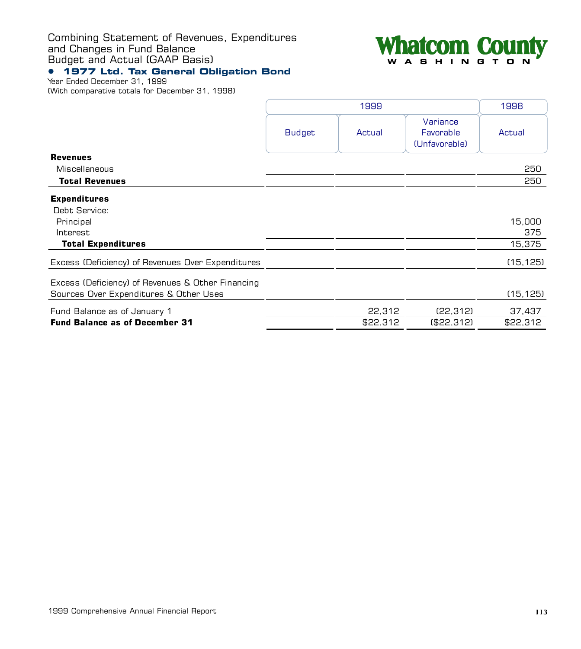

### ! 1977 Ltd. Tax General Obligation Bond

|                                                   |               | 1998     |                                        |           |
|---------------------------------------------------|---------------|----------|----------------------------------------|-----------|
|                                                   | <b>Budget</b> | Actual   | Variance<br>Favorable<br>(Unfavorable) | Actual    |
| <b>Revenues</b>                                   |               |          |                                        |           |
| <b>Miscellaneous</b>                              |               |          |                                        | 250       |
| <b>Total Revenues</b>                             |               |          |                                        | 250       |
| <b>Expenditures</b>                               |               |          |                                        |           |
| Debt Service:                                     |               |          |                                        |           |
| Principal                                         |               |          |                                        | 15,000    |
| Interest                                          |               |          |                                        | 375       |
| <b>Total Expenditures</b>                         |               |          |                                        | 15,375    |
| Excess (Deficiency) of Revenues Over Expenditures |               |          |                                        | (15, 125) |
| Excess (Deficiency) of Revenues & Other Financing |               |          |                                        |           |
| Sources Over Expenditures & Other Uses            |               |          |                                        | (15, 125) |
| Fund Balance as of January 1                      |               | 22,312   | (22, 312)                              | 37,437    |
| <b>Fund Balance as of December 31</b>             |               | \$22,312 | (\$22,312)                             | \$22,312  |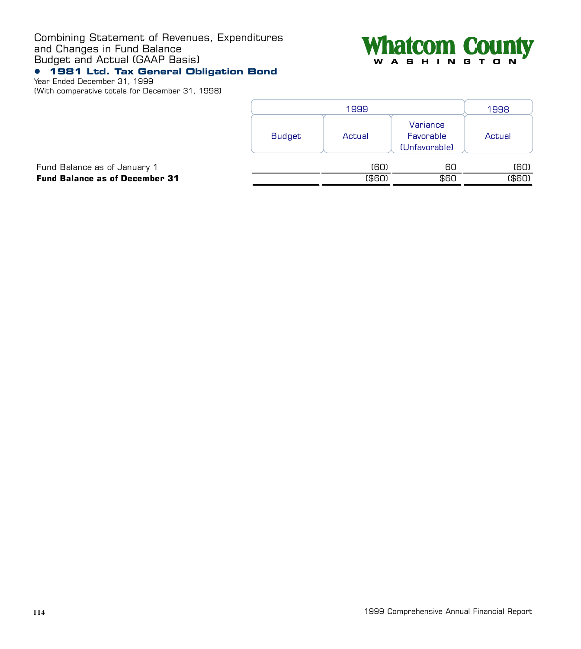

## ! 1981 Ltd. Tax General Obligation Bond

Year Ended December 31, 1999 (With comparative totals for December 31, 1998)

|               | 1999   |                                        | 1998   |
|---------------|--------|----------------------------------------|--------|
| <b>Budget</b> | Actual | Variance<br>Favorable<br>(Unfavorable) | Actual |
|               | (60)   | 60                                     | (60)   |
|               | (\$60  | \$60                                   | `תהיו" |

Fund Balance as of January 1 **Fund Balance as of December 31**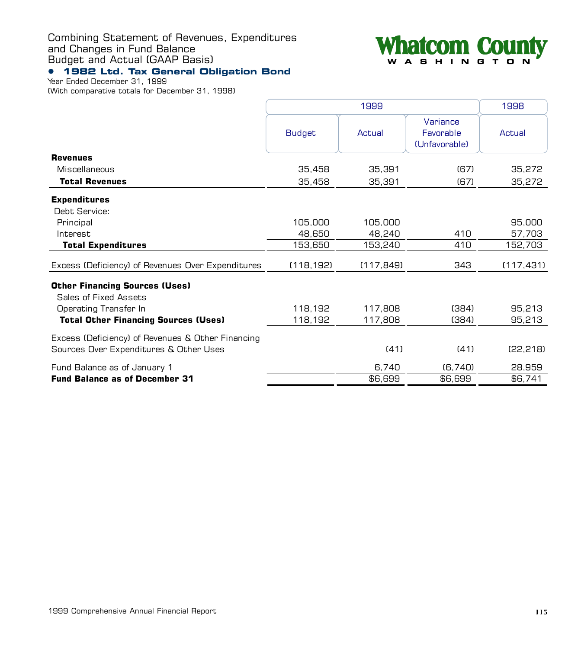

### ! 1982 Ltd. Tax General Obligation Bond

|                                                                                             |               | 1999       |                                        | 1998       |
|---------------------------------------------------------------------------------------------|---------------|------------|----------------------------------------|------------|
|                                                                                             | <b>Budget</b> | Actual     | Variance<br>Favorable<br>(Unfavorable) | Actual     |
| <b>Revenues</b>                                                                             |               |            |                                        |            |
| Miscellaneous                                                                               | 35,458        | 35,391     | (67)                                   | 35,272     |
| <b>Total Revenues</b>                                                                       | 35,458        | 35,391     | (67)                                   | 35,272     |
| <b>Expenditures</b><br>Debt Service:                                                        |               |            |                                        |            |
| Principal                                                                                   | 105,000       | 105,000    |                                        | 95,000     |
| Interest                                                                                    | 48,650        | 48.240     | 410                                    | 57,703     |
| <b>Total Expenditures</b>                                                                   | 153,650       | 153,240    | 410                                    | 152,703    |
| Excess (Deficiency) of Revenues Over Expenditures                                           | (118, 192)    | (117, 849) | 343                                    | (117, 431) |
| <b>Other Financing Sources (Uses)</b><br>Sales of Fixed Assets                              |               |            |                                        |            |
| Operating Transfer In                                                                       | 118,192       | 117,808    | (384)                                  | 95,213     |
| <b>Total Other Financing Sources (Uses)</b>                                                 | 118,192       | 117,808    | (384)                                  | 95,213     |
| Excess (Deficiency) of Revenues & Other Financing<br>Sources Over Expenditures & Other Uses |               | (41)       | (41)                                   | (22, 218)  |
| Fund Balance as of January 1                                                                |               | 6,740      | (6,740)                                | 28,959     |
| <b>Fund Balance as of December 31</b>                                                       |               | \$6,699    | \$6,699                                | \$6,741    |
|                                                                                             |               |            |                                        |            |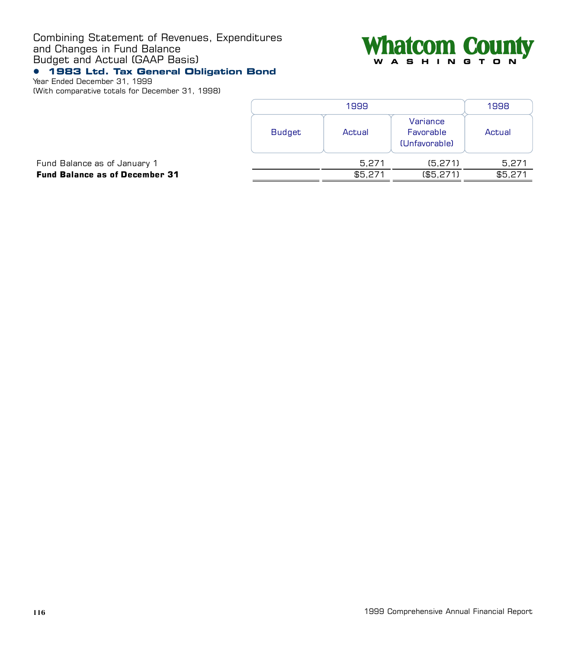

## ! 1983 Ltd. Tax General Obligation Bond

Year Ended December 31, 1999 (With comparative totals for December 31, 1998)

Fund Balance as of January 1 **Fund Balance as of December 31** 

|               | 1999    | 1998                                   |         |
|---------------|---------|----------------------------------------|---------|
| <b>Budget</b> | Actual  | Variance<br>Favorable<br>(Unfavorable) | Actual  |
|               | 5,271   | (5, 271)                               | 5,271   |
|               | \$5.271 | (\$5,271)                              | \$5,271 |

1999 Comprehensive Annual Financial Report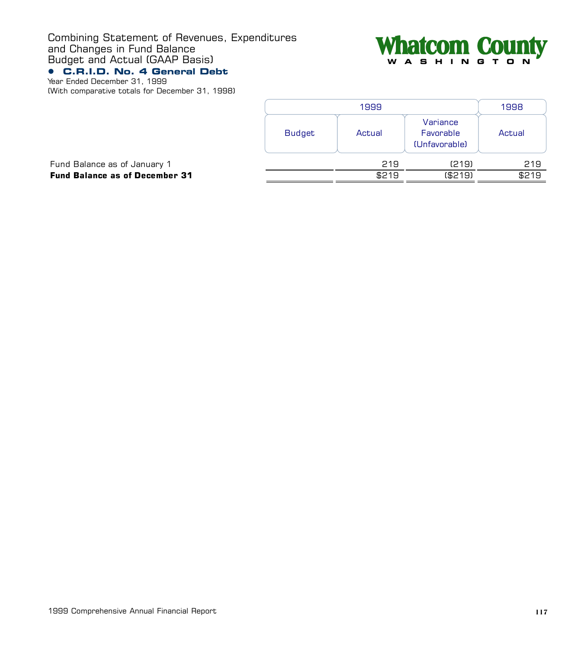

### ! C.R.I.D. No. 4 General Debt

Fund Balance as of January 1 **Fund Balance as of December 31** 

|               | 1998   |                                        |        |
|---------------|--------|----------------------------------------|--------|
| <b>Budget</b> | Actual | Variance<br>Favorable<br>(Unfavorable) | Actual |
|               | 219    | (219)                                  | 219    |
|               | \$219  | (\$219)                                | \$219  |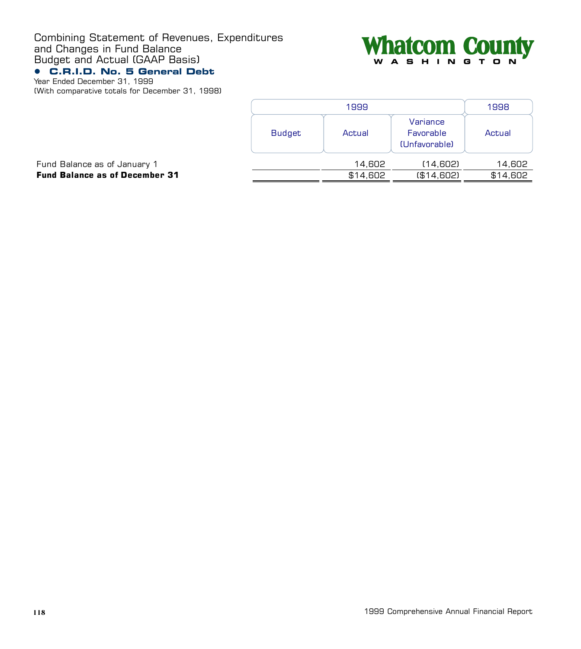

### ! C.R.I.D. No. 5 General Debt

Year Ended December 31, 1999 (With comparative totals for December 31, 1998)

Fund Balance as of January 1 **Fund Balance as of December 31** 

|               | 1998     |                                        |          |
|---------------|----------|----------------------------------------|----------|
| <b>Budget</b> | Actual   | Variance<br>Favorable<br>(Unfavorable) | Actual   |
|               | 14,602   | (14,602)                               | 14,602   |
|               | \$14,602 | (\$14,602)                             | \$14,602 |

1999 Comprehensive Annual Financial Report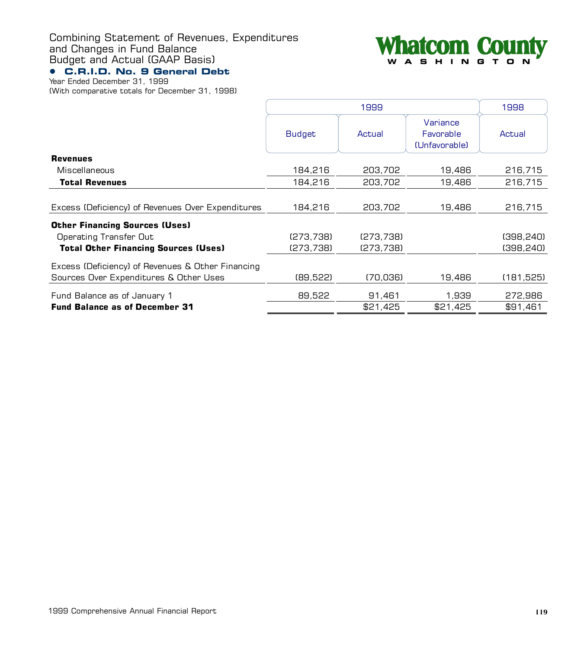

## ! C.R.I.D. No. 9 General Debt

|                                                   |               | 1998      |                                        |           |
|---------------------------------------------------|---------------|-----------|----------------------------------------|-----------|
|                                                   | <b>Budget</b> | Actual    | Variance<br>Favorable<br>(Unfavorable) | Actual    |
| <b>Revenues</b>                                   |               |           |                                        |           |
| <b>Miscellaneous</b>                              | 184.216       | 203,702   | 19,486                                 | 216,715   |
| <b>Total Revenues</b>                             | 184.216       | 203,702   | 19.486                                 | 216,715   |
|                                                   |               |           |                                        |           |
| Excess (Deficiency) of Revenues Over Expenditures | 184.216       | 203,702   | 19.486                                 | 216,715   |
| <b>Other Financing Sources (Uses)</b>             |               |           |                                        |           |
| Operating Transfer Out                            | (273.738)     | (273.738) |                                        | (398.240) |
| <b>Total Other Financing Sources (Uses)</b>       | (273.738)     | (273.738) |                                        | (398.240) |
| Excess (Deficiency) of Revenues & Other Financing |               |           |                                        |           |
| Sources Over Expenditures & Other Uses            | (89,522)      | (70.036)  | 19,486                                 | (181,525) |
| Fund Balance as of January 1                      | 89,522        | 91.461    | 1.939                                  | 272,986   |
| <b>Fund Balance as of December 31</b>             |               | \$21,425  | \$21,425                               | \$91,461  |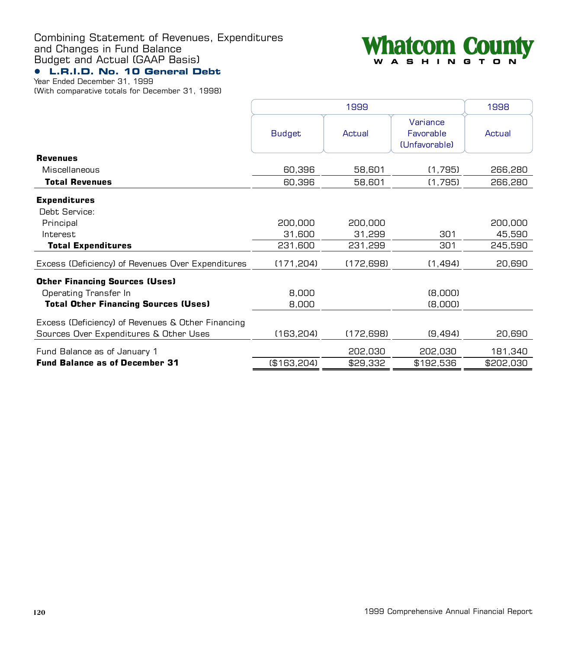

## ! L.R.I.D. No. 10 General Debt

|                                                   |               |            | 1998                                   |           |
|---------------------------------------------------|---------------|------------|----------------------------------------|-----------|
|                                                   | <b>Budget</b> | Actual     | Variance<br>Favorable<br>(Unfavorable) | Actual    |
| <b>Revenues</b>                                   |               |            |                                        |           |
| <b>Miscellaneous</b>                              | 60.396        | 58,601     | (1.795)                                | 266,280   |
| <b>Total Revenues</b>                             | 60,396        | 58.601     | (1.795)                                | 266,280   |
| <b>Expenditures</b>                               |               |            |                                        |           |
| Debt Service:                                     |               |            |                                        |           |
| Principal                                         | 200,000       | 200,000    |                                        | 200,000   |
| Interest                                          | 31,600        | 31,299     | 301                                    | 45,590    |
| <b>Total Expenditures</b>                         | 231,600       | 231.299    | 301                                    | 245,590   |
| Excess (Deficiency) of Revenues Over Expenditures | (171, 204)    | (172, 698) | (1,494)                                | 20,690    |
| <b>Other Financing Sources (Uses)</b>             |               |            |                                        |           |
| Operating Transfer In                             | 8.000         |            | (8.000)                                |           |
| <b>Total Other Financing Sources (Uses)</b>       | 8,000         |            | (8,000)                                |           |
| Excess (Deficiency) of Revenues & Other Financing |               |            |                                        |           |
| Sources Over Expenditures & Other Uses            | (163, 204)    | (172,698)  | (9,494)                                | 20,690    |
| Fund Balance as of January 1                      |               | 202,030    | 202,030                                | 181,340   |
| <b>Fund Balance as of December 31</b>             | (\$163,204)   | \$29,332   | \$192,536                              | \$202,030 |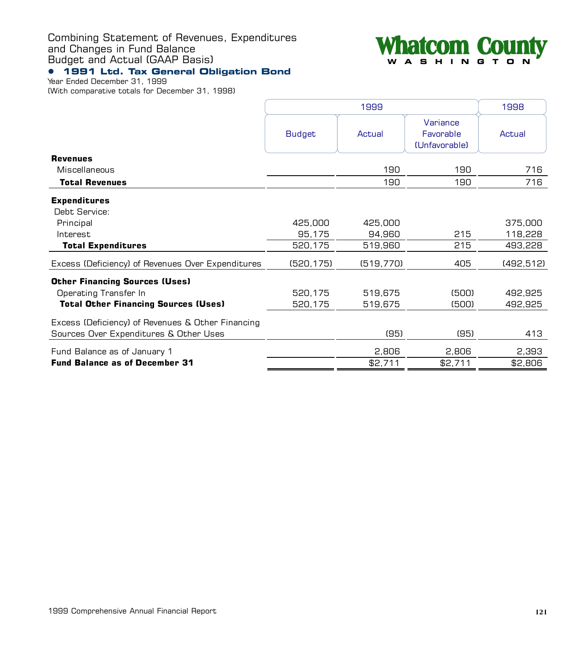

### ! 1991 Ltd. Tax General Obligation Bond

|                                                   |               | 1999      |                                        |            |  |
|---------------------------------------------------|---------------|-----------|----------------------------------------|------------|--|
|                                                   | <b>Budget</b> | Actual    | Variance<br>Favorable<br>(Unfavorable) | Actual     |  |
| <b>Revenues</b>                                   |               |           |                                        |            |  |
| <b>Miscellaneous</b>                              |               | 190       | 190                                    | 716        |  |
| <b>Total Revenues</b>                             |               | 190       | 190                                    | 716        |  |
| <b>Expenditures</b>                               |               |           |                                        |            |  |
| Debt Service:                                     |               |           |                                        |            |  |
| Principal                                         | 425,000       | 425,000   |                                        | 375,000    |  |
| Interest                                          | 95,175        | 94.960    | 215                                    | 118,228    |  |
| <b>Total Expenditures</b>                         | 520.175       | 519,960   | 215                                    | 493,228    |  |
| Excess (Deficiency) of Revenues Over Expenditures | (520, 175)    | (519,770) | 405                                    | (492, 512) |  |
| <b>Other Financing Sources (Uses)</b>             |               |           |                                        |            |  |
| Operating Transfer In                             | 520.175       | 519,675   | (500)                                  | 492,925    |  |
| <b>Total Other Financing Sources (Uses)</b>       | 520.175       | 519.675   | (500)                                  | 492.925    |  |
| Excess (Deficiency) of Revenues & Other Financing |               |           |                                        |            |  |
| Sources Over Expenditures & Other Uses            |               | (95)      | (95)                                   | 413        |  |
| Fund Balance as of January 1                      |               | 2,806     | 2,806                                  | 2,393      |  |
| <b>Fund Balance as of December 31</b>             |               | \$2,711   | \$2,711                                | \$2,806    |  |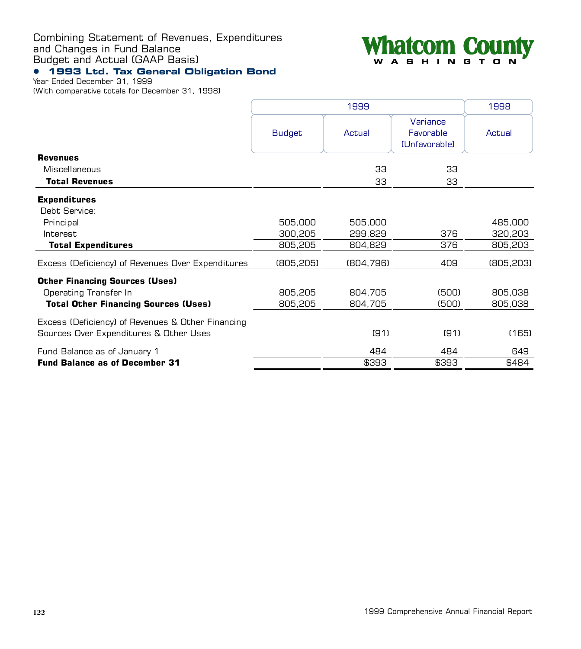

## ! 1993 Ltd. Tax General Obligation Bond

|                                                                                             |               |           | 1998                                   |            |
|---------------------------------------------------------------------------------------------|---------------|-----------|----------------------------------------|------------|
|                                                                                             | <b>Budget</b> | Actual    | Variance<br>Favorable<br>(Unfavorable) | Actual     |
| <b>Revenues</b>                                                                             |               |           |                                        |            |
| <b>Miscellaneous</b>                                                                        |               | 33        | 33                                     |            |
| <b>Total Revenues</b>                                                                       |               | 33        | 33                                     |            |
| <b>Expenditures</b>                                                                         |               |           |                                        |            |
| Debt Service:                                                                               |               |           |                                        |            |
| Principal                                                                                   | 505,000       | 505,000   |                                        | 485,000    |
| Interest                                                                                    | 300,205       | 299,829   | 376                                    | 320,203    |
| <b>Total Expenditures</b>                                                                   | 805,205       | 804.829   | 376                                    | 805,203    |
| Excess (Deficiency) of Revenues Over Expenditures                                           | (805, 205)    | (804,796) | 409                                    | (805, 203) |
| <b>Other Financing Sources (Uses)</b>                                                       |               |           |                                        |            |
| Operating Transfer In                                                                       | 805,205       | 804,705   | (500)                                  | 805,038    |
| <b>Total Other Financing Sources (Uses)</b>                                                 | 805,205       | 804,705   | (500)                                  | 805,038    |
| Excess (Deficiency) of Revenues & Other Financing<br>Sources Over Expenditures & Other Uses |               | (91)      | (91)                                   | (165)      |
| Fund Balance as of January 1                                                                |               | 484       | 484                                    | 649        |
| <b>Fund Balance as of December 31</b>                                                       |               | \$393     | \$393                                  | \$484      |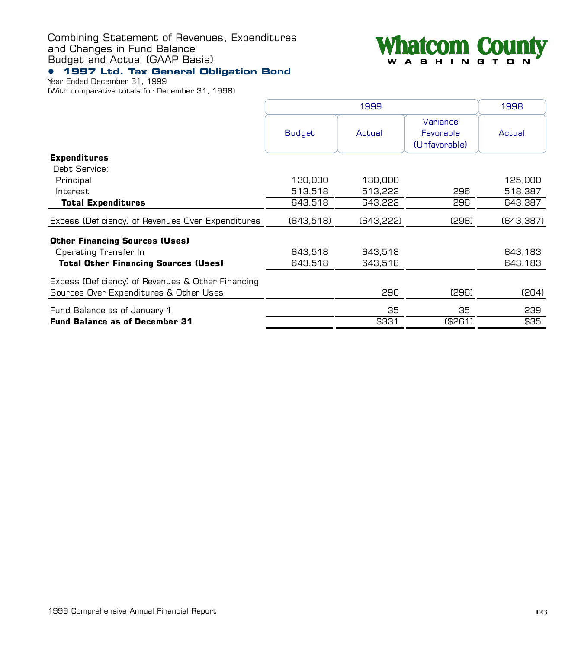

### ! 1997 Ltd. Tax General Obligation Bond

|                                                   |               | 1998      |                                        |           |
|---------------------------------------------------|---------------|-----------|----------------------------------------|-----------|
|                                                   | <b>Budget</b> | Actual    | Variance<br>Favorable<br>(Unfavorable) | Actual    |
| <b>Expenditures</b>                               |               |           |                                        |           |
| Debt Service:                                     |               |           |                                        |           |
| Principal                                         | 130,000       | 130,000   |                                        | 125,000   |
| Interest                                          | 513,518       | 513,222   | 296                                    | 518,387   |
| <b>Total Expenditures</b>                         | 643.518       | 643.222   | 296                                    | 643.387   |
| Excess (Deficiency) of Revenues Over Expenditures | (643,518)     | (643,222) | (296)                                  | (643.387) |
| <b>Other Financing Sources (Uses)</b>             |               |           |                                        |           |
| Operating Transfer In                             | 643.518       | 643,518   |                                        | 643.183   |
| <b>Total Other Financing Sources (Uses)</b>       | 643,518       | 643,518   |                                        | 643,183   |
| Excess (Deficiency) of Revenues & Other Financing |               |           |                                        |           |
| Sources Over Expenditures & Other Uses            |               | 296       | (296)                                  | (204)     |
| Fund Balance as of January 1                      |               | 35        | 35                                     | 239       |
| <b>Fund Balance as of December 31</b>             |               | \$331     | (\$261)                                | \$35      |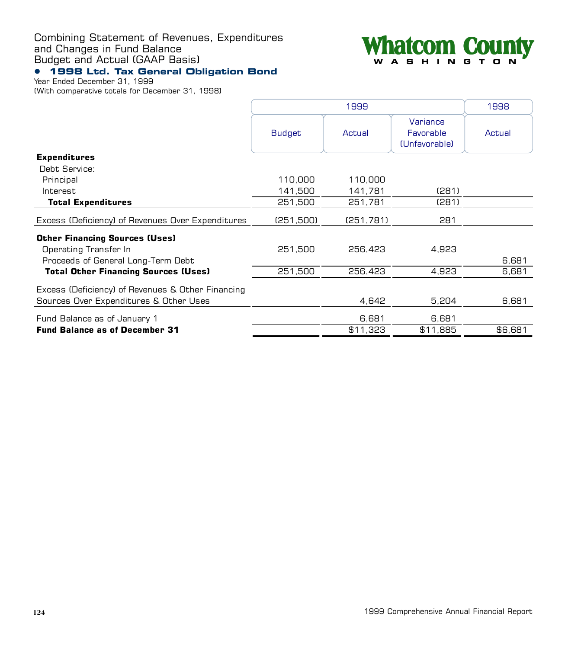

## ! 1998 Ltd. Tax General Obligation Bond

|                                                   | 1999          |           |                                        | 1998    |
|---------------------------------------------------|---------------|-----------|----------------------------------------|---------|
|                                                   | <b>Budget</b> | Actual    | Variance<br>Favorable<br>(Unfavorable) | Actual  |
| <b>Expenditures</b>                               |               |           |                                        |         |
| Debt Service:                                     |               |           |                                        |         |
| Principal                                         | 110,000       | 110,000   |                                        |         |
| Interest                                          | 141,500       | 141,781   | (281)                                  |         |
| <b>Total Expenditures</b>                         | 251,500       | 251,781   | (281)                                  |         |
| Excess (Deficiency) of Revenues Over Expenditures | (251,500)     | (251.781) | 281                                    |         |
| <b>Other Financing Sources (Uses)</b>             |               |           |                                        |         |
| Operating Transfer In                             | 251,500       | 256,423   | 4.923                                  |         |
| Proceeds of General Long-Term Debt                |               |           |                                        | 6,681   |
| <b>Total Other Financing Sources (Uses)</b>       | 251,500       | 256,423   | 4.923                                  | 6,681   |
| Excess (Deficiency) of Revenues & Other Financing |               |           |                                        |         |
| Sources Over Expenditures & Other Uses            |               | 4.642     | 5.204                                  | 6,681   |
| Fund Balance as of January 1                      |               | 6,681     | 6,681                                  |         |
| <b>Fund Balance as of December 31</b>             |               | \$11,323  | \$11,885                               | \$6,681 |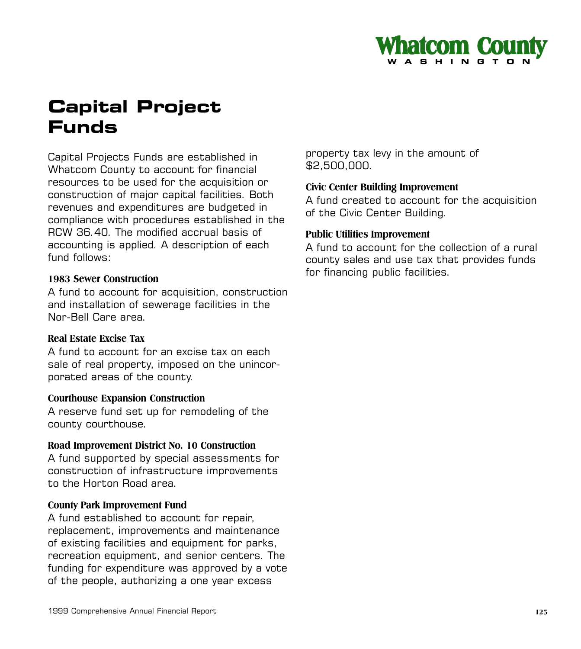

# Capital Project Funds

Capital Projects Funds are established in Whatcom County to account for financial resources to be used for the acquisition or construction of major capital facilities. Both revenues and expenditures are budgeted in compliance with procedures established in the RCW 36.40. The modified accrual basis of accounting is applied. A description of each fund follows:

### 1983 Sewer Construction

A fund to account for acquisition, construction and installation of sewerage facilities in the Nor-Bell Care area.

### Real Estate Excise Tax

A fund to account for an excise tax on each sale of real property, imposed on the unincorporated areas of the county.

### Courthouse Expansion Construction

A reserve fund set up for remodeling of the county courthouse.

### Road Improvement District No. 10 Construction

A fund supported by special assessments for construction of infrastructure improvements to the Horton Road area.

### County Park Improvement Fund

A fund established to account for repair, replacement, improvements and maintenance of existing facilities and equipment for parks, recreation equipment, and senior centers. The funding for expenditure was approved by a vote of the people, authorizing a one year excess

property tax levy in the amount of \$2,500,000.

## Civic Center Building Improvement

A fund created to account for the acquisition of the Civic Center Building.

### Public Utilities Improvement

A fund to account for the collection of a rural county sales and use tax that provides funds for financing public facilities.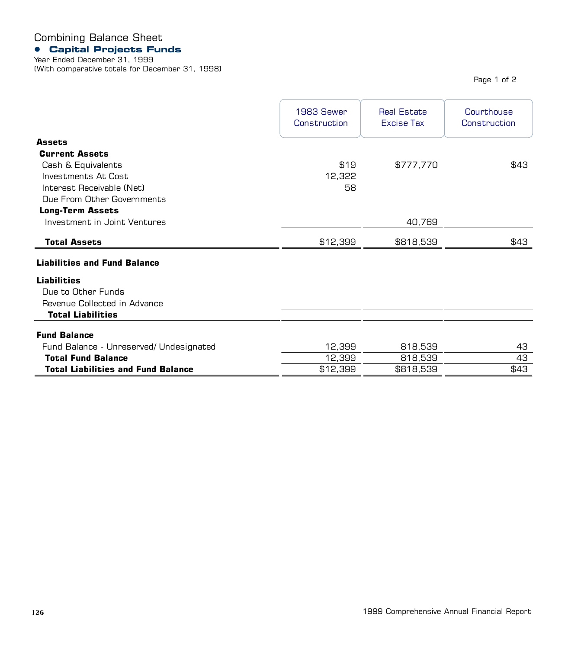## Combining Balance Sheet

## **• Capital Projects Funds**

Year Ended December 31, 1999 (With comparative totals for December 31, 1998)

Page 1 of 2

|                                           | 1983 Sewer<br>Construction | <b>Real Estate</b><br>Excise Tax | Courthouse<br>Construction |
|-------------------------------------------|----------------------------|----------------------------------|----------------------------|
| <b>Assets</b>                             |                            |                                  |                            |
| <b>Current Assets</b>                     |                            |                                  |                            |
| Cash & Equivalents                        | \$19                       | \$777,770                        | \$43                       |
| Investments At Cost                       | 12,322                     |                                  |                            |
| Interest Receivable (Net)                 | 58                         |                                  |                            |
| Due From Other Governments                |                            |                                  |                            |
| <b>Long-Term Assets</b>                   |                            |                                  |                            |
| Investment in Joint Ventures              |                            | 40,769                           |                            |
| <b>Total Assets</b>                       | \$12,399                   | \$818,539                        | \$43                       |
| <b>Liabilities and Fund Balance</b>       |                            |                                  |                            |
| <b>Liabilities</b>                        |                            |                                  |                            |
| Due to Other Funds                        |                            |                                  |                            |
| Revenue Collected in Advance              |                            |                                  |                            |
| <b>Total Liabilities</b>                  |                            |                                  |                            |
| <b>Fund Balance</b>                       |                            |                                  |                            |
| Fund Balance - Unreserved/ Undesignated   | 12,399                     | 818,539                          | 43                         |
| <b>Total Fund Balance</b>                 | 12,399                     | 818,539                          | 43                         |
| <b>Total Liabilities and Fund Balance</b> | \$12,399                   | \$818,539                        | \$43                       |
|                                           |                            |                                  |                            |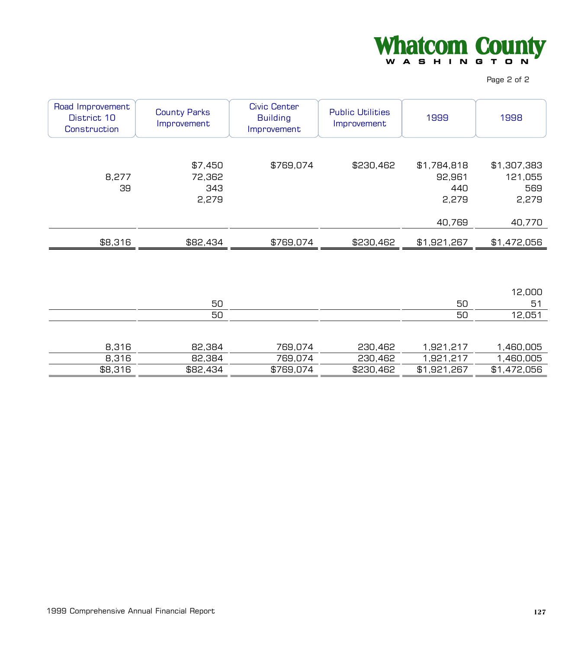

Page 2 of 2

| Road Improvement<br>District 10<br>Construction | <b>County Parks</b><br>Improvement | <b>Civic Center</b><br><b>Building</b><br>Improvement | <b>Public Utilities</b><br>Improvement | 1999                                  | 1998                                   |
|-------------------------------------------------|------------------------------------|-------------------------------------------------------|----------------------------------------|---------------------------------------|----------------------------------------|
| 8,277<br>39                                     | \$7,450<br>72,362<br>343<br>2,279  | \$769,074                                             | \$230,462                              | \$1,784,818<br>92,961<br>440<br>2,279 | \$1,307,383<br>121,055<br>569<br>2,279 |
|                                                 |                                    |                                                       |                                        | 40,769                                | 40,770                                 |
| \$8,316                                         | \$82,434                           | \$769,074                                             | \$230,462                              | \$1,921,267                           | \$1,472,056                            |
|                                                 |                                    |                                                       |                                        |                                       |                                        |
|                                                 |                                    |                                                       |                                        |                                       | 12,000                                 |
|                                                 | 50                                 |                                                       |                                        | 50                                    | 51                                     |
|                                                 | 50                                 |                                                       |                                        | 50                                    | 12,051                                 |
|                                                 |                                    |                                                       |                                        |                                       |                                        |
| 8,316                                           | 82,384                             | 769,074                                               | 230,462                                | 1,921,217                             | 1,460,005                              |
| 8,316                                           | 82,384                             | 769,074                                               | 230,462                                | 1,921,217                             | 1,460,005                              |
| \$8,316                                         | \$82,434                           | \$769,074                                             | \$230,462                              | \$1,921,267                           | \$1,472,056                            |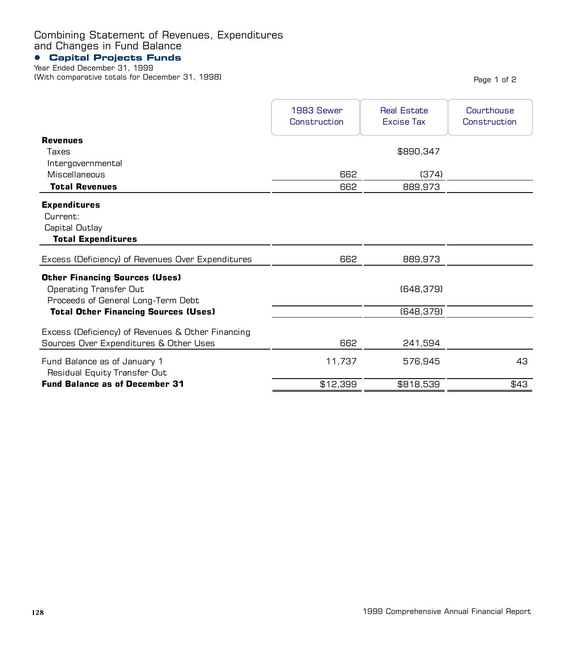## Combining Statement of Revenues, Expenditures and Changes in Fund Balance

## **• Capital Projects Funds**

Year Ended December 31, 1999 (With comparative totals for December 31, 1998)

|                                                   | 1983 Sewer<br>Construction | <b>Real Estate</b><br>Excise Tax | Courthouse<br>Construction |
|---------------------------------------------------|----------------------------|----------------------------------|----------------------------|
| <b>Revenues</b>                                   |                            |                                  |                            |
| Taxes                                             |                            | \$890,347                        |                            |
| Intergovernmental                                 |                            |                                  |                            |
| Miscellaneous                                     | 662                        | (374)                            |                            |
| <b>Total Revenues</b>                             | 662                        | 889,973                          |                            |
| <b>Expenditures</b>                               |                            |                                  |                            |
| Current:                                          |                            |                                  |                            |
| Capital Outlay                                    |                            |                                  |                            |
| <b>Total Expenditures</b>                         |                            |                                  |                            |
| Excess (Deficiency) of Revenues Over Expenditures | 662                        | 889,973                          |                            |
| <b>Other Financing Sources (Uses)</b>             |                            |                                  |                            |
| Operating Transfer Out                            |                            | (648, 379)                       |                            |
| Proceeds of General Long-Term Debt                |                            |                                  |                            |
| <b>Total Other Financing Sources (Uses)</b>       |                            | (648, 379)                       |                            |
| Excess (Deficiency) of Revenues & Other Financing |                            |                                  |                            |
| Sources Over Expenditures & Other Uses            | 662                        | 241,594                          |                            |
| Fund Balance as of January 1                      | 11,737                     | 576,945                          | 43                         |
| Residual Equity Transfer Out                      |                            |                                  |                            |
| <b>Fund Balance as of December 31</b>             | \$12,399                   | \$818,539                        | \$43                       |
|                                                   |                            |                                  |                            |

Page 1 of 2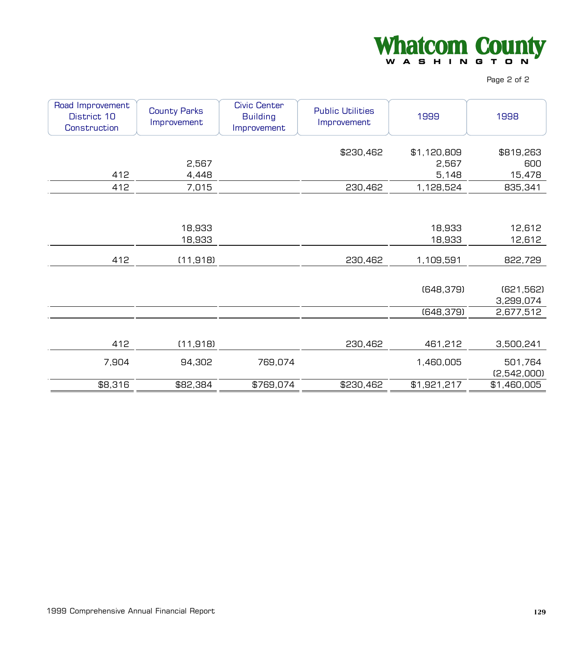

Page 2 of 2

| Road Improvement<br>District 10<br>Construction | <b>County Parks</b><br>Improvement | <b>Civic Center</b><br><b>Building</b><br>Improvement | <b>Public Utilities</b><br>Improvement | 1999        | 1998                    |
|-------------------------------------------------|------------------------------------|-------------------------------------------------------|----------------------------------------|-------------|-------------------------|
|                                                 |                                    |                                                       | \$230,462                              | \$1,120,809 | \$819,263               |
|                                                 | 2,567                              |                                                       |                                        | 2,567       | 600                     |
| 412                                             | 4,448                              |                                                       |                                        | 5,148       | 15,478                  |
| 412                                             | 7,015                              |                                                       | 230,462                                | 1,128,524   | 835,341                 |
|                                                 | 18,933                             |                                                       |                                        | 18,933      | 12,612                  |
|                                                 | 18,933                             |                                                       |                                        | 18,933      | 12,612                  |
| 412                                             | (11, 918)                          |                                                       | 230,462                                | 1,109,591   | 822,729                 |
|                                                 |                                    |                                                       |                                        | (648, 379)  | (621, 562)<br>3,299,074 |
|                                                 |                                    |                                                       |                                        | (648, 379)  | 2,677,512               |
|                                                 |                                    |                                                       |                                        |             |                         |
| 412                                             | (11, 918)                          |                                                       | 230,462                                | 461,212     | 3,500,241               |
| 7,904                                           | 94,302                             | 769,074                                               |                                        | 1,460,005   | 501,764<br>(2,542,000)  |
| \$8,316                                         | \$82,384                           | \$769,074                                             | \$230,462                              | \$1,921,217 | \$1,460,005             |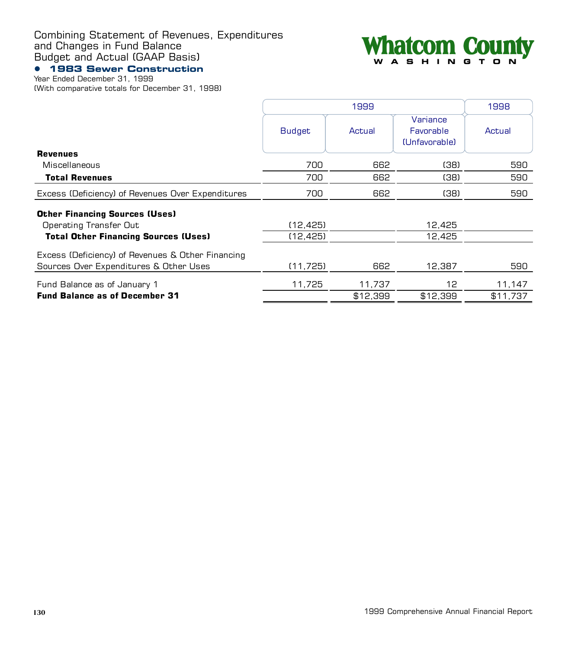

### **. 1983 Sewer Construction**

|                                                   | 1999          |          |                                        | 1998     |
|---------------------------------------------------|---------------|----------|----------------------------------------|----------|
|                                                   | <b>Budget</b> | Actual   | Variance<br>Favorable<br>(Unfavorable) | Actual   |
| <b>Revenues</b>                                   |               |          |                                        |          |
| <b>Miscellaneous</b>                              | 700           | 662      | (38)                                   | 590      |
| <b>Total Revenues</b>                             | 700           | 662      | (38)                                   | 590      |
| Excess (Deficiency) of Revenues Over Expenditures | 700           | 662      | (38)                                   | 590      |
| <b>Other Financing Sources (Uses)</b>             |               |          |                                        |          |
| Operating Transfer Out                            | (12.425)      |          | 12,425                                 |          |
| <b>Total Other Financing Sources (Uses)</b>       | (12, 425)     |          | 12.425                                 |          |
| Excess (Deficiency) of Revenues & Other Financing |               |          |                                        |          |
| Sources Over Expenditures & Other Uses            | (11.725)      | 662      | 12.387                                 | 590      |
| Fund Balance as of January 1                      | 11.725        | 11.737   | 12                                     | 11,147   |
| <b>Fund Balance as of December 31</b>             |               | \$12,399 | \$12,399                               | \$11.737 |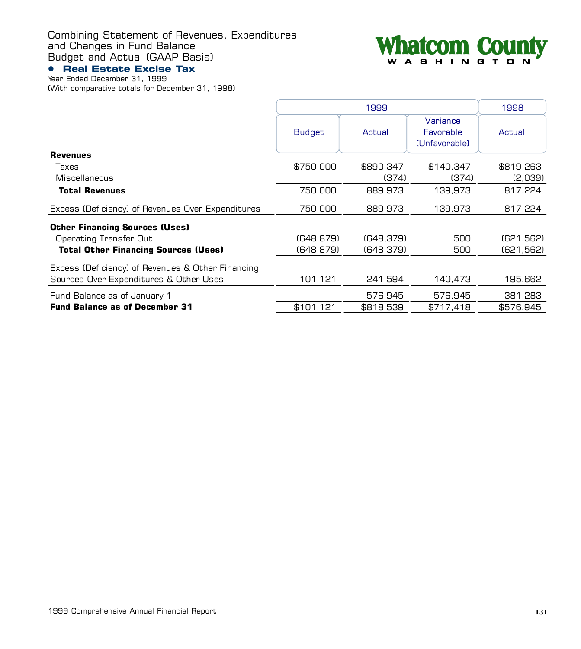

## **• Real Estate Excise Tax**

|                                                   | 1999          |           |                                        | 1998      |
|---------------------------------------------------|---------------|-----------|----------------------------------------|-----------|
|                                                   | <b>Budget</b> | Actual    | Variance<br>Favorable<br>(Unfavorable) | Actual    |
| <b>Revenues</b>                                   |               |           |                                        |           |
| Taxes                                             | \$750,000     | \$890,347 | \$140.347                              | \$819,263 |
| <b>Miscellaneous</b>                              |               | (374)     | (374)                                  | (2,039)   |
| <b>Total Revenues</b>                             | 750,000       | 889.973   | 139.973                                | 817,224   |
| Excess (Deficiency) of Revenues Over Expenditures | 750,000       | 889.973   | 139.973                                | 817.224   |
| <b>Other Financing Sources (Uses)</b>             |               |           |                                        |           |
| Operating Transfer Out                            | (648.879)     | (648.379) | 500                                    | (621,562) |
| <b>Total Other Financing Sources (Uses)</b>       | (648,879)     | (648.379) | 500                                    | (621.562) |
| Excess (Deficiency) of Revenues & Other Financing |               |           |                                        |           |
| Sources Over Expenditures & Other Uses            | 101,121       | 241.594   | 140.473                                | 195,662   |
| Fund Balance as of January 1                      |               | 576.945   | 576.945                                | 381.283   |
| <b>Fund Balance as of December 31</b>             | \$101,121     | \$818,539 | \$717.418                              | \$576.945 |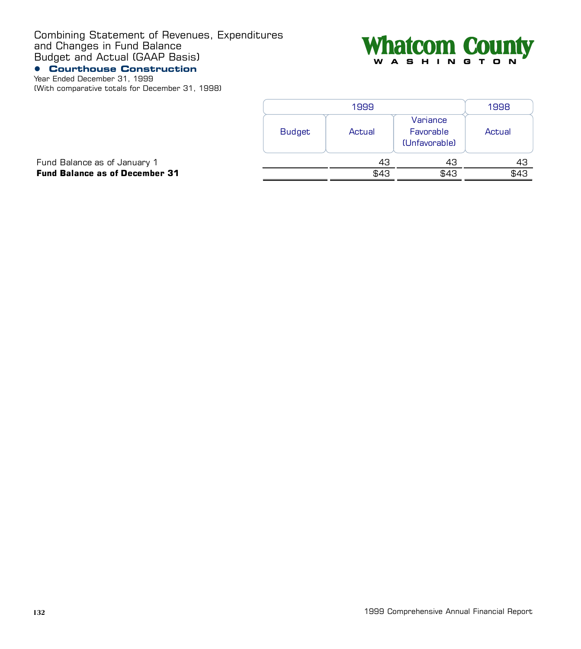

## **• Courthouse Construction**

Year Ended December 31, 1999 (With comparative totals for December 31, 1998)

|               | 1998   |                                        |        |
|---------------|--------|----------------------------------------|--------|
| <b>Budget</b> | Actual | Variance<br>Favorable<br>(Unfavorable) | Actual |
|               | 43     | 43                                     | 43     |
|               | \$43   | \$43                                   | ደ ለ ገ  |

Fund Balance as of January 1 **Fund Balance as of December 31**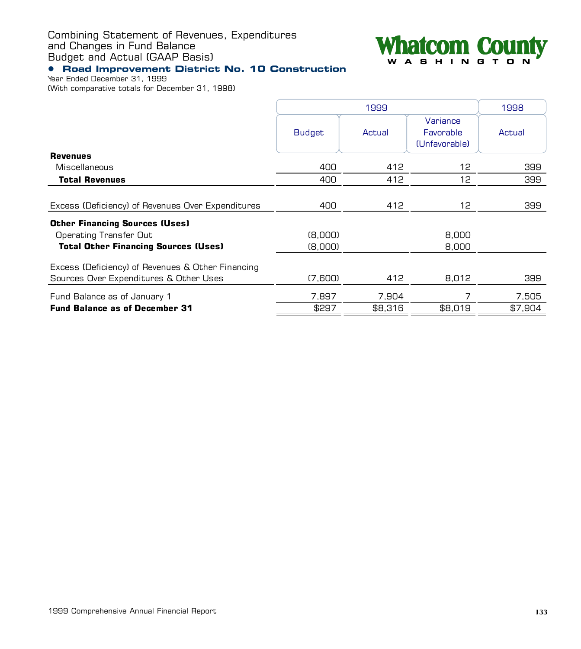

## ! Road Improvement District No. 10 Construction

|                                                   | 1999          |         |                                        | 1998    |
|---------------------------------------------------|---------------|---------|----------------------------------------|---------|
|                                                   | <b>Budget</b> | Actual  | Variance<br>Favorable<br>(Unfavorable) | Actual  |
| <b>Revenues</b>                                   |               |         |                                        |         |
| Miscellaneous                                     | 400           | 412     | 12                                     | 399     |
| <b>Total Revenues</b>                             | 400           | 412     | 12                                     | 399     |
|                                                   |               |         |                                        |         |
| Excess (Deficiency) of Revenues Over Expenditures | 400           | 412     | 12                                     | 399     |
| <b>Other Financing Sources (Uses)</b>             |               |         |                                        |         |
| Operating Transfer Out                            | (8.000)       |         | 8.000                                  |         |
| <b>Total Other Financing Sources (Uses)</b>       | (8.000)       |         | 8,000                                  |         |
| Excess (Deficiency) of Revenues & Other Financing |               |         |                                        |         |
| Sources Over Expenditures & Other Uses            | (7.600)       | 412     | 8.012                                  | 399     |
| Fund Balance as of January 1                      | 7.897         | 7.904   |                                        | 7,505   |
| <b>Fund Balance as of December 31</b>             | \$297         | \$8,316 | \$8,019                                | \$7.904 |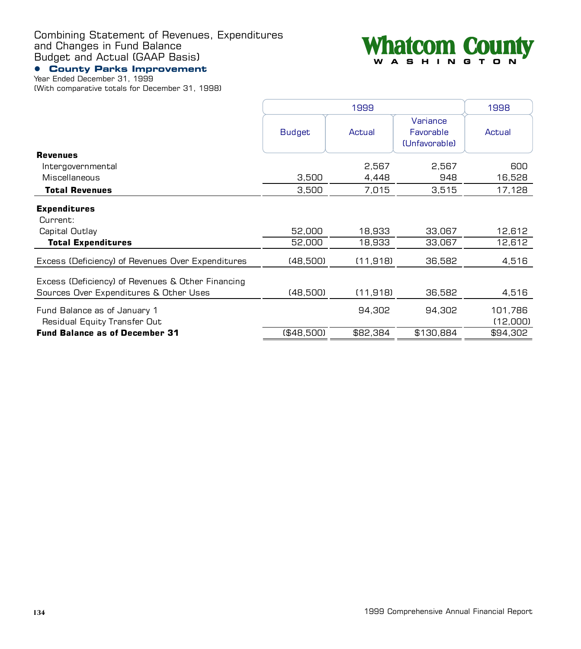

## **• County Parks Improvement**

|                                                   |               | 1998      |                                        |          |
|---------------------------------------------------|---------------|-----------|----------------------------------------|----------|
|                                                   | <b>Budget</b> | Actual    | Variance<br>Favorable<br>(Unfavorable) | Actual   |
| <b>Revenues</b>                                   |               |           |                                        |          |
| Intergovernmental                                 |               | 2.567     | 2,567                                  | 600      |
| <b>Miscellaneous</b>                              | 3.500         | 4,448     | 948                                    | 16,528   |
| <b>Total Revenues</b>                             | 3,500         | 7,015     | 3,515                                  | 17,128   |
| <b>Expenditures</b>                               |               |           |                                        |          |
| Current:                                          |               |           |                                        |          |
| Capital Outlay                                    | 52,000        | 18.933    | 33,067                                 | 12,612   |
| <b>Total Expenditures</b>                         | 52,000        | 18.933    | 33,067                                 | 12,612   |
| Excess (Deficiency) of Revenues Over Expenditures | (48,500)      | (11, 918) | 36,582                                 | 4,516    |
| Excess (Deficiency) of Revenues & Other Financing |               |           |                                        |          |
|                                                   |               |           |                                        |          |
| Sources Over Expenditures & Other Uses            | (48,500)      | (11, 918) | 36,582                                 | 4,516    |
| Fund Balance as of January 1                      |               | 94.302    | 94.302                                 | 101.786  |
| Residual Equity Transfer Out                      |               |           |                                        | (12.000) |
| <b>Fund Balance as of December 31</b>             | (\$48.500)    | \$82,384  | \$130,884                              | \$94.302 |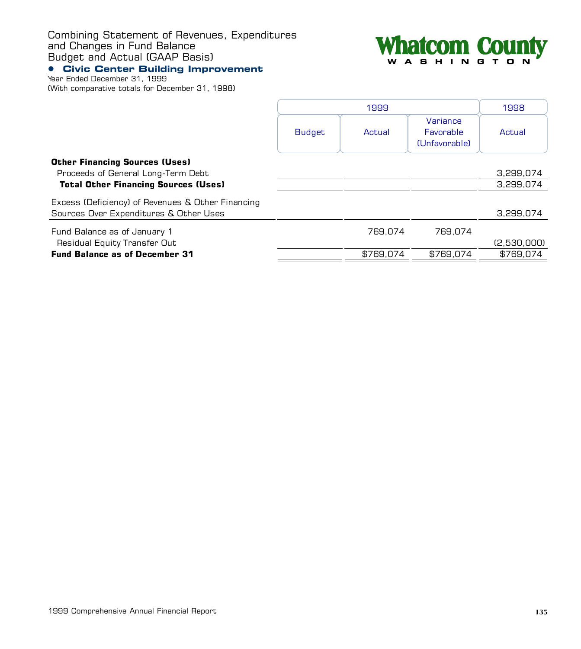

## **• Civic Center Building Improvement**

|                                                   | 1999          |           |                                        | 1998        |
|---------------------------------------------------|---------------|-----------|----------------------------------------|-------------|
|                                                   | <b>Budget</b> | Actual    | Variance<br>Favorable<br>(Unfavorable) | Actual      |
| <b>Other Financing Sources (Uses)</b>             |               |           |                                        |             |
| Proceeds of General Long-Term Debt                |               |           |                                        | 3.299.074   |
| <b>Total Other Financing Sources (Uses)</b>       |               |           |                                        | 3.299.074   |
| Excess (Deficiency) of Revenues & Other Financing |               |           |                                        |             |
| Sources Over Expenditures & Other Uses            |               |           |                                        | 3.299.074   |
| Fund Balance as of January 1                      |               | 769.074   | 769.074                                |             |
| Residual Equity Transfer Out                      |               |           |                                        | (2,530,000) |
| <b>Fund Balance as of December 31</b>             |               | \$769.074 | \$769.074                              | \$769,074   |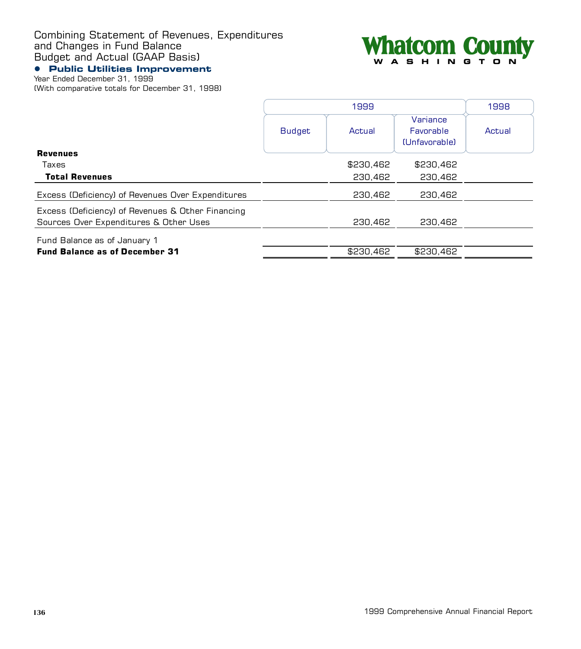

### **• Public Utilities Improvement**

|                                                                                             | 1999          |           |                                        | 1998   |
|---------------------------------------------------------------------------------------------|---------------|-----------|----------------------------------------|--------|
|                                                                                             | <b>Budget</b> | Actual    | Variance<br>Favorable<br>(Unfavorable) | Actual |
| <b>Revenues</b>                                                                             |               |           |                                        |        |
| Taxes                                                                                       |               | \$230,462 | \$230,462                              |        |
| <b>Total Revenues</b>                                                                       |               | 230,462   | 230,462                                |        |
| Excess (Deficiency) of Revenues Over Expenditures                                           |               | 230.462   | 230,462                                |        |
| Excess (Deficiency) of Revenues & Other Financing<br>Sources Over Expenditures & Other Uses |               | 230,462   | 230,462                                |        |
| Fund Balance as of January 1                                                                |               |           |                                        |        |
| <b>Fund Balance as of December 31</b>                                                       |               | \$230,462 | \$230,462                              |        |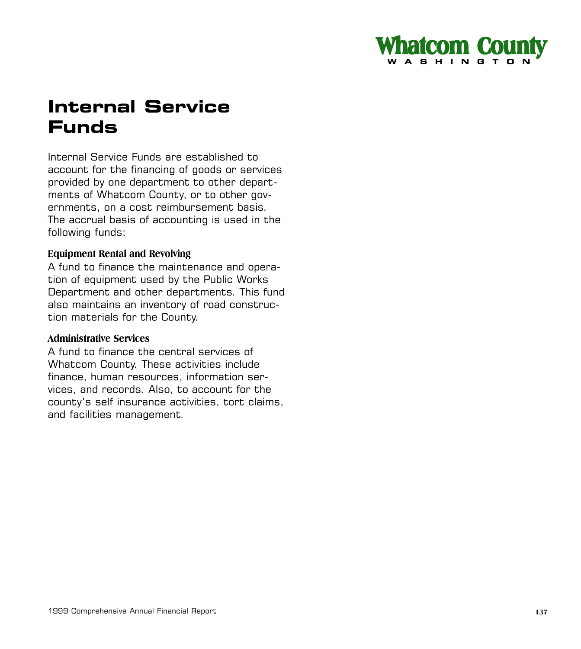

# Internal Service Funds

Internal Service Funds are established to account for the financing of goods or services provided by one department to other departments of Whatcom County, or to other governments, on a cost reimbursement basis. The accrual basis of accounting is used in the following funds:

### Equipment Rental and Revolving

A fund to finance the maintenance and operation of equipment used by the Public Works Department and other departments. This fund also maintains an inventory of road construction materials for the County.

### Administrative Services

A fund to finance the central services of Whatcom County. These activities include finance, human resources, information services, and records. Also, to account for the countyís self insurance activities, tort claims, and facilities management.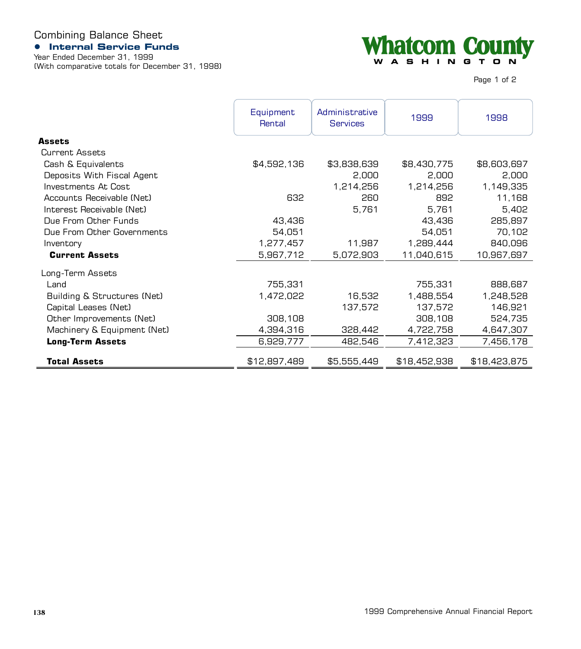## Combining Balance Sheet

### **• Internal Service Funds**

Year Ended December 31, 1999 (With comparative totals for December 31, 1998)



Page 1 of 2

|                             | Equipment<br>Rental | Administrative<br><b>Services</b> | 1999         | 1998         |
|-----------------------------|---------------------|-----------------------------------|--------------|--------------|
| <b>Assets</b>               |                     |                                   |              |              |
| Current Assets              |                     |                                   |              |              |
| Cash & Equivalents          | \$4,592,136         | \$3,838,639                       | \$8,430,775  | \$8,603,697  |
| Deposits With Fiscal Agent  |                     | 2,000                             | 2,000        | 2,000        |
| Investments At Cost         |                     | 1,214,256                         | 1,214,256    | 1,149,335    |
| Accounts Receivable (Net)   | 632                 | 260                               | 892          | 11,168       |
| Interest Receivable (Net)   |                     | 5,761                             | 5,761        | 5,402        |
| Due From Other Funds        | 43,436              |                                   | 43,436       | 285,897      |
| Due From Other Governments  | 54,051              |                                   | 54,051       | 70,102       |
| Inventory                   | 1,277,457           | 11,987                            | 1,289,444    | 840,096      |
| <b>Current Assets</b>       | 5,967,712           | 5,072,903                         | 11,040,615   | 10,967,697   |
| Long-Term Assets            |                     |                                   |              |              |
| Land                        | 755,331             |                                   | 755,331      | 888,687      |
| Building & Structures (Net) | 1,472,022           | 16,532                            | 1,488,554    | 1,248,528    |
| Capital Leases (Net)        |                     | 137,572                           | 137,572      | 146,921      |
| Other Improvements (Net)    | 308,108             |                                   | 308,108      | 524,735      |
| Machinery & Equipment (Net) | 4,394,316           | 328,442                           | 4,722,758    | 4,647,307    |
| <b>Long-Term Assets</b>     | 6,929,777           | 482,546                           | 7,412,323    | 7,456,178    |
| <b>Total Assets</b>         | \$12,897,489        | \$5,555,449                       | \$18,452,938 | \$18,423,875 |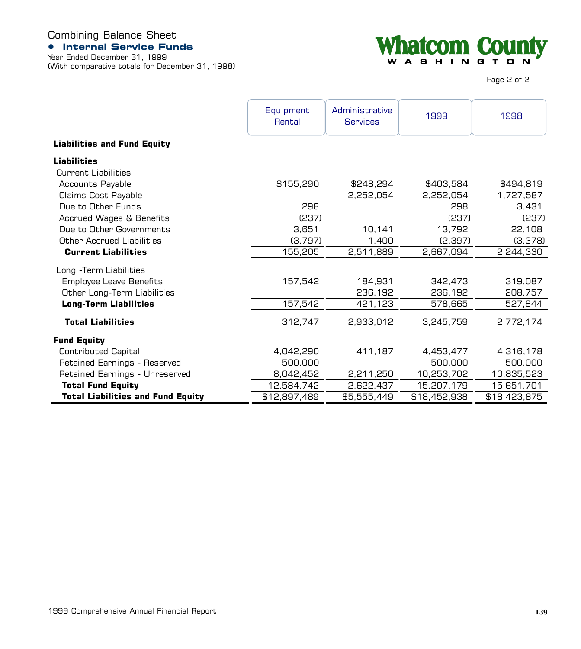# Combining Balance Sheet

#### **• Internal Service Funds**

Year Ended December 31, 1999 (With comparative totals for December 31, 1998)



|                                          | Equipment<br>Rental | Administrative<br><b>Services</b> | 1999         | 1998         |
|------------------------------------------|---------------------|-----------------------------------|--------------|--------------|
| <b>Liabilities and Fund Equity</b>       |                     |                                   |              |              |
| <b>Liabilities</b>                       |                     |                                   |              |              |
| Current Liabilities                      |                     |                                   |              |              |
| Accounts Payable                         | \$155,290           | \$248,294                         | \$403,584    | \$494,819    |
| Claims Cost Payable                      |                     | 2,252,054                         | 2,252,054    | 1,727,587    |
| Due to Other Funds                       | 298                 |                                   | 298          | 3.431        |
| Accrued Wages & Benefits                 | (237)               |                                   | (237)        | (237)        |
| Due to Other Governments                 | 3,651               | 10,141                            | 13.792       | 22,108       |
| Other Accrued Liabilities                | (3,797)             | 1,400                             | (2,397)      | (3,378)      |
| <b>Current Liabilities</b>               | 155,205             | 2,511,889                         | 2,667,094    | 2,244,330    |
| Long - Term Liabilities                  |                     |                                   |              |              |
| <b>Employee Leave Benefits</b>           | 157,542             | 184.931                           | 342.473      | 319,087      |
| Other Long-Term Liabilities              |                     | 236,192                           | 236,192      | 208,757      |
| <b>Long-Term Liabilities</b>             | 157,542             | 421,123                           | 578,665      | 527,844      |
| <b>Total Liabilities</b>                 | 312,747             | 2,933,012                         | 3,245,759    | 2,772,174    |
| <b>Fund Equity</b>                       |                     |                                   |              |              |
| Contributed Capital                      | 4,042,290           | 411,187                           | 4,453,477    | 4,316,178    |
| Retained Earnings - Reserved             | 500,000             |                                   | 500,000      | 500,000      |
| Retained Earnings - Unreserved           | 8,042,452           | 2,211,250                         | 10,253,702   | 10,835,523   |
| <b>Total Fund Equity</b>                 | 12,584,742          | 2,622,437                         | 15,207,179   | 15,651,701   |
| <b>Total Liabilities and Fund Equity</b> | \$12,897,489        | \$5,555,449                       | \$18,452,938 | \$18,423,875 |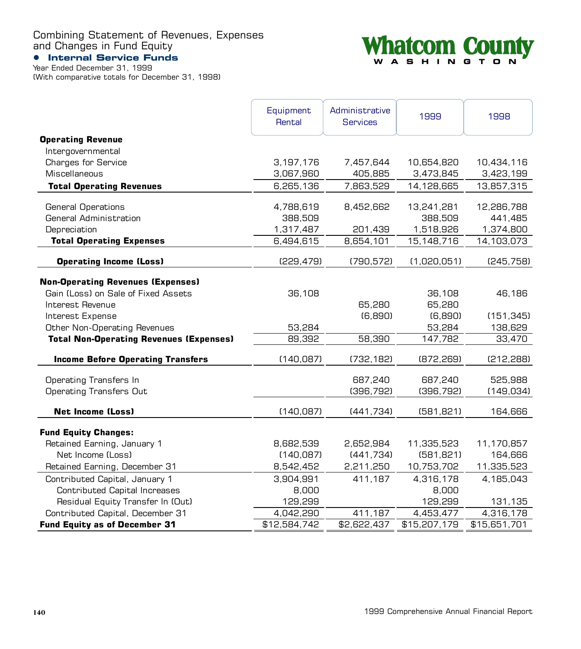### Combining Statement of Revenues, Expenses and Changes in Fund Equity

#### **• Internal Service Funds**



Year Ended December 31, 1999 (With comparative totals for December 31, 1998)

|                                                                         | Equipment<br>Rental               | Administrative<br><b>Services</b> | 1999                               | 1998                               |
|-------------------------------------------------------------------------|-----------------------------------|-----------------------------------|------------------------------------|------------------------------------|
| <b>Operating Revenue</b>                                                |                                   |                                   |                                    |                                    |
| Intergovernmental<br><b>Charges for Service</b><br><b>Miscellaneous</b> | 3,197,176<br>3,067,960            | 7,457,644<br>405,885              | 10,654,820<br>3,473,845            | 10,434,116<br>3,423,199            |
| <b>Total Operating Revenues</b>                                         | 6,265,136                         | 7,863,529                         | 14,128,665                         | 13,857,315                         |
| General Operations<br>General Administration<br>Depreciation            | 4,788,619<br>388,509<br>1,317,487 | 8,452,662<br>201,439              | 13,241,281<br>388,509<br>1,518,926 | 12,286,788<br>441,485<br>1,374,800 |
| <b>Total Operating Expenses</b>                                         | 6,494,615                         | 8,654,101                         | 15,148,716                         | 14,103,073                         |
| <b>Operating Income (Loss)</b>                                          | (229, 479)                        | (790, 572)                        | (1,020,051)                        | (245, 758)                         |
| <b>Non-Operating Revenues (Expenses)</b>                                |                                   |                                   |                                    |                                    |
| Gain (Loss) on Sale of Fixed Assets<br>Interest Revenue                 | 36,108                            | 65,280                            | 36,108<br>65,280                   | 46,186                             |
| Interest Expense<br>Other Non-Operating Revenues                        | 53,284                            | (6,890)                           | (6,890)<br>53,284                  | (151, 345)<br>138,629              |
| <b>Total Non-Operating Revenues (Expenses)</b>                          | 89,392                            | 58,390                            | 147,782                            | 33,470                             |
| <b>Income Before Operating Transfers</b>                                | (140, 087)                        | (732, 182)                        | (872, 269)                         | (212, 288)                         |
| Operating Transfers In<br><b>Operating Transfers Out</b>                |                                   | 687,240<br>(396, 792)             | 687,240<br>(396, 792)              | 525,988<br>(149, 034)              |
| <b>Net Income (Loss)</b>                                                | (140, 087)                        | (441, 734)                        | (581, 821)                         | 164,666                            |
| <b>Fund Equity Changes:</b>                                             |                                   |                                   |                                    |                                    |
| Retained Earning, January 1<br>Net Income (Loss)                        | 8,682,539<br>(140, 087)           | 2,652,984<br>(441, 734)           | 11,335,523<br>(581, 821)           | 11,170,857<br>164,666              |
| Retained Earning, December 31                                           | 8,542,452                         | 2,211,250                         | 10,753,702                         | 11,335,523                         |
| Contributed Capital, January 1<br>Contributed Capital Increases         | 3,904,991<br>8,000                | 411,187                           | 4,316,178<br>8,000                 | 4,185,043                          |
| Residual Equity Transfer In (Out)                                       | 129,299                           |                                   | 129,299                            | 131,135                            |
| Contributed Capital, December 31                                        | 4,042,290                         | 411,187                           | 4,453,477                          | 4,316,178                          |
| <b>Fund Equity as of December 31</b>                                    | \$12,584,742                      | \$2,622,437                       | \$15,207,179                       | \$15,651,701                       |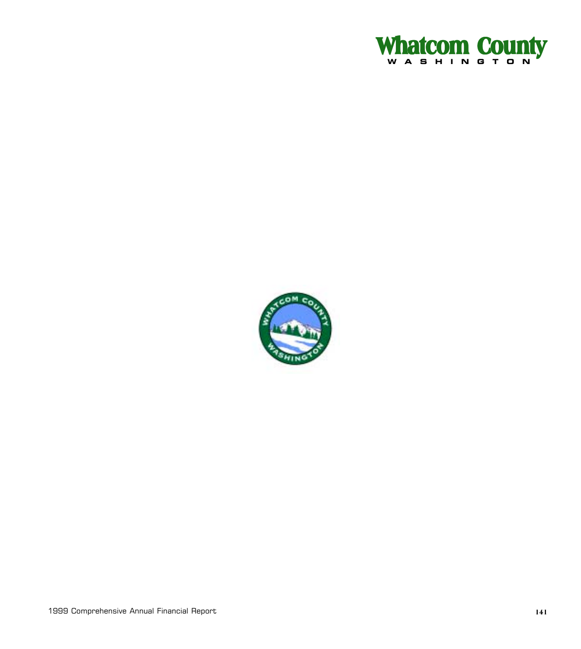

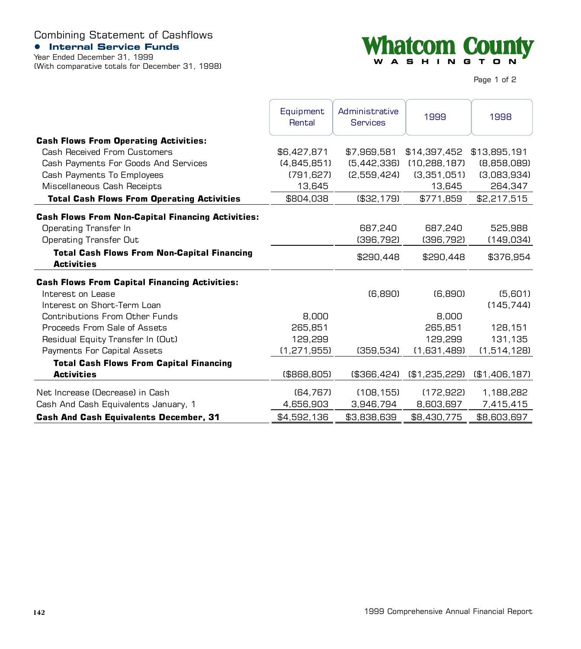#### Combining Statement of Cashflows

#### **• Internal Service Funds**

Year Ended December 31, 1999 (With comparative totals for December 31, 1998)



Page 1 of 2

|                                                                         | Equipment<br>Rental | Administrative<br><b>Services</b> | 1999           | 1998          |
|-------------------------------------------------------------------------|---------------------|-----------------------------------|----------------|---------------|
| <b>Cash Flows From Operating Activities:</b>                            |                     |                                   |                |               |
| Cash Received From Customers                                            | \$6,427,871         | \$7,969,581                       | \$14,397,452   | \$13,895,191  |
| Cash Payments For Goods And Services                                    | (4,845,851)         | (5,442,336)                       | (10, 288, 187) | (B, 858, 089) |
| Cash Payments To Employees                                              | (791.627)           | (2.559.424)                       | (3,351,051)    | (3,083,934)   |
| Miscellaneous Cash Receipts                                             | 13,645              |                                   | 13,645         | 264,347       |
| <b>Total Cash Flows From Operating Activities</b>                       | \$804,038           | (\$32,179)                        | \$771,859      | \$2,217,515   |
| <b>Cash Flows From Non-Capital Financing Activities:</b>                |                     |                                   |                |               |
| Operating Transfer In                                                   |                     | 687.240                           | 687.240        | 525,988       |
| Operating Transfer Out                                                  |                     | (396,792)                         | (396, 792)     | (149, 034)    |
| <b>Total Cash Flows From Non-Capital Financing</b><br><b>Activities</b> |                     | \$290,448                         | \$290,448      | \$376,954     |
| <b>Cash Flows From Capital Financing Activities:</b>                    |                     |                                   |                |               |
| Interest on Lease                                                       |                     | (6,890)                           | (6,890)        | (5,601)       |
| Interest on Short-Term Loan                                             |                     |                                   |                | (145, 744)    |
| Contributions From Other Funds                                          | 8,000               |                                   | 8,000          |               |
| Proceeds From Sale of Assets                                            | 265.851             |                                   | 265,851        | 128.151       |
| Residual Equity Transfer In (Out)                                       | 129,299             |                                   | 129,299        | 131,135       |
| Payments For Capital Assets                                             | (1, 271, 955)       | (359, 534)                        | (1,631,489)    | (1,514,128)   |
| <b>Total Cash Flows From Capital Financing</b>                          |                     |                                   |                |               |
| <b>Activities</b>                                                       | (\$B68, 805)        | (\$366,424)                       | (\$1,235,229)  | (\$1,406,187) |
| Net Increase (Decrease) in Cash                                         | (64.767)            | (108.155)                         | (172.922)      | 1.188.282     |
| Cash And Cash Equivalents January, 1                                    | 4,656,903           | 3,946,794                         | 8,603,697      | 7,415,415     |
| <b>Cash And Cash Equivalents December, 31</b>                           | \$4,592,136         | \$3,838,639                       | \$8,430,775    | \$8,603,697   |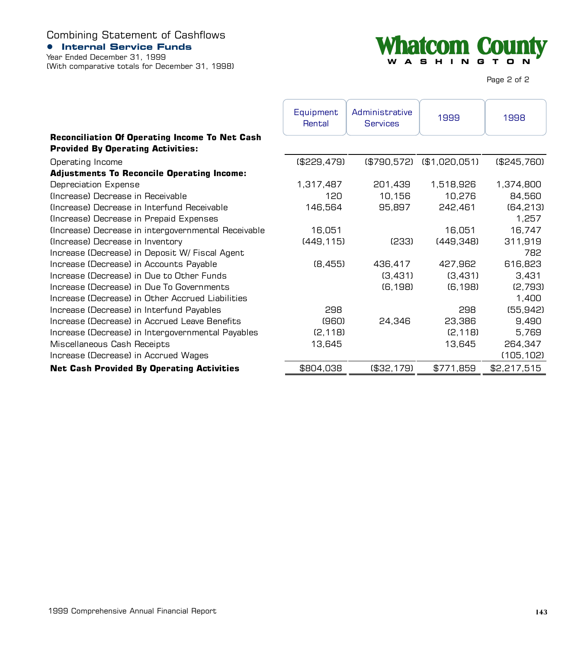#### Combining Statement of Cashflows

#### **• Internal Service Funds**

Year Ended December 31, 1999 (With comparative totals for December 31, 1998)



|                                                                                            | Equipment<br>Rental | Administrative<br><b>Services</b> | 1999          | 1998        |
|--------------------------------------------------------------------------------------------|---------------------|-----------------------------------|---------------|-------------|
| Reconciliation Of Operating Income To Net Cash<br><b>Provided By Operating Activities:</b> |                     |                                   |               |             |
|                                                                                            |                     |                                   |               |             |
| Operating Income                                                                           | (\$229,479)         | (\$790,572)                       | (\$1,020,051) | (\$245,760) |
| <b>Adjustments To Reconcile Operating Income:</b>                                          |                     |                                   |               |             |
| Depreciation Expense                                                                       | 1,317,487           | 201,439                           | 1,518,926     | 1,374,800   |
| (Increase) Decrease in Receivable                                                          | 120                 | 10,156                            | 10,276        | 84,560      |
| (Increase) Decrease in Interfund Receivable                                                | 146,564             | 95,897                            | 242,461       | (64, 213)   |
| (Increase) Decrease in Prepaid Expenses                                                    |                     |                                   |               | 1,257       |
| (Increase) Decrease in intergovernmental Receivable                                        | 16,051              |                                   | 16,051        | 16,747      |
| (Increase) Decrease in Inventory                                                           | (449.115)           | (233)                             | (449.348)     | 311.919     |
| Increase (Decrease) in Deposit W/ Fiscal Agent                                             |                     |                                   |               | 782         |
| Increase (Decrease) in Accounts Payable                                                    | (8, 455)            | 436,417                           | 427.962       | 616,823     |
| Increase (Decrease) in Due to Other Funds                                                  |                     | (3,431)                           | (3,431)       | 3,431       |
| Increase (Decrease) in Due To Governments                                                  |                     | (6, 198)                          | (6, 198)      | (2,793)     |
| Increase (Decrease) in Other Accrued Liabilities                                           |                     |                                   |               | 1,400       |
| Increase (Decrease) in Interfund Payables                                                  | 298                 |                                   | 298           | (55.942)    |
| Increase (Decrease) in Accrued Leave Benefits                                              | (960)               | 24,346                            | 23,386        | 9,490       |
| Increase (Decrease) in Intergovernmental Payables                                          | (2, 118)            |                                   | (2, 118)      | 5.769       |
| Miscellaneous Cash Receipts                                                                | 13,645              |                                   | 13,645        | 264,347     |
| Increase (Decrease) in Accrued Wages                                                       |                     |                                   |               | (105, 102)  |
| <b>Net Cash Provided By Operating Activities</b>                                           | \$804,038           | (\$32,179)                        | \$771,859     | \$2,217,515 |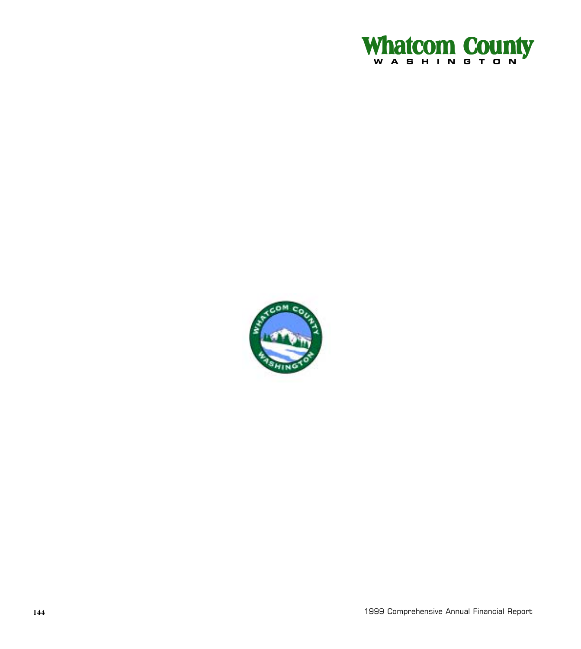

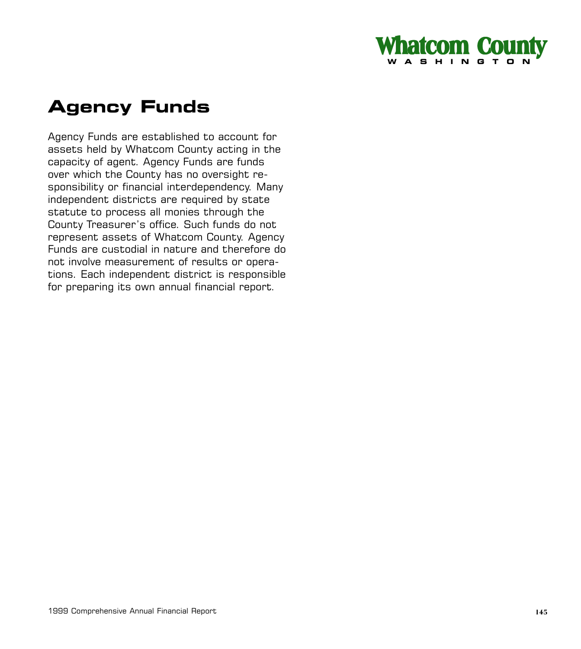

Agency Funds are established to account for assets held by Whatcom County acting in the capacity of agent. Agency Funds are funds over which the County has no oversight responsibility or financial interdependency. Many independent districts are required by state statute to process all monies through the County Treasurer's office. Such funds do not represent assets of Whatcom County. Agency Funds are custodial in nature and therefore do not involve measurement of results or operations. Each independent district is responsible for preparing its own annual financial report.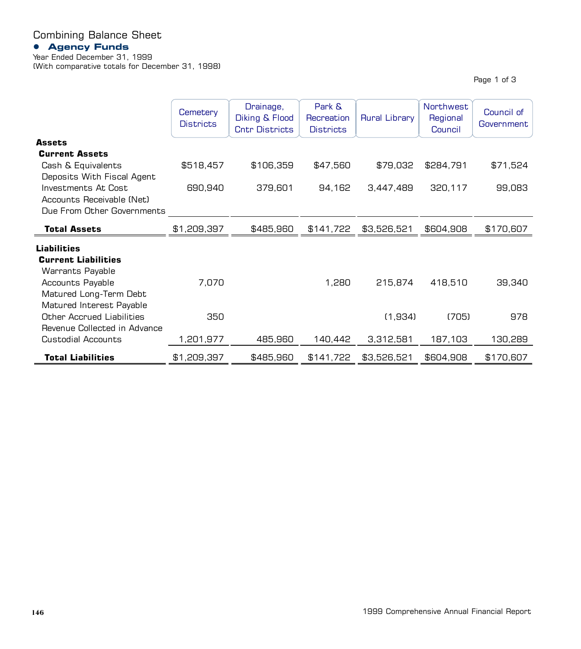# Combining Balance Sheet

### **• Agency Funds**

Year Ended December 31, 1999 (With comparative totals for December 31, 1998)

Page 1 of 2 3

|                                                           | Cemetery<br><b>Districts</b> | Drainage,<br>Diking & Flood<br><b>Cntr Districts</b> | Park &<br>Recreation<br><b>Districts</b> | Rural Library | <b>Northwest</b><br>Regional<br>Council | Council of<br>Government |
|-----------------------------------------------------------|------------------------------|------------------------------------------------------|------------------------------------------|---------------|-----------------------------------------|--------------------------|
| <b>Assets</b>                                             |                              |                                                      |                                          |               |                                         |                          |
| <b>Current Assets</b>                                     |                              |                                                      |                                          |               |                                         |                          |
| Cash & Equivalents                                        | \$518,457                    | \$106,359                                            | \$47,560                                 | \$79,032      | \$284,791                               | \$71,524                 |
| Deposits With Fiscal Agent<br>Investments At Cost         | 690,940                      | 379,601                                              | 94,162                                   | 3,447,489     | 320,117                                 | 99,083                   |
| Accounts Receivable (Net)                                 |                              |                                                      |                                          |               |                                         |                          |
| Due From Other Governments                                |                              |                                                      |                                          |               |                                         |                          |
| <b>Total Assets</b>                                       | \$1,209,397                  | \$485,960                                            | \$141,722                                | \$3,526,521   | \$604,908                               | \$170,607                |
| <b>Liabilities</b>                                        |                              |                                                      |                                          |               |                                         |                          |
| <b>Current Liabilities</b>                                |                              |                                                      |                                          |               |                                         |                          |
| Warrants Payable                                          |                              |                                                      |                                          |               |                                         |                          |
| Accounts Payable                                          | 7,070                        |                                                      | 1,280                                    | 215,874       | 418,510                                 | 39,340                   |
| Matured Long-Term Debt                                    |                              |                                                      |                                          |               |                                         |                          |
| Matured Interest Payable                                  |                              |                                                      |                                          |               |                                         |                          |
| Other Accrued Liabilities<br>Revenue Collected in Advance | 350                          |                                                      |                                          | (1.934)       | (705)                                   | 978                      |
| Custodial Accounts                                        | 1,201,977                    | 485,960                                              | 140,442                                  | 3,312,581     | 187,103                                 | 130,289                  |
|                                                           |                              |                                                      |                                          |               |                                         |                          |
| <b>Total Liabilities</b>                                  | \$1,209,397                  | \$485,960                                            | \$141,722                                | \$3,526,521   | \$604,908                               | \$170,607                |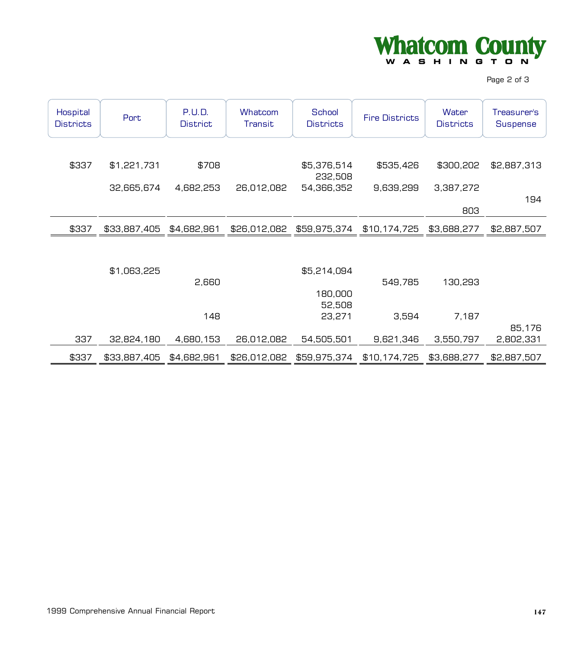

| Hospital<br><b>Districts</b> | Port                       | P.U.D.<br><b>District</b> | Whatcom<br>Transit         | School<br><b>Districts</b> | <b>Fire Districts</b>     | Water<br><b>Districts</b> | Treasurer's<br><b>Suspense</b> |
|------------------------------|----------------------------|---------------------------|----------------------------|----------------------------|---------------------------|---------------------------|--------------------------------|
|                              |                            |                           |                            |                            |                           |                           |                                |
| \$337                        | \$1,221,731                | \$708                     |                            | \$5,376,514<br>232,508     | \$535,426                 | \$300,202                 | \$2,887,313                    |
|                              | 32,665,674                 | 4,682,253                 | 26,012,082                 | 54,366,352                 | 9,639,299                 | 3,387,272                 |                                |
|                              |                            |                           |                            |                            |                           | 803                       | 194                            |
| \$337                        | \$33,887,405               | \$4,682,961               | \$26,012,082               | \$59,975,374               | \$10,174,725              | \$3,688,277               | \$2,887,507                    |
|                              |                            |                           |                            |                            |                           |                           |                                |
|                              |                            |                           |                            |                            |                           |                           |                                |
|                              | \$1,063,225                | 2,660                     |                            | \$5,214,094                | 549,785                   | 130,293                   |                                |
|                              |                            |                           |                            | 180,000<br>52,508          |                           |                           |                                |
|                              |                            | 148                       |                            | 23,271                     | 3,594                     | 7,187                     |                                |
|                              |                            |                           |                            |                            |                           |                           | 85,176                         |
|                              |                            |                           |                            |                            |                           |                           |                                |
| 337<br>\$337                 | 32,824,180<br>\$33,887,405 | 4,680,153<br>\$4,682,961  | 26,012,082<br>\$26,012,082 | 54,505,501<br>\$59,975,374 | 9,621,346<br>\$10,174,725 | 3,550,797<br>\$3,688,277  | 2,802,331<br>\$2,887,507       |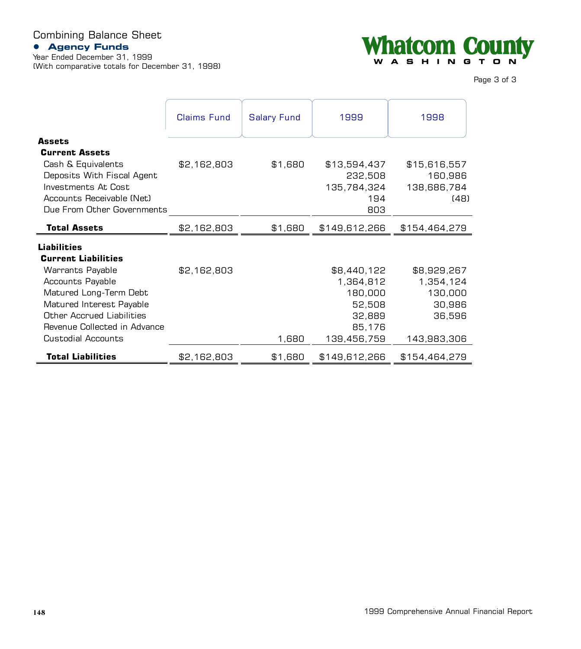#### Combining Balance Sheet

#### **• Agency Funds**

Year Ended December 31, 1999 (With comparative totals for December 31, 1998)



Page 3 of 3

|                                                                                                                                                                                                             | <b>Claims Fund</b> | <b>Salary Fund</b> | 1999                                                                             | 1998                                                                   |
|-------------------------------------------------------------------------------------------------------------------------------------------------------------------------------------------------------------|--------------------|--------------------|----------------------------------------------------------------------------------|------------------------------------------------------------------------|
| <b>Assets</b><br><b>Current Assets</b>                                                                                                                                                                      |                    |                    |                                                                                  |                                                                        |
| Cash & Equivalents<br>Deposits With Fiscal Agent<br>Investments At Cost<br>Accounts Receivable (Net)<br>Due From Other Governments                                                                          | \$2,162,803        | \$1,680            | \$13,594,437<br>232,508<br>135,784,324<br>194<br>803                             | \$15,616,557<br>160,986<br>138,686,784<br>(48)                         |
| <b>Total Assets</b>                                                                                                                                                                                         | \$2,162,803        | \$1,680            | \$149,612,266                                                                    | \$154,464,279                                                          |
| <b>Liabilities</b>                                                                                                                                                                                          |                    |                    |                                                                                  |                                                                        |
| <b>Current Liabilities</b><br>Warrants Payable<br>Accounts Payable<br>Matured Long-Term Debt<br>Matured Interest Payable<br>Other Accrued Liabilities<br>Revenue Collected in Advance<br>Custodial Accounts | \$2,162,803        | 1,680              | \$8,440,122<br>1,364,812<br>180,000<br>52,508<br>32,889<br>85,176<br>139,456,759 | \$8,929,267<br>1,354,124<br>130,000<br>30,986<br>36,596<br>143,983,306 |
| <b>Total Liabilities</b>                                                                                                                                                                                    | \$2,162,803        | \$1,680            | \$149,612,266                                                                    | \$154,464,279                                                          |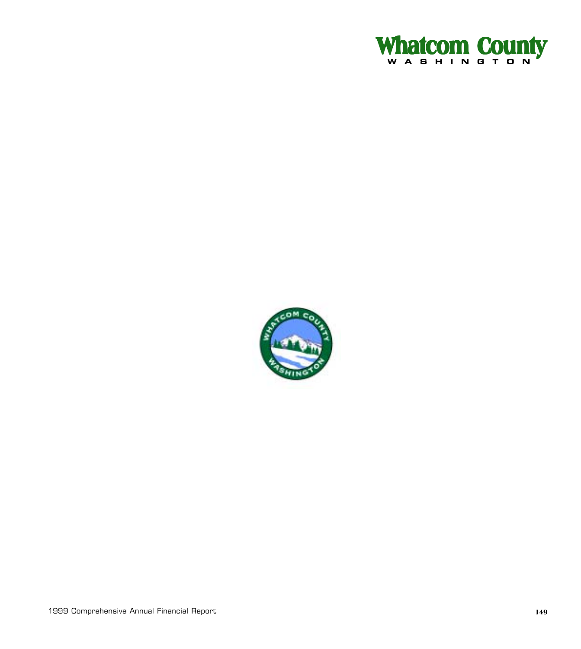

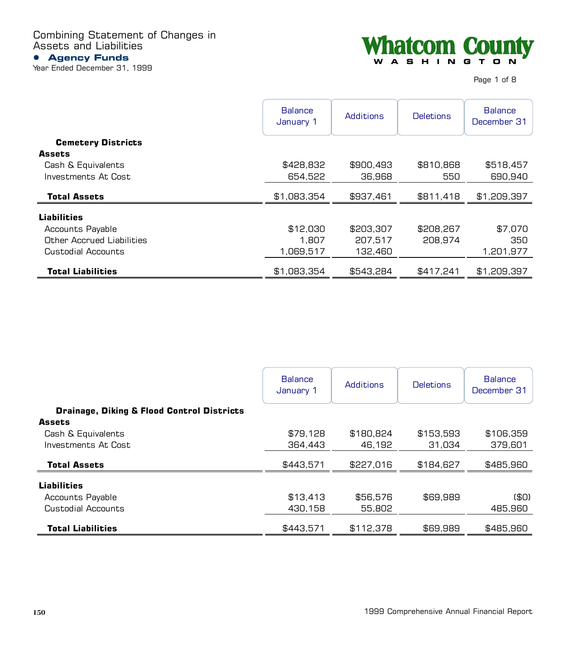Year Ended December 31, 1999



Page 1 of 8

|                           | <b>Balance</b><br>January 1 | Additions | <b>Deletions</b> | <b>Balance</b><br>December 31 |
|---------------------------|-----------------------------|-----------|------------------|-------------------------------|
| <b>Cemetery Districts</b> |                             |           |                  |                               |
| <b>Assets</b>             |                             |           |                  |                               |
| Cash & Equivalents        | \$428,832                   | \$900.493 | \$810,868        | \$518,457                     |
| Investments At Cost       | 654.522                     | 36,968    | 550              | 690,940                       |
| <b>Total Assets</b>       | \$1,083,354                 | \$937.461 | \$811,418        | \$1,209,397                   |
| <b>Liabilities</b>        |                             |           |                  |                               |
| Accounts Payable          | \$12,030                    | \$203,307 | \$208,267        | \$7,070                       |
| Other Accrued Liabilities | 1.807                       | 207.517   | 208.974          | 350                           |
| Custodial Accounts        | 1,069,517                   | 132,460   |                  | 1,201,977                     |
| <b>Total Liabilities</b>  | \$1,083,354                 | \$543.284 | \$417.241        | \$1,209,397                   |

|                                                       | <b>Balance</b><br>January 1 | Additions | <b>Deletions</b> | <b>Balance</b><br>December 31 |
|-------------------------------------------------------|-----------------------------|-----------|------------------|-------------------------------|
| <b>Drainage, Diking &amp; Flood Control Districts</b> |                             |           |                  |                               |
| <b>Assets</b>                                         |                             |           |                  |                               |
| Cash & Equivalents                                    | \$79.128                    | \$180,824 | \$153,593        | \$106,359                     |
| Investments At Cost                                   | 364,443                     | 46.192    | 31.034           | 379.601                       |
| <b>Total Assets</b>                                   | \$443,571                   | \$227,016 | \$184.627        | \$485,960                     |
| <b>Liabilities</b>                                    |                             |           |                  |                               |
| Accounts Payable                                      | \$13,413                    | \$56,576  | \$69,989         | (SO)                          |
| Custodial Accounts                                    | 430.158                     | 55,802    |                  | 485,960                       |
| <b>Total Liabilities</b>                              | \$443.571                   | \$112,378 | \$69,989         | \$485,960                     |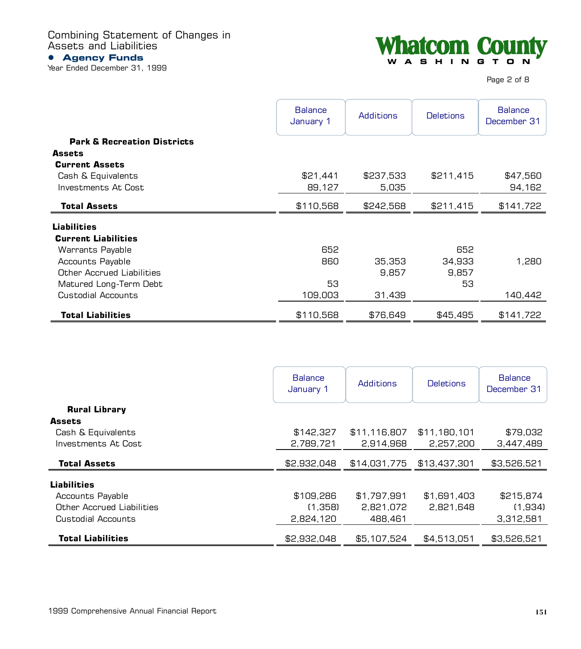Year Ended December 31, 1999



|                                        | <b>Balance</b><br>January 1 | <b>Additions</b> | <b>Deletions</b> | <b>Balance</b><br>December 31 |
|----------------------------------------|-----------------------------|------------------|------------------|-------------------------------|
| <b>Park &amp; Recreation Districts</b> |                             |                  |                  |                               |
| <b>Assets</b>                          |                             |                  |                  |                               |
| <b>Current Assets</b>                  |                             |                  |                  |                               |
| Cash & Equivalents                     | \$21,441                    | \$237,533        | \$211,415        | \$47.560                      |
| Investments At Cost                    | 89,127                      | 5.035            |                  | 94,162                        |
| <b>Total Assets</b>                    | \$110,568                   | \$242,568        | \$211,415        | \$141,722                     |
| <b>Liabilities</b>                     |                             |                  |                  |                               |
| <b>Current Liabilities</b>             |                             |                  |                  |                               |
| Warrants Payable                       | 652                         |                  | 652              |                               |
| Accounts Payable                       | 860                         | 35,353           | 34,933           | 1.280                         |
| Other Accrued Liabilities              |                             | 9.857            | 9,857            |                               |
| Matured Long-Term Debt                 | 53                          |                  | 53               |                               |
| Custodial Accounts                     | 109,003                     | 31,439           |                  | 140,442                       |
|                                        |                             |                  |                  |                               |
| <b>Total Liabilities</b>               | \$110,568                   | \$76,649         | \$45,495         | \$141,722                     |

|                           | <b>Balance</b><br>January 1 | Additions    | <b>Deletions</b> | <b>Balance</b><br>December 31 |
|---------------------------|-----------------------------|--------------|------------------|-------------------------------|
| <b>Rural Library</b>      |                             |              |                  |                               |
| <b>Assets</b>             |                             |              |                  |                               |
| Cash & Equivalents        | \$142,327                   | \$11,116,807 | \$11,180,101     | \$79,032                      |
| Investments At Cost       | 2,789,721                   | 2.914.968    | 2,257,200        | 3,447,489                     |
| <b>Total Assets</b>       | \$2,932,048                 | \$14,031,775 | \$13,437,301     | \$3,526,521                   |
| <b>Liabilities</b>        |                             |              |                  |                               |
| Accounts Payable          | \$109,286                   | \$1,797.991  | \$1,691,403      | \$215,874                     |
| Other Accrued Liabilities | (1.358)                     | 2.821.072    | 2.821.648        | (1.934)                       |
| Custodial Accounts        | 2.824.120                   | 488.461      |                  | 3.312.581                     |
| <b>Total Liabilities</b>  | \$2,932,048                 | \$5,107,524  | \$4,513,051      | \$3,526,521                   |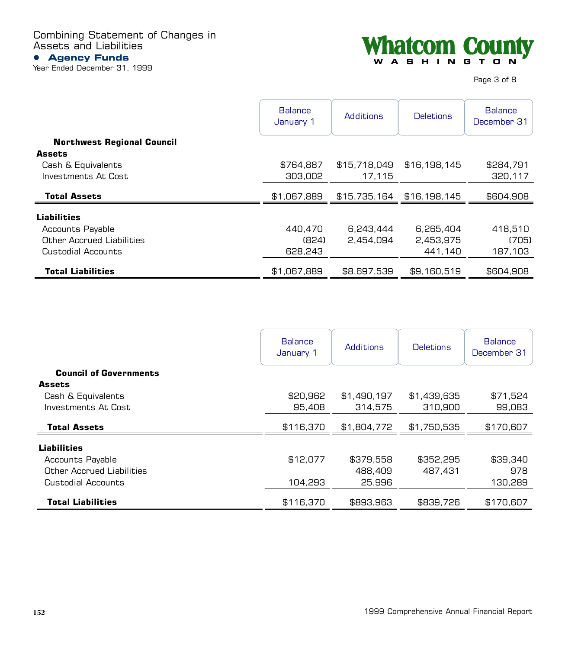Year Ended December 31, 1999



Page 3 of 8

|                                   | <b>Balance</b><br>January 1 | Additions    | <b>Deletions</b> | <b>Balance</b><br>December 31 |
|-----------------------------------|-----------------------------|--------------|------------------|-------------------------------|
| <b>Northwest Regional Council</b> |                             |              |                  |                               |
| <b>Assets</b>                     |                             |              |                  |                               |
| Cash & Equivalents                | \$764.887                   | \$15,718,049 | \$16,198,145     | \$284.791                     |
| Investments At Cost               | 303,002                     | 17.115       |                  | 320.117                       |
| <b>Total Assets</b>               | \$1,067,889                 | \$15,735,164 | \$16,198,145     | \$604,908                     |
| <b>Liabilities</b>                |                             |              |                  |                               |
| Accounts Payable                  | 440,470                     | 6.243.444    | 6.265.404        | 418.510                       |
| Other Accrued Liabilities         | (824)                       | 2.454.094    | 2.453.975        | (705)                         |
| Custodial Accounts                | 628,243                     |              | 441.140          | 187.103                       |
| <b>Total Liabilities</b>          | \$1,067,889                 | \$8.697.539  | \$9.160.519      | \$604.908                     |

|                               | <b>Balance</b><br><b>Deletions</b><br>Additions<br>January 1 |             | <b>Balance</b><br>December 31 |           |
|-------------------------------|--------------------------------------------------------------|-------------|-------------------------------|-----------|
| <b>Council of Governments</b> |                                                              |             |                               |           |
| <b>Assets</b>                 |                                                              |             |                               |           |
| Cash & Equivalents            | \$20,962                                                     | \$1,490,197 | \$1,439,635                   | \$71,524  |
| Investments At Cost           | 95,408                                                       | 314.575     | 310,900                       | 99.083    |
| <b>Total Assets</b>           | \$116,370                                                    | \$1,804,772 | \$1,750,535                   | \$170,607 |
| <b>Liabilities</b>            |                                                              |             |                               |           |
| Accounts Payable              | \$12,077                                                     | \$379,558   | \$352,295                     | \$39,340  |
| Other Accrued Liabilities     |                                                              | 488,409     | 487.431                       | 978       |
| Custodial Accounts            | 104.293                                                      | 25,996      |                               | 130,289   |
| <b>Total Liabilities</b>      | \$116,370                                                    | \$893,963   | \$839,726                     | \$170,607 |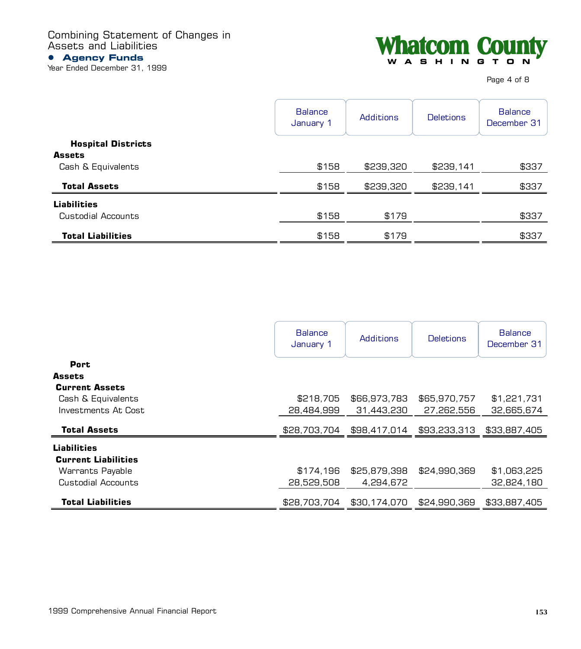Year Ended December 31, 1999



Page 4 of 8

|                           | <b>Balance</b><br>January 1 | Additions | <b>Deletions</b> | <b>Balance</b><br>December 31 |
|---------------------------|-----------------------------|-----------|------------------|-------------------------------|
| <b>Hospital Districts</b> |                             |           |                  |                               |
| <b>Assets</b>             |                             |           |                  |                               |
| Cash & Equivalents        | \$158                       | \$239,320 | \$239,141        | \$337                         |
| <b>Total Assets</b>       | \$158                       | \$239,320 | \$239,141        | \$337                         |
| <b>Liabilities</b>        |                             |           |                  |                               |
| Custodial Accounts        | \$158                       | \$179     |                  | \$337                         |
| <b>Total Liabilities</b>  | \$158                       | \$179     |                  | \$337                         |

|                            | <b>Balance</b><br><b>Deletions</b><br><b>Additions</b><br>January 1 |              | <b>Balance</b><br>December 31 |              |
|----------------------------|---------------------------------------------------------------------|--------------|-------------------------------|--------------|
| <b>Port</b>                |                                                                     |              |                               |              |
| <b>Assets</b>              |                                                                     |              |                               |              |
| <b>Current Assets</b>      |                                                                     |              |                               |              |
| Cash & Equivalents         | \$218,705                                                           | \$66,973,783 | \$65,970,757                  | \$1,221,731  |
| Investments At Cost        | 28,484,999                                                          | 31,443,230   | 27.262.556                    | 32,665,674   |
| <b>Total Assets</b>        | \$28,703,704                                                        | \$98.417.014 | \$93,233,313                  | \$33,887,405 |
| <b>Liabilities</b>         |                                                                     |              |                               |              |
| <b>Current Liabilities</b> |                                                                     |              |                               |              |
| Warrants Payable           | \$174,196                                                           | \$25,879,398 | \$24,990,369                  | \$1,063,225  |
| Custodial Accounts         | 28,529,508                                                          | 4,294,672    |                               | 32,824,180   |
| <b>Total Liabilities</b>   | \$28,703,704                                                        | \$30,174,070 | \$24,990,369                  | \$33,887,405 |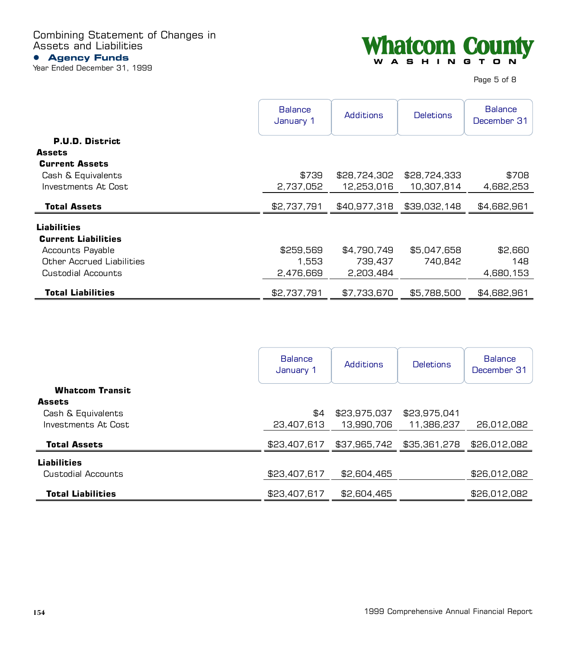Year Ended December 31, 1999



Page 5 of 8

|                            | <b>Balance</b> | Additions<br><b>Deletions</b> |              | <b>Balance</b> |  |
|----------------------------|----------------|-------------------------------|--------------|----------------|--|
|                            | January 1      |                               |              | December 31    |  |
| <b>P.U.D. District</b>     |                |                               |              |                |  |
| <b>Assets</b>              |                |                               |              |                |  |
| <b>Current Assets</b>      |                |                               |              |                |  |
| Cash & Equivalents         | \$739          | \$28,724,302                  | \$28,724,333 | \$708          |  |
| Investments At Cost        | 2,737,052      | 12.253.016                    | 10.307.814   | 4.682.253      |  |
| <b>Total Assets</b>        | \$2,737,791    | \$40,977,318                  | \$39,032,148 | \$4,682,961    |  |
| <b>Liabilities</b>         |                |                               |              |                |  |
| <b>Current Liabilities</b> |                |                               |              |                |  |
| Accounts Payable           | \$259,569      | \$4,790,749                   | \$5,047,658  | \$2,660        |  |
| Other Accrued Liabilities  | 1.553          | 739.437                       | 740.842      | 148            |  |
| Custodial Accounts         | 2,476,669      | 2.203.484                     |              | 4,680,153      |  |
| <b>Total Liabilities</b>   | \$2,737,791    | \$7,733,670                   | \$5,788,500  | \$4,682,961    |  |

|                          | <b>Balance</b><br>January 1 | Additions    |              | <b>Balance</b><br>December 31 |
|--------------------------|-----------------------------|--------------|--------------|-------------------------------|
| <b>Whatcom Transit</b>   |                             |              |              |                               |
| <b>Assets</b>            |                             |              |              |                               |
| Cash & Equivalents       | \$4                         | \$23,975,037 | \$23,975,041 |                               |
| Investments At Cost      | 23,407,613                  | 13,990,706   | 11.386.237   | 26,012,082                    |
| <b>Total Assets</b>      | \$23,407.617                | \$37,965,742 | \$35,361,278 | \$26,012,082                  |
| <b>Liabilities</b>       |                             |              |              |                               |
| Custodial Accounts       | \$23,407.617                | \$2,604,465  |              | \$26,012,082                  |
| <b>Total Liabilities</b> | \$23,407.617                | \$2,604,465  |              | \$26,012,082                  |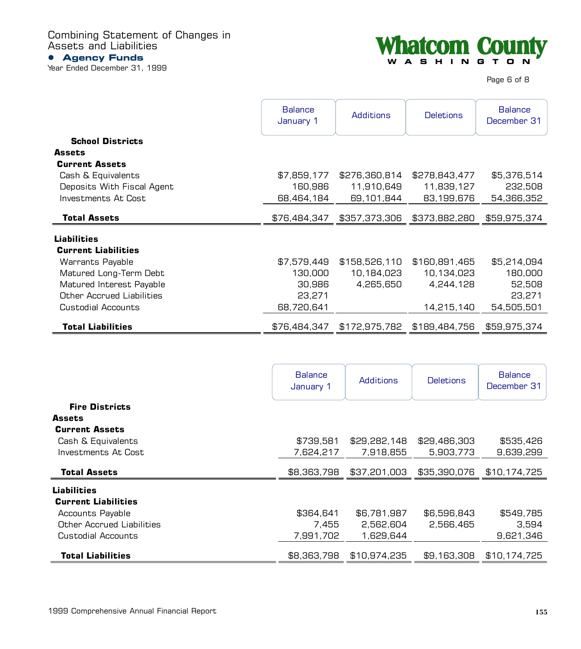# Combining Statement of Changes in Assets and Liabilities

#### **• Agency Funds**

Year Ended December 31, 1999



Page 6 of 8

|                                                                                                              | <b>Balance</b><br>January 1               | <b>Additions</b>                          | <b>Deletions</b>                          | <b>Balance</b><br>December 31             |
|--------------------------------------------------------------------------------------------------------------|-------------------------------------------|-------------------------------------------|-------------------------------------------|-------------------------------------------|
| <b>School Districts</b><br><b>Assets</b><br><b>Current Assets</b>                                            |                                           |                                           |                                           |                                           |
| Cash & Equivalents<br>Deposits With Fiscal Agent<br><b>Investments At Cost</b>                               | \$7,859,177<br>160,986<br>68,464,184      | \$276,360,814<br>11,910,649<br>69,101,844 | \$278,843,477<br>11,839,127<br>83,199,676 | \$5,376,514<br>232,508<br>54,366,352      |
| <b>Total Assets</b>                                                                                          | \$76,484,347                              | \$357,373,306                             | \$373,882,280                             | \$59,975,374                              |
| <b>Liabilities</b><br><b>Current Liabilities</b><br>Warrants Payable                                         | \$7,579,449                               | \$158,526,110                             | \$160,891,465                             | \$5,214,094                               |
| Matured Long-Term Debt<br>Matured Interest Payable<br>Other Accrued Liabilities<br><b>Custodial Accounts</b> | 130,000<br>30,986<br>23,271<br>68,720,641 | 10,184,023<br>4,265,650                   | 10,134,023<br>4,244,128<br>14,215,140     | 180,000<br>52,508<br>23,271<br>54,505,501 |
| <b>Total Liabilities</b>                                                                                     |                                           |                                           |                                           | \$59,975,374                              |
|                                                                                                              | <b>Balance</b><br>January 1               | <b>Additions</b>                          | <b>Deletions</b>                          | <b>Balance</b><br>December 31             |
| <b>Fire Districts</b><br><b>Assets</b><br><b>Current Assets</b>                                              |                                           |                                           |                                           |                                           |
| Cash & Equivalents<br><b>Investments At Cost</b>                                                             | \$739,581<br>7,624,217                    | \$29,282,148<br>7,918,855                 | \$29,486,303<br>5,903,773                 | \$535,426<br>9,639,299                    |
| <b>Total Assets</b>                                                                                          | \$8,363,798                               | \$37,201,003                              | \$35,390,076                              | \$10,174,725                              |
| Liabilities<br><b>Current Liabilities</b>                                                                    |                                           |                                           |                                           |                                           |
| Accounts Payable<br>Other Accrued Liabilities<br><b>Custodial Accounts</b>                                   | \$364,641<br>7,455<br>7,991,702           | \$6,781,987<br>2,562,604<br>1,629,644     | \$6,596,843<br>2,566,465                  | \$549,785<br>3,594<br>9,621,346           |
| <b>Total Liabilities</b>                                                                                     | \$8,363,798                               | \$10,974,235                              | \$9,163,308                               | \$10,174,725                              |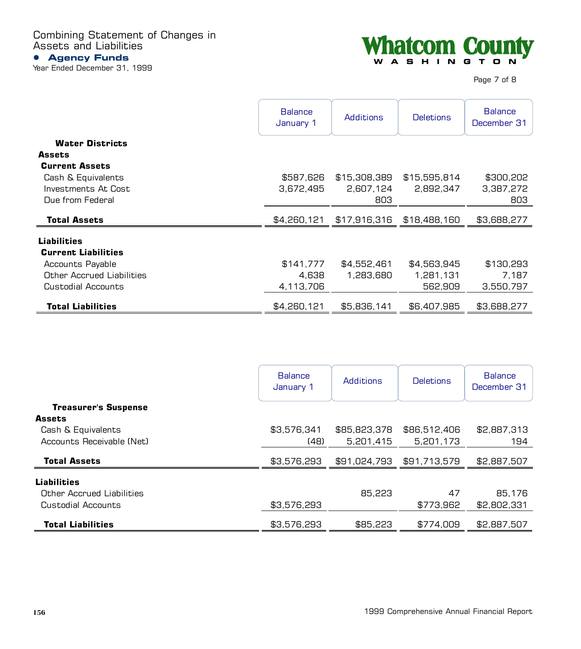## Combining Statement of Changes in Assets and Liabilities

## **• Agency Funds**

Year Ended December 31, 1999



Page 7 of 8

|                                                                     | <b>Balance</b><br>January 1     | Additions<br><b>Deletions</b>    |                                     | <b>Balance</b><br>December 31   |
|---------------------------------------------------------------------|---------------------------------|----------------------------------|-------------------------------------|---------------------------------|
| <b>Water Districts</b><br><b>Assets</b><br><b>Current Assets</b>    |                                 |                                  |                                     |                                 |
| Cash & Equivalents<br>Investments At Cost<br>Due from Federal       | \$587.626<br>3,672,495          | \$15,308,389<br>2,607,124<br>803 | \$15,595,814<br>2.892.347           | \$300,202<br>3.387.272<br>803   |
| <b>Total Assets</b>                                                 | \$4,260,121                     | \$17,916,316<br>\$18,488,160     |                                     | \$3,688,277                     |
| <b>Liabilities</b><br><b>Current Liabilities</b>                    |                                 |                                  |                                     |                                 |
| Accounts Payable<br>Other Accrued Liabilities<br>Custodial Accounts | \$141.777<br>4,638<br>4,113,706 | \$4,552,461<br>1.283.680         | \$4,563,945<br>1,281,131<br>562,909 | \$130,293<br>7.187<br>3.550.797 |
| <b>Total Liabilities</b>                                            | \$4.260.121                     | \$5,836,141                      | \$6,407,985                         | \$3,688,277                     |

|                             | <b>Balance</b><br>January 1 | Additions    | <b>Deletions</b> | <b>Balance</b><br>December 31 |
|-----------------------------|-----------------------------|--------------|------------------|-------------------------------|
| <b>Treasurer's Suspense</b> |                             |              |                  |                               |
| Assets                      |                             |              |                  |                               |
| Cash & Equivalents          | \$3,576,341                 | \$85,823,378 | \$86,512,406     | \$2,887,313                   |
| Accounts Receivable (Net.)  | (48)                        | 5.201.415    | 5.201.173        | 194                           |
| <b>Total Assets</b>         | \$3,576,293                 | \$91,024,793 | \$91.713.579     | \$2,887,507                   |
| <b>Liabilities</b>          |                             |              |                  |                               |
| Other Accrued Liabilities   |                             | 85.223       | 47               | 85.176                        |
| Custodial Accounts          | \$3,576,293                 |              | \$773,962        | \$2,802,331                   |
| <b>Total Liabilities</b>    | \$3,576,293                 | \$85,223     | \$774,009        | \$2,887,507                   |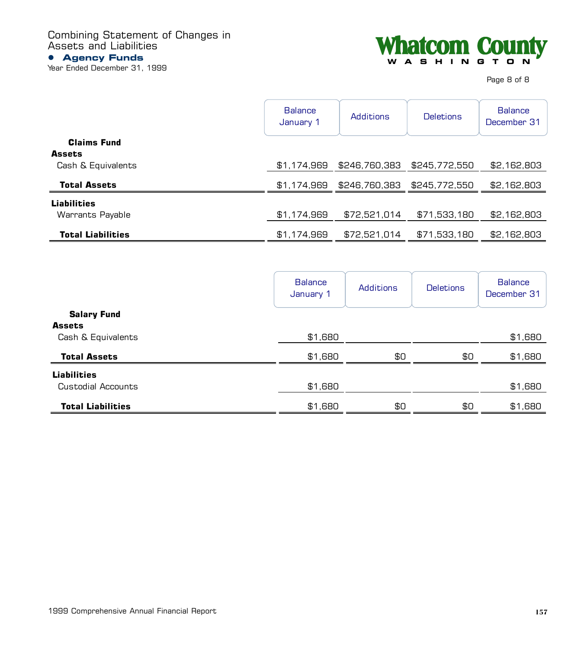Year Ended December 31, 1999



Page 8 of 8

|                          | <b>Balance</b><br>January 1 | Additions     | <b>Deletions</b> | <b>Balance</b><br>December 31 |
|--------------------------|-----------------------------|---------------|------------------|-------------------------------|
| <b>Claims Fund</b>       |                             |               |                  |                               |
| <b>Assets</b>            |                             |               |                  |                               |
| Cash & Equivalents       | \$1,174,969                 | \$246,760,383 | \$245,772,550    | \$2,162,803                   |
| <b>Total Assets</b>      | \$1,174,969                 | \$246,760,383 | \$245,772,550    | \$2,162,803                   |
| <b>Liabilities</b>       |                             |               |                  |                               |
| Warrants Payable         | \$1,174,969                 | \$72,521,014  | \$71,533,180     | \$2,162,803                   |
| <b>Total Liabilities</b> | \$1,174,969                 | \$72,521,014  | \$71,533,180     | \$2,162,803                   |

|                          | <b>Balance</b><br>January 1 | Additions | <b>Deletions</b> | <b>Balance</b><br>December 31 |
|--------------------------|-----------------------------|-----------|------------------|-------------------------------|
| <b>Salary Fund</b>       |                             |           |                  |                               |
| <b>Assets</b>            |                             |           |                  |                               |
| Cash & Equivalents       | \$1,680                     |           |                  | \$1,680                       |
| <b>Total Assets</b>      | \$1,680                     | \$0       | \$0              | \$1,680                       |
| <b>Liabilities</b>       |                             |           |                  |                               |
| Custodial Accounts       | \$1,680                     |           |                  | \$1,680                       |
| <b>Total Liabilities</b> | \$1,680                     | \$0       | \$0              | \$1,680                       |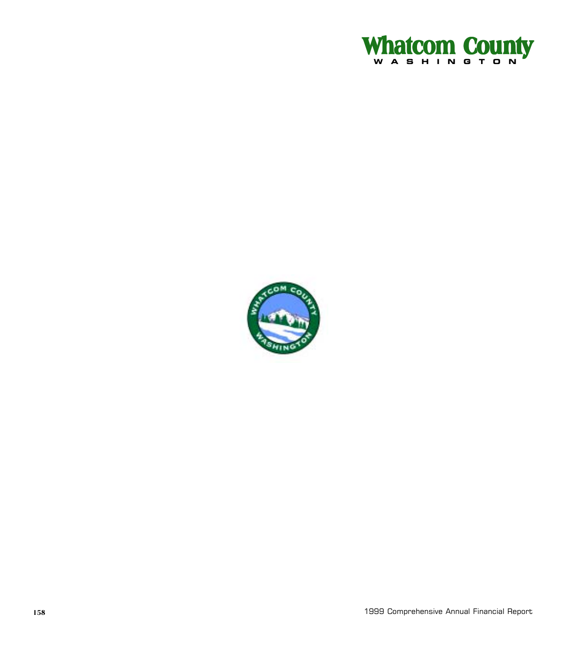

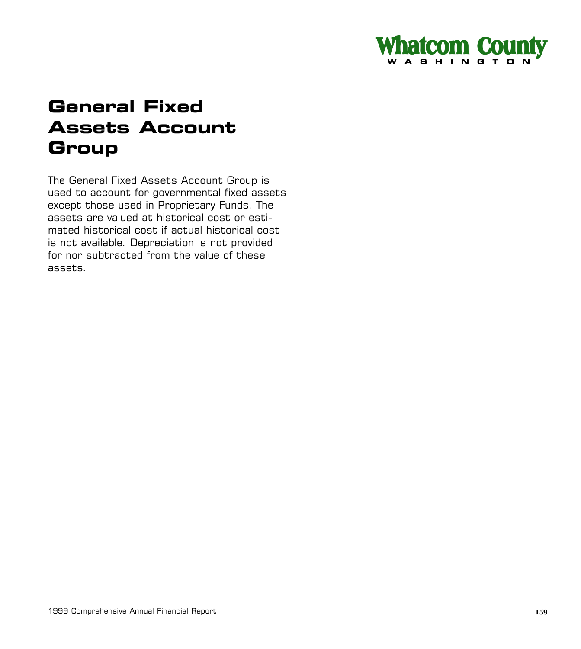

# General Fixed Assets Account Group

The General Fixed Assets Account Group is used to account for governmental fixed assets except those used in Proprietary Funds. The assets are valued at historical cost or estimated historical cost if actual historical cost is not available. Depreciation is not provided for nor subtracted from the value of these assets.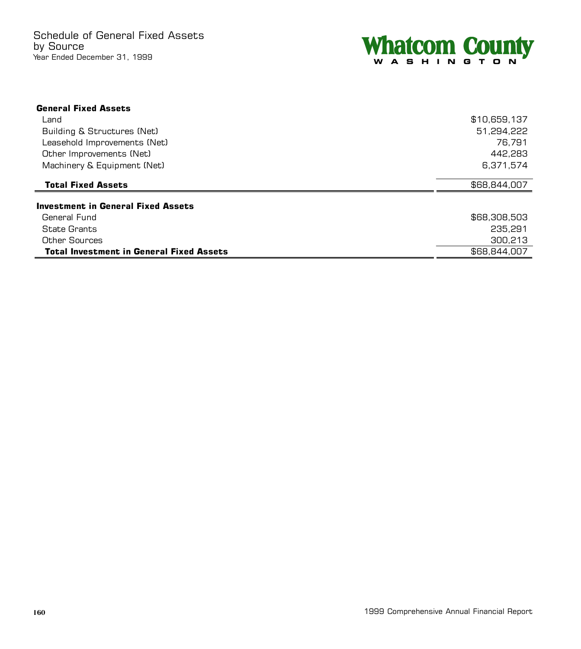

| <b>General Fixed Assets</b>                     |              |
|-------------------------------------------------|--------------|
| Land                                            | \$10,659,137 |
| Building & Structures (Net)                     | 51.294.222   |
| Leasehold Improvements (Net)                    | 76,791       |
| Other Improvements (Net)                        | 442.283      |
| Machinery & Equipment (Net)                     | 6.371.574    |
| <b>Total Fixed Assets</b>                       | \$68,844,007 |
| <b>Investment in General Fixed Assets</b>       |              |
| General Fund                                    | \$68,308,503 |
| State Grants                                    | 235,291      |
| Other Sources                                   | 300,213      |
| <b>Total Investment in General Fixed Assets</b> | \$68,844,007 |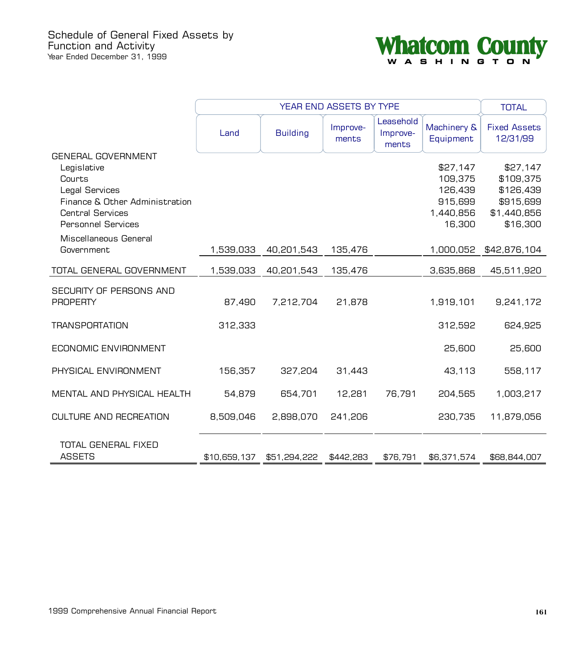

|                                                                                                                                                                |              | <b>YEAR END ASSETS BY TYPE</b> |                   |                                |                                                                  |                                                                            |
|----------------------------------------------------------------------------------------------------------------------------------------------------------------|--------------|--------------------------------|-------------------|--------------------------------|------------------------------------------------------------------|----------------------------------------------------------------------------|
|                                                                                                                                                                | Land         | <b>Building</b>                | Improve-<br>ments | Leasehold<br>Improve-<br>ments | Machinery &<br>Equipment                                         | <b>Fixed Assets</b><br>12/31/99                                            |
| <b>GENERAL GOVERNMENT</b><br>Legislative<br>Courts<br>Legal Services<br>Finance & Other Administration<br><b>Central Services</b><br><b>Personnel Services</b> |              |                                |                   |                                | \$27,147<br>109,375<br>126,439<br>915,699<br>1,440,856<br>16,300 | \$27,147<br>\$109,375<br>\$126,439<br>\$915,699<br>\$1,440,856<br>\$16,300 |
| Miscellaneous General<br>Government                                                                                                                            | 1,539,033    | 40,201,543                     | 135,476           |                                | 1,000,052                                                        | \$42,876,104                                                               |
| TOTAL GENERAL GOVERNMENT                                                                                                                                       | 1,539,033    | 40,201,543                     | 135,476           |                                | 3,635,868                                                        | 45,511,920                                                                 |
| SECURITY OF PERSONS AND<br><b>PROPERTY</b>                                                                                                                     | 87,490       | 7,212,704                      | 21,878            |                                | 1,919,101                                                        | 9,241,172                                                                  |
| <b>TRANSPORTATION</b>                                                                                                                                          | 312,333      |                                |                   |                                | 312,592                                                          | 624,925                                                                    |
| ECONOMIC ENVIRONMENT                                                                                                                                           |              |                                |                   |                                | 25,600                                                           | 25,600                                                                     |
| PHYSICAL ENVIRONMENT                                                                                                                                           | 156,357      | 327,204                        | 31,443            |                                | 43,113                                                           | 558,117                                                                    |
| MENTAL AND PHYSICAL HEALTH                                                                                                                                     | 54,879       | 654,701                        | 12.281            | 76,791                         | 204.565                                                          | 1,003,217                                                                  |
| CULTURE AND RECREATION                                                                                                                                         | 8,509,046    | 2,898,070                      | 241,206           |                                | 230,735                                                          | 11.879.056                                                                 |
| <b>TOTAL GENERAL FIXED</b><br><b>ASSETS</b>                                                                                                                    | \$10,659,137 | \$51,294,222                   | \$442,283         | \$76,791                       | \$6,371,574                                                      | \$68,844,007                                                               |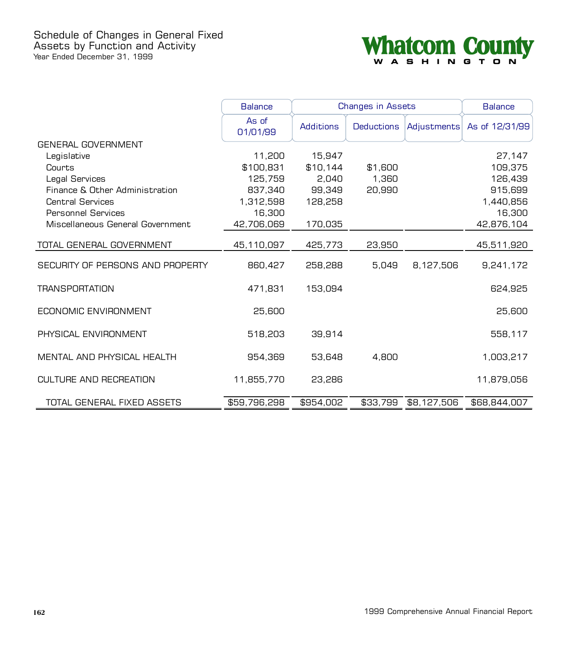

|                                  | <b>Balance</b>    |                  | <b>Changes in Assets</b> |             | <b>Balance</b> |
|----------------------------------|-------------------|------------------|--------------------------|-------------|----------------|
|                                  | As of<br>01/01/99 | <b>Additions</b> | <b>Deductions</b>        | Adjustments | As of 12/31/99 |
| <b>GENERAL GOVERNMENT</b>        |                   |                  |                          |             |                |
| Legislative                      | 11,200            | 15,947           |                          |             | 27,147         |
| Courts                           | \$100,831         | \$10,144         | \$1,600                  |             | 109,375        |
| Legal Services                   | 125,759           | 2.040            | 1.360                    |             | 126,439        |
| Finance & Other Administration   | 837,340           | 99,349           | 20,990                   |             | 915,699        |
| <b>Central Services</b>          | 1.312.598         | 128,258          |                          |             | 1,440,856      |
| <b>Personnel Services</b>        | 16,300            |                  |                          |             | 16,300         |
| Miscellaneous General Government | 42,706,069        | 170,035          |                          |             | 42,876,104     |
|                                  |                   |                  |                          |             |                |
| TOTAL GENERAL GOVERNMENT         | 45,110,097        | 425,773          | 23,950                   |             | 45,511,920     |
| SECURITY OF PERSONS AND PROPERTY | 860,427           | 258,288          | 5,049                    | 8.127.506   | 9,241,172      |
| <b>TRANSPORTATION</b>            | 471,831           | 153,094          |                          |             | 624,925        |
| ECONOMIC ENVIRONMENT             | 25,600            |                  |                          |             | 25,600         |
| PHYSICAL ENVIRONMENT             | 518,203           | 39.914           |                          |             | 558,117        |
| MENTAL AND PHYSICAL HEALTH       | 954.369           | 53.648           | 4.800                    |             | 1,003,217      |
| CULTURE AND RECREATION           | 11.855.770        | 23,286           |                          |             | 11.879.056     |
| TOTAL GENERAL FIXED ASSETS       | \$59,796,298      | \$954,002        | \$33,799                 | \$8,127,506 | \$68,844,007   |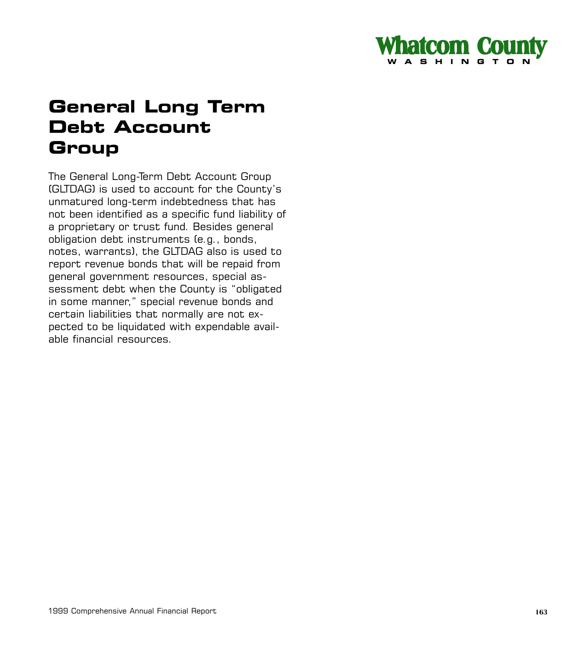

# General Long Term Debt Account Group

The General Long-Term Debt Account Group (GLTDAG) is used to account for the Countyís unmatured long-term indebtedness that has not been identified as a specific fund liability of a proprietary or trust fund. Besides general obligation debt instruments (e.g., bonds, notes, warrants), the GLTDAG also is used to report revenue bonds that will be repaid from general government resources, special assessment debt when the County is "obligated in some manner," special revenue bonds and certain liabilities that normally are not expected to be liquidated with expendable available financial resources.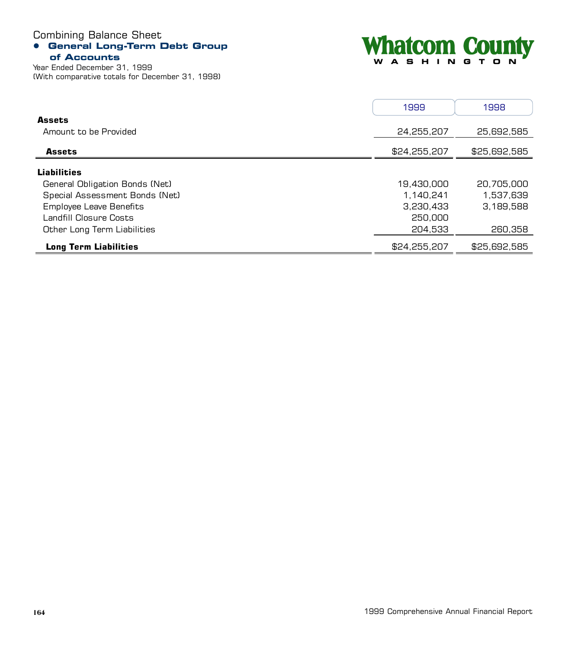# Combining Balance Sheet

#### ! General Long-Term Debt Group of Accounts

Year Ended December 31, 1999 (With comparative totals for December 31, 1998)



|                                | 1999         | 1998         |
|--------------------------------|--------------|--------------|
| <b>Assets</b>                  |              |              |
| Amount to be Provided          | 24,255,207   | 25,692,585   |
| <b>Assets</b>                  | \$24,255,207 | \$25,692,585 |
| <b>Liabilities</b>             |              |              |
| General Obligation Bonds (Net) | 19,430,000   | 20,705,000   |
| Special Assessment Bonds (Net) | 1.140.241    | 1,537,639    |
| Employee Leave Benefits        | 3.230.433    | 3.189.588    |
| Landfill Closure Costs         | 250,000      |              |
| Other Long Term Liabilities    | 204,533      | 260,358      |
| <b>Long Term Liabilities</b>   | \$24,255,207 | \$25.692.585 |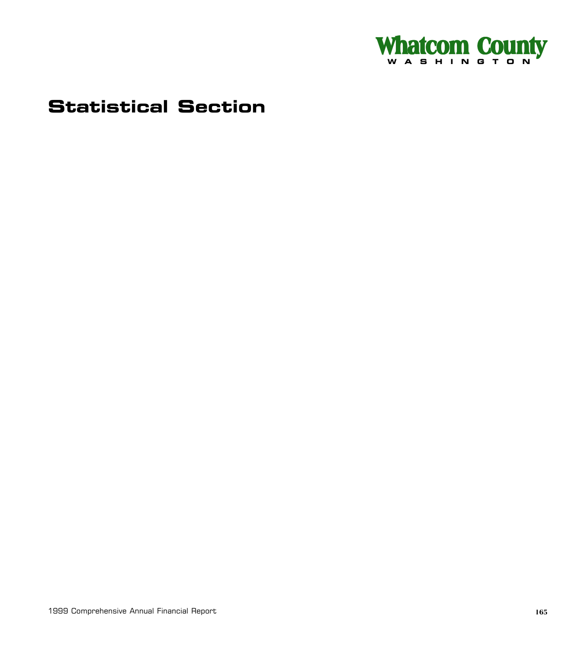

# Statistical Section

1999 Comprehensive Annual Financial Report 165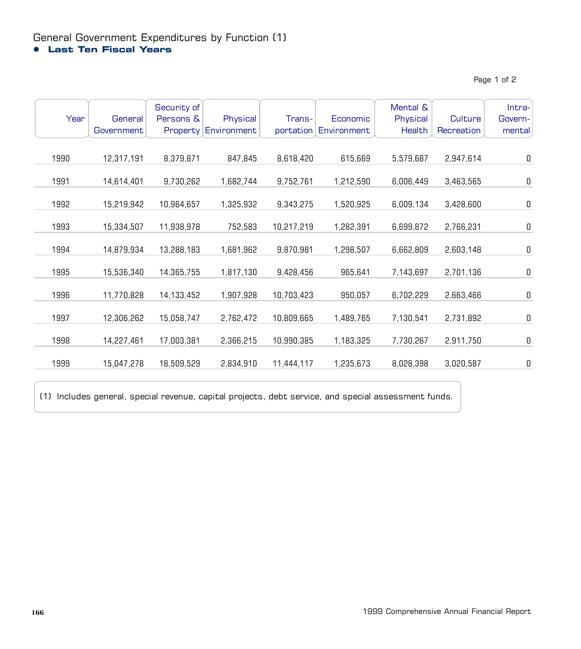# General Government Expenditures by Function (1)

#### ! Last Ten Fiscal Years

Page 1 of 2

|      |            | Security of |             |            |             | Mental &  |            | Intra-           |
|------|------------|-------------|-------------|------------|-------------|-----------|------------|------------------|
| Year | General    | Persons &   | Physical    | Trans-     | Economic    | Physical  | Culture    | Govern-          |
|      | Government | Property    | Environment | portation  | Environment | Health    | Recreation | mental           |
|      |            |             |             |            |             |           |            |                  |
| 1990 | 12,317,191 | 8,379,871   | 847,845     | 8,618,420  | 615,669     | 5,579,687 | 2,947,614  | $\mathbf 0$      |
|      |            |             |             |            |             |           |            |                  |
| 1991 | 14,614,401 | 9,730,262   | 1,682,744   | 9,752,761  | 1,212,590   | 6,006,449 | 3,463,565  | $\mathbf 0$      |
|      |            |             |             |            |             |           |            |                  |
| 1992 | 15,219,942 | 10,964,657  | 1,325,932   | 9,343,275  | 1,520,925   | 6,009,134 | 3,428,600  | $\mathbf 0$      |
|      |            |             |             |            |             |           |            |                  |
| 1993 | 15,334,507 | 11,938,978  | 752,583     | 10,217,219 | 1,282,391   | 6,699,872 | 2,766,231  | $\mathbf 0$      |
|      |            |             |             |            |             |           |            |                  |
| 1994 | 14,879,934 | 13,288,183  | 1,681,962   | 9,870,981  | 1,298,507   | 6,662,809 | 2,603,148  | $\mathbf 0$      |
|      |            |             |             |            |             |           |            |                  |
| 1995 | 15,536,340 | 14,365,755  | 1,817,130   | 9,428,456  | 965,641     | 7,143,697 | 2,701,136  | $\boldsymbol{0}$ |
|      |            |             |             |            |             |           |            |                  |
| 1996 | 11,770,828 | 14,133,452  | 1,907,928   | 10,703,423 | 950,057     | 6,702,229 | 2,663,466  | $\boldsymbol{0}$ |
|      |            |             |             |            |             |           |            |                  |
| 1997 | 12,306,262 | 15,058,747  | 2,762,472   | 10,809,665 | 1,489,765   | 7,130,541 | 2,731,892  | $\mathbf 0$      |
|      |            |             |             |            |             |           |            |                  |
| 1998 | 14,227,461 | 17,003,381  | 2,366,215   | 10,990,385 | 1,183,325   | 7,730,267 | 2,911,750  | $\mathbf 0$      |
|      |            |             |             |            |             |           |            |                  |
| 1999 | 15,047,278 | 18,509,529  | 2,834,910   | 11,444,117 | 1,235,673   | 8,028,398 | 3,020,587  | $\mathbf 0$      |

(1) Includes general, special revenue, capital projects, debt service, and special assessment funds.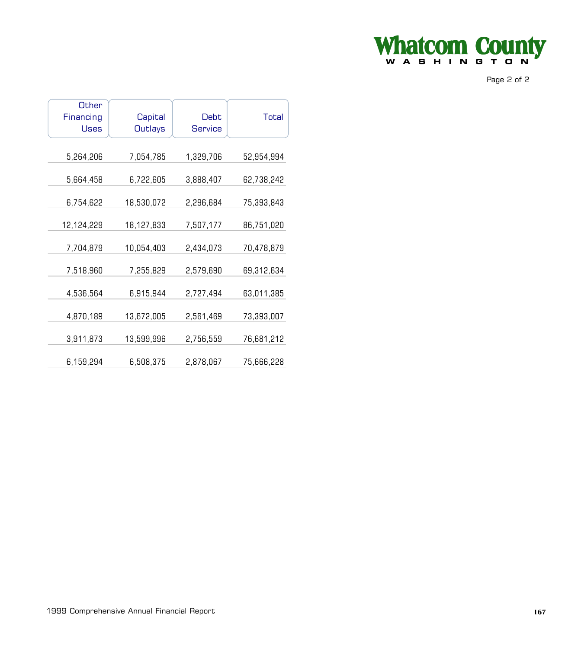

| <b>Other</b><br>Financing<br>Uses | Capital<br>Outlays | Debt<br>Service | Total      |
|-----------------------------------|--------------------|-----------------|------------|
| 5,264,206                         | 7,054,785          | 1,329,706       | 52,954,994 |
| 5,664,458                         | 6,722,605          | 3,888,407       | 62,738,242 |
| 6,754,622                         | 18,530,072         | 2,296,684       | 75,393,843 |
| 12,124,229                        | 18,127,833         | 7,507,177       | 86,751,020 |
| 7,704,879                         | 10,054,403         | 2,434,073       | 70,478,879 |
| 7,518,960                         | 7,255,829          | 2,579,690       | 69,312,634 |
| 4,536,564                         | 6,915,944          | 2,727,494       | 63,011,385 |
| 4,870,189                         | 13,672,005         | 2,561,469       | 73,393,007 |
| 3,911,873                         | 13,599,996         | 2,756,559       | 76,681,212 |
| 6,159,294                         | 6,508,375          | 2,878,067       | 75,666,228 |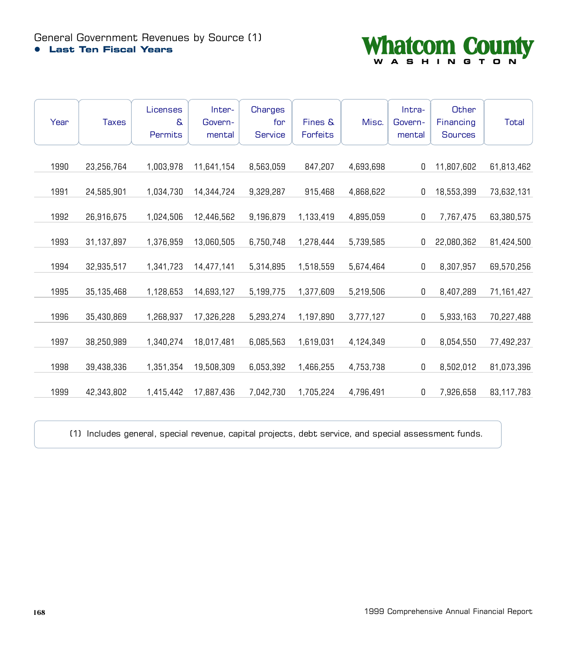# General Government Revenues by Source (1)

! Last Ten Fiscal Years



| Year | Taxes      | Licenses<br>$\delta$<br>Permits | Inter-<br>Govern-<br>mental | <b>Charges</b><br>for<br><b>Service</b> | Fines &<br>Forfeits | Misc.     | Intra-<br>Govern-<br>mental | Other<br>Financing<br><b>Sources</b> | <b>Total</b> |
|------|------------|---------------------------------|-----------------------------|-----------------------------------------|---------------------|-----------|-----------------------------|--------------------------------------|--------------|
| 1990 | 23,256,764 | 1,003,978                       | 11,641,154                  | 8,563,059                               | 847,207             | 4,693,698 | 0                           | 11,807,602                           | 61,813,462   |
| 1991 | 24,585,901 | 1,034,730                       | 14,344,724                  | 9,329,287                               | 915,468             | 4,868,622 | 0                           | 18,553,399                           | 73,632,131   |
| 1992 | 26,916,675 | 1,024,506                       | 12,446,562                  | 9,196,879                               | 1,133,419           | 4,895,059 | 0                           | 7,767,475                            | 63,380,575   |
| 1993 | 31,137,897 | 1,376,959                       | 13,060,505                  | 6,750,748                               | 1,278,444           | 5,739,585 | 0                           | 22,080,362                           | 81,424,500   |
| 1994 | 32,935,517 | 1,341,723                       | 14,477,141                  | 5,314,895                               | 1,518,559           | 5,674,464 | 0                           | 8,307,957                            | 69,570,256   |
| 1995 | 35,135,468 | 1,128,653                       | 14,693,127                  | 5,199,775                               | 1,377,609           | 5,219,506 | 0                           | 8,407,289                            | 71,161,427   |
| 1996 | 35,430,869 | 1,268,937                       | 17,326,228                  | 5,293,274                               | 1,197,890           | 3,777,127 | 0                           | 5,933,163                            | 70,227,488   |
| 1997 | 38,250,989 | 1,340,274                       | 18,017,481                  | 6,085,563                               | 1,619,031           | 4,124,349 | 0                           | 8,054,550                            | 77,492,237   |
| 1998 | 39,438,336 | 1,351,354                       | 19,508,309                  | 6,053,392                               | 1,466,255           | 4,753,738 | 0                           | 8,502,012                            | 81,073,396   |
| 1999 | 42,343,802 | 1,415,442                       | 17,887,436                  | 7,042,730                               | 1,705,224           | 4,796,491 | 0                           | 7,926,658                            | 83,117,783   |

(1) Includes general, special revenue, capital projects, debt service, and special assessment funds.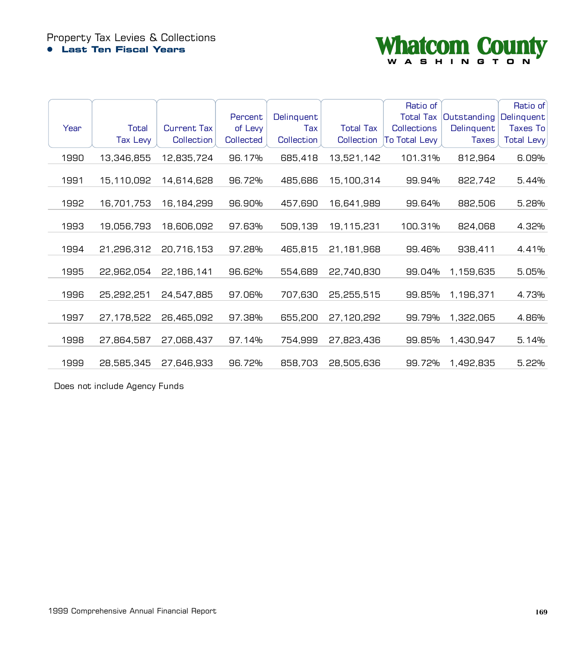! Last Ten Fiscal Years



|      |              |                    |           |            |                   | Ratio of           |             | Ratio of          |
|------|--------------|--------------------|-----------|------------|-------------------|--------------------|-------------|-------------------|
|      |              |                    | Percent   | Delinquent |                   | <b>Total Tax</b>   | Outstanding | Delinquent        |
| Year | <b>Total</b> | <b>Current Tax</b> | of Levy   | Tax        | <b>Total Tax</b>  | <b>Collections</b> | Delinquent  | Taxes To          |
|      | Tax Levy     | Collection         | Collected | Collection | <b>Collection</b> | To Total Levy      | Taxes       | <b>Total Levy</b> |
| 1990 | 13,346,855   | 12,835,724         | 96.17%    | 685,418    | 13,521,142        | 101.31%            | 812,964     | 6.09%             |
| 1991 | 15,110,092   | 14,614,628         | 96.72%    | 485,686    | 15.100.314        | 99.94%             | 822,742     | 5.44%             |
|      |              |                    |           |            |                   |                    |             |                   |
| 1992 | 16,701,753   | 16,184,299         | 96.90%    | 457,690    | 16,641,989        | 99.64%             | 882,506     | 5.28%             |
| 1993 | 19,056,793   | 18,606,092         | 97.63%    | 509,139    | 19,115,231        | 100.31%            | 824,068     | 4.32%             |
|      |              |                    |           |            |                   |                    |             |                   |
| 1994 | 21,296,312   | 20,716,153         | 97.28%    | 465,815    | 21,181,968        | 99.46%             | 938,411     | 4.41%             |
| 1995 | 22,962,054   | 22,186,141         | 96.62%    | 554,689    | 22,740,830        | 99.04%             | 1,159,635   | 5.05%             |
|      |              |                    |           |            |                   |                    |             |                   |
| 1996 | 25,292,251   | 24,547,885         | 97.06%    | 707,630    | 25,255,515        | 99.85%             | 1,196,371   | 4.73%             |
| 1997 | 27,178,522   | 26,465,092         | 97.38%    | 655,200    | 27,120,292        | 99.79%             | 1,322,065   | 4.86%             |
|      |              |                    |           |            |                   |                    |             |                   |
| 1998 | 27,864,587   | 27,068,437         | 97.14%    | 754,999    | 27,823,436        | 99.85%             | 1,430,947   | 5.14%             |
| 1999 | 28,585,345   | 27.646.933         | 96.72%    | 858,703    | 28,505,636        | 99.72%             | 1,492,835   | 5.22%             |
|      |              |                    |           |            |                   |                    |             |                   |

Does not include Agency Funds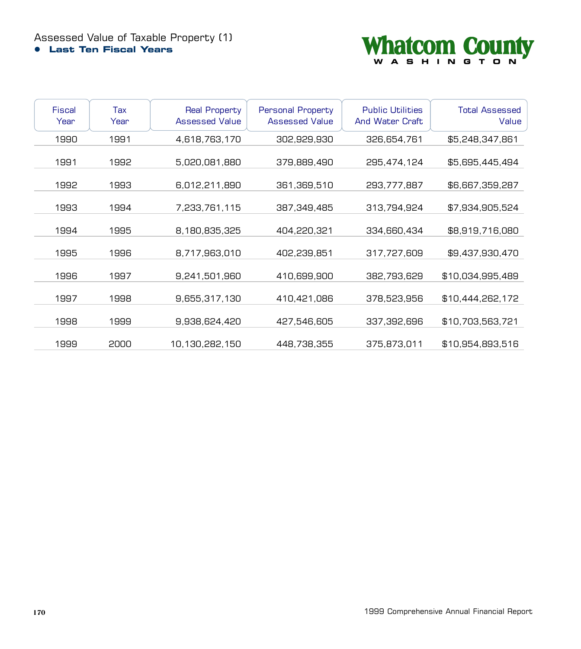Assessed Value of Taxable Property (1)

! Last Ten Fiscal Years



| <b>Fiscal</b><br>Year | <b>Real Property</b><br>Tax<br><b>Assessed Value</b><br>Year |                | <b>Personal Property</b><br><b>Assessed Value</b> | <b>Public Utilities</b><br><b>And Water Craft</b> | <b>Total Assessed</b><br>Value |
|-----------------------|--------------------------------------------------------------|----------------|---------------------------------------------------|---------------------------------------------------|--------------------------------|
| 1990                  | 1991                                                         | 4,618,763,170  | 302,929,930                                       | 326,654,761                                       | \$5,248,347,861                |
| 1991                  | 1992                                                         | 5,020,081,880  | 379,889,490                                       | 295,474,124                                       | \$5,695,445,494                |
| 1992                  | 1993                                                         | 6,012,211,890  | 361,369,510                                       | 293,777,887                                       | \$6,667,359,287                |
| 1993                  | 1994                                                         | 7,233,761,115  | 387,349,485                                       | 313,794,924                                       | \$7,934,905,524                |
| 1994                  | 1995                                                         | 8,180,835,325  | 404.220.321                                       | 334,660,434                                       | \$8,919,716,080                |
| 1995                  | 1996                                                         | 8,717,963,010  | 402,239,851                                       | 317,727,609                                       | \$9,437,930,470                |
| 1996                  | 1997                                                         | 9.241.501.960  | 410.699.900                                       | 382,793,629                                       | \$10,034,995,489               |
| 1997                  | 1998                                                         | 9,655,317,130  | 410,421,086                                       | 378,523,956                                       | \$10,444,262,172               |
| 1998                  | 1999                                                         | 9,938,624,420  | 427,546,605                                       | 337,392,696                                       | \$10,703,563,721               |
| 1999                  | 2000                                                         | 10,130,282,150 | 448.738.355                                       | 375.873.011                                       | \$10,954,893,516               |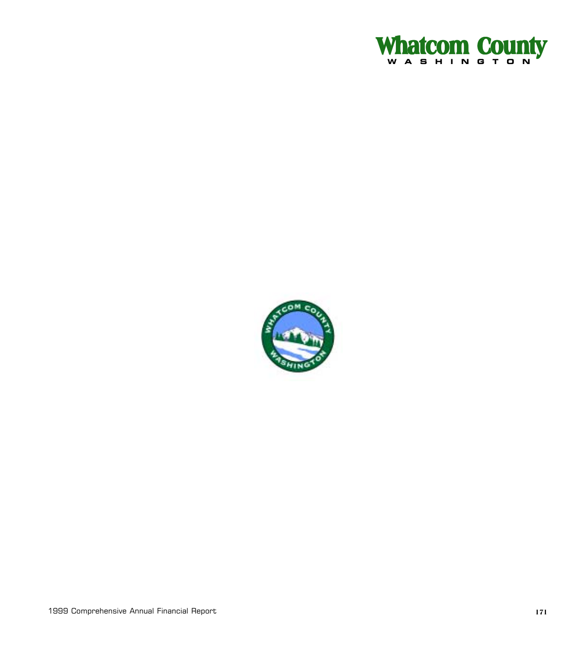

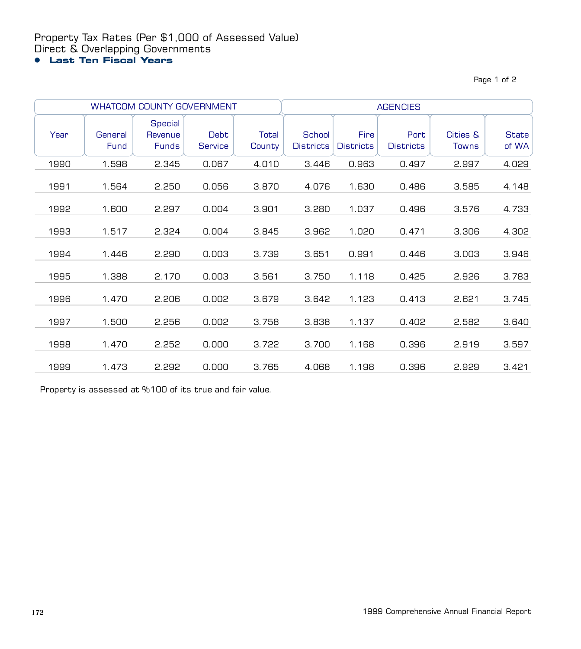# Property Tax Rates (Per \$1,000 of Assessed Value) Direct & Overlapping Governments

**• Last Ten Fiscal Years** 

Page 1 of 2

| WHATCOM COUNTY GOVERNMENT |                 |                                           |                               |                        | <b>AGENCIES</b>            |                          |                          |                          |                       |
|---------------------------|-----------------|-------------------------------------------|-------------------------------|------------------------|----------------------------|--------------------------|--------------------------|--------------------------|-----------------------|
| Year                      | General<br>Fund | <b>Special</b><br>Revenue<br><b>Funds</b> | <b>Debt</b><br><b>Service</b> | <b>Total</b><br>County | School<br><b>Districts</b> | Fire<br><b>Districts</b> | Port<br><b>Districts</b> | Cities &<br><b>Towns</b> | <b>State</b><br>of WA |
| 1990                      | 1.598           | 2.345                                     | 0.067                         | 4.010                  | 3.446                      | 0.963                    | 0.497                    | 2.997                    | 4.029                 |
| 1991                      | 1.564           | 2.250                                     | 0.056                         | 3.870                  | 4.076                      | 1.630                    | 0.486                    | 3.585                    | 4.148                 |
| 1992                      | 1.600           | 2.297                                     | 0.004                         | 3.901                  | 3.280                      | 1.037                    | 0.496                    | 3.576                    | 4.733                 |
| 1993                      | 1.517           | 2.324                                     | 0.004                         | 3.845                  | 3.962                      | 1.020                    | 0.471                    | 3.306                    | 4.302                 |
| 1994                      | 1.446           | 2.290                                     | 0.003                         | 3.739                  | 3.651                      | 0.991                    | 0.446                    | 3.003                    | 3.946                 |
| 1995                      | 1.388           | 2.170                                     | 0.003                         | 3.561                  | 3.750                      | 1.118                    | 0.425                    | 2.926                    | 3.783                 |
| 1996                      | 1.470           | 2.206                                     | 0.002                         | 3.679                  | 3.642                      | 1.123                    | 0.413                    | 2.621                    | 3.745                 |
| 1997                      | 1.500           | 2.256                                     | 0.002                         | 3.758                  | 3.838                      | 1.137                    | 0.402                    | 2.582                    | 3.640                 |
| 1998                      | 1.470           | 2.252                                     | 0.000                         | 3.722                  | 3.700                      | 1.168                    | 0.396                    | 2.919                    | 3.597                 |
| 1999                      | 1.473           | 2.292                                     | 0.000                         | 3.765                  | 4.068                      | 1.198                    | 0.396                    | 2.929                    | 3.421                 |

Property is assessed at %100 of its true and fair value.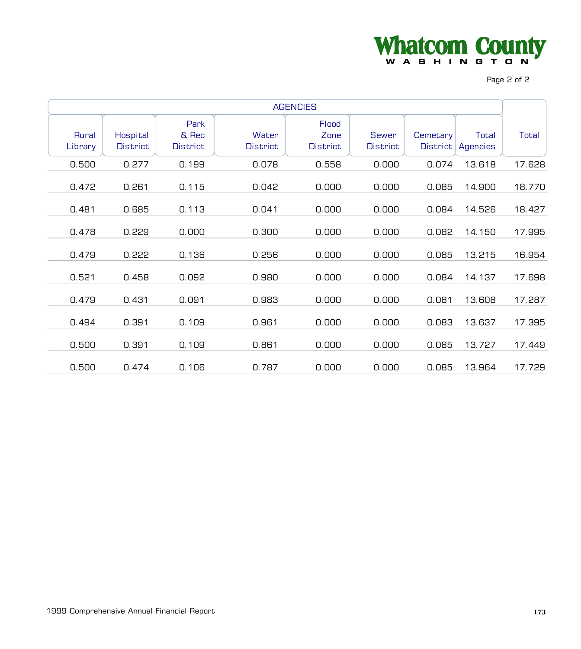

| <b>AGENCIES</b>         |                                    |                                  |                          |                                  |                                 |                      |                                 |              |
|-------------------------|------------------------------------|----------------------------------|--------------------------|----------------------------------|---------------------------------|----------------------|---------------------------------|--------------|
| <b>Rural</b><br>Library | <b>Hospital</b><br><b>District</b> | Park<br>& Rec<br><b>District</b> | Water<br><b>District</b> | Flood<br>Zone<br><b>District</b> | <b>Sewer</b><br><b>District</b> | Cemetary<br>District | <b>Total</b><br><b>Agencies</b> | <b>Total</b> |
| 0.500                   | 0.277                              | 0.199                            | 0.078                    | 0.558                            | 0.000                           | 0.074                | 13.618                          | 17.628       |
| 0.472                   | 0.261                              | 0.115                            | 0.042                    | 0.000                            | 0.000                           | 0.085                | 14.900                          | 18.770       |
| 0.481                   | 0.685                              | 0.113                            | 0.041                    | 0.000                            | 0.000                           | 0.084                | 14.526                          | 18.427       |
| 0.478                   | 0.229                              | 0.000                            | 0.300                    | 0.000                            | 0.000                           | 0.082                | 14.150                          | 17.995       |
| 0.479                   | 0.222                              | 0.136                            | 0.256                    | 0.000                            | 0.000                           | 0.085                | 13.215                          | 16.954       |
| 0.521                   | 0.458                              | 0.092                            | 0.980                    | 0.000                            | 0.000                           | 0.084                | 14.137                          | 17.698       |
| 0.479                   | 0.431                              | 0.091                            | 0.983                    | 0.000                            | 0.000                           | 0.081                | 13.608                          | 17.287       |
| 0.494                   | 0.391                              | 0.109                            | 0.961                    | 0.000                            | 0.000                           | 0.083                | 13.637                          | 17.395       |
| 0.500                   | 0.391                              | 0.109                            | 0.861                    | 0.000                            | 0.000                           | 0.085                | 13.727                          | 17.449       |
| 0.500                   | 0.474                              | 0.106                            | 0.787                    | 0.000                            | 0.000                           | 0.085                | 13.964                          | 17.729       |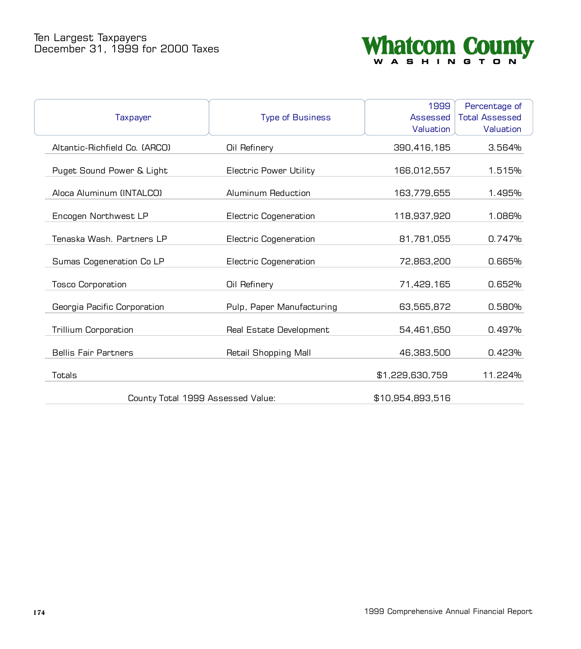

|                                   |                           | 1999             | Percentage of         |
|-----------------------------------|---------------------------|------------------|-----------------------|
| Taxpayer                          | <b>Type of Business</b>   | <b>Assessed</b>  | <b>Total Assessed</b> |
|                                   |                           | Valuation        | Valuation             |
| Altantic-Richfield Co. (ARCO)     | Oil Refinery              | 390,416,185      | 3.564%                |
| Puget Sound Power & Light         | Electric Power Utility    | 166,012,557      | 1.515%                |
| Aloca Aluminum (INTALCO)          | Aluminum Reduction        | 163.779.655      | 1.495%                |
| Encogen Northwest LP              | Electric Cogeneration     | 118,937,920      | 1.086%                |
| Tenaska Wash, Partners I P        | Electric Cogeneration     | 81.781.055       | 0.747%                |
| Sumas Cogeneration Co LP          | Electric Cogeneration     | 72.863.200       | 0.665%                |
| <b>Tosco Corporation</b>          | Oil Refinery              | 71.429.165       | 0.652%                |
| Georgia Pacific Corporation       | Pulp, Paper Manufacturing | 63,565,872       | 0.580%                |
| Trillium Corporation              | Real Estate Development   | 54,461,650       | 0.497%                |
| <b>Bellis Fair Partners</b>       | Retail Shopping Mall      | 46,383,500       | 0.423%                |
| Totals                            |                           | \$1,229,630,759  | 11.224%               |
| County Total 1999 Assessed Value: |                           | \$10,954,893,516 |                       |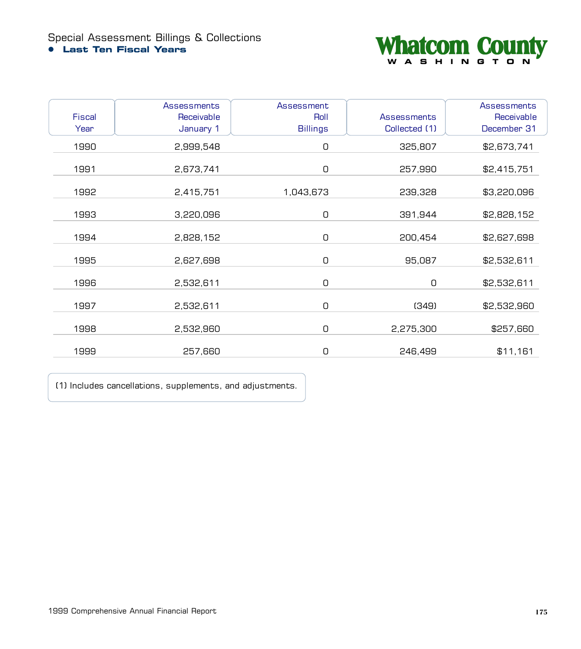## Special Assessment Billings & Collections

! Last Ten Fiscal Years



|               | <b>Assessments</b> | Assessment      |                    | <b>Assessments</b> |
|---------------|--------------------|-----------------|--------------------|--------------------|
| <b>Fiscal</b> | Receivable         | Roll            | <b>Assessments</b> | Receivable         |
| Year          | January 1          | <b>Billings</b> | Collected (1)      | December 31        |
| 1990          | 2,999,548          | 0               | 325,807            | \$2,673,741        |
| 1991          | 2,673,741          | 0               | 257,990            | \$2,415,751        |
| 1992          | 2,415,751          | 1,043,673       | 239,328            | \$3,220,096        |
| 1993          | 3,220,096          | $\mathsf D$     | 391,944            | \$2,828,152        |
| 1994          | 2,828,152          | 0               | 200,454            | \$2,627,698        |
| 1995          | 2,627,698          | 0               | 95,087             | \$2,532,611        |
| 1996          | 2,532,611          | 0               | 0                  | \$2,532,611        |
| 1997          | 2,532,611          | 0               | (349)              | \$2,532,960        |
| 1998          | 2,532,960          | 0               | 2,275,300          | \$257,660          |
| 1999          | 257,660            | 0               | 246,499            | \$11,161           |

(1) Includes cancellations, supplements, and adjustments.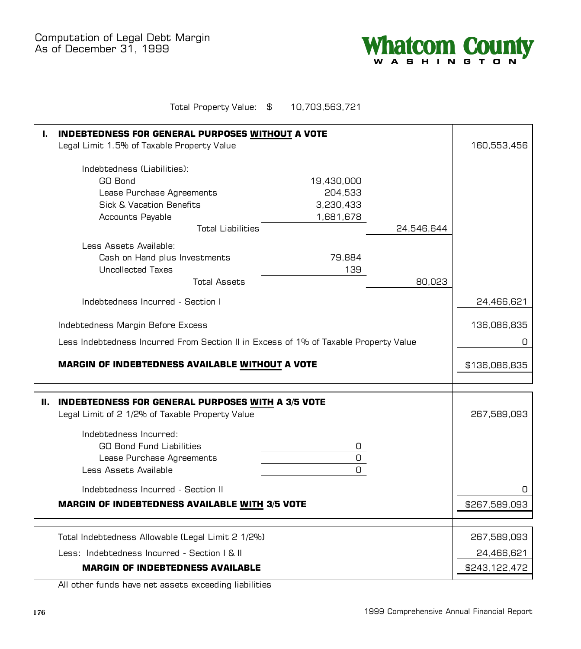Computation of Legal Debt Margin As of December 31, 1999



Total Property Value:  $$ 10,703,563,721$ 

| <b>INDEBTEDNESS FOR GENERAL PURPOSES WITHOUT A VOTE</b><br>Legal Limit 1.5% of Taxable Property Value                                 | 160,553,456      |
|---------------------------------------------------------------------------------------------------------------------------------------|------------------|
| Indebtedness (Liabilities):<br>GO Bond<br>19,430,000<br>Lease Purchase Agreements<br>204,533                                          |                  |
| <b>Sick &amp; Vacation Benefits</b><br>3,230,433<br>Accounts Payable<br>1,681,678                                                     |                  |
| <b>Total Liabilities</b><br>24,546,644                                                                                                |                  |
| Less Assets Available:<br>Cash on Hand plus Investments<br>79,884<br><b>Uncollected Taxes</b><br>139<br><b>Total Assets</b><br>80,023 |                  |
| Indebtedness Incurred - Section I                                                                                                     | 24,466,621       |
| Indebtedness Margin Before Excess<br>Less Indebtedness Incurred From Section II in Excess of 1% of Taxable Property Value             | 136,086,835<br>0 |
| MARGIN OF INDEBTEDNESS AVAILABLE WITHOUT A VOTE                                                                                       | \$136,086,835    |
| II. INDEBTEDNESS FOR GENERAL PURPOSES WITH A 3/5 VOTE<br>Legal Limit of 2 1/2% of Taxable Property Value                              | 267,589,093      |
| Indebtedness Incurred:<br><b>GO Bond Fund Liabilities</b><br>0<br>0<br>Lease Purchase Agreements<br>Less Assets Available<br>U        |                  |
| Indebtedness Incurred - Section II                                                                                                    | O                |
| <b>MARGIN OF INDEBTEDNESS AVAILABLE WITH 3/5 VOTE</b>                                                                                 | \$267,589,093    |
|                                                                                                                                       |                  |
| Total Indebtedness Allowable (Legal Limit 2 1/2%)                                                                                     | 267,589,093      |
| Less: Indebtedness Incurred - Section I & II                                                                                          | 24,466,621       |
| <b>MARGIN OF INDEBTEDNESS AVAILABLE</b>                                                                                               |                  |

All other funds have net assets exceeding liabilities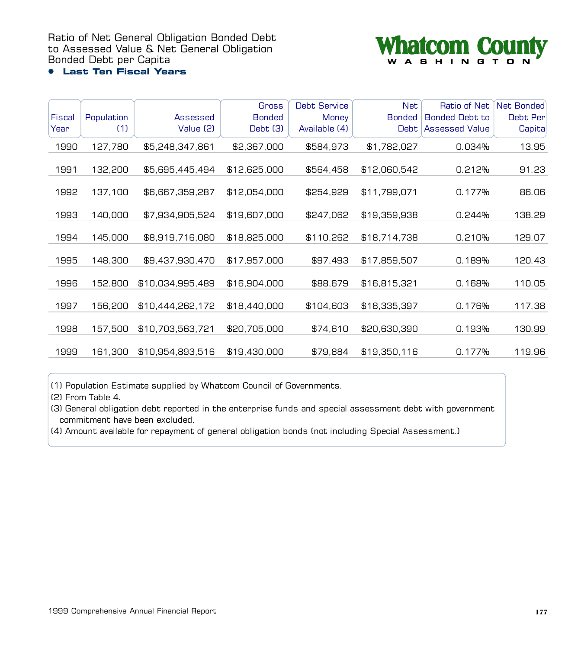Ratio of Net General Obligation Bonded Debt to Assessed Value & Net General Obligation Bonded Debt per Capita



**• Last Ten Fiscal Years** 

|               |            |                  | <b>Gross</b>  | <b>Debt Service</b> | <b>Net</b>    | Ratio of Net          | Net Bonded    |
|---------------|------------|------------------|---------------|---------------------|---------------|-----------------------|---------------|
| <b>Fiscal</b> | Population | Assessed         | <b>Bonded</b> | Money               | <b>Bonded</b> | <b>Bonded Debt to</b> | Debt Per      |
| Year          | (1)        | Value (2)        | Debt (3)      | Available (4)       | Debt          | <b>Assessed Value</b> | <b>Capita</b> |
| 1990          | 127,780    | \$5,248,347,861  | \$2,367,000   | \$584,973           | \$1,782,027   | 0.034%                | 13.95         |
| 1991          | 132,200    | \$5,695,445,494  | \$12,625,000  | \$564,458           | \$12,060,542  | 0.212%                | 91.23         |
|               |            |                  |               |                     |               |                       |               |
| 1992          | 137,100    | \$6,667,359,287  | \$12,054,000  | \$254,929           | \$11,799,071  | 0.177%                | 86.06         |
|               |            |                  |               |                     |               |                       |               |
| 1993          | 140,000    | \$7,934,905,524  | \$19,607,000  | \$247,062           | \$19,359,938  | 0.244%                | 138.29        |
| 1994          | 145,000    | \$8,919,716,080  | \$18,825,000  | \$110,262           | \$18,714,738  | 0.210%                | 129.07        |
|               |            |                  |               |                     |               |                       |               |
| 1995          | 148,300    | \$9,437,930,470  | \$17,957,000  | \$97,493            | \$17,859,507  | 0.189%                | 120.43        |
| 1996          | 152,800    | \$10,034,995,489 | \$16,904,000  | \$88,679            | \$16,815,321  | 0.168%                | 110.05        |
|               |            |                  |               |                     |               |                       |               |
| 1997          | 156,200    | \$10,444,262,172 | \$18,440,000  | \$104,603           | \$18,335,397  | 0.176%                | 117.38        |
|               |            |                  |               |                     |               |                       |               |
| 1998          | 157,500    | \$10,703,563,721 | \$20,705,000  | \$74,610            | \$20,630,390  | 0.193%                | 130.99        |
|               |            |                  |               |                     |               |                       |               |
| 1999          | 161,300    | \$10,954,893,516 | \$19,430,000  | \$79,884            | \$19,350,116  | 0.177%                | 119.96        |

(1) Population Estimate supplied by Whatcom Council of Governments.

(2) From Table 4.

(3) General obligation debt reported in the enterprise funds and special assessment debt with government commitment have been excluded.

(4) Amount available for repayment of general obligation bonds (not including Special Assessment.)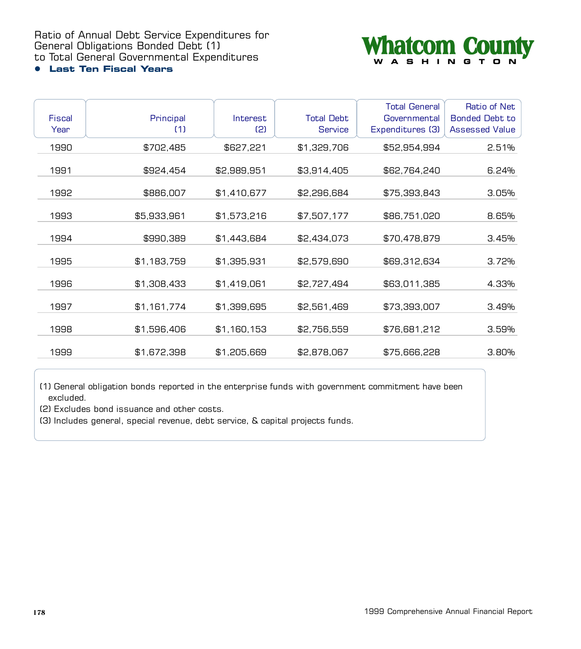Ratio of Annual Debt Service Expenditures for General Obligations Bonded Debt (1) to Total General Governmental Expenditures



#### **• Last Ten Fiscal Years**

| Fiscal<br>Year | Principal<br>(1) | Interest<br>(2) | <b>Total Debt</b><br>Service | <b>Total General</b><br>Governmental<br>Expenditures (3) | Ratio of Net<br><b>Bonded Debt to</b><br><b>Assessed Value</b> |
|----------------|------------------|-----------------|------------------------------|----------------------------------------------------------|----------------------------------------------------------------|
| 1990           | \$702,485        | \$627,221       | \$1,329,706                  | \$52,954,994                                             | 2.51%                                                          |
| 1991           | \$924,454        | \$2,989,951     | \$3,914,405                  | \$62,764,240                                             | 6.24%                                                          |
| 1992           | \$886,007        | \$1,410,677     | \$2,296,684                  | \$75,393,843                                             | 3.05%                                                          |
| 1993           | \$5,933,961      | \$1,573,216     | \$7,507,177                  | \$86,751,020                                             | 8.65%                                                          |
| 1994           | \$990,389        | \$1,443,684     | \$2,434,073                  | \$70,478,879                                             | 3.45%                                                          |
| 1995           | \$1,183,759      | \$1,395,931     | \$2,579,690                  | \$69,312,634                                             | 3.72%                                                          |
| 1996           | \$1,308,433      | \$1,419,061     | \$2,727,494                  | \$63,011,385                                             | 4.33%                                                          |
| 1997           | \$1,161,774      | \$1,399,695     | \$2,561,469                  | \$73,393,007                                             | 3.49%                                                          |
| 1998           | \$1,596,406      | \$1,160,153     | \$2,756,559                  | \$76,681,212                                             | 3.59%                                                          |
| 1999           | \$1,672,398      | \$1,205,669     | \$2,878,067                  | \$75,666,228                                             | 3.80%                                                          |

(1) General obligation bonds reported in the enterprise funds with government commitment have been excluded.

(2) Excludes bond issuance and other costs.

(3) Includes general, special revenue, debt service, & capital projects funds.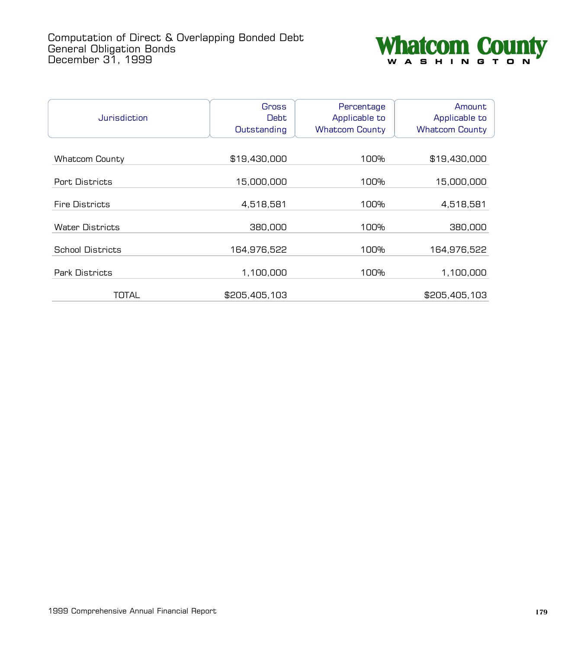

|                        | Gross         | Percentage            | Amount                |
|------------------------|---------------|-----------------------|-----------------------|
| Jurisdiction           | <b>Debt</b>   | Applicable to         | Applicable to         |
|                        | Outstanding   | <b>Whatcom County</b> | <b>Whatcom County</b> |
|                        |               |                       |                       |
| Whatcom County         | \$19,430,000  | 100%                  | \$19,430,000          |
|                        |               |                       |                       |
| <b>Port Districts</b>  | 15,000,000    | 100%                  | 15,000,000            |
|                        |               |                       |                       |
| <b>Fire Districts</b>  | 4.518.581     | 100%                  | 4.518.581             |
| <b>Water Districts</b> | 380,000       | 100%                  | 380,000               |
|                        |               |                       |                       |
| School Districts       | 164,976,522   | 100%                  | 164,976,522           |
|                        |               |                       |                       |
| <b>Park Districts</b>  | 1.100.000     | 100%                  | 1.100.000             |
|                        |               |                       |                       |
| <b>TOTAL</b>           | \$205,405,103 |                       | \$205,405,103         |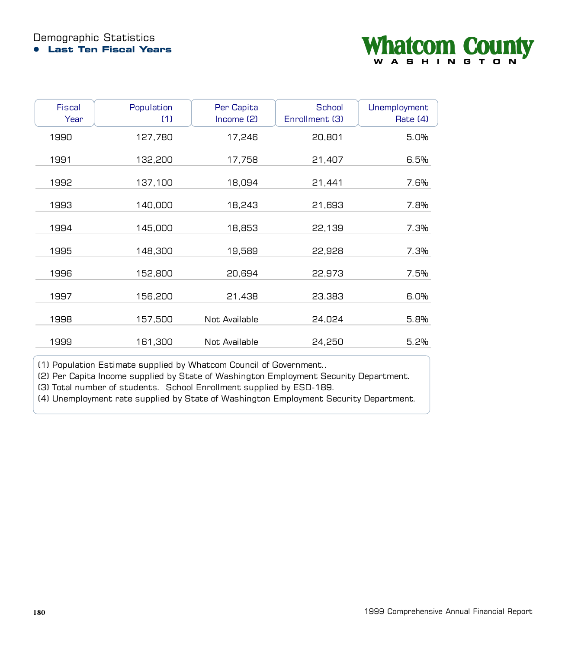### Demographic Statistics

#### ! Last Ten Fiscal Years



| <b>Fiscal</b><br>Year | Population<br>(1) | Per Capita<br>Income (2) | School<br>Enrollment (3) | Unemployment<br>Rate (4) |
|-----------------------|-------------------|--------------------------|--------------------------|--------------------------|
| 1990                  | 127,780           | 17,246                   | 20,801                   | 5.0%                     |
| 1991                  | 132,200           | 17,758                   | 21,407                   | 6.5%                     |
| 1992                  | 137,100           | 18,094                   | 21,441                   | 7.6%                     |
| 1993                  | 140,000           | 18,243                   | 21,693                   | 7.8%                     |
| 1994                  | 145,000           | 18,853                   | 22,139                   | 7.3%                     |
| 1995                  | 148,300           | 19,589                   | 22,928                   | 7.3%                     |
| 1996                  | 152,800           | 20,694                   | 22,973                   | 7.5%                     |
| 1997                  | 156,200           | 21,438                   | 23,383                   | 6.0%                     |
| 1998                  | 157,500           | Not Available            | 24.024                   | 5.8%                     |
| 1999                  | 161,300           | Not Available            | 24,250                   | 5.2%                     |

(1) Population Estimate supplied by Whatcom Council of Government..

(2) Per Capita Income supplied by State of Washington Employment Security Department.

(3) Total number of students. School Enrollment supplied by ESD-189.

(4) Unemployment rate supplied by State of Washington Employment Security Department.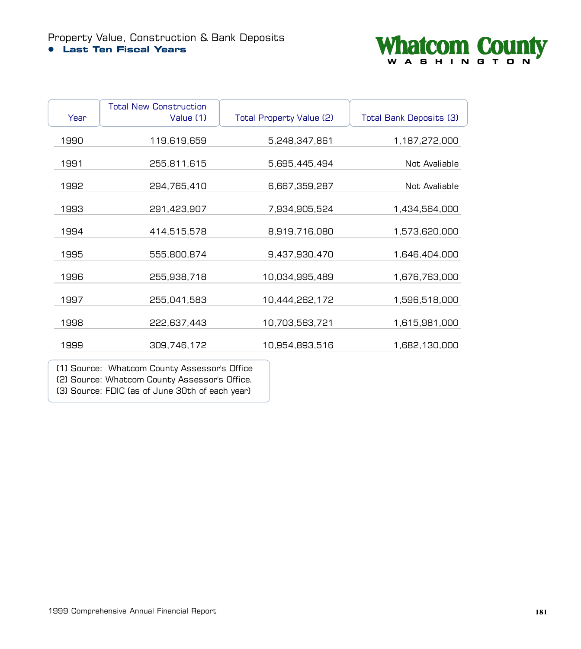**• Last Ten Fiscal Years** 



| Year | <b>Total New Construction</b><br>Value (1) | <b>Total Property Value (2)</b> | Total Bank Deposits (3) |
|------|--------------------------------------------|---------------------------------|-------------------------|
| 1990 | 119,619,659                                | 5,248,347,861                   | 1,187,272,000           |
| 1991 | 255,811,615                                | 5,695,445,494                   | Not Avaliable           |
| 1992 | 294,765,410                                | 6,667,359,287                   | Not Avaliable           |
| 1993 | 291,423,907                                | 7,934,905,524                   | 1,434,564,000           |
| 1994 | 414,515,578                                | 8,919,716,080                   | 1,573,620,000           |
| 1995 | 555,800,874                                | 9,437,930,470                   | 1,646,404,000           |
| 1996 | 255,938,718                                | 10,034,995,489                  | 1,676,763,000           |
| 1997 | 255,041,583                                | 10,444,262,172                  | 1,596,518,000           |
| 1998 | 222,637,443                                | 10,703,563,721                  | 1,615,981,000           |
| 1999 | 309,746,172                                | 10,954,893,516                  | 1,682,130,000           |

(1) Source: Whatcom County Assessor's Office

(2) Source: Whatcom County Assessor's Office.

(3) Source: FDIC (as of June 30th of each year)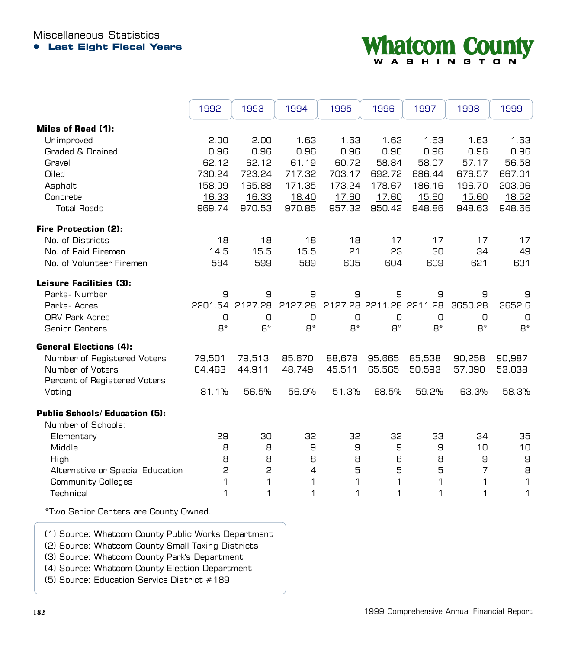#### Miscellaneous Statistics

**• Last Eight Fiscal Years** 



|                                      | 1992    | 1993    | 1994    | 1995   | 1996                    | 1997     | 1998    | 1999   |
|--------------------------------------|---------|---------|---------|--------|-------------------------|----------|---------|--------|
| Miles of Road (1):                   |         |         |         |        |                         |          |         |        |
| Unimproved                           | 2.00    | 2.00    | 1.63    | 1.63   | 1.63                    | 1.63     | 1.63    | 1.63   |
| <b>Graded &amp; Drained</b>          | 0.96    | 0.96    | 0.96    | 0.96   | 0.96                    | 0.96     | 0.96    | 0.96   |
| Gravel                               | 62.12   | 62.12   | 61.19   | 60.72  | 58.84                   | 58.07    | 57.17   | 56.58  |
| Oiled                                | 730.24  | 723.24  | 717.32  | 703.17 | 692.72                  | 686.44   | 676.57  | 667.01 |
| Asphalt                              | 158.09  | 165.88  | 171.35  | 173.24 | 178.67                  | 186.16   | 196.70  | 203.96 |
| Concrete                             | 16.33   | 16.33   | 18.40   | 17.60  | 17.60                   | 15.60    | 15.60   | 18.52  |
| <b>Total Roads</b>                   | 969.74  | 970.53  | 970.85  | 957.32 | 950.42                  | 948.86   | 948.63  | 948.66 |
| Fire Protection (2):                 |         |         |         |        |                         |          |         |        |
| No. of Districts                     | 18      | 18      | 18      | 18     | 17                      | 17       | 17      | 17     |
| No. of Paid Firemen                  | 14.5    | 15.5    | 15.5    | 21     | 23                      | 30       | 34      | 49     |
| No. of Volunteer Firemen             | 584     | 599     | 589     | 605    | 604                     | 609      | 621     | 631    |
| <b>Leisure Facilities (3):</b>       |         |         |         |        |                         |          |         |        |
| Parks-Number                         | 9       | 9       | 9       | 9      | 9                       | 9        | 9       | 9      |
| Parks-Acres                          | 2201.54 | 2127.28 | 2127.28 |        | 2127.28 2211.28 2211.28 |          | 3650.28 | 3652.6 |
| <b>ORV Park Acres</b>                | $\cup$  | 0       | 0       | 0      | $\cup$                  | $\Omega$ | 0       | 0      |
| <b>Senior Centers</b>                | $B^*$   | $B^*$   | $B^*$   | 8*     | 8*                      | $B^*$    | $B^*$   | 8*     |
| <b>General Elections (4):</b>        |         |         |         |        |                         |          |         |        |
| Number of Registered Voters          | 79,501  | 79,513  | 85,670  | 88,678 | 95,665                  | 85,538   | 90,258  | 90,987 |
| Number of Voters                     | 64,463  | 44,911  | 48,749  | 45,511 | 65,565                  | 50,593   | 57,090  | 53,038 |
| Percent of Registered Voters         |         |         |         |        |                         |          |         |        |
| Voting                               | 81.1%   | 56.5%   | 56.9%   | 51.3%  | 68.5%                   | 59.2%    | 63.3%   | 58.3%  |
| <b>Public Schools/Education (5):</b> |         |         |         |        |                         |          |         |        |
| Number of Schools:                   |         |         |         |        |                         |          |         |        |
| Elementary                           | 29      | 30      | 32      | 32     | 32                      | 33       | 34      | 35     |
| Middle                               | 8       | 8       | 9       | 9      | 9                       | 9        | 10      | 10     |
| High                                 | 8       | 8       | 8       | 8      | 8                       | 8        | 9       | 9      |
| Alternative or Special Education     | 2       | 2       | 4       | 5      | 5                       | 5        | 7       | 8      |
| <b>Community Colleges</b>            | 1       | 1       | 1       | 1      | 1                       | 1        | 1       | 1      |
| Technical                            | 1       | 1       | 1       | 1      | 1                       | 1        | 1       | 1      |

\*Two Senior Centers are County Owned.

(1) Source: Whatcom County Public Works Department

(2) Source: Whatcom County Small Taxing Districts

(3) Source: Whatcom County Park's Department

(4) Source: Whatcom County Election Department

(5) Source: Education Service District #189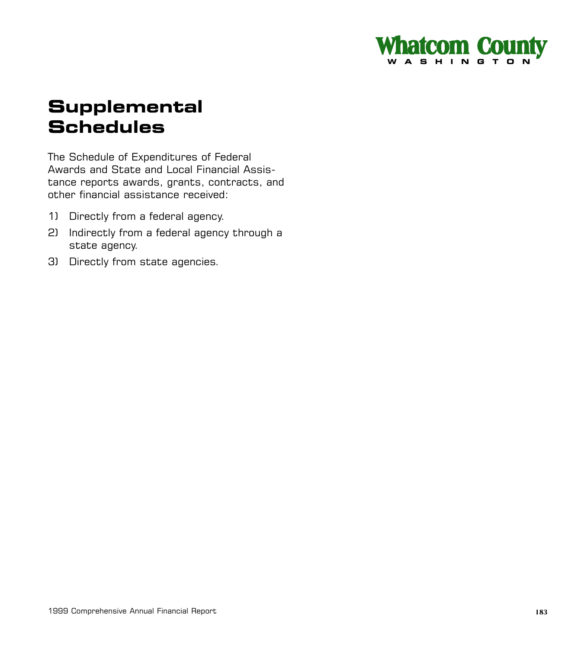

# **Supplemental Schedules**

The Schedule of Expenditures of Federal Awards and State and Local Financial Assistance reports awards, grants, contracts, and other financial assistance received:

- 1) Directly from a federal agency.
- 2) Indirectly from a federal agency through a state agency.
- 3) Directly from state agencies.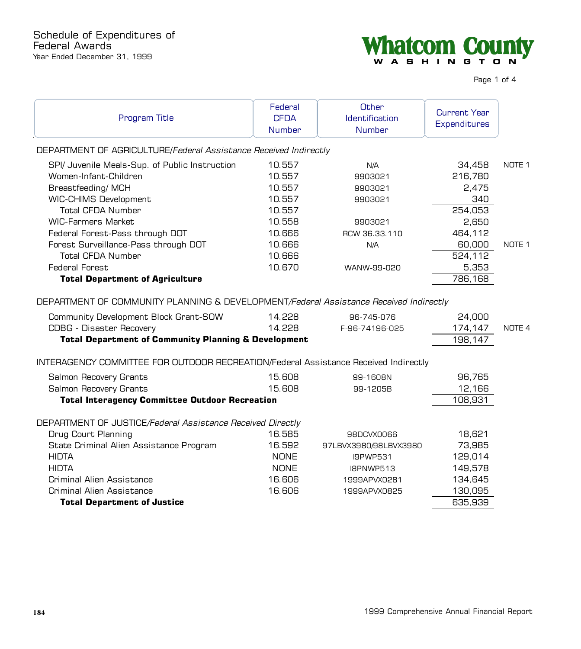

Page 1 of 4

| DEPARTMENT OF AGRICULTURE/Federal Assistance Received Indirectly<br>N/A<br>9903021<br>9903021<br>9903021<br>9903021<br>RCW 36.33.110<br>N/A<br>WANW-99-020 | 34,458<br>216,780<br>2.475<br>340<br>254,053<br>2,650<br>464,112<br>60,000<br>524,112<br>5,353 | NOTE <sub>1</sub><br>NOTE <sub>1</sub>                                                                  |
|------------------------------------------------------------------------------------------------------------------------------------------------------------|------------------------------------------------------------------------------------------------|---------------------------------------------------------------------------------------------------------|
|                                                                                                                                                            |                                                                                                |                                                                                                         |
|                                                                                                                                                            |                                                                                                |                                                                                                         |
|                                                                                                                                                            |                                                                                                |                                                                                                         |
|                                                                                                                                                            |                                                                                                |                                                                                                         |
|                                                                                                                                                            |                                                                                                |                                                                                                         |
|                                                                                                                                                            |                                                                                                |                                                                                                         |
|                                                                                                                                                            |                                                                                                |                                                                                                         |
|                                                                                                                                                            |                                                                                                |                                                                                                         |
|                                                                                                                                                            |                                                                                                |                                                                                                         |
|                                                                                                                                                            |                                                                                                |                                                                                                         |
|                                                                                                                                                            |                                                                                                |                                                                                                         |
|                                                                                                                                                            | 786,168                                                                                        |                                                                                                         |
| DEPARTMENT OF COMMUNITY PLANNING & DEVELOPMENT/Federal Assistance Received Indirectly                                                                      |                                                                                                |                                                                                                         |
| 96-745-076                                                                                                                                                 | 24,000                                                                                         |                                                                                                         |
| F-96-74196-025                                                                                                                                             | 174,147                                                                                        | NOTE <sub>4</sub>                                                                                       |
|                                                                                                                                                            | 198,147                                                                                        |                                                                                                         |
|                                                                                                                                                            |                                                                                                |                                                                                                         |
| 99-1608N                                                                                                                                                   |                                                                                                |                                                                                                         |
| 99-1205B                                                                                                                                                   |                                                                                                |                                                                                                         |
|                                                                                                                                                            | 108,931                                                                                        |                                                                                                         |
|                                                                                                                                                            |                                                                                                |                                                                                                         |
| 98DCVX0066                                                                                                                                                 | 18.621                                                                                         |                                                                                                         |
|                                                                                                                                                            | 73,985                                                                                         |                                                                                                         |
| <b>ISPWP531</b>                                                                                                                                            | 129,014                                                                                        |                                                                                                         |
| I8PNWP513                                                                                                                                                  | 149,578                                                                                        |                                                                                                         |
| 1999APVX0281                                                                                                                                               | 134,645                                                                                        |                                                                                                         |
|                                                                                                                                                            | 130,095                                                                                        |                                                                                                         |
|                                                                                                                                                            | 635,939                                                                                        |                                                                                                         |
|                                                                                                                                                            | 97LBVX3980/98LBVX3980<br>1999APVX0825                                                          | INTERAGENCY COMMITTEE FOR OUTDOOR RECREATION/Federal Assistance Received Indirectly<br>96,765<br>12,166 |

Υ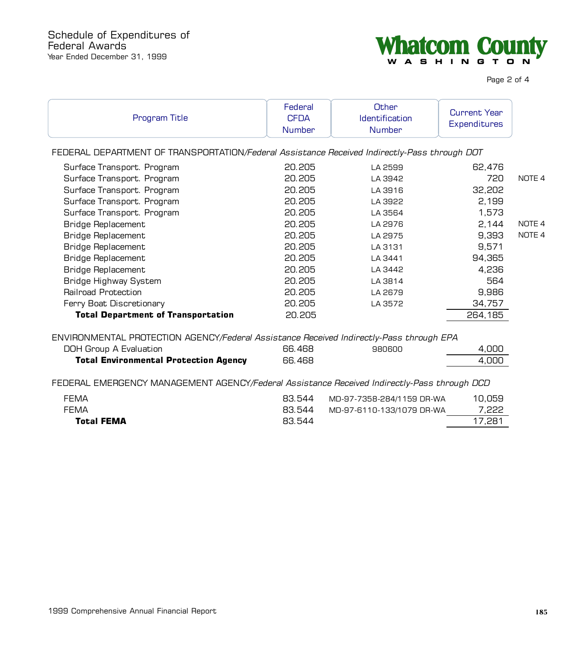

Page 2 of 4

| Program Title                                                                                | Federal<br><b>CFDA</b><br><b>Number</b> | Other<br>Identification<br><b>Number</b> | Current Year<br><b>Expenditures</b> |                   |
|----------------------------------------------------------------------------------------------|-----------------------------------------|------------------------------------------|-------------------------------------|-------------------|
| FEDERAL DEPARTMENT OF TRANSPORTATION/Federal Assistance Received Indirectly-Pass through DOT |                                         |                                          |                                     |                   |
| Surface Transport. Program                                                                   | 20.205                                  | LA 2599                                  | 62,476                              |                   |
| Surface Transport. Program                                                                   | 20.205                                  | LA 3942                                  | 720                                 | NOTE <sub>4</sub> |
| Surface Transport. Program                                                                   | 20,205                                  | LA 3916                                  | 32,202                              |                   |
| Surface Transport. Program                                                                   | 20.205                                  | LA 3922                                  | 2,199                               |                   |
| Surface Transport. Program                                                                   | 20.205                                  | LA 3564                                  | 1,573                               |                   |
| <b>Bridge Replacement</b>                                                                    | 20.205                                  | LA 2976                                  | 2,144                               | NOTE 4            |
| <b>Bridge Replacement</b>                                                                    | 20.205                                  | LA 2975                                  | 9,393                               | NOTE 4            |
| Bridge Replacement                                                                           | 20,205                                  | LA 3131                                  | 9,571                               |                   |
| <b>Bridge Replacement</b>                                                                    | 20,205                                  | LA 3441                                  | 94,365                              |                   |
| <b>Bridge Replacement</b>                                                                    | 20.205                                  | LA 3442                                  | 4.236                               |                   |
| Bridge Highway System                                                                        | 20.205                                  | LA 3814                                  | 564                                 |                   |
| <b>Railroad Protection</b>                                                                   | 20.205                                  | LA 2679                                  | 9,986                               |                   |
| Ferry Boat Discretionary                                                                     | 20.205                                  | LA 3572                                  | 34,757                              |                   |
| <b>Total Department of Transportation</b>                                                    | 20.205                                  |                                          | 264,185                             |                   |
| ENVIRONMENTAL PROTECTION AGENCY/Federal Assistance Received Indirectly-Pass through EPA      |                                         |                                          |                                     |                   |
| DOH Group A Evaluation                                                                       | 66,468                                  | 980600                                   | 4,000                               |                   |
| <b>Total Environmental Protection Agency</b>                                                 | 66.468                                  |                                          | 4,000                               |                   |
| FEDERAL EMERGENCY MANAGEMENT AGENCY/Federal Assistance Received Indirectly-Pass through DCD  |                                         |                                          |                                     |                   |
| <b>FEMA</b>                                                                                  | 83.544                                  | MD-97-7358-284/1159 DR-WA                | 10,059                              |                   |
|                                                                                              |                                         |                                          |                                     |                   |
| <b>FEMA</b>                                                                                  | 83.544                                  | MD-97-6110-133/1079 DR-WA                | 7,222                               |                   |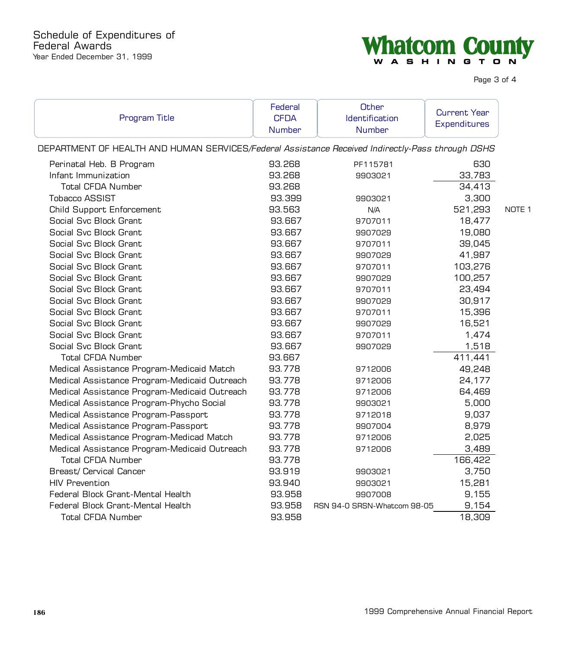

Page 3 of 4

| Program Title                                                                                    | Federal<br><b>CFDA</b><br>Number | Other<br>Identification<br>Number | <b>Current Year</b><br>Expenditures |                   |
|--------------------------------------------------------------------------------------------------|----------------------------------|-----------------------------------|-------------------------------------|-------------------|
| DEPARTMENT OF HEALTH AND HUMAN SERVICES/Federal Assistance Received Indirectly-Pass through DSHS |                                  |                                   |                                     |                   |
| Perinatal Heb. B Program                                                                         | 93.268                           | PF115781                          | 630                                 |                   |
| Infant Immunization                                                                              | 93.268                           | 9903021                           | 33,783                              |                   |
| <b>Total CFDA Number</b>                                                                         | 93.268                           |                                   | 34,413                              |                   |
| <b>Tobacco ASSIST</b>                                                                            | 93.399                           | 9903021                           | 3,300                               |                   |
| Child Support Enforcement                                                                        | 93.563                           | N/A                               | 521,293                             | NOTE <sub>1</sub> |
| Social Svc Block Grant                                                                           | 93.667                           | 9707011                           | 18,477                              |                   |
| Social Svc Block Grant                                                                           | 93.667                           | 9907029                           | 19,080                              |                   |
| Social Svc Block Grant                                                                           | 93.667                           | 9707011                           | 39,045                              |                   |
| Social Svc Block Grant                                                                           | 93.667                           | 9907029                           | 41,987                              |                   |
| Social Svc Block Grant                                                                           | 93.667                           | 9707011                           | 103,276                             |                   |
| Social Svc Block Grant                                                                           | 93.667                           | 9907029                           | 100,257                             |                   |
| Social Svc Block Grant                                                                           | 93.667                           | 9707011                           | 23,494                              |                   |
| Social Svc Block Grant                                                                           | 93.667                           | 9907029                           | 30,917                              |                   |
| Social Svc Block Grant                                                                           | 93.667                           | 9707011                           | 15,396                              |                   |
| Social Svc Block Grant                                                                           | 93.667                           | 9907029                           | 16,521                              |                   |
| Social Svc Block Grant                                                                           | 93.667                           | 9707011                           | 1,474                               |                   |
| Social Svc Block Grant                                                                           | 93.667                           | 9907029                           | 1,518                               |                   |
| <b>Total CFDA Number</b>                                                                         | 93.667                           |                                   | 411,441                             |                   |
| Medical Assistance Program-Medicaid Match                                                        | 93.778                           | 9712006                           | 49,248                              |                   |
| Medical Assistance Program-Medicaid Outreach                                                     | 93.778                           | 9712006                           | 24,177                              |                   |
| Medical Assistance Program-Medicaid Outreach                                                     | 93.778                           | 9712006                           | 64,469                              |                   |
| Medical Assistance Program-Phycho Social                                                         | 93.778                           | 9903021                           | 5,000                               |                   |
| Medical Assistance Program-Passport                                                              | 93.778                           | 9712018                           | 9,037                               |                   |
| Medical Assistance Program-Passport                                                              | 93.778                           | 9907004                           | 8,979                               |                   |
| Medical Assistance Program-Medicad Match                                                         | 93.778                           | 9712006                           | 2,025                               |                   |
| Medical Assistance Program-Medicaid Outreach                                                     | 93.778                           | 9712006                           | 3,489                               |                   |
| <b>Total CFDA Number</b>                                                                         | 93.778                           |                                   | 166,422                             |                   |
| <b>Breast/Cervical Cancer</b>                                                                    | 93.919                           | 9903021                           | 3,750                               |                   |
| <b>HIV Prevention</b>                                                                            | 93.940                           | 9903021                           | 15,281                              |                   |
| Federal Block Grant-Mental Health                                                                | 93.958                           | 9907008                           | 9,155                               |                   |
| Federal Block Grant-Mental Health                                                                | 93.958                           | RSN 94-0 SRSN-Whatcom 98-05       | 9,154                               |                   |
| Total CFDA Number                                                                                | 93.958                           |                                   | 18,309                              |                   |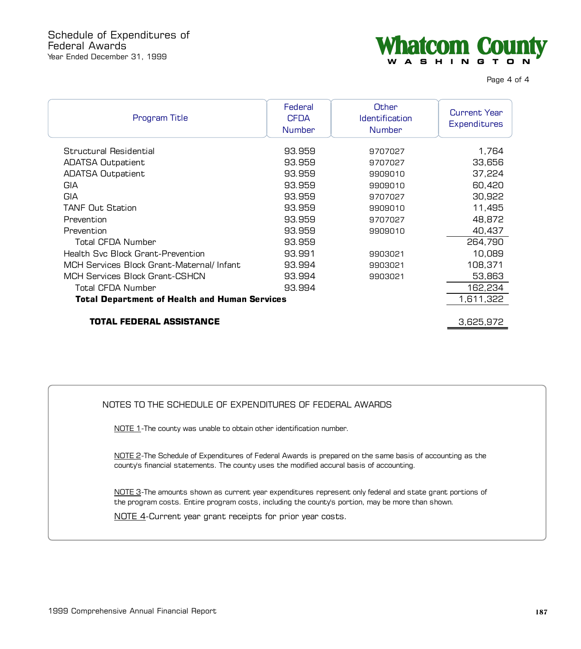

Page 4 of 4

| Program Title                                        | Federal<br><b>CFDA</b><br><b>Number</b> | Other<br><i><u><b>Identification</b></u></i><br><b>Number</b> | Current Year<br><b>Expenditures</b> |
|------------------------------------------------------|-----------------------------------------|---------------------------------------------------------------|-------------------------------------|
| Structural Residential                               | 93.959                                  | 9707027                                                       | 1.764                               |
| <b>ADATSA Outpatient</b>                             | 93.959                                  | 9707027                                                       | 33.656                              |
| <b>ADATSA Outpatient</b>                             | 93.959                                  | 9909010                                                       | 37.224                              |
| GIA                                                  | 93.959                                  | 9909010                                                       | 60,420                              |
| GIA                                                  | 93.959                                  | 9707027                                                       | 30,922                              |
| <b>TANF Out Station</b>                              | 93.959                                  | 9909010                                                       | 11.495                              |
| Prevention                                           | 93.959                                  | 9707027                                                       | 48.872                              |
| Prevention                                           | 93.959                                  | 9909010                                                       | 40,437                              |
| Total CFDA Number                                    | 93.959                                  |                                                               | 264,790                             |
| Health Svc Block Grant-Prevention                    | 93.991                                  | 9903021                                                       | 10.089                              |
| MCH Services Block Grant-Maternal/ Infant            | 93.994                                  | 9903021                                                       | 108.371                             |
| <b>MCH Services Block Grant-CSHCN</b>                | 93.994                                  | 9903021                                                       | 53,863                              |
| Total CFDA Number                                    | 93.994                                  |                                                               | 162,234                             |
| <b>Total Department of Health and Human Services</b> | 1,611,322                               |                                                               |                                     |
|                                                      |                                         |                                                               |                                     |
| <b>TOTAL FEDERAL ASSISTANCE</b>                      |                                         |                                                               | 3,625,972                           |

#### NOTES TO THE SCHEDULE OF EXPENDITURES OF FEDERAL AWARDS

NOTE 1-The county was unable to obtain other identification number.

NOTE 2-The Schedule of Expenditures of Federal Awards is prepared on the same basis of accounting as the county's financial statements. The county uses the modified accural basis of accounting.

NOTE 3-The amounts shown as current year expenditures represent only federal and state grant portions of the program costs. Entire program costs, including the county's portion, may be more than shown.

NOTE 4-Current year grant receipts for prior year costs.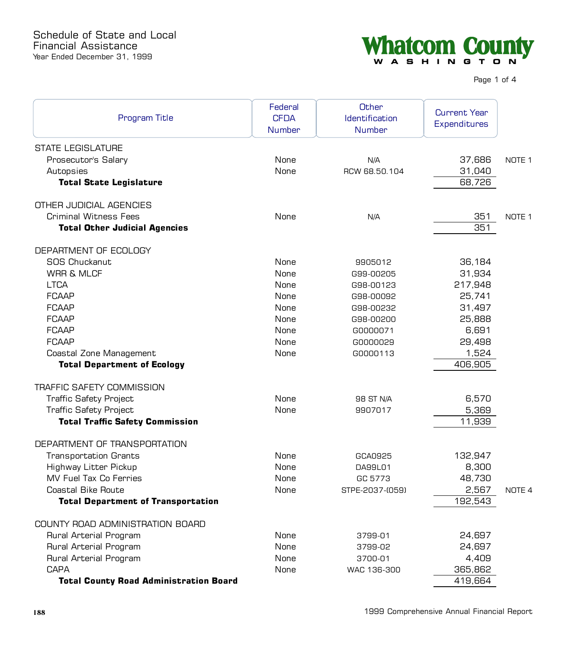

Page 1 of 4

| Program Title                                 | Federal<br>CFDA<br><b>Number</b> | Other<br>Identification<br><b>Number</b> | Current Year<br>Expenditures |                   |
|-----------------------------------------------|----------------------------------|------------------------------------------|------------------------------|-------------------|
| <b>STATE LEGISLATURE</b>                      |                                  |                                          |                              |                   |
| Prosecutor's Salary                           | None                             | N/A                                      | 37,686                       | NOTE 1            |
| Autopsies                                     | None                             | RCW 68.50.104                            | 31,040                       |                   |
| <b>Total State Legislature</b>                |                                  |                                          | 68,726                       |                   |
| OTHER JUDICIAL AGENCIES                       |                                  |                                          |                              |                   |
| <b>Criminal Witness Fees</b>                  | None                             | N/A                                      | 351                          | NOTE <sub>1</sub> |
| <b>Total Other Judicial Agencies</b>          |                                  |                                          | 351                          |                   |
| DEPARTMENT OF ECOLOGY                         |                                  |                                          |                              |                   |
| <b>SOS Chuckanut</b>                          | None                             | 9905012                                  | 36,184                       |                   |
| WRR & MLCF                                    | None                             | G99-00205                                | 31,934                       |                   |
| <b>LTCA</b>                                   | None                             | G98-00123                                | 217,948                      |                   |
| <b>FCAAP</b>                                  | None                             | G98-00092                                | 25,741                       |                   |
| <b>FCAAP</b>                                  | None                             | G98-00232                                | 31,497                       |                   |
| <b>FCAAP</b>                                  | None                             | G98-00200                                | 25,888                       |                   |
| <b>FCAAP</b>                                  | None                             | G0000071                                 | 6,691                        |                   |
| <b>FCAAP</b>                                  | None                             | G0000029                                 | 29,498                       |                   |
| Coastal Zone Management                       | None                             | G0000113                                 | 1,524                        |                   |
| <b>Total Department of Ecology</b>            |                                  |                                          | 406,905                      |                   |
| TRAFFIC SAFETY COMMISSION                     |                                  |                                          |                              |                   |
| <b>Traffic Safety Project</b>                 | None                             | 98 ST N/A                                | 6,570                        |                   |
| <b>Traffic Safety Project</b>                 | None                             | 9907017                                  | 5,369                        |                   |
| <b>Total Traffic Safety Commission</b>        |                                  |                                          | 11,939                       |                   |
| DEPARTMENT OF TRANSPORTATION                  |                                  |                                          |                              |                   |
| <b>Transportation Grants</b>                  | <b>None</b>                      | GCA0925                                  | 132,947                      |                   |
| Highway Litter Pickup                         | None                             | DA99L01                                  | 8,300                        |                   |
| <b>MV Fuel Tax Co Ferries</b>                 | None                             | GC 5773                                  | 48,730                       |                   |
| Coastal Bike Route                            | None                             | STPE-2037-(059)                          | 2,567                        | NOTE 4            |
| <b>Total Department of Transportation</b>     |                                  |                                          | 192,543                      |                   |
| COUNTY ROAD ADMINISTRATION BOARD              |                                  |                                          |                              |                   |
| Rural Arterial Program                        | None                             | 3799-01                                  | 24,697                       |                   |
| Rural Arterial Program                        | None                             | 3799-02                                  | 24,697                       |                   |
| Rural Arterial Program                        | None                             | 3700-01                                  | 4,409                        |                   |
| <b>CAPA</b>                                   | None                             | WAC 136-300                              | 365,862                      |                   |
| <b>Total County Road Administration Board</b> |                                  |                                          | 419,664                      |                   |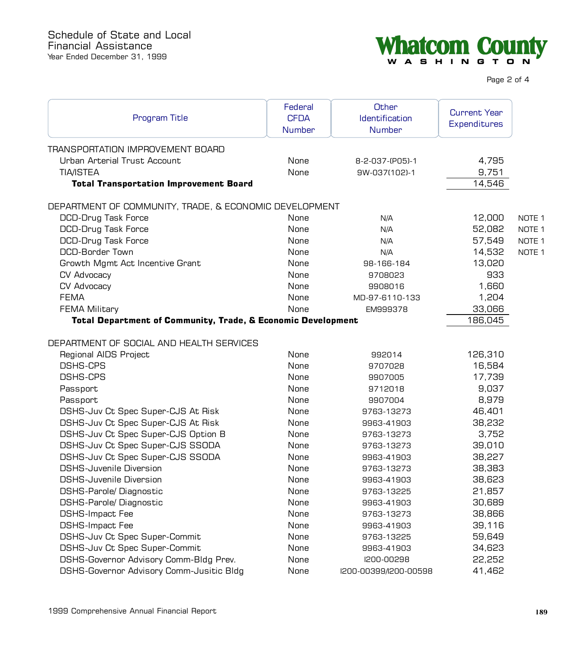

Page 2 of 4

| Program Title                                                | Federal<br><b>CFDA</b> | Other<br>Identification | <b>Current Year</b><br><b>Expenditures</b> |                   |
|--------------------------------------------------------------|------------------------|-------------------------|--------------------------------------------|-------------------|
|                                                              | <b>Number</b>          | Number                  |                                            |                   |
| TRANSPORTATION IMPROVEMENT BOARD                             |                        |                         |                                            |                   |
| Urban Arterial Trust Account                                 | None                   | 8-2-037-(P05)-1         | 4,795                                      |                   |
| <b>TIA/ISTEA</b>                                             | None                   | 9W-037(102)-1           | 9,751                                      |                   |
| <b>Total Transportation Improvement Board</b>                |                        |                         | 14,546                                     |                   |
| DEPARTMENT OF COMMUNITY, TRADE, & ECONOMIC DEVELOPMENT       |                        |                         |                                            |                   |
| DCD-Drug Task Force                                          | None                   | N/A                     | 12,000                                     | NOTE 1            |
| DCD-Drug Task Force                                          | None                   | N/A                     | 52,082                                     | NOTE <sub>1</sub> |
| DCD-Drug Task Force                                          | None                   | N/A                     | 57,549                                     | NOTE 1            |
| DCD-Border Town                                              | None                   | N/A                     | 14,532                                     | NOTE <sub>1</sub> |
| Growth Mgmt Act Incentive Grant                              | None                   | 98-166-184              | 13,020                                     |                   |
| CV Advocacy                                                  | None                   | 9708023                 | 933                                        |                   |
| CV Advocacy                                                  | None                   | 9908016                 | 1,660                                      |                   |
| <b>FEMA</b>                                                  | None                   | MD-97-6110-133          | 1,204                                      |                   |
| <b>FEMA Military</b>                                         | None                   | EM999378                | 33,066                                     |                   |
| Total Department of Community, Trade, & Economic Development |                        |                         | 186,045                                    |                   |
| DEPARTMENT OF SOCIAL AND HEALTH SERVICES                     |                        |                         |                                            |                   |
| Regional AIDS Project                                        | None                   |                         | 126,310                                    |                   |
| <b>DSHS-CPS</b>                                              | None                   | 992014<br>9707028       | 16,584                                     |                   |
| <b>DSHS-CPS</b>                                              | None                   | 9907005                 | 17,739                                     |                   |
| Passport                                                     | None                   | 9712018                 | 9,037                                      |                   |
| Passport                                                     | None                   | 9907004                 | 8,979                                      |                   |
| DSHS-Juv Ct Spec Super-CJS At Risk                           | None                   | 9763-13273              | 46,401                                     |                   |
| DSHS-Juv Ct Spec Super-CJS At Risk                           | None                   | 9963-41903              | 38,232                                     |                   |
| DSHS-Juv Ct Spec Super-CJS Option B                          | None                   | 9763-13273              | 3,752                                      |                   |
| DSHS-Juv Ct Spec Super-CJS SSODA                             | None                   | 9763-13273              | 39,010                                     |                   |
| DSHS-Juv Ct Spec Super-CJS SSODA                             | None                   | 9963-41903              | 38,227                                     |                   |
| <b>DSHS-Juvenile Diversion</b>                               | None                   | 9763-13273              | 38,383                                     |                   |
| <b>DSHS-Juvenile Diversion</b>                               | None                   | 9963-41903              | 38,623                                     |                   |
| DSHS-Parole/Diagnostic                                       | None                   | 9763-13225              | 21,857                                     |                   |
| DSHS-Parole/Diagnostic                                       | None                   | 9963-41903              | 30,689                                     |                   |
| <b>DSHS-Impact Fee</b>                                       | None                   | 9763-13273              | 38,866                                     |                   |
| <b>DSHS-Impact Fee</b>                                       | None                   | 9963-41903              | 39,116                                     |                   |
| DSHS-Juv Ct Spec Super-Commit                                | None                   | 9763-13225              | 59,649                                     |                   |
| DSHS-Juv Ct Spec Super-Commit                                | None                   | 9963-41903              | 34,623                                     |                   |
| DSHS-Governor Advisory Comm-Bldg Prev.                       | None                   | 1200-00298              | 22,252                                     |                   |
| <b>DSHS-Governor Advisory Comm-Jusitic Bldg</b>              | None                   | 1200-00399/1200-00598   | 41,462                                     |                   |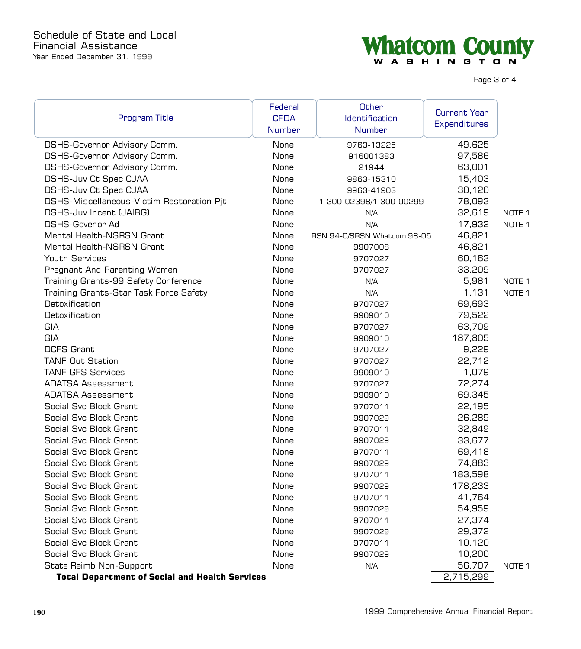

Page 3 of 4

|                                                       | Federal     | Other                       | <b>Current Year</b> |                   |
|-------------------------------------------------------|-------------|-----------------------------|---------------------|-------------------|
| Program Title                                         | <b>CFDA</b> | Identification              | Expenditures        |                   |
|                                                       | Number      | <b>Number</b>               |                     |                   |
| DSHS-Governor Advisory Comm.                          | None        | 9763-13225                  | 49,625              |                   |
| DSHS-Governor Advisory Comm.                          | None        | 916001383                   | 97,586              |                   |
| DSHS-Governor Advisory Comm.                          | None        | 21944                       | 63,001              |                   |
| DSHS-Juv Ct Spec CJAA                                 | None        | 9863-15310                  | 15,403              |                   |
| DSHS-Juv Ct Spec CJAA                                 | None        | 9963-41903                  | 30,120              |                   |
| DSHS-Miscellaneous-Victim Restoration Pjt             | None        | 1-300-02398/1-300-00299     | 78,093              |                   |
| DSHS-Juv Incent (JAIBG)                               | None        | N/A                         | 32,619              | NOTE <sub>1</sub> |
| <b>DSHS-Govenor Ad</b>                                | None        | N/A                         | 17,932              | NOTE <sub>1</sub> |
| <b>Mental Health-NSRSN Grant</b>                      | None        | RSN 94-0/SRSN Whatcom 98-05 | 46,821              |                   |
| Mental Health-NSRSN Grant                             | None        | 9907008                     | 46,821              |                   |
| Youth Services                                        | None        | 9707027                     | 60,163              |                   |
| Pregnant And Parenting Women                          | None        | 9707027                     | 33,209              |                   |
| Training Grants-99 Safety Conference                  | None        | N/A                         | 5,981               | NOTE 1            |
| Training Grants-Star Task Force Safety                | None        | N/A                         | 1,131               | NOTE 1            |
| Detoxification                                        | None        | 9707027                     | 69,693              |                   |
| Detoxification                                        | None        | 9909010                     | 79,522              |                   |
| <b>GIA</b>                                            | None        | 9707027                     | 63,709              |                   |
| <b>GIA</b>                                            | None        | 9909010                     | 187,805             |                   |
| <b>DCFS Grant</b>                                     | None        | 9707027                     | 9,229               |                   |
| <b>TANF Out Station</b>                               | None        | 9707027                     | 22,712              |                   |
| <b>TANF GFS Services</b>                              | None        | 9909010                     | 1,079               |                   |
| ADATSA Assessment                                     | None        | 9707027                     | 72,274              |                   |
| ADATSA Assessment                                     | None        | 9909010                     | 69,345              |                   |
| Social Svc Block Grant                                | None        | 9707011                     | 22,195              |                   |
| Social Svc Block Grant                                | None        | 9907029                     | 26,289              |                   |
| Social Svc Block Grant                                | None        | 9707011                     | 32,849              |                   |
| Social Svc Block Grant                                | None        | 9907029                     | 33,677              |                   |
| Social Svc Block Grant                                | None        | 9707011                     | 69,418              |                   |
| Social Svc Block Grant                                | None        | 9907029                     | 74,883              |                   |
| Social Svc Block Grant                                | None        | 9707011                     | 183,598             |                   |
| Social Svc Block Grant                                | None        | 9907029                     | 178,233             |                   |
| Social Svc Block Grant                                | None        | 9707011                     | 41,764              |                   |
| Social Svc Block Grant                                | None        | 9907029                     | 54,959              |                   |
| Social Svc Block Grant                                | None        | 9707011                     | 27,374              |                   |
| Social Svc Block Grant                                | None        | 9907029                     | 29,372              |                   |
| Social Svc Block Grant                                | None        | 9707011                     | 10,120              |                   |
| Social Svc Block Grant                                | None        | 9907029                     | 10,200              |                   |
| State Reimb Non-Support                               | None        | N/A                         | 56,707              | NOTE 1            |
| <b>Total Department of Social and Health Services</b> |             |                             | 2,715,299           |                   |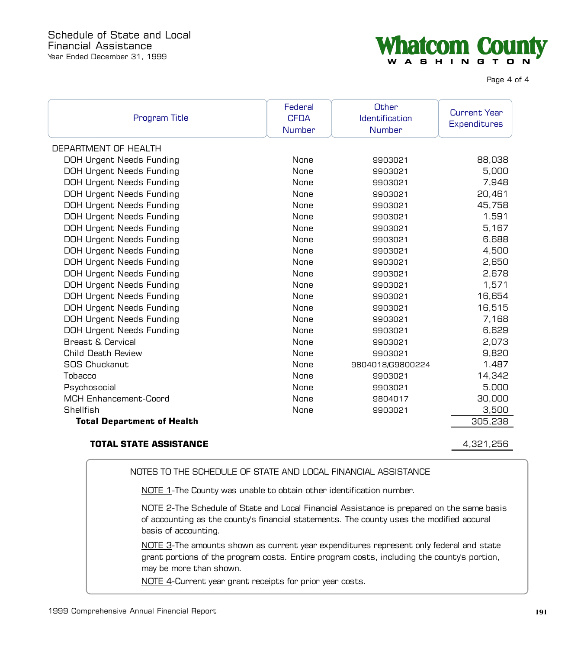

Page 4 of 4

| Program Title                     | Federal<br><b>CFDA</b><br>Number | Other<br>Identification<br><b>Number</b> | <b>Current Year</b><br>Expenditures |
|-----------------------------------|----------------------------------|------------------------------------------|-------------------------------------|
| DEPARTMENT OF HEALTH              |                                  |                                          |                                     |
| DOH Urgent Needs Funding          | None                             | 9903021                                  | 88,038                              |
| DOH Urgent Needs Funding          | None                             | 9903021                                  | 5,000                               |
| DOH Urgent Needs Funding          | None                             | 9903021                                  | 7.948                               |
| <b>DOH Urgent Needs Funding</b>   | <b>None</b>                      | 9903021                                  | 20,461                              |
| DOH Urgent Needs Funding          | None                             | 9903021                                  | 45,758                              |
| DOH Urgent Needs Funding          | None                             | 9903021                                  | 1,591                               |
| DOH Urgent Needs Funding          | None                             | 9903021                                  | 5,167                               |
| DOH Urgent Needs Funding          | None                             | 9903021                                  | 6,688                               |
| <b>DOH Urgent Needs Funding</b>   | <b>None</b>                      | 9903021                                  | 4,500                               |
| DOH Urgent Needs Funding          | None                             | 9903021                                  | 2,650                               |
| DOH Urgent Needs Funding          | None                             | 9903021                                  | 2,678                               |
| DOH Urgent Needs Funding          | None                             | 9903021                                  | 1,571                               |
| DOH Urgent Needs Funding          | None                             | 9903021                                  | 16,654                              |
| DOH Urgent Needs Funding          | None                             | 9903021                                  | 16,515                              |
| DOH Urgent Needs Funding          | None                             | 9903021                                  | 7,168                               |
| DOH Urgent Needs Funding          | None                             | 9903021                                  | 6,629                               |
| <b>Breast &amp; Cervical</b>      | None                             | 9903021                                  | 2,073                               |
| Child Death Review                | None                             | 9903021                                  | 9,820                               |
| <b>SOS Chuckanut</b>              | None                             | 9804018/G9800224                         | 1,487                               |
| Tobacco                           | None                             | 9903021                                  | 14,342                              |
| Psychosocial                      | None                             | 9903021                                  | 5,000                               |
| <b>MCH Enhancement-Coord</b>      | None                             | 9804017                                  | 30,000                              |
| Shellfish                         | None                             | 9903021                                  | 3,500                               |
| <b>Total Department of Health</b> |                                  |                                          | 305,238                             |
| <b>TOTAL STATE ASSISTANCE</b>     |                                  |                                          | 4,321,256                           |

#### NOTES TO THE SCHEDULE OF STATE AND LOCAL FINANCIAL ASSISTANCE

NOTE 1-The County was unable to obtain other identification number.

NOTE 2-The Schedule of State and Local Financial Assistance is prepared on the same basis of accounting as the county's financial statements. The county uses the modified accural basis of accounting.

NOTE 3-The amounts shown as current year expenditures represent only federal and state grant portions of the program costs. Entire program costs, including the county's portion, may be more than shown.

NOTE 4-Current year grant receipts for prior year costs.